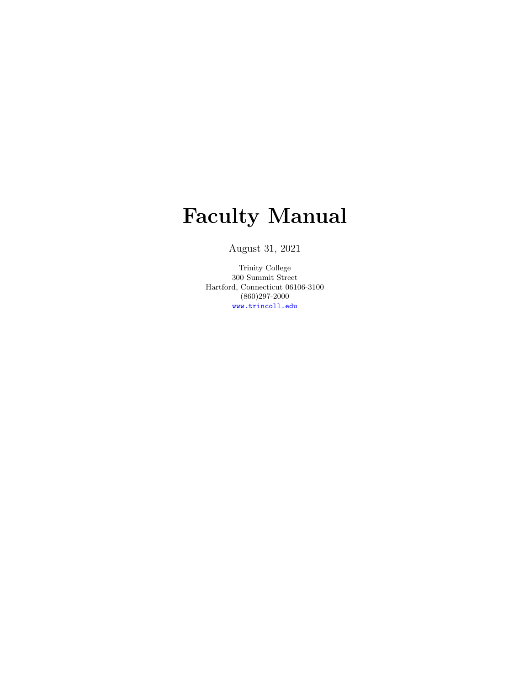# Faculty Manual

August 31, 2021

Trinity College 300 Summit Street Hartford, Connecticut 06106-3100 (860)297-2000 <www.trincoll.edu>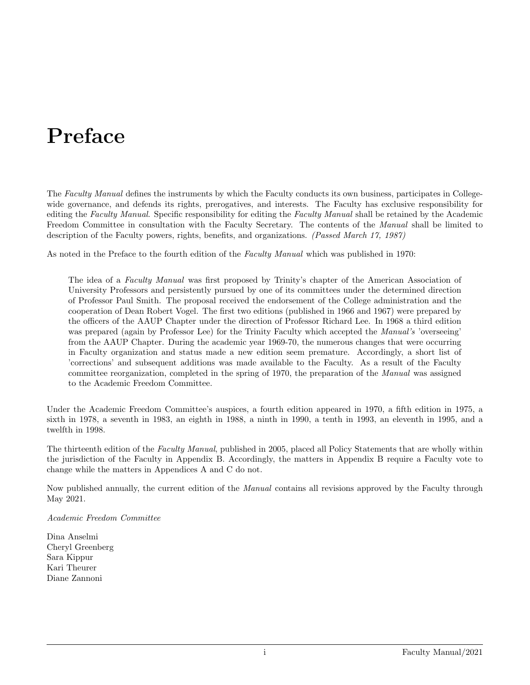# <span id="page-1-0"></span>Preface

The Faculty Manual defines the instruments by which the Faculty conducts its own business, participates in Collegewide governance, and defends its rights, prerogatives, and interests. The Faculty has exclusive responsibility for editing the Faculty Manual. Specific responsibility for editing the Faculty Manual shall be retained by the Academic Freedom Committee in consultation with the Faculty Secretary. The contents of the Manual shall be limited to description of the Faculty powers, rights, benefits, and organizations. (Passed March 17, 1987)

As noted in the Preface to the fourth edition of the Faculty Manual which was published in 1970:

The idea of a Faculty Manual was first proposed by Trinity's chapter of the American Association of University Professors and persistently pursued by one of its committees under the determined direction of Professor Paul Smith. The proposal received the endorsement of the College administration and the cooperation of Dean Robert Vogel. The first two editions (published in 1966 and 1967) were prepared by the officers of the AAUP Chapter under the direction of Professor Richard Lee. In 1968 a third edition was prepared (again by Professor Lee) for the Trinity Faculty which accepted the *Manual's* 'overseeing' from the AAUP Chapter. During the academic year 1969-70, the numerous changes that were occurring in Faculty organization and status made a new edition seem premature. Accordingly, a short list of 'corrections' and subsequent additions was made available to the Faculty. As a result of the Faculty committee reorganization, completed in the spring of 1970, the preparation of the Manual was assigned to the Academic Freedom Committee.

Under the Academic Freedom Committee's auspices, a fourth edition appeared in 1970, a fifth edition in 1975, a sixth in 1978, a seventh in 1983, an eighth in 1988, a ninth in 1990, a tenth in 1993, an eleventh in 1995, and a twelfth in 1998.

The thirteenth edition of the Faculty Manual, published in 2005, placed all Policy Statements that are wholly within the jurisdiction of the Faculty in Appendix B. Accordingly, the matters in Appendix B require a Faculty vote to change while the matters in Appendices A and C do not.

Now published annually, the current edition of the *Manual* contains all revisions approved by the Faculty through May 2021.

Academic Freedom Committee

Dina Anselmi Cheryl Greenberg Sara Kippur Kari Theurer Diane Zannoni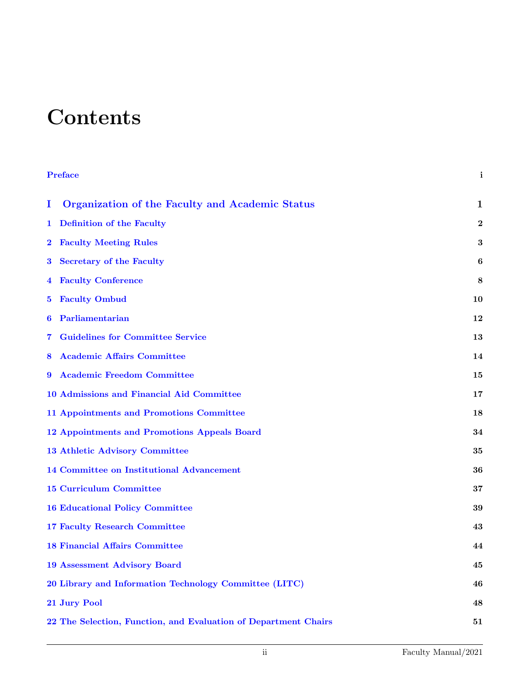# **Contents**

|          | <b>Preface</b>                                                  | i        |
|----------|-----------------------------------------------------------------|----------|
| I        | Organization of the Faculty and Academic Status                 | 1        |
| 1        | <b>Definition of the Faculty</b>                                | $\bf{2}$ |
| $\bf{2}$ | <b>Faculty Meeting Rules</b>                                    | 3        |
| 3        | <b>Secretary of the Faculty</b>                                 | 6        |
| 4        | <b>Faculty Conference</b>                                       | 8        |
| 5        | <b>Faculty Ombud</b>                                            | 10       |
| 6        | Parliamentarian                                                 | 12       |
| 7        | <b>Guidelines for Committee Service</b>                         | 13       |
| 8        | <b>Academic Affairs Committee</b>                               | 14       |
| 9        | <b>Academic Freedom Committee</b>                               | 15       |
|          | 10 Admissions and Financial Aid Committee                       | 17       |
|          | <b>11 Appointments and Promotions Committee</b>                 | 18       |
|          | 12 Appointments and Promotions Appeals Board                    | 34       |
|          | <b>13 Athletic Advisory Committee</b>                           | 35       |
|          | <b>14 Committee on Institutional Advancement</b>                | 36       |
|          | <b>15 Curriculum Committee</b>                                  | 37       |
|          | <b>16 Educational Policy Committee</b>                          | 39       |
|          | <b>17 Faculty Research Committee</b>                            | 43       |
|          | <b>18 Financial Affairs Committee</b>                           | 44       |
|          | <b>19 Assessment Advisory Board</b>                             | 45       |
|          | 20 Library and Information Technology Committee (LITC)          | 46       |
|          | 21 Jury Pool                                                    | 48       |
|          | 22 The Selection, Function, and Evaluation of Department Chairs | 51       |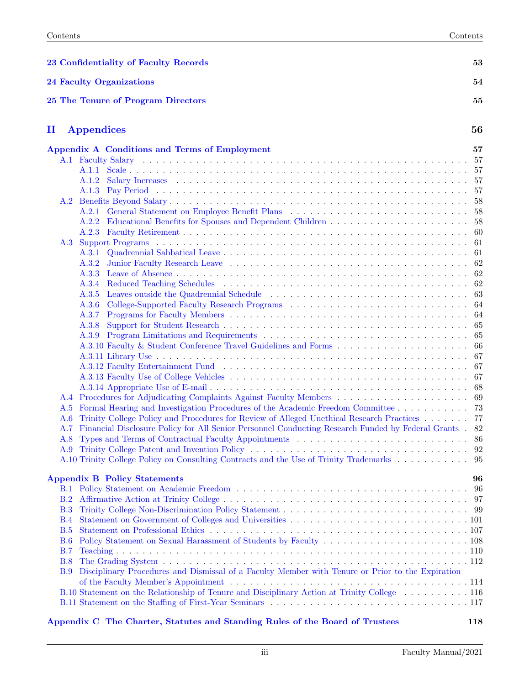|              |            | 23 Confidentiality of Faculty Records                                                                  | 53        |
|--------------|------------|--------------------------------------------------------------------------------------------------------|-----------|
|              |            | <b>24 Faculty Organizations</b>                                                                        | 54        |
|              |            | 25 The Tenure of Program Directors                                                                     | 55        |
| $\mathbf{I}$ |            | <b>Appendices</b>                                                                                      | 56        |
|              |            | Appendix A Conditions and Terms of Employment                                                          | 57        |
|              |            |                                                                                                        | 57        |
|              |            | A.1.1                                                                                                  |           |
|              |            | $\rm A.1.2$                                                                                            |           |
|              |            |                                                                                                        | -57       |
|              |            |                                                                                                        | - 58      |
|              |            | $\rm A.2.1$                                                                                            |           |
|              |            |                                                                                                        | 58<br>-60 |
|              | A.3        |                                                                                                        | 61        |
|              |            | A.3.1                                                                                                  | 61        |
|              |            | A.3.2                                                                                                  | 62        |
|              |            | A.3.3                                                                                                  | 62        |
|              |            |                                                                                                        | 62        |
|              |            | $\rm A.3.5$                                                                                            | 63        |
|              |            | A.3.6                                                                                                  | 64        |
|              |            | A.3.7                                                                                                  | 64        |
|              |            | A.3.8                                                                                                  | 65        |
|              |            |                                                                                                        | 65        |
|              |            |                                                                                                        | 66        |
|              |            |                                                                                                        | 67        |
|              |            |                                                                                                        | 67        |
|              |            |                                                                                                        | 67        |
|              |            |                                                                                                        | 68        |
|              | A.5        | A.4 Procedures for Adjudicating Complaints Against Faculty Members                                     | 69        |
|              | A.6        | Trinity College Policy and Procedures for Review of Alleged Unethical Research Practices 77            |           |
|              | A.7        | Financial Disclosure Policy for All Senior Personnel Conducting Research Funded by Federal Grants . 82 |           |
|              |            |                                                                                                        |           |
|              |            |                                                                                                        |           |
|              |            | A.10 Trinity College Policy on Consulting Contracts and the Use of Trinity Trademarks 95               |           |
|              |            |                                                                                                        |           |
|              |            | <b>Appendix B Policy Statements</b>                                                                    | 96        |
|              |            |                                                                                                        | 96        |
|              |            |                                                                                                        |           |
|              | В.3        |                                                                                                        |           |
|              | B.4        |                                                                                                        |           |
|              | B.5        |                                                                                                        |           |
|              | B.6<br>B.7 |                                                                                                        |           |
|              | B.8        |                                                                                                        |           |
|              | B.9        | Disciplinary Procedures and Dismissal of a Faculty Member with Tenure or Prior to the Expiration       |           |
|              |            |                                                                                                        |           |
|              |            | B.10 Statement on the Relationship of Tenure and Disciplinary Action at Trinity College  116           |           |
|              |            |                                                                                                        |           |
|              |            |                                                                                                        |           |

#### [Appendix C The Charter, Statutes and Standing Rules of the Board of Trustees](#page-122-0) 118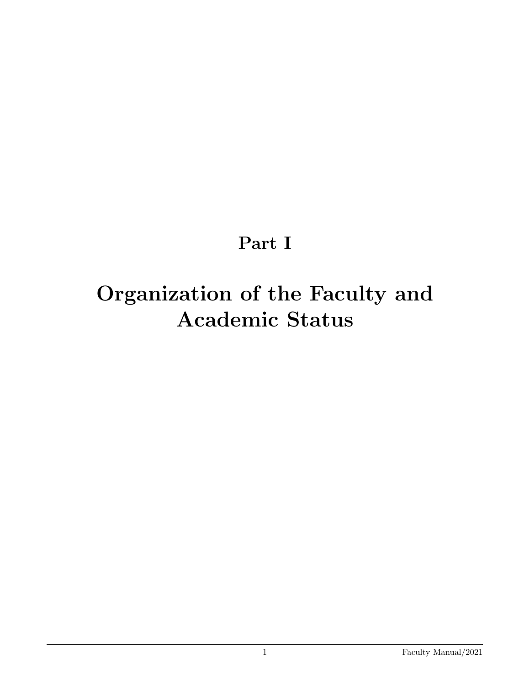## Part I

# <span id="page-5-0"></span>Organization of the Faculty and Academic Status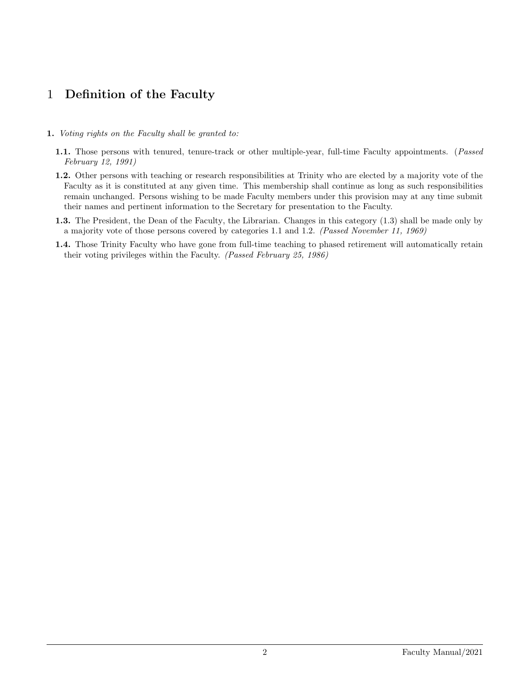## <span id="page-6-0"></span>1 Definition of the Faculty

- 1. Voting rights on the Faculty shall be granted to:
	- 1.1. Those persons with tenured, tenure-track or other multiple-year, full-time Faculty appointments. (Passed February 12, 1991)
	- 1.2. Other persons with teaching or research responsibilities at Trinity who are elected by a majority vote of the Faculty as it is constituted at any given time. This membership shall continue as long as such responsibilities remain unchanged. Persons wishing to be made Faculty members under this provision may at any time submit their names and pertinent information to the Secretary for presentation to the Faculty.
	- 1.3. The President, the Dean of the Faculty, the Librarian. Changes in this category (1.3) shall be made only by a majority vote of those persons covered by categories 1.1 and 1.2. (Passed November 11, 1969)
	- 1.4. Those Trinity Faculty who have gone from full-time teaching to phased retirement will automatically retain their voting privileges within the Faculty. (Passed February 25, 1986)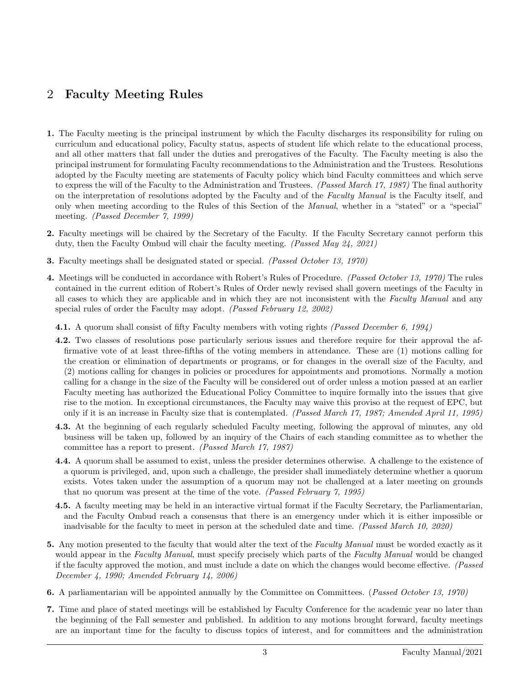## <span id="page-7-0"></span>2 Faculty Meeting Rules

- 1. The Faculty meeting is the principal instrument by which the Faculty discharges its responsibility for ruling on curriculum and educational policy, Faculty status, aspects of student life which relate to the educational process, and all other matters that fall under the duties and prerogatives of the Faculty. The Faculty meeting is also the principal instrument for formulating Faculty recommendations to the Administration and the Trustees. Resolutions adopted by the Faculty meeting are statements of Faculty policy which bind Faculty committees and which serve to express the will of the Faculty to the Administration and Trustees. (Passed March 17, 1987) The final authority on the interpretation of resolutions adopted by the Faculty and of the Faculty Manual is the Faculty itself, and only when meeting according to the Rules of this Section of the Manual, whether in a "stated" or a "special" meeting. (Passed December 7, 1999)
- 2. Faculty meetings will be chaired by the Secretary of the Faculty. If the Faculty Secretary cannot perform this duty, then the Faculty Ombud will chair the faculty meeting. (Passed May 24, 2021)
- 3. Faculty meetings shall be designated stated or special. (Passed October 13, 1970)
- 4. Meetings will be conducted in accordance with Robert's Rules of Procedure. (Passed October 13, 1970) The rules contained in the current edition of Robert's Rules of Order newly revised shall govern meetings of the Faculty in all cases to which they are applicable and in which they are not inconsistent with the Faculty Manual and any special rules of order the Faculty may adopt. (Passed February 12, 2002)
	- 4.1. A quorum shall consist of fifty Faculty members with voting rights (Passed December 6, 1994)
	- 4.2. Two classes of resolutions pose particularly serious issues and therefore require for their approval the affirmative vote of at least three-fifths of the voting members in attendance. These are (1) motions calling for the creation or elimination of departments or programs, or for changes in the overall size of the Faculty, and (2) motions calling for changes in policies or procedures for appointments and promotions. Normally a motion calling for a change in the size of the Faculty will be considered out of order unless a motion passed at an earlier Faculty meeting has authorized the Educational Policy Committee to inquire formally into the issues that give rise to the motion. In exceptional circumstances, the Faculty may waive this proviso at the request of EPC, but only if it is an increase in Faculty size that is contemplated. (Passed March 17, 1987; Amended April 11, 1995)
	- 4.3. At the beginning of each regularly scheduled Faculty meeting, following the approval of minutes, any old business will be taken up, followed by an inquiry of the Chairs of each standing committee as to whether the committee has a report to present. (Passed March 17, 1987)
	- 4.4. A quorum shall be assumed to exist, unless the presider determines otherwise. A challenge to the existence of a quorum is privileged, and, upon such a challenge, the presider shall immediately determine whether a quorum exists. Votes taken under the assumption of a quorum may not be challenged at a later meeting on grounds that no quorum was present at the time of the vote. (Passed February 7, 1995)
	- 4.5. A faculty meeting may be held in an interactive virtual format if the Faculty Secretary, the Parliamentarian, and the Faculty Ombud reach a consensus that there is an emergency under which it is either impossible or inadvisable for the faculty to meet in person at the scheduled date and time. (Passed March 10, 2020)
- 5. Any motion presented to the faculty that would alter the text of the Faculty Manual must be worded exactly as it would appear in the Faculty Manual, must specify precisely which parts of the Faculty Manual would be changed if the faculty approved the motion, and must include a date on which the changes would become effective. (Passed December 4, 1990; Amended February 14, 2006)
- 6. A parliamentarian will be appointed annually by the Committee on Committees. (Passed October 13, 1970)
- 7. Time and place of stated meetings will be established by Faculty Conference for the academic year no later than the beginning of the Fall semester and published. In addition to any motions brought forward, faculty meetings are an important time for the faculty to discuss topics of interest, and for committees and the administration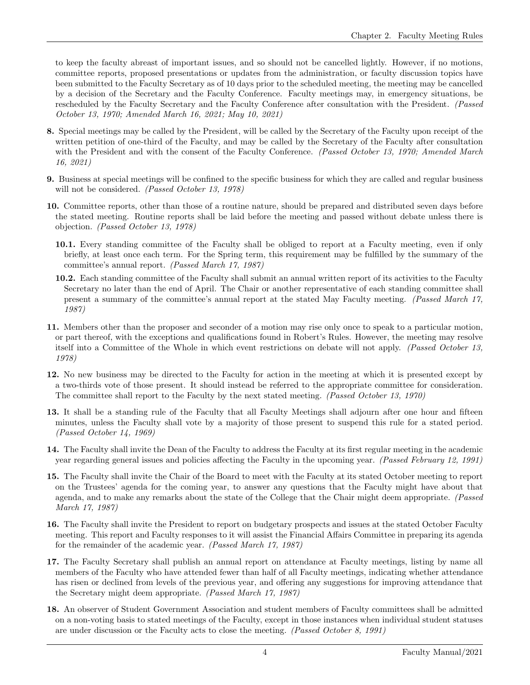to keep the faculty abreast of important issues, and so should not be cancelled lightly. However, if no motions, committee reports, proposed presentations or updates from the administration, or faculty discussion topics have been submitted to the Faculty Secretary as of 10 days prior to the scheduled meeting, the meeting may be cancelled by a decision of the Secretary and the Faculty Conference. Faculty meetings may, in emergency situations, be rescheduled by the Faculty Secretary and the Faculty Conference after consultation with the President. (Passed October 13, 1970; Amended March 16, 2021; May 10, 2021)

- 8. Special meetings may be called by the President, will be called by the Secretary of the Faculty upon receipt of the written petition of one-third of the Faculty, and may be called by the Secretary of the Faculty after consultation with the President and with the consent of the Faculty Conference. (Passed October 13, 1970; Amended March 16, 2021)
- 9. Business at special meetings will be confined to the specific business for which they are called and regular business will not be considered. (Passed October 13, 1978)
- 10. Committee reports, other than those of a routine nature, should be prepared and distributed seven days before the stated meeting. Routine reports shall be laid before the meeting and passed without debate unless there is objection. (Passed October 13, 1978)
	- 10.1. Every standing committee of the Faculty shall be obliged to report at a Faculty meeting, even if only briefly, at least once each term. For the Spring term, this requirement may be fulfilled by the summary of the committee's annual report. (Passed March 17, 1987)
	- 10.2. Each standing committee of the Faculty shall submit an annual written report of its activities to the Faculty Secretary no later than the end of April. The Chair or another representative of each standing committee shall present a summary of the committee's annual report at the stated May Faculty meeting. (Passed March 17, 1987)
- 11. Members other than the proposer and seconder of a motion may rise only once to speak to a particular motion, or part thereof, with the exceptions and qualifications found in Robert's Rules. However, the meeting may resolve itself into a Committee of the Whole in which event restrictions on debate will not apply. (Passed October 13, 1978)
- 12. No new business may be directed to the Faculty for action in the meeting at which it is presented except by a two-thirds vote of those present. It should instead be referred to the appropriate committee for consideration. The committee shall report to the Faculty by the next stated meeting. (Passed October 13, 1970)
- 13. It shall be a standing rule of the Faculty that all Faculty Meetings shall adjourn after one hour and fifteen minutes, unless the Faculty shall vote by a majority of those present to suspend this rule for a stated period. (Passed October 14, 1969)
- 14. The Faculty shall invite the Dean of the Faculty to address the Faculty at its first regular meeting in the academic year regarding general issues and policies affecting the Faculty in the upcoming year. (Passed February 12, 1991)
- 15. The Faculty shall invite the Chair of the Board to meet with the Faculty at its stated October meeting to report on the Trustees' agenda for the coming year, to answer any questions that the Faculty might have about that agenda, and to make any remarks about the state of the College that the Chair might deem appropriate. (Passed March 17, 1987)
- 16. The Faculty shall invite the President to report on budgetary prospects and issues at the stated October Faculty meeting. This report and Faculty responses to it will assist the Financial Affairs Committee in preparing its agenda for the remainder of the academic year. (Passed March 17, 1987)
- 17. The Faculty Secretary shall publish an annual report on attendance at Faculty meetings, listing by name all members of the Faculty who have attended fewer than half of all Faculty meetings, indicating whether attendance has risen or declined from levels of the previous year, and offering any suggestions for improving attendance that the Secretary might deem appropriate. (Passed March 17, 1987)
- 18. An observer of Student Government Association and student members of Faculty committees shall be admitted on a non-voting basis to stated meetings of the Faculty, except in those instances when individual student statuses are under discussion or the Faculty acts to close the meeting. (Passed October 8, 1991)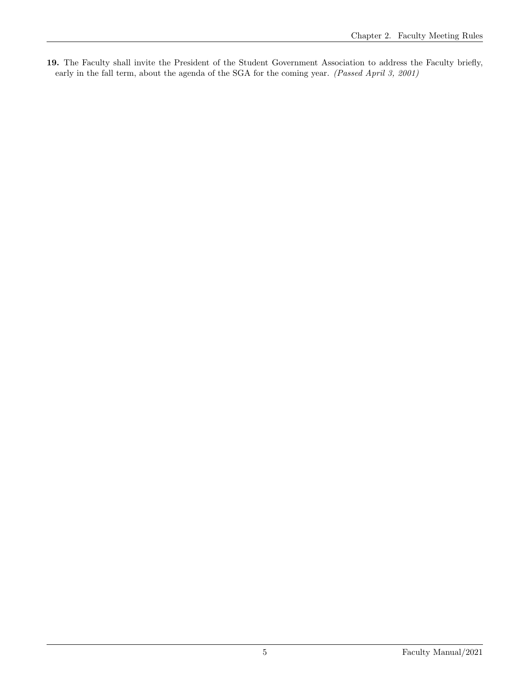19. The Faculty shall invite the President of the Student Government Association to address the Faculty briefly, early in the fall term, about the agenda of the SGA for the coming year. (Passed April 3, 2001)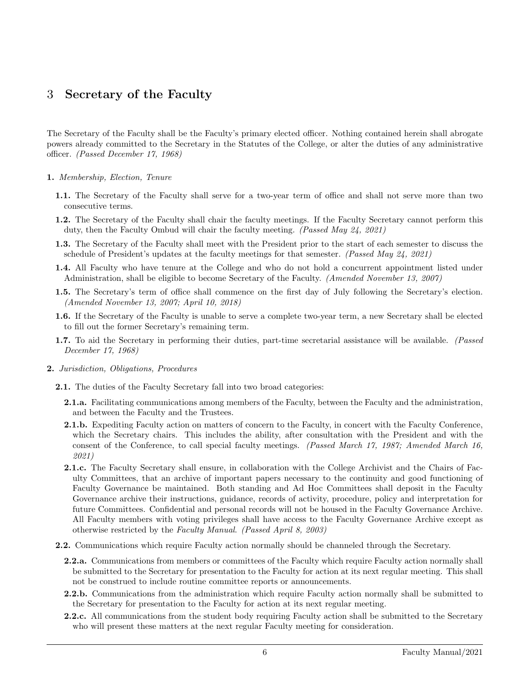### <span id="page-10-0"></span>3 Secretary of the Faculty

The Secretary of the Faculty shall be the Faculty's primary elected officer. Nothing contained herein shall abrogate powers already committed to the Secretary in the Statutes of the College, or alter the duties of any administrative officer. (Passed December 17, 1968)

#### 1. Membership, Election, Tenure

- 1.1. The Secretary of the Faculty shall serve for a two-year term of office and shall not serve more than two consecutive terms.
- 1.2. The Secretary of the Faculty shall chair the faculty meetings. If the Faculty Secretary cannot perform this duty, then the Faculty Ombud will chair the faculty meeting. (Passed May 24, 2021)
- 1.3. The Secretary of the Faculty shall meet with the President prior to the start of each semester to discuss the schedule of President's updates at the faculty meetings for that semester. (Passed May 24, 2021)
- 1.4. All Faculty who have tenure at the College and who do not hold a concurrent appointment listed under Administration, shall be eligible to become Secretary of the Faculty. (Amended November 13, 2007)
- 1.5. The Secretary's term of office shall commence on the first day of July following the Secretary's election. (Amended November 13, 2007; April 10, 2018)
- 1.6. If the Secretary of the Faculty is unable to serve a complete two-year term, a new Secretary shall be elected to fill out the former Secretary's remaining term.
- 1.7. To aid the Secretary in performing their duties, part-time secretarial assistance will be available. (Passed December 17, 1968)
- 2. Jurisdiction, Obligations, Procedures
	- 2.1. The duties of the Faculty Secretary fall into two broad categories:
		- 2.1.a. Facilitating communications among members of the Faculty, between the Faculty and the administration, and between the Faculty and the Trustees.
		- 2.1.b. Expediting Faculty action on matters of concern to the Faculty, in concert with the Faculty Conference, which the Secretary chairs. This includes the ability, after consultation with the President and with the consent of the Conference, to call special faculty meetings. (Passed March 17, 1987; Amended March 16, 2021)
		- 2.1.c. The Faculty Secretary shall ensure, in collaboration with the College Archivist and the Chairs of Faculty Committees, that an archive of important papers necessary to the continuity and good functioning of Faculty Governance be maintained. Both standing and Ad Hoc Committees shall deposit in the Faculty Governance archive their instructions, guidance, records of activity, procedure, policy and interpretation for future Committees. Confidential and personal records will not be housed in the Faculty Governance Archive. All Faculty members with voting privileges shall have access to the Faculty Governance Archive except as otherwise restricted by the Faculty Manual. (Passed April 8, 2003)
	- 2.2. Communications which require Faculty action normally should be channeled through the Secretary.
		- 2.2.a. Communications from members or committees of the Faculty which require Faculty action normally shall be submitted to the Secretary for presentation to the Faculty for action at its next regular meeting. This shall not be construed to include routine committee reports or announcements.
		- 2.2.b. Communications from the administration which require Faculty action normally shall be submitted to the Secretary for presentation to the Faculty for action at its next regular meeting.
		- 2.2.c. All communications from the student body requiring Faculty action shall be submitted to the Secretary who will present these matters at the next regular Faculty meeting for consideration.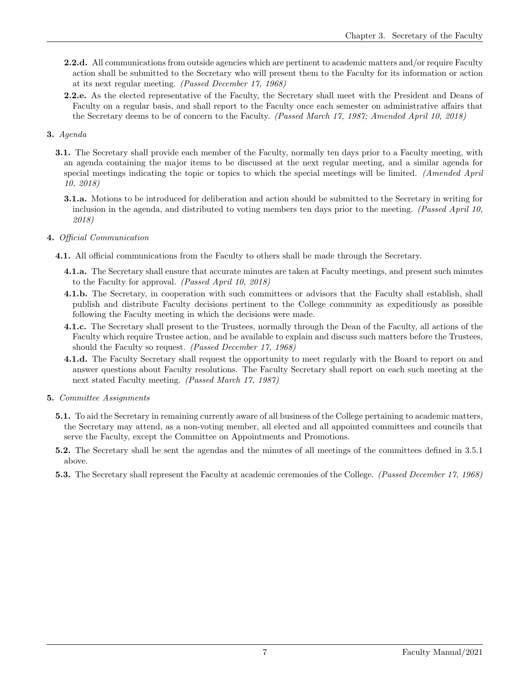- 2.2.d. All communications from outside agencies which are pertinent to academic matters and/or require Faculty action shall be submitted to the Secretary who will present them to the Faculty for its information or action at its next regular meeting. (Passed December 17, 1968)
- 2.2.e. As the elected representative of the Faculty, the Secretary shall meet with the President and Deans of Faculty on a regular basis, and shall report to the Faculty once each semester on administrative affairs that the Secretary deems to be of concern to the Faculty. (Passed March 17, 1987; Amended April 10, 2018)

#### 3. Agenda

- 3.1. The Secretary shall provide each member of the Faculty, normally ten days prior to a Faculty meeting, with an agenda containing the major items to be discussed at the next regular meeting, and a similar agenda for special meetings indicating the topic or topics to which the special meetings will be limited. (Amended April 10, 2018)
	- 3.1.a. Motions to be introduced for deliberation and action should be submitted to the Secretary in writing for inclusion in the agenda, and distributed to voting members ten days prior to the meeting. (Passed April 10, 2018)

#### 4. Official Communication

- 4.1. All official communications from the Faculty to others shall be made through the Secretary.
	- 4.1.a. The Secretary shall ensure that accurate minutes are taken at Faculty meetings, and present such minutes to the Faculty for approval. (Passed April 10, 2018)
	- 4.1.b. The Secretary, in cooperation with such committees or advisors that the Faculty shall establish, shall publish and distribute Faculty decisions pertinent to the College community as expeditiously as possible following the Faculty meeting in which the decisions were made.
	- 4.1.c. The Secretary shall present to the Trustees, normally through the Dean of the Faculty, all actions of the Faculty which require Trustee action, and be available to explain and discuss such matters before the Trustees, should the Faculty so request. (Passed December 17, 1968)
	- 4.1.d. The Faculty Secretary shall request the opportunity to meet regularly with the Board to report on and answer questions about Faculty resolutions. The Faculty Secretary shall report on each such meeting at the next stated Faculty meeting. (Passed March 17, 1987)
- 5. Committee Assignments
	- 5.1. To aid the Secretary in remaining currently aware of all business of the College pertaining to academic matters, the Secretary may attend, as a non-voting member, all elected and all appointed committees and councils that serve the Faculty, except the Committee on Appointments and Promotions.
	- 5.2. The Secretary shall be sent the agendas and the minutes of all meetings of the committees defined in 3.5.1 above.
	- 5.3. The Secretary shall represent the Faculty at academic ceremonies of the College. (Passed December 17, 1968)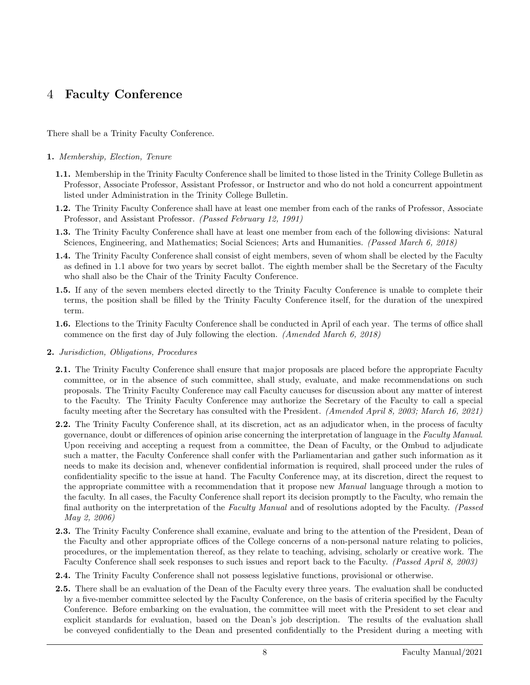### <span id="page-12-0"></span>4 Faculty Conference

There shall be a Trinity Faculty Conference.

#### 1. Membership, Election, Tenure

- 1.1. Membership in the Trinity Faculty Conference shall be limited to those listed in the Trinity College Bulletin as Professor, Associate Professor, Assistant Professor, or Instructor and who do not hold a concurrent appointment listed under Administration in the Trinity College Bulletin.
- 1.2. The Trinity Faculty Conference shall have at least one member from each of the ranks of Professor, Associate Professor, and Assistant Professor. (Passed February 12, 1991)
- 1.3. The Trinity Faculty Conference shall have at least one member from each of the following divisions: Natural Sciences, Engineering, and Mathematics; Social Sciences; Arts and Humanities. (Passed March 6, 2018)
- 1.4. The Trinity Faculty Conference shall consist of eight members, seven of whom shall be elected by the Faculty as defined in 1.1 above for two years by secret ballot. The eighth member shall be the Secretary of the Faculty who shall also be the Chair of the Trinity Faculty Conference.
- 1.5. If any of the seven members elected directly to the Trinity Faculty Conference is unable to complete their terms, the position shall be filled by the Trinity Faculty Conference itself, for the duration of the unexpired term.
- 1.6. Elections to the Trinity Faculty Conference shall be conducted in April of each year. The terms of office shall commence on the first day of July following the election. (Amended March 6, 2018)
- 2. Jurisdiction, Obligations, Procedures
	- 2.1. The Trinity Faculty Conference shall ensure that major proposals are placed before the appropriate Faculty committee, or in the absence of such committee, shall study, evaluate, and make recommendations on such proposals. The Trinity Faculty Conference may call Faculty caucuses for discussion about any matter of interest to the Faculty. The Trinity Faculty Conference may authorize the Secretary of the Faculty to call a special faculty meeting after the Secretary has consulted with the President. (Amended April 8, 2003; March 16, 2021)
	- 2.2. The Trinity Faculty Conference shall, at its discretion, act as an adjudicator when, in the process of faculty governance, doubt or differences of opinion arise concerning the interpretation of language in the Faculty Manual. Upon receiving and accepting a request from a committee, the Dean of Faculty, or the Ombud to adjudicate such a matter, the Faculty Conference shall confer with the Parliamentarian and gather such information as it needs to make its decision and, whenever confidential information is required, shall proceed under the rules of confidentiality specific to the issue at hand. The Faculty Conference may, at its discretion, direct the request to the appropriate committee with a recommendation that it propose new *Manual* language through a motion to the faculty. In all cases, the Faculty Conference shall report its decision promptly to the Faculty, who remain the final authority on the interpretation of the Faculty Manual and of resolutions adopted by the Faculty. (Passed May 2, 2006)
	- 2.3. The Trinity Faculty Conference shall examine, evaluate and bring to the attention of the President, Dean of the Faculty and other appropriate offices of the College concerns of a non-personal nature relating to policies, procedures, or the implementation thereof, as they relate to teaching, advising, scholarly or creative work. The Faculty Conference shall seek responses to such issues and report back to the Faculty. (Passed April 8, 2003)
	- 2.4. The Trinity Faculty Conference shall not possess legislative functions, provisional or otherwise.
	- 2.5. There shall be an evaluation of the Dean of the Faculty every three years. The evaluation shall be conducted by a five-member committee selected by the Faculty Conference, on the basis of criteria specified by the Faculty Conference. Before embarking on the evaluation, the committee will meet with the President to set clear and explicit standards for evaluation, based on the Dean's job description. The results of the evaluation shall be conveyed confidentially to the Dean and presented confidentially to the President during a meeting with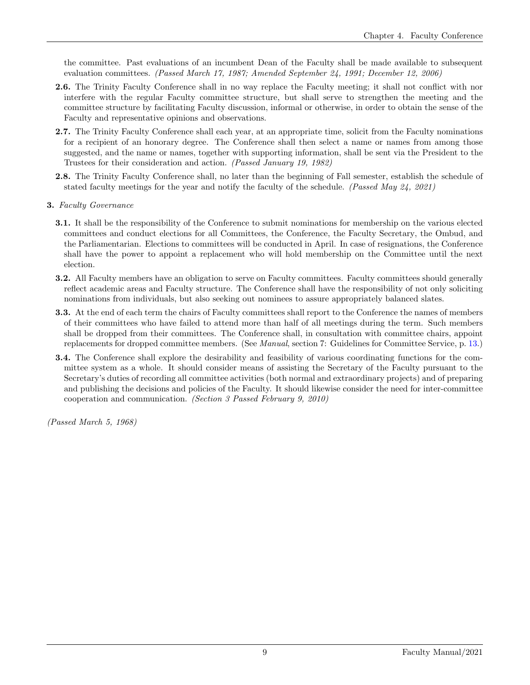the committee. Past evaluations of an incumbent Dean of the Faculty shall be made available to subsequent evaluation committees. (Passed March 17, 1987; Amended September 24, 1991; December 12, 2006)

- 2.6. The Trinity Faculty Conference shall in no way replace the Faculty meeting; it shall not conflict with nor interfere with the regular Faculty committee structure, but shall serve to strengthen the meeting and the committee structure by facilitating Faculty discussion, informal or otherwise, in order to obtain the sense of the Faculty and representative opinions and observations.
- 2.7. The Trinity Faculty Conference shall each year, at an appropriate time, solicit from the Faculty nominations for a recipient of an honorary degree. The Conference shall then select a name or names from among those suggested, and the name or names, together with supporting information, shall be sent via the President to the Trustees for their consideration and action. (Passed January 19, 1982)
- 2.8. The Trinity Faculty Conference shall, no later than the beginning of Fall semester, establish the schedule of stated faculty meetings for the year and notify the faculty of the schedule. (Passed May 24, 2021)
- 3. Faculty Governance
	- 3.1. It shall be the responsibility of the Conference to submit nominations for membership on the various elected committees and conduct elections for all Committees, the Conference, the Faculty Secretary, the Ombud, and the Parliamentarian. Elections to committees will be conducted in April. In case of resignations, the Conference shall have the power to appoint a replacement who will hold membership on the Committee until the next election.
	- 3.2. All Faculty members have an obligation to serve on Faculty committees. Faculty committees should generally reflect academic areas and Faculty structure. The Conference shall have the responsibility of not only soliciting nominations from individuals, but also seeking out nominees to assure appropriately balanced slates.
	- 3.3. At the end of each term the chairs of Faculty committees shall report to the Conference the names of members of their committees who have failed to attend more than half of all meetings during the term. Such members shall be dropped from their committees. The Conference shall, in consultation with committee chairs, appoint replacements for dropped committee members. (See Manual, section 7: Guidelines for Committee Service, p. [13.](#page-17-0))
	- 3.4. The Conference shall explore the desirability and feasibility of various coordinating functions for the committee system as a whole. It should consider means of assisting the Secretary of the Faculty pursuant to the Secretary's duties of recording all committee activities (both normal and extraordinary projects) and of preparing and publishing the decisions and policies of the Faculty. It should likewise consider the need for inter-committee cooperation and communication. (Section 3 Passed February 9, 2010)

(Passed March 5, 1968)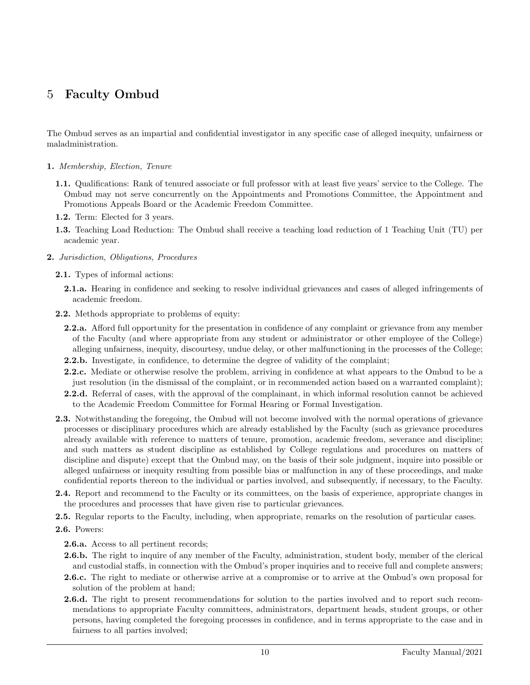## <span id="page-14-0"></span>5 Faculty Ombud

The Ombud serves as an impartial and confidential investigator in any specific case of alleged inequity, unfairness or maladministration.

#### 1. Membership, Election, Tenure

- 1.1. Qualifications: Rank of tenured associate or full professor with at least five years' service to the College. The Ombud may not serve concurrently on the Appointments and Promotions Committee, the Appointment and Promotions Appeals Board or the Academic Freedom Committee.
- 1.2. Term: Elected for 3 years.
- 1.3. Teaching Load Reduction: The Ombud shall receive a teaching load reduction of 1 Teaching Unit (TU) per academic year.
- <span id="page-14-1"></span>2. Jurisdiction, Obligations, Procedures
	- 2.1. Types of informal actions:
		- 2.1.a. Hearing in confidence and seeking to resolve individual grievances and cases of alleged infringements of academic freedom.
	- 2.2. Methods appropriate to problems of equity:
		- 2.2.a. Afford full opportunity for the presentation in confidence of any complaint or grievance from any member of the Faculty (and where appropriate from any student or administrator or other employee of the College) alleging unfairness, inequity, discourtesy, undue delay, or other malfunctioning in the processes of the College;
		- 2.2.b. Investigate, in confidence, to determine the degree of validity of the complaint;
		- 2.2.c. Mediate or otherwise resolve the problem, arriving in confidence at what appears to the Ombud to be a just resolution (in the dismissal of the complaint, or in recommended action based on a warranted complaint);
		- 2.2.d. Referral of cases, with the approval of the complainant, in which informal resolution cannot be achieved to the Academic Freedom Committee for Formal Hearing or Formal Investigation.
	- 2.3. Notwithstanding the foregoing, the Ombud will not become involved with the normal operations of grievance processes or disciplinary procedures which are already established by the Faculty (such as grievance procedures already available with reference to matters of tenure, promotion, academic freedom, severance and discipline; and such matters as student discipline as established by College regulations and procedures on matters of discipline and dispute) except that the Ombud may, on the basis of their sole judgment, inquire into possible or alleged unfairness or inequity resulting from possible bias or malfunction in any of these proceedings, and make confidential reports thereon to the individual or parties involved, and subsequently, if necessary, to the Faculty.
	- 2.4. Report and recommend to the Faculty or its committees, on the basis of experience, appropriate changes in the procedures and processes that have given rise to particular grievances.
	- 2.5. Regular reports to the Faculty, including, when appropriate, remarks on the resolution of particular cases.
	- 2.6. Powers:
		- 2.6.a. Access to all pertinent records;
		- 2.6.b. The right to inquire of any member of the Faculty, administration, student body, member of the clerical and custodial staffs, in connection with the Ombud's proper inquiries and to receive full and complete answers;
		- 2.6.c. The right to mediate or otherwise arrive at a compromise or to arrive at the Ombud's own proposal for solution of the problem at hand;
		- 2.6.d. The right to present recommendations for solution to the parties involved and to report such recommendations to appropriate Faculty committees, administrators, department heads, student groups, or other persons, having completed the foregoing processes in confidence, and in terms appropriate to the case and in fairness to all parties involved;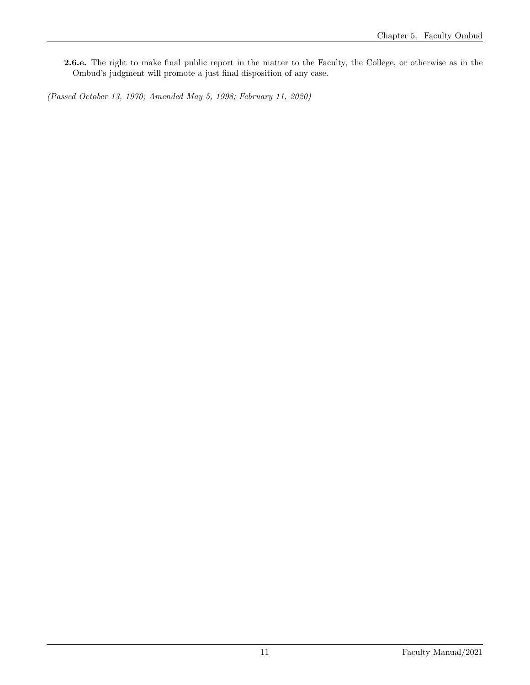2.6.e. The right to make final public report in the matter to the Faculty, the College, or otherwise as in the Ombud's judgment will promote a just final disposition of any case.

(Passed October 13, 1970; Amended May 5, 1998; February 11, 2020)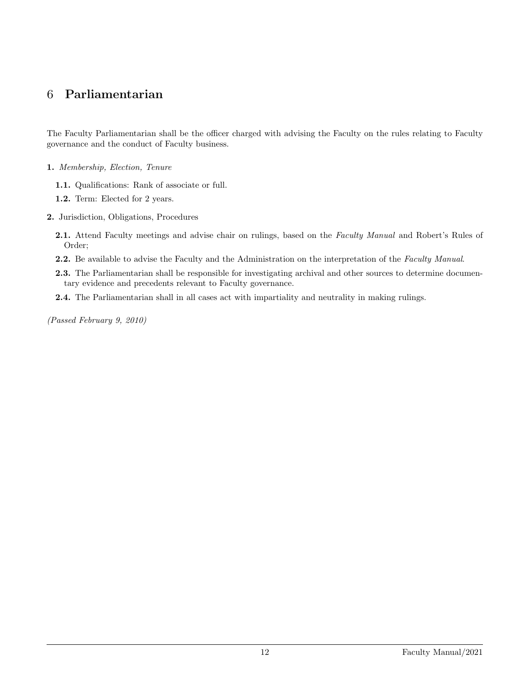## <span id="page-16-0"></span>6 Parliamentarian

The Faculty Parliamentarian shall be the officer charged with advising the Faculty on the rules relating to Faculty governance and the conduct of Faculty business.

#### 1. Membership, Election, Tenure

- 1.1. Qualifications: Rank of associate or full.
- 1.2. Term: Elected for 2 years.
- 2. Jurisdiction, Obligations, Procedures
	- 2.1. Attend Faculty meetings and advise chair on rulings, based on the Faculty Manual and Robert's Rules of Order;
	- 2.2. Be available to advise the Faculty and the Administration on the interpretation of the Faculty Manual.
	- 2.3. The Parliamentarian shall be responsible for investigating archival and other sources to determine documentary evidence and precedents relevant to Faculty governance.
	- 2.4. The Parliamentarian shall in all cases act with impartiality and neutrality in making rulings.

(Passed February 9, 2010)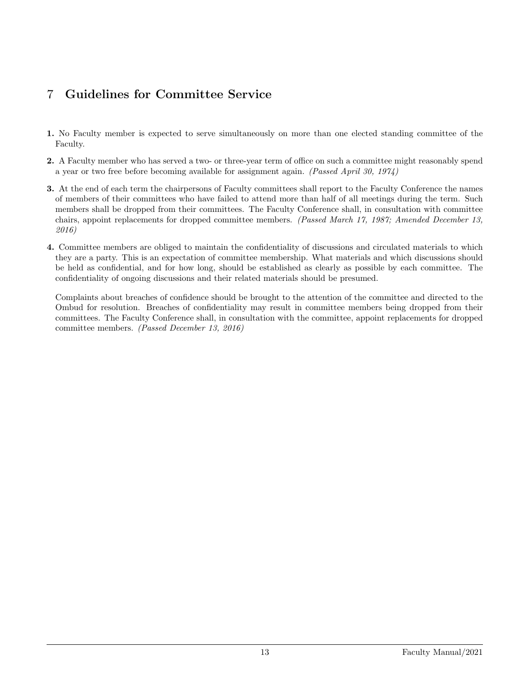## <span id="page-17-0"></span>7 Guidelines for Committee Service

- 1. No Faculty member is expected to serve simultaneously on more than one elected standing committee of the Faculty.
- 2. A Faculty member who has served a two- or three-year term of office on such a committee might reasonably spend a year or two free before becoming available for assignment again. (Passed April 30, 1974)
- 3. At the end of each term the chairpersons of Faculty committees shall report to the Faculty Conference the names of members of their committees who have failed to attend more than half of all meetings during the term. Such members shall be dropped from their committees. The Faculty Conference shall, in consultation with committee chairs, appoint replacements for dropped committee members. (Passed March 17, 1987; Amended December 13, 2016)
- 4. Committee members are obliged to maintain the confidentiality of discussions and circulated materials to which they are a party. This is an expectation of committee membership. What materials and which discussions should be held as confidential, and for how long, should be established as clearly as possible by each committee. The confidentiality of ongoing discussions and their related materials should be presumed.

Complaints about breaches of confidence should be brought to the attention of the committee and directed to the Ombud for resolution. Breaches of confidentiality may result in committee members being dropped from their committees. The Faculty Conference shall, in consultation with the committee, appoint replacements for dropped committee members. (Passed December 13, 2016)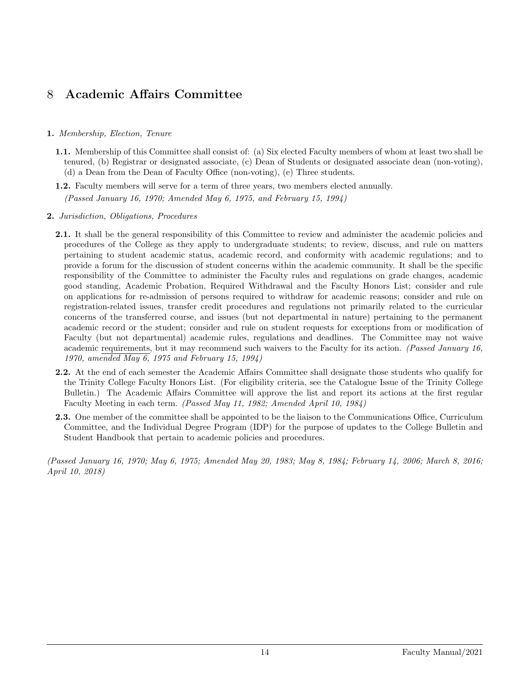## <span id="page-18-0"></span>8 Academic Affairs Committee

#### 1. Membership, Election, Tenure

- 1.1. Membership of this Committee shall consist of: (a) Six elected Faculty members of whom at least two shall be tenured, (b) Registrar or designated associate, (c) Dean of Students or designated associate dean (non-voting), (d) a Dean from the Dean of Faculty Office (non-voting), (e) Three students.
- 1.2. Faculty members will serve for a term of three years, two members elected annually. (Passed January 16, 1970; Amended May 6, 1975, and February 15, 1994)
- 2. Jurisdiction, Obligations, Procedures
	- 2.1. It shall be the general responsibility of this Committee to review and administer the academic policies and procedures of the College as they apply to undergraduate students; to review, discuss, and rule on matters pertaining to student academic status, academic record, and conformity with academic regulations; and to provide a forum for the discussion of student concerns within the academic community. It shall be the specific responsibility of the Committee to administer the Faculty rules and regulations on grade changes, academic good standing, Academic Probation, Required Withdrawal and the Faculty Honors List; consider and rule on applications for re-admission of persons required to withdraw for academic reasons; consider and rule on registration-related issues, transfer credit procedures and regulations not primarily related to the curricular concerns of the transferred course, and issues (but not departmental in nature) pertaining to the permanent academic record or the student; consider and rule on student requests for exceptions from or modification of Faculty (but not departmental) academic rules, regulations and deadlines. The Committee may not waive academic requirements, but it may recommend such waivers to the Faculty for its action. (Passed January 16, 1970, amended May 6, 1975 and February 15, 1994)
	- 2.2. At the end of each semester the Academic Affairs Committee shall designate those students who qualify for the Trinity College Faculty Honors List. (For eligibility criteria, see the Catalogue Issue of the Trinity College Bulletin.) The Academic Affairs Committee will approve the list and report its actions at the first regular Faculty Meeting in each term. (Passed May 11, 1982; Amended April 10, 1984)
	- 2.3. One member of the committee shall be appointed to be the liaison to the Communications Office, Curriculum Committee, and the Individual Degree Program (IDP) for the purpose of updates to the College Bulletin and Student Handbook that pertain to academic policies and procedures.

(Passed January 16, 1970; May 6, 1975; Amended May 20, 1983; May 8, 1984; February 14, 2006; March 8, 2016; April 10, 2018)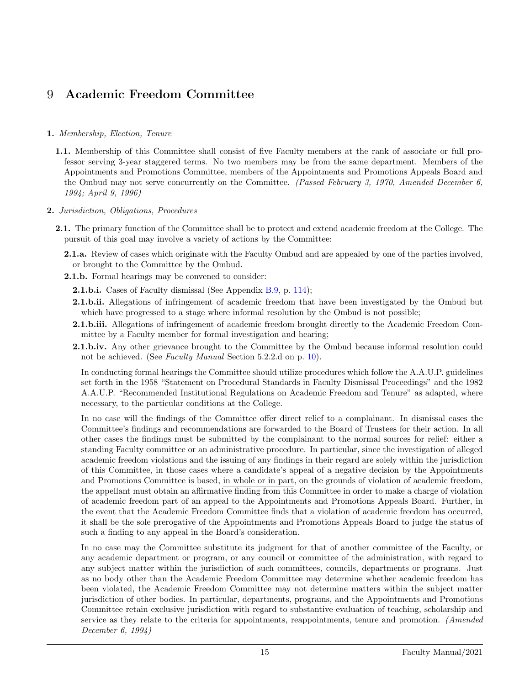## <span id="page-19-0"></span>9 Academic Freedom Committee

#### 1. Membership, Election, Tenure

1.1. Membership of this Committee shall consist of five Faculty members at the rank of associate or full professor serving 3-year staggered terms. No two members may be from the same department. Members of the Appointments and Promotions Committee, members of the Appointments and Promotions Appeals Board and the Ombud may not serve concurrently on the Committee. (Passed February 3, 1970, Amended December 6, 1994; April 9, 1996)

#### 2. Jurisdiction, Obligations, Procedures

- 2.1. The primary function of the Committee shall be to protect and extend academic freedom at the College. The pursuit of this goal may involve a variety of actions by the Committee:
	- 2.1.a. Review of cases which originate with the Faculty Ombud and are appealed by one of the parties involved, or brought to the Committee by the Ombud.
	- 2.1.b. Formal hearings may be convened to consider:
		- 2.1.b.i. Cases of Faculty dismissal (See Appendix [B.9,](#page-118-0) p. [114\)](#page-118-0);
		- 2.1.b.ii. Allegations of infringement of academic freedom that have been investigated by the Ombud but which have progressed to a stage where informal resolution by the Ombud is not possible;
		- 2.1.b.iii. Allegations of infringement of academic freedom brought directly to the Academic Freedom Committee by a Faculty member for formal investigation and hearing;
		- 2.1.b.iv. Any other grievance brought to the Committee by the Ombud because informal resolution could not be achieved. (See *Faculty Manual* Section 5.2.2.d on p. [10\)](#page-14-1).

In conducting formal hearings the Committee should utilize procedures which follow the A.A.U.P. guidelines set forth in the 1958 "Statement on Procedural Standards in Faculty Dismissal Proceedings" and the 1982 A.A.U.P. "Recommended Institutional Regulations on Academic Freedom and Tenure" as adapted, where necessary, to the particular conditions at the College.

In no case will the findings of the Committee offer direct relief to a complainant. In dismissal cases the Committee's findings and recommendations are forwarded to the Board of Trustees for their action. In all other cases the findings must be submitted by the complainant to the normal sources for relief: either a standing Faculty committee or an administrative procedure. In particular, since the investigation of alleged academic freedom violations and the issuing of any findings in their regard are solely within the jurisdiction of this Committee, in those cases where a candidate's appeal of a negative decision by the Appointments and Promotions Committee is based, in whole or in part, on the grounds of violation of academic freedom, the appellant must obtain an affirmative finding from this Committee in order to make a charge of violation of academic freedom part of an appeal to the Appointments and Promotions Appeals Board. Further, in the event that the Academic Freedom Committee finds that a violation of academic freedom has occurred, it shall be the sole prerogative of the Appointments and Promotions Appeals Board to judge the status of such a finding to any appeal in the Board's consideration.

In no case may the Committee substitute its judgment for that of another committee of the Faculty, or any academic department or program, or any council or committee of the administration, with regard to any subject matter within the jurisdiction of such committees, councils, departments or programs. Just as no body other than the Academic Freedom Committee may determine whether academic freedom has been violated, the Academic Freedom Committee may not determine matters within the subject matter jurisdiction of other bodies. In particular, departments, programs, and the Appointments and Promotions Committee retain exclusive jurisdiction with regard to substantive evaluation of teaching, scholarship and service as they relate to the criteria for appointments, reappointments, tenure and promotion. (Amended December 6, 1994)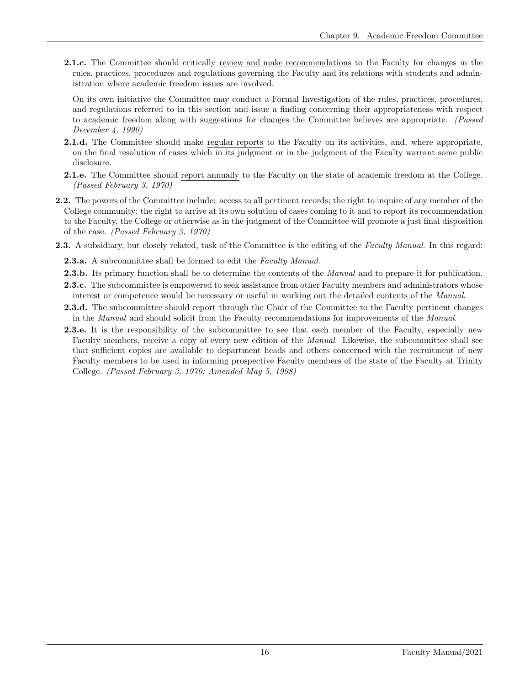2.1.c. The Committee should critically review and make recommendations to the Faculty for changes in the rules, practices, procedures and regulations governing the Faculty and its relations with students and administration where academic freedom issues are involved.

On its own initiative the Committee may conduct a Formal Investigation of the rules, practices, procedures, and regulations referred to in this section and issue a finding concerning their appropriateness with respect to academic freedom along with suggestions for changes the Committee believes are appropriate. (Passed December 4, 1990)

- 2.1.d. The Committee should make regular reports to the Faculty on its activities, and, where appropriate, on the final resolution of cases which in its judgment or in the judgment of the Faculty warrant some public disclosure.
- 2.1.e. The Committee should report annually to the Faculty on the state of academic freedom at the College. (Passed February 3, 1970)
- 2.2. The powers of the Committee include: access to all pertinent records; the right to inquire of any member of the College community; the right to arrive at its own solution of cases coming to it and to report its recommendation to the Faculty, the College or otherwise as in the judgment of the Committee will promote a just final disposition of the case. (Passed February 3, 1970)
- 2.3. A subsidiary, but closely related, task of the Committee is the editing of the Faculty Manual. In this regard:
	- 2.3.a. A subcommittee shall be formed to edit the Faculty Manual.
	- 2.3.b. Its primary function shall be to determine the contents of the *Manual* and to prepare it for publication.
	- **2.3.c.** The subcommittee is empowered to seek assistance from other Faculty members and administrators whose interest or competence would be necessary or useful in working out the detailed contents of the Manual.
	- 2.3.d. The subcommittee should report through the Chair of the Committee to the Faculty pertinent changes in the Manual and should solicit from the Faculty recommendations for improvements of the Manual.
	- **2.3.e.** It is the responsibility of the subcommittee to see that each member of the Faculty, especially new Faculty members, receive a copy of every new edition of the Manual. Likewise, the subcommittee shall see that sufficient copies are available to department heads and others concerned with the recruitment of new Faculty members to be used in informing prospective Faculty members of the state of the Faculty at Trinity College. (Passed February 3, 1970; Amended May 5, 1998)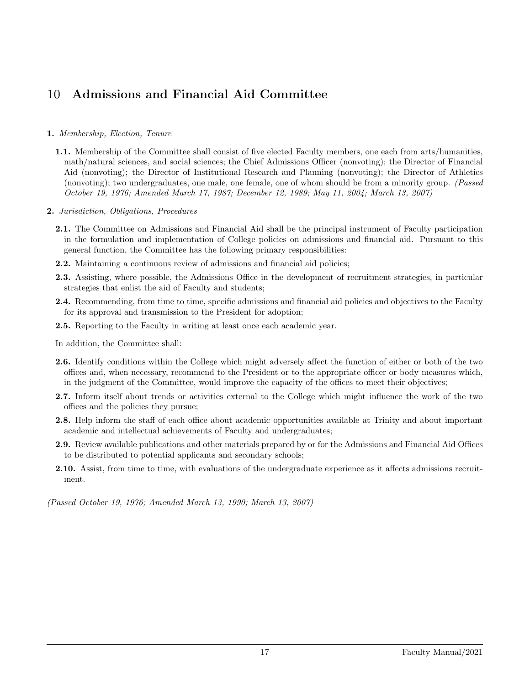## <span id="page-21-0"></span>10 Admissions and Financial Aid Committee

#### 1. Membership, Election, Tenure

- 1.1. Membership of the Committee shall consist of five elected Faculty members, one each from arts/humanities, math/natural sciences, and social sciences; the Chief Admissions Officer (nonvoting); the Director of Financial Aid (nonvoting); the Director of Institutional Research and Planning (nonvoting); the Director of Athletics (nonvoting); two undergraduates, one male, one female, one of whom should be from a minority group. (Passed October 19, 1976; Amended March 17, 1987; December 12, 1989; May 11, 2004; March 13, 2007)
- 2. Jurisdiction, Obligations, Procedures
	- 2.1. The Committee on Admissions and Financial Aid shall be the principal instrument of Faculty participation in the formulation and implementation of College policies on admissions and financial aid. Pursuant to this general function, the Committee has the following primary responsibilities:
	- 2.2. Maintaining a continuous review of admissions and financial aid policies;
	- 2.3. Assisting, where possible, the Admissions Office in the development of recruitment strategies, in particular strategies that enlist the aid of Faculty and students;
	- 2.4. Recommending, from time to time, specific admissions and financial aid policies and objectives to the Faculty for its approval and transmission to the President for adoption;
	- 2.5. Reporting to the Faculty in writing at least once each academic year.
	- In addition, the Committee shall:
	- 2.6. Identify conditions within the College which might adversely affect the function of either or both of the two offices and, when necessary, recommend to the President or to the appropriate officer or body measures which, in the judgment of the Committee, would improve the capacity of the offices to meet their objectives;
	- 2.7. Inform itself about trends or activities external to the College which might influence the work of the two offices and the policies they pursue;
	- 2.8. Help inform the staff of each office about academic opportunities available at Trinity and about important academic and intellectual achievements of Faculty and undergraduates;
	- 2.9. Review available publications and other materials prepared by or for the Admissions and Financial Aid Offices to be distributed to potential applicants and secondary schools;
	- 2.10. Assist, from time to time, with evaluations of the undergraduate experience as it affects admissions recruitment.

(Passed October 19, 1976; Amended March 13, 1990; March 13, 2007)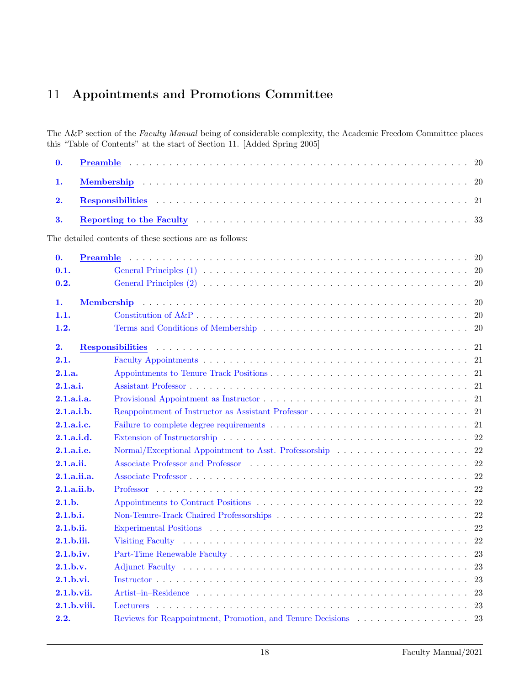## <span id="page-22-0"></span>11 Appointments and Promotions Committee

The A&P section of the Faculty Manual being of considerable complexity, the Academic Freedom Committee places this "Table of Contents" at the start of Section 11. [Added Spring 2005]

| $\mathbf{0}$ . |                 |                                                                                                                                                                                                                                |           |
|----------------|-----------------|--------------------------------------------------------------------------------------------------------------------------------------------------------------------------------------------------------------------------------|-----------|
| 1.             |                 |                                                                                                                                                                                                                                | -20       |
| 2.             |                 |                                                                                                                                                                                                                                | 21        |
| 3.             |                 |                                                                                                                                                                                                                                |           |
|                |                 | The detailed contents of these sections are as follows:                                                                                                                                                                        |           |
| $\mathbf{0}$ . | <b>Preamble</b> |                                                                                                                                                                                                                                | -20       |
| 0.1.           |                 |                                                                                                                                                                                                                                |           |
| 0.2.           |                 |                                                                                                                                                                                                                                | <b>20</b> |
| 1.             | Membership      |                                                                                                                                                                                                                                |           |
| 1.1.           |                 |                                                                                                                                                                                                                                | 20        |
| 1.2.           |                 |                                                                                                                                                                                                                                |           |
| 2.             |                 |                                                                                                                                                                                                                                |           |
| 2.1.           |                 |                                                                                                                                                                                                                                |           |
| 2.1.a.         |                 |                                                                                                                                                                                                                                |           |
| 2.1.a.i.       |                 |                                                                                                                                                                                                                                |           |
| 2.1.a.i.a.     |                 |                                                                                                                                                                                                                                |           |
| 2.1.a.i.b.     |                 |                                                                                                                                                                                                                                |           |
| 2.1.a.i.c.     |                 |                                                                                                                                                                                                                                |           |
| 2.1.a.i.d.     |                 |                                                                                                                                                                                                                                |           |
| 2.1.a.i.e.     |                 |                                                                                                                                                                                                                                | 22        |
| 2.1.a.ii.      |                 |                                                                                                                                                                                                                                |           |
| 2.1.a.ii.a.    |                 |                                                                                                                                                                                                                                |           |
| 2.1.a.ii.b.    |                 |                                                                                                                                                                                                                                |           |
| 2.1.b.         |                 |                                                                                                                                                                                                                                | 22        |
| 2.1.b.i.       |                 |                                                                                                                                                                                                                                |           |
| 2.1.b.ii.      |                 | Experimental Positions (Experimental Positions (Experimental Positions Comparison of the comparison of the comparison of the comparison of the comparison of the comparison of the comparison of the comparison of the compari |           |
| $2.1$ .b.iii.  |                 | Visiting Faculty in the content of the content of the content of the content of the content of the content of the content of the content of the content of the content of the content of the content of the content of the con | 22        |
| 2.1.b.iv.      |                 |                                                                                                                                                                                                                                | 23        |
| 2.1.b.v.       |                 |                                                                                                                                                                                                                                | 23        |
| 2.1.b.vi.      |                 |                                                                                                                                                                                                                                | 23        |
| 2.1.b.vii.     |                 |                                                                                                                                                                                                                                | 23        |
| 2.1.b.viii.    |                 |                                                                                                                                                                                                                                | 23        |
| 2.2.           |                 |                                                                                                                                                                                                                                |           |
|                |                 |                                                                                                                                                                                                                                |           |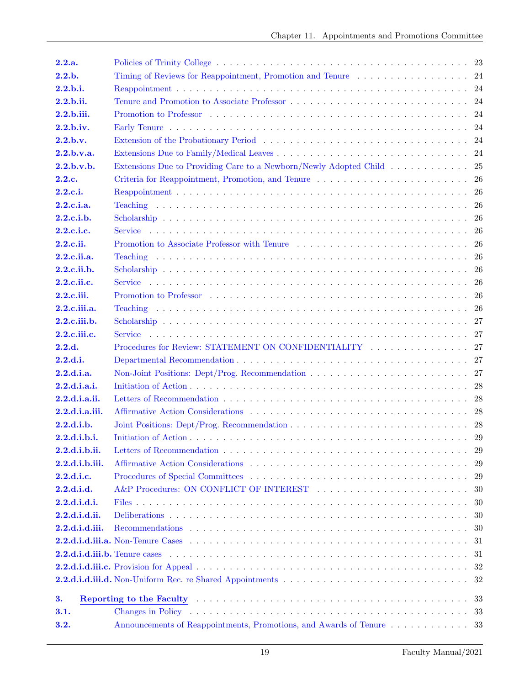| 2.2.a.         |                                                                                                                                                                                                                               |     |
|----------------|-------------------------------------------------------------------------------------------------------------------------------------------------------------------------------------------------------------------------------|-----|
| 2.2.h.         |                                                                                                                                                                                                                               |     |
| 2.2.h.i.       |                                                                                                                                                                                                                               |     |
| 2.2.b.ii.      |                                                                                                                                                                                                                               |     |
| 2.2.b.iii.     |                                                                                                                                                                                                                               |     |
| 2.2.b.iv.      |                                                                                                                                                                                                                               |     |
| 2.2.b.v.       |                                                                                                                                                                                                                               |     |
| 2.2.b.v.a.     |                                                                                                                                                                                                                               |     |
| 2.2.b.v.b.     |                                                                                                                                                                                                                               |     |
| 2.2.c.         |                                                                                                                                                                                                                               |     |
| 2.2.c.i.       |                                                                                                                                                                                                                               |     |
| 2.2.c.i.a.     |                                                                                                                                                                                                                               |     |
| 2.2.c.i.b.     |                                                                                                                                                                                                                               |     |
| 2.2.c.i.c.     |                                                                                                                                                                                                                               |     |
| 2.2.c.ii.      |                                                                                                                                                                                                                               |     |
| 2.2.c.ii.a.    |                                                                                                                                                                                                                               |     |
| 2.2.c.ii.b.    |                                                                                                                                                                                                                               |     |
| 2.2.c.ii.c.    |                                                                                                                                                                                                                               |     |
| 2.2.c.iii.     | Promotion to Professor (a) and a contract the contract of the contract of the contract of the contract of the contract of the contract of the contract of the contract of the contract of the contract of the contract of the |     |
| 2.2.c.iii.a.   |                                                                                                                                                                                                                               |     |
| 2.2.c.iii.b.   |                                                                                                                                                                                                                               |     |
| 2.2.c.iii.c.   |                                                                                                                                                                                                                               |     |
| 2.2.d.         | Procedures for Review: STATEMENT ON CONFIDENTIALITY  27                                                                                                                                                                       |     |
| 2.2.d.i.       |                                                                                                                                                                                                                               |     |
| $2.2.d.$ i.a.  |                                                                                                                                                                                                                               |     |
| 2.2.d.i.a.i.   |                                                                                                                                                                                                                               |     |
| 2.2.d.i.a.ii.  |                                                                                                                                                                                                                               |     |
| 2.2.d.i.a.iii. |                                                                                                                                                                                                                               |     |
| 2.2.d.i.b.     |                                                                                                                                                                                                                               |     |
| 2.2.d.i.b.i.   |                                                                                                                                                                                                                               |     |
| 2.2.d.i.b.ii.  |                                                                                                                                                                                                                               | -29 |
| 2.2.d.i.b.iii. |                                                                                                                                                                                                                               | 29  |
| 2.2.d.i.c.     |                                                                                                                                                                                                                               |     |
| 2.2.d.i.d.     | A&P Procedures: ON CONFLICT OF INTEREST                                                                                                                                                                                       | 30  |
| 2.2.d.i.d.i.   |                                                                                                                                                                                                                               | 30  |
| 2.2.d.i.d.ii.  |                                                                                                                                                                                                                               | 30  |
| 2.2.d.i.d.iii. |                                                                                                                                                                                                                               |     |
|                |                                                                                                                                                                                                                               |     |
|                |                                                                                                                                                                                                                               | -31 |
|                |                                                                                                                                                                                                                               | 32  |
|                |                                                                                                                                                                                                                               | 32  |
| 3.             | Reporting to the Faculty entertainment is not an interesting to the Faculty entertainment in the set of the set of the set of the set of the set of the set of the set of the set of the set of the set of the set of the set | 33  |
| 3.1.           |                                                                                                                                                                                                                               |     |
| 3.2.           | Announcements of Reappointments, Promotions, and Awards of Tenure 33                                                                                                                                                          |     |
|                |                                                                                                                                                                                                                               |     |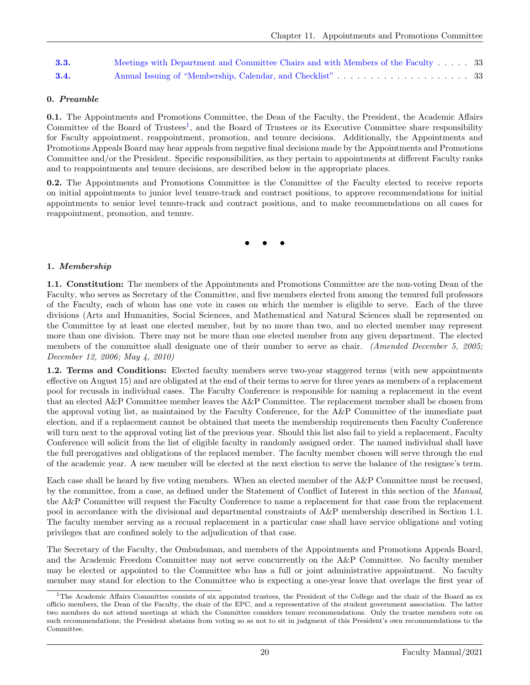| 3.3. | Meetings with Department and Committee Chairs and with Members of the Faculty 33 |  |
|------|----------------------------------------------------------------------------------|--|
| 3.4. |                                                                                  |  |

#### <span id="page-24-0"></span>0. Preamble

<span id="page-24-2"></span>0.1. The Appointments and Promotions Committee, the Dean of the Faculty, the President, the Academic Affairs Committee of the Board of Trustees<sup>[1](#page-24-6)</sup>, and the Board of Trustees or its Executive Committee share responsibility for Faculty appointment, reappointment, promotion, and tenure decisions. Additionally, the Appointments and Promotions Appeals Board may hear appeals from negative final decisions made by the Appointments and Promotions Committee and/or the President. Specific responsibilities, as they pertain to appointments at different Faculty ranks and to reappointments and tenure decisions, are described below in the appropriate places.

<span id="page-24-3"></span>0.2. The Appointments and Promotions Committee is the Committee of the Faculty elected to receive reports on initial appointments to junior level tenure-track and contract positions, to approve recommendations for initial appointments to senior level tenure-track and contract positions, and to make recommendations on all cases for reappointment, promotion, and tenure.

• • •

#### <span id="page-24-1"></span>1. Membership

<span id="page-24-4"></span>1.1. Constitution: The members of the Appointments and Promotions Committee are the non-voting Dean of the Faculty, who serves as Secretary of the Committee, and five members elected from among the tenured full professors of the Faculty, each of whom has one vote in cases on which the member is eligible to serve. Each of the three divisions (Arts and Humanities, Social Sciences, and Mathematical and Natural Sciences shall be represented on the Committee by at least one elected member, but by no more than two, and no elected member may represent more than one division. There may not be more than one elected member from any given department. The elected members of the committee shall designate one of their number to serve as chair. *(Amended December 5, 2005;* December 12, 2006; May 4, 2010)

<span id="page-24-5"></span>1.2. Terms and Conditions: Elected faculty members serve two-year staggered terms (with new appointments effective on August 15) and are obligated at the end of their terms to serve for three years as members of a replacement pool for recusals in individual cases. The Faculty Conference is responsible for naming a replacement in the event that an elected A&P Committee member leaves the A&P Committee. The replacement member shall be chosen from the approval voting list, as maintained by the Faculty Conference, for the A&P Committee of the immediate past election, and if a replacement cannot be obtained that meets the membership requirements then Faculty Conference will turn next to the approval voting list of the previous year. Should this list also fail to yield a replacement, Faculty Conference will solicit from the list of eligible faculty in randomly assigned order. The named individual shall have the full prerogatives and obligations of the replaced member. The faculty member chosen will serve through the end of the academic year. A new member will be elected at the next election to serve the balance of the resignee's term.

Each case shall be heard by five voting members. When an elected member of the A&P Committee must be recused, by the committee, from a case, as defined under the Statement of Conflict of Interest in this section of the Manual, the A&P Committee will request the Faculty Conference to name a replacement for that case from the replacement pool in accordance with the divisional and departmental constraints of A&P membership described in Section 1.1. The faculty member serving as a recusal replacement in a particular case shall have service obligations and voting privileges that are confined solely to the adjudication of that case.

The Secretary of the Faculty, the Ombudsman, and members of the Appointments and Promotions Appeals Board, and the Academic Freedom Committee may not serve concurrently on the A&P Committee. No faculty member may be elected or appointed to the Committee who has a full or joint administrative appointment. No faculty member may stand for election to the Committee who is expecting a one-year leave that overlaps the first year of

<span id="page-24-6"></span><sup>&</sup>lt;sup>1</sup>The Academic Affairs Committee consists of six appointed trustees, the President of the College and the chair of the Board as ex officio members, the Dean of the Faculty, the chair of the EPC, and a representative of the student government association. The latter two members do not attend meetings at which the Committee considers tenure recommendations. Only the trustee members vote on such recommendations; the President abstains from voting so as not to sit in judgment of this President's own recommendations to the Committee.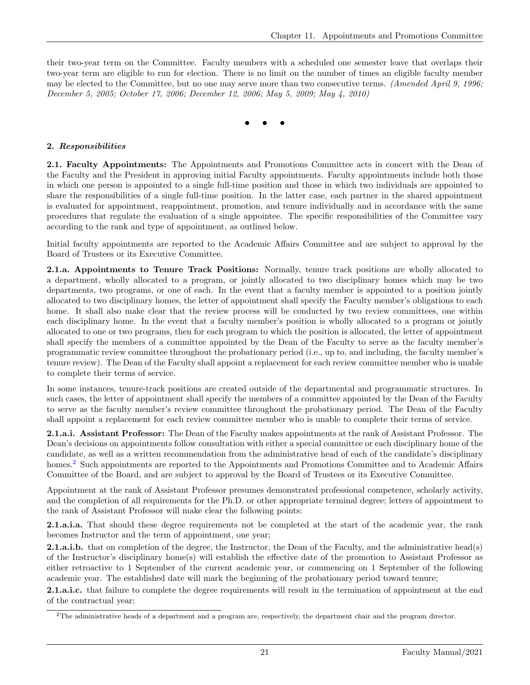their two-year term on the Committee. Faculty members with a scheduled one semester leave that overlaps their two-year term are eligible to run for election. There is no limit on the number of times an eligible faculty member may be elected to the Committee, but no one may serve more than two consecutive terms. *(Amended April 9, 1996;* December 5, 2005; October 17, 2006; December 12, 2006; May 5, 2009; May 4, 2010)

• • •

#### <span id="page-25-0"></span>2. Responsibilities

<span id="page-25-1"></span>2.1. Faculty Appointments: The Appointments and Promotions Committee acts in concert with the Dean of the Faculty and the President in approving initial Faculty appointments. Faculty appointments include both those in which one person is appointed to a single full-time position and those in which two individuals are appointed to share the responsibilities of a single full-time position. In the latter case, each partner in the shared appointment is evaluated for appointment, reappointment, promotion, and tenure individually and in accordance with the same procedures that regulate the evaluation of a single appointee. The specific responsibilities of the Committee vary according to the rank and type of appointment, as outlined below.

Initial faculty appointments are reported to the Academic Affairs Committee and are subject to approval by the Board of Trustees or its Executive Committee.

<span id="page-25-2"></span>2.1.a. Appointments to Tenure Track Positions: Normally, tenure track positions are wholly allocated to a department, wholly allocated to a program, or jointly allocated to two disciplinary homes which may be two departments, two programs, or one of each. In the event that a faculty member is appointed to a position jointly allocated to two disciplinary homes, the letter of appointment shall specify the Faculty member's obligations to each home. It shall also make clear that the review process will be conducted by two review committees, one within each disciplinary home. In the event that a faculty member's position is wholly allocated to a program or jointly allocated to one or two programs, then for each program to which the position is allocated, the letter of appointment shall specify the members of a committee appointed by the Dean of the Faculty to serve as the faculty member's programmatic review committee throughout the probationary period (i.e., up to, and including, the faculty member's tenure review). The Dean of the Faculty shall appoint a replacement for each review committee member who is unable to complete their terms of service.

In some instances, tenure-track positions are created outside of the departmental and programmatic structures. In such cases, the letter of appointment shall specify the members of a committee appointed by the Dean of the Faculty to serve as the faculty member's review committee throughout the probationary period. The Dean of the Faculty shall appoint a replacement for each review committee member who is unable to complete their terms of service.

<span id="page-25-3"></span>2.1.a.i. Assistant Professor: The Dean of the Faculty makes appointments at the rank of Assistant Professor. The Dean's decisions on appointments follow consultation with either a special committee or each disciplinary home of the candidate, as well as a written recommendation from the administrative head of each of the candidate's disciplinary homes.<sup>[2](#page-25-7)</sup> Such appointments are reported to the Appointments and Promotions Committee and to Academic Affairs Committee of the Board, and are subject to approval by the Board of Trustees or its Executive Committee.

Appointment at the rank of Assistant Professor presumes demonstrated professional competence, scholarly activity, and the completion of all requirements for the Ph.D. or other appropriate terminal degree; letters of appointment to the rank of Assistant Professor will make clear the following points:

<span id="page-25-4"></span>2.1.a.i.a. That should these degree requirements not be completed at the start of the academic year, the rank becomes Instructor and the term of appointment, one year;

<span id="page-25-5"></span>2.1.a.i.b. that on completion of the degree, the Instructor, the Dean of the Faculty, and the administrative head(s) of the Instructor's disciplinary home(s) will establish the effective date of the promotion to Assistant Professor as either retroactive to 1 September of the current academic year, or commencing on 1 September of the following academic year. The established date will mark the beginning of the probationary period toward tenure;

<span id="page-25-6"></span>2.1.a.i.c. that failure to complete the degree requirements will result in the termination of appointment at the end of the contractual year;

<span id="page-25-7"></span> $2$ The administrative heads of a department and a program are, respectively, the department chair and the program director.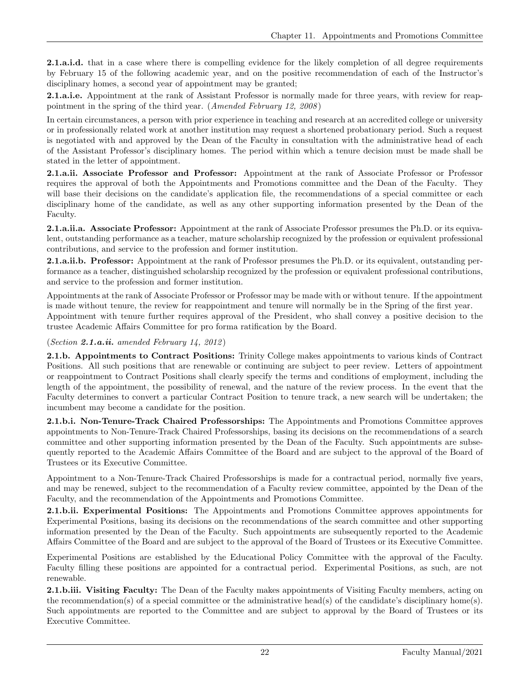<span id="page-26-0"></span>2.1.a.i.d. that in a case where there is compelling evidence for the likely completion of all degree requirements by February 15 of the following academic year, and on the positive recommendation of each of the Instructor's disciplinary homes, a second year of appointment may be granted;

<span id="page-26-1"></span>2.1.a.i.e. Appointment at the rank of Assistant Professor is normally made for three years, with review for reappointment in the spring of the third year. (*Amended February 12, 2008*)

In certain circumstances, a person with prior experience in teaching and research at an accredited college or university or in professionally related work at another institution may request a shortened probationary period. Such a request is negotiated with and approved by the Dean of the Faculty in consultation with the administrative head of each of the Assistant Professor's disciplinary homes. The period within which a tenure decision must be made shall be stated in the letter of appointment.

<span id="page-26-2"></span>2.1.a.ii. Associate Professor and Professor: Appointment at the rank of Associate Professor or Professor requires the approval of both the Appointments and Promotions committee and the Dean of the Faculty. They will base their decisions on the candidate's application file, the recommendations of a special committee or each disciplinary home of the candidate, as well as any other supporting information presented by the Dean of the Faculty.

<span id="page-26-3"></span>2.1.a.ii.a. Associate Professor: Appointment at the rank of Associate Professor presumes the Ph.D. or its equivalent, outstanding performance as a teacher, mature scholarship recognized by the profession or equivalent professional contributions, and service to the profession and former institution.

<span id="page-26-4"></span>2.1.a.ii.b. Professor: Appointment at the rank of Professor presumes the Ph.D. or its equivalent, outstanding performance as a teacher, distinguished scholarship recognized by the profession or equivalent professional contributions, and service to the profession and former institution.

Appointments at the rank of Associate Professor or Professor may be made with or without tenure. If the appointment is made without tenure, the review for reappointment and tenure will normally be in the Spring of the first year. Appointment with tenure further requires approval of the President, who shall convey a positive decision to the trustee Academic Affairs Committee for pro forma ratification by the Board.

#### (Section 2.1.a.ii. amended February 14, 2012)

<span id="page-26-5"></span>2.1.b. Appointments to Contract Positions: Trinity College makes appointments to various kinds of Contract Positions. All such positions that are renewable or continuing are subject to peer review. Letters of appointment or reappointment to Contract Positions shall clearly specify the terms and conditions of employment, including the length of the appointment, the possibility of renewal, and the nature of the review process. In the event that the Faculty determines to convert a particular Contract Position to tenure track, a new search will be undertaken; the incumbent may become a candidate for the position.

<span id="page-26-6"></span>2.1.b.i. Non-Tenure-Track Chaired Professorships: The Appointments and Promotions Committee approves appointments to Non-Tenure-Track Chaired Professorships, basing its decisions on the recommendations of a search committee and other supporting information presented by the Dean of the Faculty. Such appointments are subsequently reported to the Academic Affairs Committee of the Board and are subject to the approval of the Board of Trustees or its Executive Committee.

Appointment to a Non-Tenure-Track Chaired Professorships is made for a contractual period, normally five years, and may be renewed, subject to the recommendation of a Faculty review committee, appointed by the Dean of the Faculty, and the recommendation of the Appointments and Promotions Committee.

<span id="page-26-7"></span>2.1.b.ii. Experimental Positions: The Appointments and Promotions Committee approves appointments for Experimental Positions, basing its decisions on the recommendations of the search committee and other supporting information presented by the Dean of the Faculty. Such appointments are subsequently reported to the Academic Affairs Committee of the Board and are subject to the approval of the Board of Trustees or its Executive Committee.

Experimental Positions are established by the Educational Policy Committee with the approval of the Faculty. Faculty filling these positions are appointed for a contractual period. Experimental Positions, as such, are not renewable.

<span id="page-26-8"></span>2.1.b.iii. Visiting Faculty: The Dean of the Faculty makes appointments of Visiting Faculty members, acting on the recommendation(s) of a special committee or the administrative head(s) of the candidate's disciplinary home(s). Such appointments are reported to the Committee and are subject to approval by the Board of Trustees or its Executive Committee.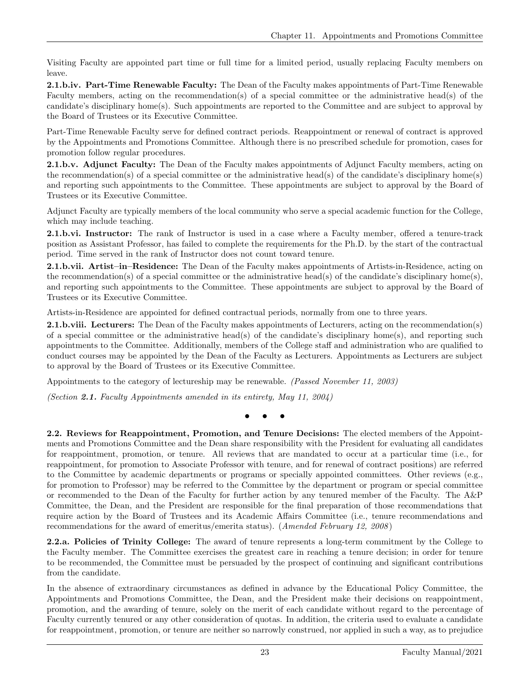Visiting Faculty are appointed part time or full time for a limited period, usually replacing Faculty members on leave.

<span id="page-27-0"></span>2.1.b.iv. Part-Time Renewable Faculty: The Dean of the Faculty makes appointments of Part-Time Renewable Faculty members, acting on the recommendation(s) of a special committee or the administrative head(s) of the candidate's disciplinary home(s). Such appointments are reported to the Committee and are subject to approval by the Board of Trustees or its Executive Committee.

Part-Time Renewable Faculty serve for defined contract periods. Reappointment or renewal of contract is approved by the Appointments and Promotions Committee. Although there is no prescribed schedule for promotion, cases for promotion follow regular procedures.

<span id="page-27-1"></span>2.1.b.v. Adjunct Faculty: The Dean of the Faculty makes appointments of Adjunct Faculty members, acting on the recommendation(s) of a special committee or the administrative head(s) of the candidate's disciplinary home(s) and reporting such appointments to the Committee. These appointments are subject to approval by the Board of Trustees or its Executive Committee.

Adjunct Faculty are typically members of the local community who serve a special academic function for the College, which may include teaching.

<span id="page-27-2"></span>2.1.b.vi. Instructor: The rank of Instructor is used in a case where a Faculty member, offered a tenure-track position as Assistant Professor, has failed to complete the requirements for the Ph.D. by the start of the contractual period. Time served in the rank of Instructor does not count toward tenure.

<span id="page-27-3"></span>2.1.b.vii. Artist–in–Residence: The Dean of the Faculty makes appointments of Artists-in-Residence, acting on the recommendation(s) of a special committee or the administrative head(s) of the candidate's disciplinary home(s), and reporting such appointments to the Committee. These appointments are subject to approval by the Board of Trustees or its Executive Committee.

Artists-in-Residence are appointed for defined contractual periods, normally from one to three years.

<span id="page-27-4"></span>2.1.b.viii. Lecturers: The Dean of the Faculty makes appointments of Lecturers, acting on the recommendation(s) of a special committee or the administrative head(s) of the candidate's disciplinary home(s), and reporting such appointments to the Committee. Additionally, members of the College staff and administration who are qualified to conduct courses may be appointed by the Dean of the Faculty as Lecturers. Appointments as Lecturers are subject to approval by the Board of Trustees or its Executive Committee.

Appointments to the category of lectureship may be renewable. (Passed November 11, 2003)

(Section 2.1. Faculty Appointments amended in its entirety, May 11, 2004)

• • •

<span id="page-27-5"></span>2.2. Reviews for Reappointment, Promotion, and Tenure Decisions: The elected members of the Appointments and Promotions Committee and the Dean share responsibility with the President for evaluating all candidates for reappointment, promotion, or tenure. All reviews that are mandated to occur at a particular time (i.e., for reappointment, for promotion to Associate Professor with tenure, and for renewal of contract positions) are referred to the Committee by academic departments or programs or specially appointed committees. Other reviews (e.g., for promotion to Professor) may be referred to the Committee by the department or program or special committee or recommended to the Dean of the Faculty for further action by any tenured member of the Faculty. The A&P Committee, the Dean, and the President are responsible for the final preparation of those recommendations that require action by the Board of Trustees and its Academic Affairs Committee (i.e., tenure recommendations and recommendations for the award of emeritus/emerita status). (Amended February 12, 2008)

<span id="page-27-6"></span>2.2.a. Policies of Trinity College: The award of tenure represents a long-term commitment by the College to the Faculty member. The Committee exercises the greatest care in reaching a tenure decision; in order for tenure to be recommended, the Committee must be persuaded by the prospect of continuing and significant contributions from the candidate.

In the absence of extraordinary circumstances as defined in advance by the Educational Policy Committee, the Appointments and Promotions Committee, the Dean, and the President make their decisions on reappointment, promotion, and the awarding of tenure, solely on the merit of each candidate without regard to the percentage of Faculty currently tenured or any other consideration of quotas. In addition, the criteria used to evaluate a candidate for reappointment, promotion, or tenure are neither so narrowly construed, nor applied in such a way, as to prejudice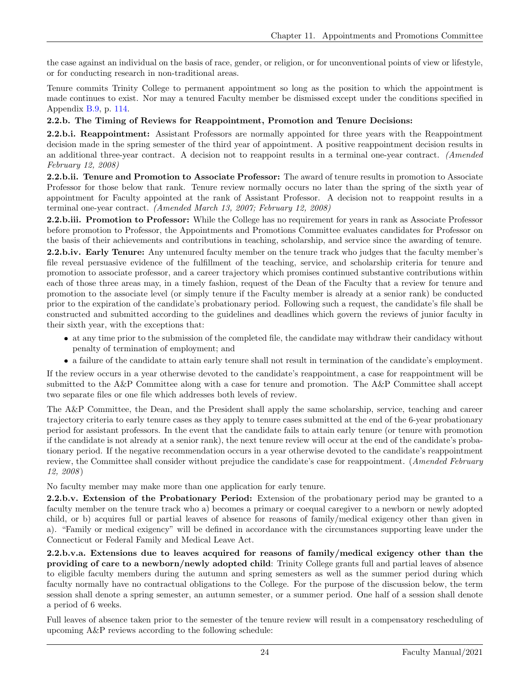the case against an individual on the basis of race, gender, or religion, or for unconventional points of view or lifestyle, or for conducting research in non-traditional areas.

Tenure commits Trinity College to permanent appointment so long as the position to which the appointment is made continues to exist. Nor may a tenured Faculty member be dismissed except under the conditions specified in Appendix [B.9,](#page-118-0) p. [114.](#page-118-0)

#### <span id="page-28-0"></span>2.2.b. The Timing of Reviews for Reappointment, Promotion and Tenure Decisions:

<span id="page-28-1"></span>2.2.b.i. Reappointment: Assistant Professors are normally appointed for three years with the Reappointment decision made in the spring semester of the third year of appointment. A positive reappointment decision results in an additional three-year contract. A decision not to reappoint results in a terminal one-year contract. (Amended February 12, 2008)

<span id="page-28-2"></span>2.2.b.ii. Tenure and Promotion to Associate Professor: The award of tenure results in promotion to Associate Professor for those below that rank. Tenure review normally occurs no later than the spring of the sixth year of appointment for Faculty appointed at the rank of Assistant Professor. A decision not to reappoint results in a terminal one-year contract. (Amended March 13, 2007; February 12, 2008)

<span id="page-28-4"></span><span id="page-28-3"></span>2.2.b.iii. Promotion to Professor: While the College has no requirement for years in rank as Associate Professor before promotion to Professor, the Appointments and Promotions Committee evaluates candidates for Professor on the basis of their achievements and contributions in teaching, scholarship, and service since the awarding of tenure. 2.2.b.iv. Early Tenure: Any untenured faculty member on the tenure track who judges that the faculty member's file reveal persuasive evidence of the fulfillment of the teaching, service, and scholarship criteria for tenure and promotion to associate professor, and a career trajectory which promises continued substantive contributions within each of those three areas may, in a timely fashion, request of the Dean of the Faculty that a review for tenure and promotion to the associate level (or simply tenure if the Faculty member is already at a senior rank) be conducted prior to the expiration of the candidate's probationary period. Following such a request, the candidate's file shall be constructed and submitted according to the guidelines and deadlines which govern the reviews of junior faculty in their sixth year, with the exceptions that:

- at any time prior to the submission of the completed file, the candidate may withdraw their candidacy without penalty of termination of employment; and
- a failure of the candidate to attain early tenure shall not result in termination of the candidate's employment.

If the review occurs in a year otherwise devoted to the candidate's reappointment, a case for reappointment will be submitted to the A&P Committee along with a case for tenure and promotion. The A&P Committee shall accept two separate files or one file which addresses both levels of review.

The A&P Committee, the Dean, and the President shall apply the same scholarship, service, teaching and career trajectory criteria to early tenure cases as they apply to tenure cases submitted at the end of the 6-year probationary period for assistant professors. In the event that the candidate fails to attain early tenure (or tenure with promotion if the candidate is not already at a senior rank), the next tenure review will occur at the end of the candidate's probationary period. If the negative recommendation occurs in a year otherwise devoted to the candidate's reappointment review, the Committee shall consider without prejudice the candidate's case for reappointment. (Amended February 12, 2008 )

No faculty member may make more than one application for early tenure.

<span id="page-28-5"></span>2.2.b.v. Extension of the Probationary Period: Extension of the probationary period may be granted to a faculty member on the tenure track who a) becomes a primary or coequal caregiver to a newborn or newly adopted child, or b) acquires full or partial leaves of absence for reasons of family/medical exigency other than given in a). "Family or medical exigency" will be defined in accordance with the circumstances supporting leave under the Connecticut or Federal Family and Medical Leave Act.

<span id="page-28-6"></span>2.2.b.v.a. Extensions due to leaves acquired for reasons of family/medical exigency other than the providing of care to a newborn/newly adopted child: Trinity College grants full and partial leaves of absence to eligible faculty members during the autumn and spring semesters as well as the summer period during which faculty normally have no contractual obligations to the College. For the purpose of the discussion below, the term session shall denote a spring semester, an autumn semester, or a summer period. One half of a session shall denote a period of 6 weeks.

Full leaves of absence taken prior to the semester of the tenure review will result in a compensatory rescheduling of upcoming A&P reviews according to the following schedule: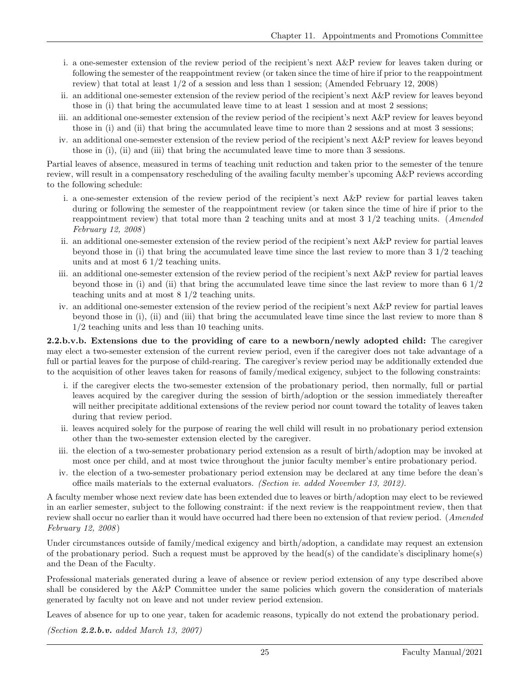- i. a one-semester extension of the review period of the recipient's next A&P review for leaves taken during or following the semester of the reappointment review (or taken since the time of hire if prior to the reappointment review) that total at least 1/2 of a session and less than 1 session; (Amended February 12, 2008)
- ii. an additional one-semester extension of the review period of the recipient's next A&P review for leaves beyond those in (i) that bring the accumulated leave time to at least 1 session and at most 2 sessions;
- iii. an additional one-semester extension of the review period of the recipient's next A&P review for leaves beyond those in (i) and (ii) that bring the accumulated leave time to more than 2 sessions and at most 3 sessions;
- iv. an additional one-semester extension of the review period of the recipient's next A&P review for leaves beyond those in (i), (ii) and (iii) that bring the accumulated leave time to more than 3 sessions.

Partial leaves of absence, measured in terms of teaching unit reduction and taken prior to the semester of the tenure review, will result in a compensatory rescheduling of the availing faculty member's upcoming A&P reviews according to the following schedule:

- i. a one-semester extension of the review period of the recipient's next A&P review for partial leaves taken during or following the semester of the reappointment review (or taken since the time of hire if prior to the reappointment review) that total more than 2 teaching units and at most 3 1/2 teaching units. (Amended February 12, 2008 )
- ii. an additional one-semester extension of the review period of the recipient's next A&P review for partial leaves beyond those in (i) that bring the accumulated leave time since the last review to more than 3 1/2 teaching units and at most 6 1/2 teaching units.
- iii. an additional one-semester extension of the review period of the recipient's next A&P review for partial leaves beyond those in (i) and (ii) that bring the accumulated leave time since the last review to more than  $6\frac{1}{2}$ teaching units and at most 8 1/2 teaching units.
- iv. an additional one-semester extension of the review period of the recipient's next A&P review for partial leaves beyond those in (i), (ii) and (iii) that bring the accumulated leave time since the last review to more than 8 1/2 teaching units and less than 10 teaching units.

<span id="page-29-0"></span>2.2.b.v.b. Extensions due to the providing of care to a newborn/newly adopted child: The caregiver may elect a two-semester extension of the current review period, even if the caregiver does not take advantage of a full or partial leaves for the purpose of child-rearing. The caregiver's review period may be additionally extended due to the acquisition of other leaves taken for reasons of family/medical exigency, subject to the following constraints:

- i. if the caregiver elects the two-semester extension of the probationary period, then normally, full or partial leaves acquired by the caregiver during the session of birth/adoption or the session immediately thereafter will neither precipitate additional extensions of the review period nor count toward the totality of leaves taken during that review period.
- ii. leaves acquired solely for the purpose of rearing the well child will result in no probationary period extension other than the two-semester extension elected by the caregiver.
- iii. the election of a two-semester probationary period extension as a result of birth/adoption may be invoked at most once per child, and at most twice throughout the junior faculty member's entire probationary period.
- iv. the election of a two-semester probationary period extension may be declared at any time before the dean's office mails materials to the external evaluators. (Section iv. added November 13, 2012).

A faculty member whose next review date has been extended due to leaves or birth/adoption may elect to be reviewed in an earlier semester, subject to the following constraint: if the next review is the reappointment review, then that review shall occur no earlier than it would have occurred had there been no extension of that review period. (Amended February 12, 2008 )

Under circumstances outside of family/medical exigency and birth/adoption, a candidate may request an extension of the probationary period. Such a request must be approved by the head(s) of the candidate's disciplinary home(s) and the Dean of the Faculty.

Professional materials generated during a leave of absence or review period extension of any type described above shall be considered by the A&P Committee under the same policies which govern the consideration of materials generated by faculty not on leave and not under review period extension.

Leaves of absence for up to one year, taken for academic reasons, typically do not extend the probationary period.

(Section 2.2.b.v. added March 13, 2007)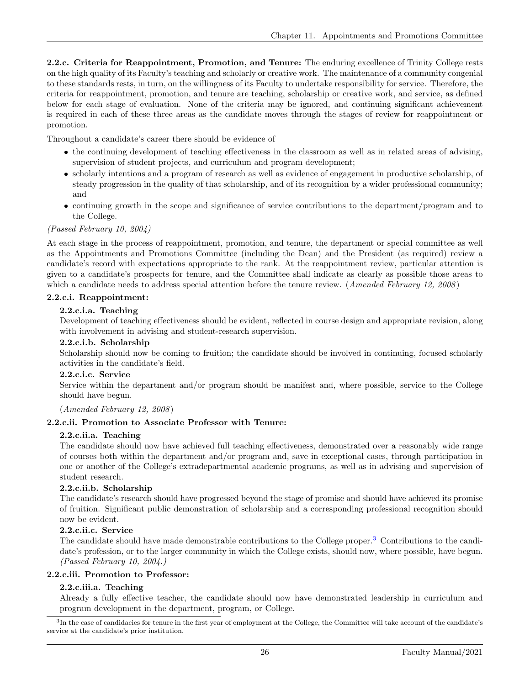<span id="page-30-0"></span>2.2.c. Criteria for Reappointment, Promotion, and Tenure: The enduring excellence of Trinity College rests on the high quality of its Faculty's teaching and scholarly or creative work. The maintenance of a community congenial to these standards rests, in turn, on the willingness of its Faculty to undertake responsibility for service. Therefore, the criteria for reappointment, promotion, and tenure are teaching, scholarship or creative work, and service, as defined below for each stage of evaluation. None of the criteria may be ignored, and continuing significant achievement is required in each of these three areas as the candidate moves through the stages of review for reappointment or promotion.

Throughout a candidate's career there should be evidence of

- the continuing development of teaching effectiveness in the classroom as well as in related areas of advising, supervision of student projects, and curriculum and program development;
- scholarly intentions and a program of research as well as evidence of engagement in productive scholarship, of steady progression in the quality of that scholarship, and of its recognition by a wider professional community; and
- continuing growth in the scope and significance of service contributions to the department/program and to the College.

#### (Passed February 10, 2004)

At each stage in the process of reappointment, promotion, and tenure, the department or special committee as well as the Appointments and Promotions Committee (including the Dean) and the President (as required) review a candidate's record with expectations appropriate to the rank. At the reappointment review, particular attention is given to a candidate's prospects for tenure, and the Committee shall indicate as clearly as possible those areas to which a candidate needs to address special attention before the tenure review. (Amended February 12, 2008)

#### <span id="page-30-2"></span><span id="page-30-1"></span>2.2.c.i. Reappointment:

#### 2.2.c.i.a. Teaching

Development of teaching effectiveness should be evident, reflected in course design and appropriate revision, along with involvement in advising and student-research supervision.

#### <span id="page-30-3"></span>2.2.c.i.b. Scholarship

Scholarship should now be coming to fruition; the candidate should be involved in continuing, focused scholarly activities in the candidate's field.

#### <span id="page-30-4"></span>2.2.c.i.c. Service

Service within the department and/or program should be manifest and, where possible, service to the College should have begun.

(Amended February 12, 2008 )

#### <span id="page-30-6"></span><span id="page-30-5"></span>2.2.c.ii. Promotion to Associate Professor with Tenure:

#### 2.2.c.ii.a. Teaching

The candidate should now have achieved full teaching effectiveness, demonstrated over a reasonably wide range of courses both within the department and/or program and, save in exceptional cases, through participation in one or another of the College's extradepartmental academic programs, as well as in advising and supervision of student research.

#### <span id="page-30-7"></span>2.2.c.ii.b. Scholarship

The candidate's research should have progressed beyond the stage of promise and should have achieved its promise of fruition. Significant public demonstration of scholarship and a corresponding professional recognition should now be evident.

#### <span id="page-30-8"></span>2.2.c.ii.c. Service

The candidate should have made demonstrable contributions to the College proper.[3](#page-30-11) Contributions to the candidate's profession, or to the larger community in which the College exists, should now, where possible, have begun. (Passed February 10, 2004.)

#### <span id="page-30-10"></span><span id="page-30-9"></span>2.2.c.iii. Promotion to Professor:

#### 2.2.c.iii.a. Teaching

Already a fully effective teacher, the candidate should now have demonstrated leadership in curriculum and program development in the department, program, or College.

<span id="page-30-11"></span> ${}^{3}$ In the case of candidacies for tenure in the first year of employment at the College, the Committee will take account of the candidate's service at the candidate's prior institution.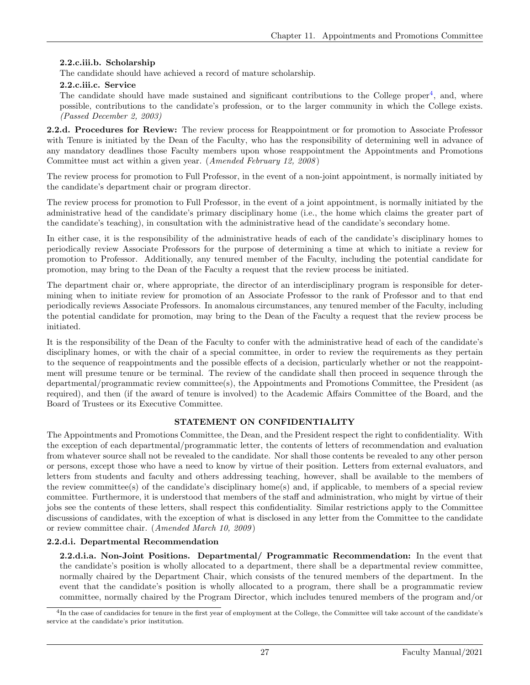#### <span id="page-31-0"></span>2.2.c.iii.b. Scholarship

The candidate should have achieved a record of mature scholarship.

#### <span id="page-31-1"></span>2.2.c.iii.c. Service

The candidate should have made sustained and significant contributions to the College proper<sup>[4](#page-31-5)</sup>, and, where possible, contributions to the candidate's profession, or to the larger community in which the College exists. (Passed December 2, 2003)

<span id="page-31-2"></span>2.2.d. Procedures for Review: The review process for Reappointment or for promotion to Associate Professor with Tenure is initiated by the Dean of the Faculty, who has the responsibility of determining well in advance of any mandatory deadlines those Faculty members upon whose reappointment the Appointments and Promotions Committee must act within a given year. (*Amended February 12, 2008*)

The review process for promotion to Full Professor, in the event of a non-joint appointment, is normally initiated by the candidate's department chair or program director.

The review process for promotion to Full Professor, in the event of a joint appointment, is normally initiated by the administrative head of the candidate's primary disciplinary home (i.e., the home which claims the greater part of the candidate's teaching), in consultation with the administrative head of the candidate's secondary home.

In either case, it is the responsibility of the administrative heads of each of the candidate's disciplinary homes to periodically review Associate Professors for the purpose of determining a time at which to initiate a review for promotion to Professor. Additionally, any tenured member of the Faculty, including the potential candidate for promotion, may bring to the Dean of the Faculty a request that the review process be initiated.

The department chair or, where appropriate, the director of an interdisciplinary program is responsible for determining when to initiate review for promotion of an Associate Professor to the rank of Professor and to that end periodically reviews Associate Professors. In anomalous circumstances, any tenured member of the Faculty, including the potential candidate for promotion, may bring to the Dean of the Faculty a request that the review process be initiated.

It is the responsibility of the Dean of the Faculty to confer with the administrative head of each of the candidate's disciplinary homes, or with the chair of a special committee, in order to review the requirements as they pertain to the sequence of reappointments and the possible effects of a decision, particularly whether or not the reappointment will presume tenure or be terminal. The review of the candidate shall then proceed in sequence through the departmental/programmatic review committee(s), the Appointments and Promotions Committee, the President (as required), and then (if the award of tenure is involved) to the Academic Affairs Committee of the Board, and the Board of Trustees or its Executive Committee.

#### STATEMENT ON CONFIDENTIALITY

The Appointments and Promotions Committee, the Dean, and the President respect the right to confidentiality. With the exception of each departmental/programmatic letter, the contents of letters of recommendation and evaluation from whatever source shall not be revealed to the candidate. Nor shall those contents be revealed to any other person or persons, except those who have a need to know by virtue of their position. Letters from external evaluators, and letters from students and faculty and others addressing teaching, however, shall be available to the members of the review committee(s) of the candidate's disciplinary home(s) and, if applicable, to members of a special review committee. Furthermore, it is understood that members of the staff and administration, who might by virtue of their jobs see the contents of these letters, shall respect this confidentiality. Similar restrictions apply to the Committee discussions of candidates, with the exception of what is disclosed in any letter from the Committee to the candidate or review committee chair. (Amended March 10, 2009 )

#### <span id="page-31-3"></span>2.2.d.i. Departmental Recommendation

<span id="page-31-4"></span>2.2.d.i.a. Non-Joint Positions. Departmental/ Programmatic Recommendation: In the event that the candidate's position is wholly allocated to a department, there shall be a departmental review committee, normally chaired by the Department Chair, which consists of the tenured members of the department. In the event that the candidate's position is wholly allocated to a program, there shall be a programmatic review committee, normally chaired by the Program Director, which includes tenured members of the program and/or

<span id="page-31-5"></span> $^{4}$ In the case of candidacies for tenure in the first year of employment at the College, the Committee will take account of the candidate's service at the candidate's prior institution.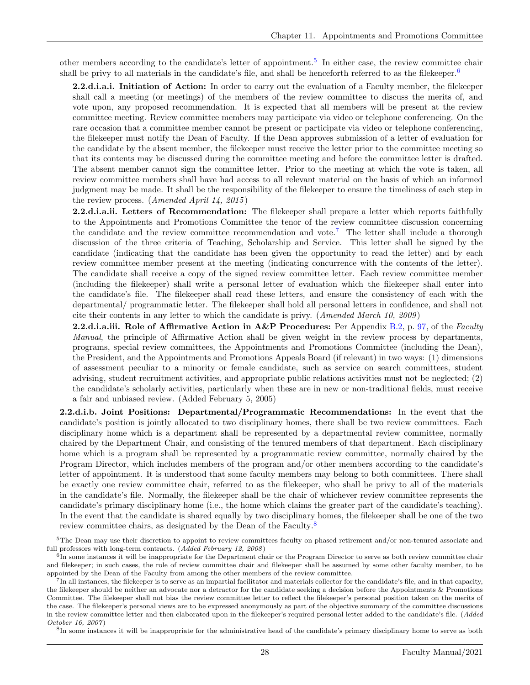<span id="page-32-0"></span>other members according to the candidate's letter of appointment.<sup>[5](#page-32-4)</sup> In either case, the review committee chair shall be privy to all materials in the candidate's file, and shall be henceforth referred to as the filekeeper.<sup>[6](#page-32-5)</sup>

2.2.d.i.a.i. Initiation of Action: In order to carry out the evaluation of a Faculty member, the filekeeper shall call a meeting (or meetings) of the members of the review committee to discuss the merits of, and vote upon, any proposed recommendation. It is expected that all members will be present at the review committee meeting. Review committee members may participate via video or telephone conferencing. On the rare occasion that a committee member cannot be present or participate via video or telephone conferencing, the filekeeper must notify the Dean of Faculty. If the Dean approves submission of a letter of evaluation for the candidate by the absent member, the filekeeper must receive the letter prior to the committee meeting so that its contents may be discussed during the committee meeting and before the committee letter is drafted. The absent member cannot sign the committee letter. Prior to the meeting at which the vote is taken, all review committee members shall have had access to all relevant material on the basis of which an informed judgment may be made. It shall be the responsibility of the filekeeper to ensure the timeliness of each step in the review process. (*Amended April 14, 2015*)

<span id="page-32-1"></span>2.2.d.i.a.ii. Letters of Recommendation: The filekeeper shall prepare a letter which reports faithfully to the Appointments and Promotions Committee the tenor of the review committee discussion concerning the candidate and the review committee recommendation and vote.<sup>[7](#page-32-6)</sup> The letter shall include a thorough discussion of the three criteria of Teaching, Scholarship and Service. This letter shall be signed by the candidate (indicating that the candidate has been given the opportunity to read the letter) and by each review committee member present at the meeting (indicating concurrence with the contents of the letter). The candidate shall receive a copy of the signed review committee letter. Each review committee member (including the filekeeper) shall write a personal letter of evaluation which the filekeeper shall enter into the candidate's file. The filekeeper shall read these letters, and ensure the consistency of each with the departmental/ programmatic letter. The filekeeper shall hold all personal letters in confidence, and shall not cite their contents in any letter to which the candidate is privy. (Amended March 10, 2009 )

<span id="page-32-2"></span>2.2.d.i.a.iii. Role of Affirmative Action in A&P Procedures: Per Appendix [B.2,](#page-101-0) p. [97,](#page-101-0) of the Faculty Manual, the principle of Affirmative Action shall be given weight in the review process by departments, programs, special review committees, the Appointments and Promotions Committee (including the Dean), the President, and the Appointments and Promotions Appeals Board (if relevant) in two ways: (1) dimensions of assessment peculiar to a minority or female candidate, such as service on search committees, student advising, student recruitment activities, and appropriate public relations activities must not be neglected; (2) the candidate's scholarly activities, particularly when these are in new or non-traditional fields, must receive a fair and unbiased review. (Added February 5, 2005)

<span id="page-32-3"></span>2.2.d.i.b. Joint Positions: Departmental/Programmatic Recommendations: In the event that the candidate's position is jointly allocated to two disciplinary homes, there shall be two review committees. Each disciplinary home which is a department shall be represented by a departmental review committee, normally chaired by the Department Chair, and consisting of the tenured members of that department. Each disciplinary home which is a program shall be represented by a programmatic review committee, normally chaired by the Program Director, which includes members of the program and/or other members according to the candidate's letter of appointment. It is understood that some faculty members may belong to both committees. There shall be exactly one review committee chair, referred to as the filekeeper, who shall be privy to all of the materials in the candidate's file. Normally, the filekeeper shall be the chair of whichever review committee represents the candidate's primary disciplinary home (i.e., the home which claims the greater part of the candidate's teaching). In the event that the candidate is shared equally by two disciplinary homes, the filekeeper shall be one of the two review committee chairs, as designated by the Dean of the Faculty.[8](#page-32-7)

<span id="page-32-4"></span><sup>5</sup>The Dean may use their discretion to appoint to review committees faculty on phased retirement and/or non-tenured associate and full professors with long-term contracts. (Added February 12, 2008)

<span id="page-32-5"></span><sup>&</sup>lt;sup>6</sup>In some instances it will be inappropriate for the Department chair or the Program Director to serve as both review committee chair and filekeeper; in such cases, the role of review committee chair and filekeeper shall be assumed by some other faculty member, to be appointed by the Dean of the Faculty from among the other members of the review committee.

<span id="page-32-6"></span><sup>&</sup>lt;sup>7</sup>In all instances, the filekeeper is to serve as an impartial facilitator and materials collector for the candidate's file, and in that capacity, the filekeeper should be neither an advocate nor a detractor for the candidate seeking a decision before the Appointments & Promotions Committee. The filekeeper shall not bias the review committee letter to reflect the filekeeper's personal position taken on the merits of the case. The filekeeper's personal views are to be expressed anonymously as part of the objective summary of the committee discussions in the review committee letter and then elaborated upon in the filekeeper's required personal letter added to the candidate's file. (Added October 16, 2007)

<span id="page-32-7"></span><sup>&</sup>lt;sup>8</sup>In some instances it will be inappropriate for the administrative head of the candidate's primary disciplinary home to serve as both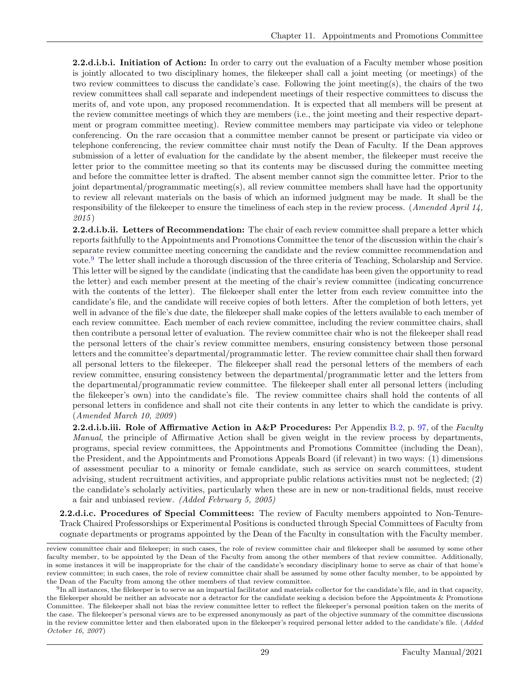<span id="page-33-0"></span>2.2.d.i.b.i. Initiation of Action: In order to carry out the evaluation of a Faculty member whose position is jointly allocated to two disciplinary homes, the filekeeper shall call a joint meeting (or meetings) of the two review committees to discuss the candidate's case. Following the joint meeting(s), the chairs of the two review committees shall call separate and independent meetings of their respective committees to discuss the merits of, and vote upon, any proposed recommendation. It is expected that all members will be present at the review committee meetings of which they are members (i.e., the joint meeting and their respective department or program committee meeting). Review committee members may participate via video or telephone conferencing. On the rare occasion that a committee member cannot be present or participate via video or telephone conferencing, the review committee chair must notify the Dean of Faculty. If the Dean approves submission of a letter of evaluation for the candidate by the absent member, the filekeeper must receive the letter prior to the committee meeting so that its contents may be discussed during the committee meeting and before the committee letter is drafted. The absent member cannot sign the committee letter. Prior to the joint departmental/programmatic meeting(s), all review committee members shall have had the opportunity to review all relevant materials on the basis of which an informed judgment may be made. It shall be the responsibility of the filekeeper to ensure the timeliness of each step in the review process. (Amended April 14, 2015)

<span id="page-33-1"></span>2.2.d.i.b.ii. Letters of Recommendation: The chair of each review committee shall prepare a letter which reports faithfully to the Appointments and Promotions Committee the tenor of the discussion within the chair's separate review committee meeting concerning the candidate and the review committee recommendation and vote.[9](#page-33-4) The letter shall include a thorough discussion of the three criteria of Teaching, Scholarship and Service. This letter will be signed by the candidate (indicating that the candidate has been given the opportunity to read the letter) and each member present at the meeting of the chair's review committee (indicating concurrence with the contents of the letter). The filekeeper shall enter the letter from each review committee into the candidate's file, and the candidate will receive copies of both letters. After the completion of both letters, yet well in advance of the file's due date, the filekeeper shall make copies of the letters available to each member of each review committee. Each member of each review committee, including the review committee chairs, shall then contribute a personal letter of evaluation. The review committee chair who is not the filekeeper shall read the personal letters of the chair's review committee members, ensuring consistency between those personal letters and the committee's departmental/programmatic letter. The review committee chair shall then forward all personal letters to the filekeeper. The filekeeper shall read the personal letters of the members of each review committee, ensuring consistency between the departmental/programmatic letter and the letters from the departmental/programmatic review committee. The filekeeper shall enter all personal letters (including the filekeeper's own) into the candidate's file. The review committee chairs shall hold the contents of all personal letters in confidence and shall not cite their contents in any letter to which the candidate is privy. (Amended March 10, 2009 )

<span id="page-33-2"></span>2.2.d.i.b.iii. Role of Affirmative Action in A&P Procedures: Per Appendix [B.2,](#page-101-0) p. [97,](#page-101-0) of the Faculty Manual, the principle of Affirmative Action shall be given weight in the review process by departments, programs, special review committees, the Appointments and Promotions Committee (including the Dean), the President, and the Appointments and Promotions Appeals Board (if relevant) in two ways: (1) dimensions of assessment peculiar to a minority or female candidate, such as service on search committees, student advising, student recruitment activities, and appropriate public relations activities must not be neglected; (2) the candidate's scholarly activities, particularly when these are in new or non-traditional fields, must receive a fair and unbiased review. (Added February 5, 2005)

<span id="page-33-3"></span>2.2.d.i.c. Procedures of Special Committees: The review of Faculty members appointed to Non-Tenure-Track Chaired Professorships or Experimental Positions is conducted through Special Committees of Faculty from cognate departments or programs appointed by the Dean of the Faculty in consultation with the Faculty member.

review committee chair and filekeeper; in such cases, the role of review committee chair and filekeeper shall be assumed by some other faculty member, to be appointed by the Dean of the Faculty from among the other members of that review committee. Additionally, in some instances it will be inappropriate for the chair of the candidate's secondary disciplinary home to serve as chair of that home's review committee; in such cases, the role of review committee chair shall be assumed by some other faculty member, to be appointed by the Dean of the Faculty from among the other members of that review committee.

<span id="page-33-4"></span> $^{9}$ In all instances, the filekeeper is to serve as an impartial facilitator and materials collector for the candidate's file, and in that capacity, the filekeeper should be neither an advocate nor a detractor for the candidate seeking a decision before the Appointments & Promotions Committee. The filekeeper shall not bias the review committee letter to reflect the filekeeper's personal position taken on the merits of the case. The filekeeper's personal views are to be expressed anonymously as part of the objective summary of the committee discussions in the review committee letter and then elaborated upon in the filekeeper's required personal letter added to the candidate's file. (Added October 16, 2007)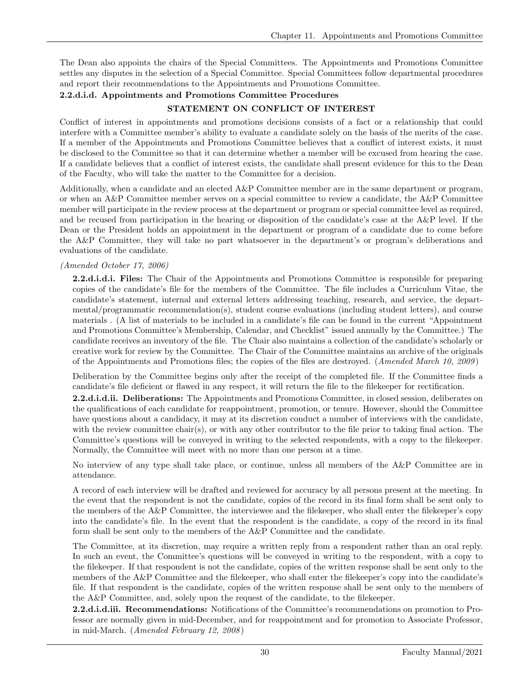The Dean also appoints the chairs of the Special Committees. The Appointments and Promotions Committee settles any disputes in the selection of a Special Committee. Special Committees follow departmental procedures and report their recommendations to the Appointments and Promotions Committee.

#### <span id="page-34-0"></span>2.2.d.i.d. Appointments and Promotions Committee Procedures

#### STATEMENT ON CONFLICT OF INTEREST

Conflict of interest in appointments and promotions decisions consists of a fact or a relationship that could interfere with a Committee member's ability to evaluate a candidate solely on the basis of the merits of the case. If a member of the Appointments and Promotions Committee believes that a conflict of interest exists, it must be disclosed to the Committee so that it can determine whether a member will be excused from hearing the case. If a candidate believes that a conflict of interest exists, the candidate shall present evidence for this to the Dean of the Faculty, who will take the matter to the Committee for a decision.

Additionally, when a candidate and an elected A&P Committee member are in the same department or program, or when an A&P Committee member serves on a special committee to review a candidate, the A&P Committee member will participate in the review process at the department or program or special committee level as required, and be recused from participation in the hearing or disposition of the candidate's case at the A&P level. If the Dean or the President holds an appointment in the department or program of a candidate due to come before the A&P Committee, they will take no part whatsoever in the department's or program's deliberations and evaluations of the candidate.

#### <span id="page-34-1"></span>(Amended October 17, 2006)

2.2.d.i.d.i. Files: The Chair of the Appointments and Promotions Committee is responsible for preparing copies of the candidate's file for the members of the Committee. The file includes a Curriculum Vitae, the candidate's statement, internal and external letters addressing teaching, research, and service, the departmental/programmatic recommendation(s), student course evaluations (including student letters), and course materials . (A list of materials to be included in a candidate's file can be found in the current "Appointment and Promotions Committee's Membership, Calendar, and Checklist" issued annually by the Committee.) The candidate receives an inventory of the file. The Chair also maintains a collection of the candidate's scholarly or creative work for review by the Committee. The Chair of the Committee maintains an archive of the originals of the Appointments and Promotions files; the copies of the files are destroyed. (Amended March 10, 2009)

Deliberation by the Committee begins only after the receipt of the completed file. If the Committee finds a candidate's file deficient or flawed in any respect, it will return the file to the filekeeper for rectification.

<span id="page-34-2"></span>2.2.d.i.d.ii. Deliberations: The Appointments and Promotions Committee, in closed session, deliberates on the qualifications of each candidate for reappointment, promotion, or tenure. However, should the Committee have questions about a candidacy, it may at its discretion conduct a number of interviews with the candidate, with the review committee chair(s), or with any other contributor to the file prior to taking final action. The Committee's questions will be conveyed in writing to the selected respondents, with a copy to the filekeeper. Normally, the Committee will meet with no more than one person at a time.

No interview of any type shall take place, or continue, unless all members of the A&P Committee are in attendance.

A record of each interview will be drafted and reviewed for accuracy by all persons present at the meeting. In the event that the respondent is not the candidate, copies of the record in its final form shall be sent only to the members of the A&P Committee, the interviewee and the filekeeper, who shall enter the filekeeper's copy into the candidate's file. In the event that the respondent is the candidate, a copy of the record in its final form shall be sent only to the members of the A&P Committee and the candidate.

The Committee, at its discretion, may require a written reply from a respondent rather than an oral reply. In such an event, the Committee's questions will be conveyed in writing to the respondent, with a copy to the filekeeper. If that respondent is not the candidate, copies of the written response shall be sent only to the members of the A&P Committee and the filekeeper, who shall enter the filekeeper's copy into the candidate's file. If that respondent is the candidate, copies of the written response shall be sent only to the members of the A&P Committee, and, solely upon the request of the candidate, to the filekeeper.

<span id="page-34-3"></span>2.2.d.i.d.iii. Recommendations: Notifications of the Committee's recommendations on promotion to Professor are normally given in mid-December, and for reappointment and for promotion to Associate Professor, in mid-March. (Amended February 12, 2008 )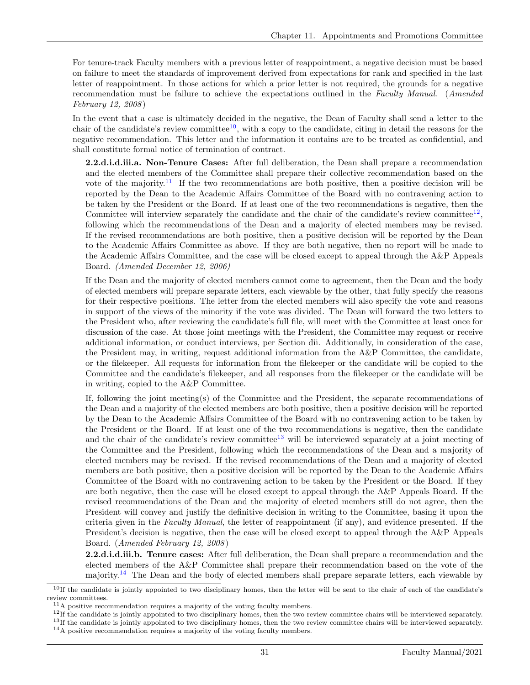For tenure-track Faculty members with a previous letter of reappointment, a negative decision must be based on failure to meet the standards of improvement derived from expectations for rank and specified in the last letter of reappointment. In those actions for which a prior letter is not required, the grounds for a negative recommendation must be failure to achieve the expectations outlined in the Faculty Manual. (Amended February 12, 2008 )

In the event that a case is ultimately decided in the negative, the Dean of Faculty shall send a letter to the chair of the candidate's review committee<sup>[10](#page-35-2)</sup>, with a copy to the candidate, citing in detail the reasons for the negative recommendation. This letter and the information it contains are to be treated as confidential, and shall constitute formal notice of termination of contract.

<span id="page-35-0"></span>2.2.d.i.d.iii.a. Non-Tenure Cases: After full deliberation, the Dean shall prepare a recommendation and the elected members of the Committee shall prepare their collective recommendation based on the vote of the majority.<sup>[11](#page-35-3)</sup> If the two recommendations are both positive, then a positive decision will be reported by the Dean to the Academic Affairs Committee of the Board with no contravening action to be taken by the President or the Board. If at least one of the two recommendations is negative, then the Committee will interview separately the candidate and the chair of the candidate's review committee<sup>[12](#page-35-4)</sup>, following which the recommendations of the Dean and a majority of elected members may be revised. If the revised recommendations are both positive, then a positive decision will be reported by the Dean to the Academic Affairs Committee as above. If they are both negative, then no report will be made to the Academic Affairs Committee, and the case will be closed except to appeal through the A&P Appeals Board. (Amended December 12, 2006)

If the Dean and the majority of elected members cannot come to agreement, then the Dean and the body of elected members will prepare separate letters, each viewable by the other, that fully specify the reasons for their respective positions. The letter from the elected members will also specify the vote and reasons in support of the views of the minority if the vote was divided. The Dean will forward the two letters to the President who, after reviewing the candidate's full file, will meet with the Committee at least once for discussion of the case. At those joint meetings with the President, the Committee may request or receive additional information, or conduct interviews, per Section dii. Additionally, in consideration of the case, the President may, in writing, request additional information from the A&P Committee, the candidate, or the filekeeper. All requests for information from the filekeeper or the candidate will be copied to the Committee and the candidate's filekeeper, and all responses from the filekeeper or the candidate will be in writing, copied to the A&P Committee.

If, following the joint meeting(s) of the Committee and the President, the separate recommendations of the Dean and a majority of the elected members are both positive, then a positive decision will be reported by the Dean to the Academic Affairs Committee of the Board with no contravening action to be taken by the President or the Board. If at least one of the two recommendations is negative, then the candidate and the chair of the candidate's review committee<sup>[13](#page-35-5)</sup> will be interviewed separately at a joint meeting of the Committee and the President, following which the recommendations of the Dean and a majority of elected members may be revised. If the revised recommendations of the Dean and a majority of elected members are both positive, then a positive decision will be reported by the Dean to the Academic Affairs Committee of the Board with no contravening action to be taken by the President or the Board. If they are both negative, then the case will be closed except to appeal through the A&P Appeals Board. If the revised recommendations of the Dean and the majority of elected members still do not agree, then the President will convey and justify the definitive decision in writing to the Committee, basing it upon the criteria given in the Faculty Manual, the letter of reappointment (if any), and evidence presented. If the President's decision is negative, then the case will be closed except to appeal through the A&P Appeals Board. (Amended February 12, 2008 )

2.2.d.i.d.iii.b. Tenure cases: After full deliberation, the Dean shall prepare a recommendation and the elected members of the A&P Committee shall prepare their recommendation based on the vote of the majority.<sup>[14](#page-35-6)</sup> The Dean and the body of elected members shall prepare separate letters, each viewable by

<span id="page-35-2"></span><span id="page-35-1"></span> $10$ If the candidate is jointly appointed to two disciplinary homes, then the letter will be sent to the chair of each of the candidate's review committees.

<span id="page-35-3"></span> $11$ A positive recommendation requires a majority of the voting faculty members.

<span id="page-35-5"></span><span id="page-35-4"></span> $12$ If the candidate is jointly appointed to two disciplinary homes, then the two review committee chairs will be interviewed separately. <sup>13</sup>If the candidate is jointly appointed to two disciplinary homes, then the two review committee chairs will be interviewed separately.  $14A$  positive recommendation requires a majority of the voting faculty members.

<span id="page-35-6"></span>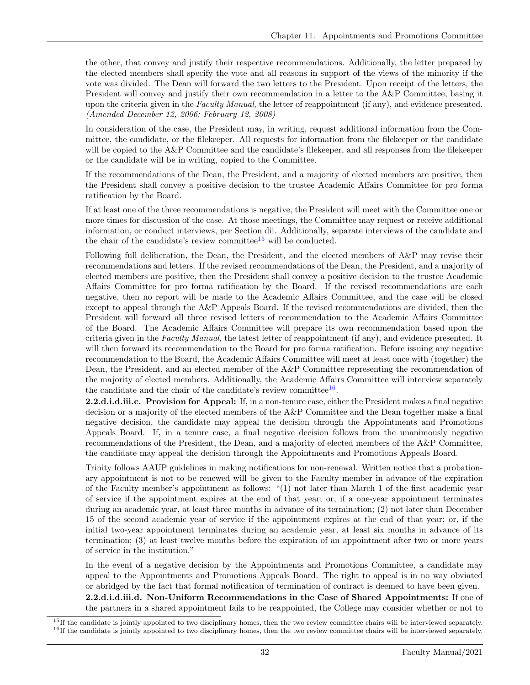the other, that convey and justify their respective recommendations. Additionally, the letter prepared by the elected members shall specify the vote and all reasons in support of the views of the minority if the vote was divided. The Dean will forward the two letters to the President. Upon receipt of the letters, the President will convey and justify their own recommendation in a letter to the A&P Committee, basing it upon the criteria given in the Faculty Manual, the letter of reappointment (if any), and evidence presented. (Amended December 12, 2006; February 12, 2008)

In consideration of the case, the President may, in writing, request additional information from the Committee, the candidate, or the filekeeper. All requests for information from the filekeeper or the candidate will be copied to the A&P Committee and the candidate's filekeeper, and all responses from the filekeeper or the candidate will be in writing, copied to the Committee.

If the recommendations of the Dean, the President, and a majority of elected members are positive, then the President shall convey a positive decision to the trustee Academic Affairs Committee for pro forma ratification by the Board.

If at least one of the three recommendations is negative, the President will meet with the Committee one or more times for discussion of the case. At those meetings, the Committee may request or receive additional information, or conduct interviews, per Section dii. Additionally, separate interviews of the candidate and the chair of the candidate's review committee<sup>[15](#page-36-0)</sup> will be conducted.

Following full deliberation, the Dean, the President, and the elected members of A&P may revise their recommendations and letters. If the revised recommendations of the Dean, the President, and a majority of elected members are positive, then the President shall convey a positive decision to the trustee Academic Affairs Committee for pro forma ratification by the Board. If the revised recommendations are each negative, then no report will be made to the Academic Affairs Committee, and the case will be closed except to appeal through the A&P Appeals Board. If the revised recommendations are divided, then the President will forward all three revised letters of recommendation to the Academic Affairs Committee of the Board. The Academic Affairs Committee will prepare its own recommendation based upon the criteria given in the Faculty Manual, the latest letter of reappointment (if any), and evidence presented. It will then forward its recommendation to the Board for pro forma ratification. Before issuing any negative recommendation to the Board, the Academic Affairs Committee will meet at least once with (together) the Dean, the President, and an elected member of the A&P Committee representing the recommendation of the majority of elected members. Additionally, the Academic Affairs Committee will interview separately the candidate and the chair of the candidate's review committee<sup>[16](#page-36-1)</sup>.

2.2.d.i.d.iii.c. Provision for Appeal: If, in a non-tenure case, either the President makes a final negative decision or a majority of the elected members of the A&P Committee and the Dean together make a final negative decision, the candidate may appeal the decision through the Appointments and Promotions Appeals Board. If, in a tenure case, a final negative decision follows from the unanimously negative recommendations of the President, the Dean, and a majority of elected members of the A&P Committee, the candidate may appeal the decision through the Appointments and Promotions Appeals Board.

Trinity follows AAUP guidelines in making notifications for non-renewal. Written notice that a probationary appointment is not to be renewed will be given to the Faculty member in advance of the expiration of the Faculty member's appointment as follows: "(1) not later than March 1 of the first academic year of service if the appointment expires at the end of that year; or, if a one-year appointment terminates during an academic year, at least three months in advance of its termination; (2) not later than December 15 of the second academic year of service if the appointment expires at the end of that year; or, if the initial two-year appointment terminates during an academic year, at least six months in advance of its termination; (3) at least twelve months before the expiration of an appointment after two or more years of service in the institution."

In the event of a negative decision by the Appointments and Promotions Committee, a candidate may appeal to the Appointments and Promotions Appeals Board. The right to appeal is in no way obviated or abridged by the fact that formal notification of termination of contract is deemed to have been given.

2.2.d.i.d.iii.d. Non-Uniform Recommendations in the Case of Shared Appointments: If one of the partners in a shared appointment fails to be reappointed, the College may consider whether or not to

<span id="page-36-1"></span><span id="page-36-0"></span><sup>&</sup>lt;sup>15</sup>If the candidate is jointly appointed to two disciplinary homes, then the two review committee chairs will be interviewed separately.  $16$ If the candidate is jointly appointed to two disciplinary homes, then the two review committee chairs will be interviewed separately.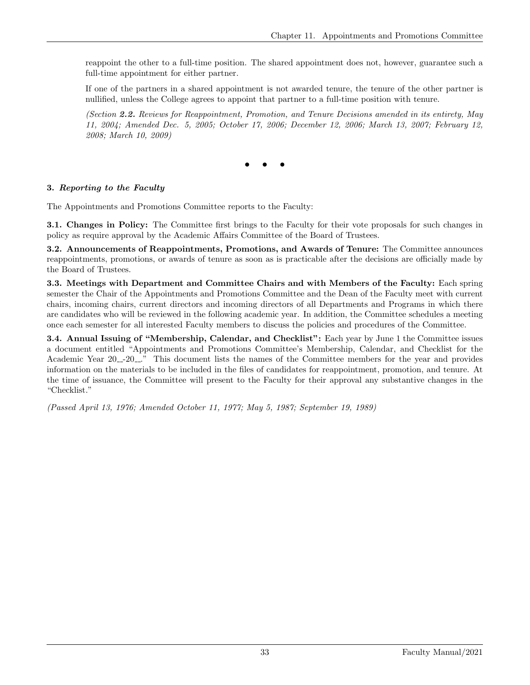reappoint the other to a full-time position. The shared appointment does not, however, guarantee such a full-time appointment for either partner.

If one of the partners in a shared appointment is not awarded tenure, the tenure of the other partner is nullified, unless the College agrees to appoint that partner to a full-time position with tenure.

(Section 2.2. Reviews for Reappointment, Promotion, and Tenure Decisions amended in its entirety, May 11, 2004; Amended Dec. 5, 2005; October 17, 2006; December 12, 2006; March 13, 2007; February 12, 2008; March 10, 2009)

• • •

## 3. Reporting to the Faculty

The Appointments and Promotions Committee reports to the Faculty:

3.1. Changes in Policy: The Committee first brings to the Faculty for their vote proposals for such changes in policy as require approval by the Academic Affairs Committee of the Board of Trustees.

3.2. Announcements of Reappointments, Promotions, and Awards of Tenure: The Committee announces reappointments, promotions, or awards of tenure as soon as is practicable after the decisions are officially made by the Board of Trustees.

3.3. Meetings with Department and Committee Chairs and with Members of the Faculty: Each spring semester the Chair of the Appointments and Promotions Committee and the Dean of the Faculty meet with current chairs, incoming chairs, current directors and incoming directors of all Departments and Programs in which there are candidates who will be reviewed in the following academic year. In addition, the Committee schedules a meeting once each semester for all interested Faculty members to discuss the policies and procedures of the Committee.

3.4. Annual Issuing of "Membership, Calendar, and Checklist": Each year by June 1 the Committee issues a document entitled "Appointments and Promotions Committee's Membership, Calendar, and Checklist for the Academic Year 20<sub>--</sub>-20<sub>--</sub>." This document lists the names of the Committee members for the year and provides information on the materials to be included in the files of candidates for reappointment, promotion, and tenure. At the time of issuance, the Committee will present to the Faculty for their approval any substantive changes in the "Checklist."

(Passed April 13, 1976; Amended October 11, 1977; May 5, 1987; September 19, 1989)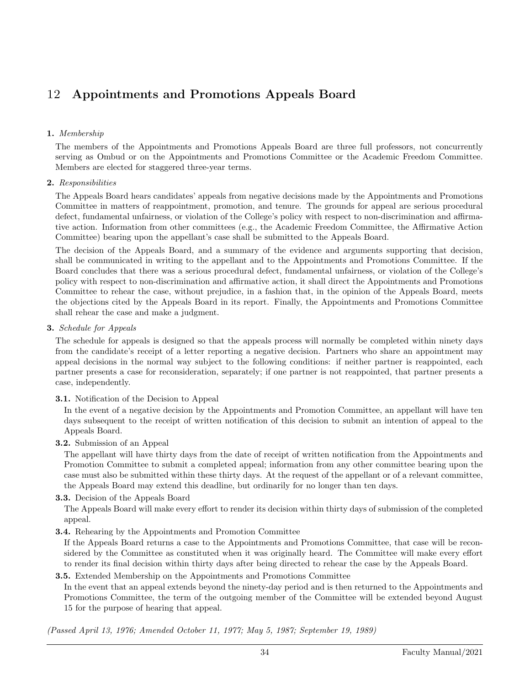# 12 Appointments and Promotions Appeals Board

### 1. Membership

The members of the Appointments and Promotions Appeals Board are three full professors, not concurrently serving as Ombud or on the Appointments and Promotions Committee or the Academic Freedom Committee. Members are elected for staggered three-year terms.

### 2. Responsibilities

The Appeals Board hears candidates' appeals from negative decisions made by the Appointments and Promotions Committee in matters of reappointment, promotion, and tenure. The grounds for appeal are serious procedural defect, fundamental unfairness, or violation of the College's policy with respect to non-discrimination and affirmative action. Information from other committees (e.g., the Academic Freedom Committee, the Affirmative Action Committee) bearing upon the appellant's case shall be submitted to the Appeals Board.

The decision of the Appeals Board, and a summary of the evidence and arguments supporting that decision, shall be communicated in writing to the appellant and to the Appointments and Promotions Committee. If the Board concludes that there was a serious procedural defect, fundamental unfairness, or violation of the College's policy with respect to non-discrimination and affirmative action, it shall direct the Appointments and Promotions Committee to rehear the case, without prejudice, in a fashion that, in the opinion of the Appeals Board, meets the objections cited by the Appeals Board in its report. Finally, the Appointments and Promotions Committee shall rehear the case and make a judgment.

3. Schedule for Appeals

The schedule for appeals is designed so that the appeals process will normally be completed within ninety days from the candidate's receipt of a letter reporting a negative decision. Partners who share an appointment may appeal decisions in the normal way subject to the following conditions: if neither partner is reappointed, each partner presents a case for reconsideration, separately; if one partner is not reappointed, that partner presents a case, independently.

3.1. Notification of the Decision to Appeal

In the event of a negative decision by the Appointments and Promotion Committee, an appellant will have ten days subsequent to the receipt of written notification of this decision to submit an intention of appeal to the Appeals Board.

3.2. Submission of an Appeal

The appellant will have thirty days from the date of receipt of written notification from the Appointments and Promotion Committee to submit a completed appeal; information from any other committee bearing upon the case must also be submitted within these thirty days. At the request of the appellant or of a relevant committee, the Appeals Board may extend this deadline, but ordinarily for no longer than ten days.

## 3.3. Decision of the Appeals Board

The Appeals Board will make every effort to render its decision within thirty days of submission of the completed appeal.

3.4. Rehearing by the Appointments and Promotion Committee

If the Appeals Board returns a case to the Appointments and Promotions Committee, that case will be reconsidered by the Committee as constituted when it was originally heard. The Committee will make every effort to render its final decision within thirty days after being directed to rehear the case by the Appeals Board.

## 3.5. Extended Membership on the Appointments and Promotions Committee

In the event that an appeal extends beyond the ninety-day period and is then returned to the Appointments and Promotions Committee, the term of the outgoing member of the Committee will be extended beyond August 15 for the purpose of hearing that appeal.

(Passed April 13, 1976; Amended October 11, 1977; May 5, 1987; September 19, 1989)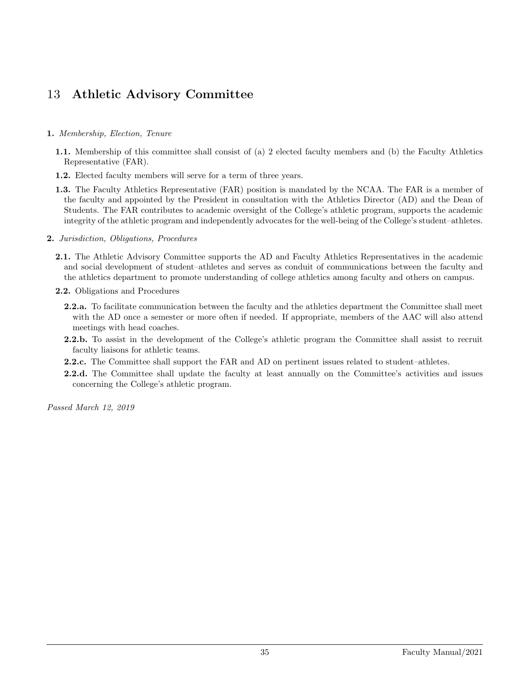# 13 Athletic Advisory Committee

### 1. Membership, Election, Tenure

- 1.1. Membership of this committee shall consist of (a) 2 elected faculty members and (b) the Faculty Athletics Representative (FAR).
- 1.2. Elected faculty members will serve for a term of three years.
- 1.3. The Faculty Athletics Representative (FAR) position is mandated by the NCAA. The FAR is a member of the faculty and appointed by the President in consultation with the Athletics Director (AD) and the Dean of Students. The FAR contributes to academic oversight of the College's athletic program, supports the academic integrity of the athletic program and independently advocates for the well-being of the College's student–athletes.

### 2. Jurisdiction, Obligations, Procedures

- 2.1. The Athletic Advisory Committee supports the AD and Faculty Athletics Representatives in the academic and social development of student–athletes and serves as conduit of communications between the faculty and the athletics department to promote understanding of college athletics among faculty and others on campus.
- 2.2. Obligations and Procedures
	- 2.2.a. To facilitate communication between the faculty and the athletics department the Committee shall meet with the AD once a semester or more often if needed. If appropriate, members of the AAC will also attend meetings with head coaches.
	- 2.2.b. To assist in the development of the College's athletic program the Committee shall assist to recruit faculty liaisons for athletic teams.
	- 2.2.c. The Committee shall support the FAR and AD on pertinent issues related to student–athletes.
	- 2.2.d. The Committee shall update the faculty at least annually on the Committee's activities and issues concerning the College's athletic program.

Passed March 12, 2019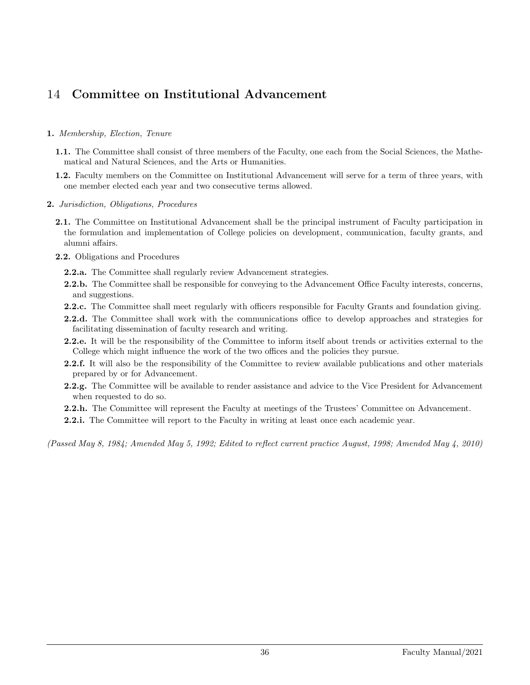# 14 Committee on Institutional Advancement

### 1. Membership, Election, Tenure

- 1.1. The Committee shall consist of three members of the Faculty, one each from the Social Sciences, the Mathematical and Natural Sciences, and the Arts or Humanities.
- 1.2. Faculty members on the Committee on Institutional Advancement will serve for a term of three years, with one member elected each year and two consecutive terms allowed.
- 2. Jurisdiction, Obligations, Procedures
	- 2.1. The Committee on Institutional Advancement shall be the principal instrument of Faculty participation in the formulation and implementation of College policies on development, communication, faculty grants, and alumni affairs.
	- 2.2. Obligations and Procedures
		- 2.2.a. The Committee shall regularly review Advancement strategies.
		- 2.2.b. The Committee shall be responsible for conveying to the Advancement Office Faculty interests, concerns, and suggestions.
		- 2.2.c. The Committee shall meet regularly with officers responsible for Faculty Grants and foundation giving.
		- 2.2.d. The Committee shall work with the communications office to develop approaches and strategies for facilitating dissemination of faculty research and writing.
		- 2.2.e. It will be the responsibility of the Committee to inform itself about trends or activities external to the College which might influence the work of the two offices and the policies they pursue.
		- 2.2.f. It will also be the responsibility of the Committee to review available publications and other materials prepared by or for Advancement.
		- 2.2.g. The Committee will be available to render assistance and advice to the Vice President for Advancement when requested to do so.
		- 2.2.h. The Committee will represent the Faculty at meetings of the Trustees' Committee on Advancement.
		- 2.2.1. The Committee will report to the Faculty in writing at least once each academic year.

(Passed May 8, 1984; Amended May 5, 1992; Edited to reflect current practice August, 1998; Amended May 4, 2010)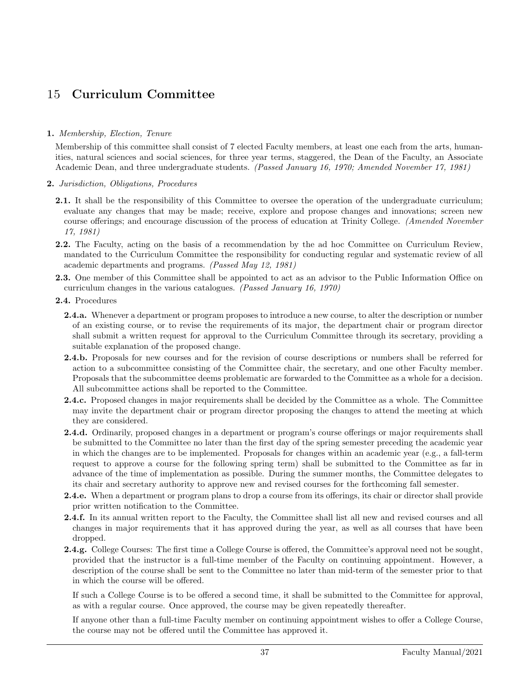# 15 Curriculum Committee

### 1. Membership, Election, Tenure

Membership of this committee shall consist of 7 elected Faculty members, at least one each from the arts, humanities, natural sciences and social sciences, for three year terms, staggered, the Dean of the Faculty, an Associate Academic Dean, and three undergraduate students. (Passed January 16, 1970; Amended November 17, 1981)

### 2. Jurisdiction, Obligations, Procedures

- 2.1. It shall be the responsibility of this Committee to oversee the operation of the undergraduate curriculum; evaluate any changes that may be made; receive, explore and propose changes and innovations; screen new course offerings; and encourage discussion of the process of education at Trinity College. (Amended November 17, 1981)
- 2.2. The Faculty, acting on the basis of a recommendation by the ad hoc Committee on Curriculum Review, mandated to the Curriculum Committee the responsibility for conducting regular and systematic review of all academic departments and programs. (Passed May 12, 1981)
- 2.3. One member of this Committee shall be appointed to act as an advisor to the Public Information Office on curriculum changes in the various catalogues. (Passed January 16, 1970)
- 2.4. Procedures
	- 2.4.a. Whenever a department or program proposes to introduce a new course, to alter the description or number of an existing course, or to revise the requirements of its major, the department chair or program director shall submit a written request for approval to the Curriculum Committee through its secretary, providing a suitable explanation of the proposed change.
	- 2.4.b. Proposals for new courses and for the revision of course descriptions or numbers shall be referred for action to a subcommittee consisting of the Committee chair, the secretary, and one other Faculty member. Proposals that the subcommittee deems problematic are forwarded to the Committee as a whole for a decision. All subcommittee actions shall be reported to the Committee.
	- 2.4.c. Proposed changes in major requirements shall be decided by the Committee as a whole. The Committee may invite the department chair or program director proposing the changes to attend the meeting at which they are considered.
	- 2.4.d. Ordinarily, proposed changes in a department or program's course offerings or major requirements shall be submitted to the Committee no later than the first day of the spring semester preceding the academic year in which the changes are to be implemented. Proposals for changes within an academic year (e.g., a fall-term request to approve a course for the following spring term) shall be submitted to the Committee as far in advance of the time of implementation as possible. During the summer months, the Committee delegates to its chair and secretary authority to approve new and revised courses for the forthcoming fall semester.
	- 2.4.e. When a department or program plans to drop a course from its offerings, its chair or director shall provide prior written notification to the Committee.
	- 2.4.f. In its annual written report to the Faculty, the Committee shall list all new and revised courses and all changes in major requirements that it has approved during the year, as well as all courses that have been dropped.
	- 2.4.g. College Courses: The first time a College Course is offered, the Committee's approval need not be sought, provided that the instructor is a full-time member of the Faculty on continuing appointment. However, a description of the course shall be sent to the Committee no later than mid-term of the semester prior to that in which the course will be offered.

If such a College Course is to be offered a second time, it shall be submitted to the Committee for approval, as with a regular course. Once approved, the course may be given repeatedly thereafter.

If anyone other than a full-time Faculty member on continuing appointment wishes to offer a College Course, the course may not be offered until the Committee has approved it.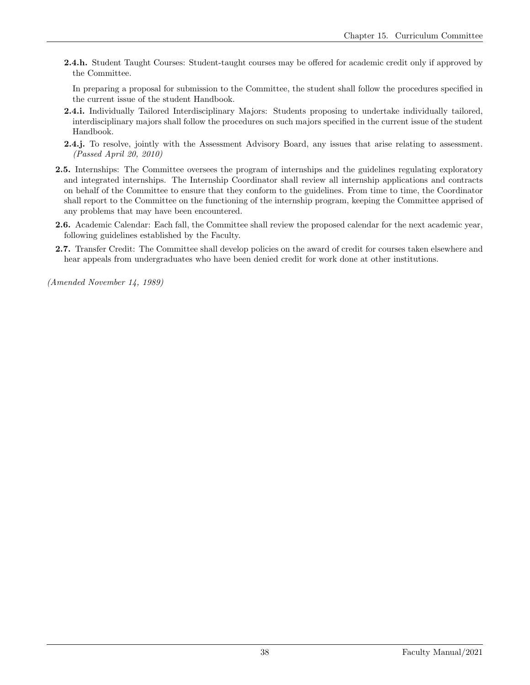2.4.h. Student Taught Courses: Student-taught courses may be offered for academic credit only if approved by the Committee.

In preparing a proposal for submission to the Committee, the student shall follow the procedures specified in the current issue of the student Handbook.

- 2.4.i. Individually Tailored Interdisciplinary Majors: Students proposing to undertake individually tailored, interdisciplinary majors shall follow the procedures on such majors specified in the current issue of the student Handbook.
- 2.4.j. To resolve, jointly with the Assessment Advisory Board, any issues that arise relating to assessment. (Passed April 20, 2010)
- 2.5. Internships: The Committee oversees the program of internships and the guidelines regulating exploratory and integrated internships. The Internship Coordinator shall review all internship applications and contracts on behalf of the Committee to ensure that they conform to the guidelines. From time to time, the Coordinator shall report to the Committee on the functioning of the internship program, keeping the Committee apprised of any problems that may have been encountered.
- 2.6. Academic Calendar: Each fall, the Committee shall review the proposed calendar for the next academic year, following guidelines established by the Faculty.
- 2.7. Transfer Credit: The Committee shall develop policies on the award of credit for courses taken elsewhere and hear appeals from undergraduates who have been denied credit for work done at other institutions.

(Amended November 14, 1989)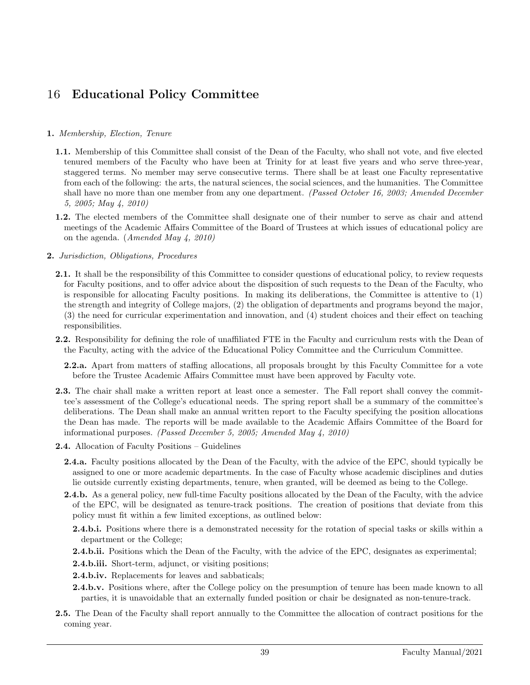# 16 Educational Policy Committee

### 1. Membership, Election, Tenure

- 1.1. Membership of this Committee shall consist of the Dean of the Faculty, who shall not vote, and five elected tenured members of the Faculty who have been at Trinity for at least five years and who serve three-year, staggered terms. No member may serve consecutive terms. There shall be at least one Faculty representative from each of the following: the arts, the natural sciences, the social sciences, and the humanities. The Committee shall have no more than one member from any one department. (Passed October 16, 2003; Amended December 5, 2005; May 4, 2010)
- 1.2. The elected members of the Committee shall designate one of their number to serve as chair and attend meetings of the Academic Affairs Committee of the Board of Trustees at which issues of educational policy are on the agenda. (Amended May 4, 2010)

### 2. Jurisdiction, Obligations, Procedures

- 2.1. It shall be the responsibility of this Committee to consider questions of educational policy, to review requests for Faculty positions, and to offer advice about the disposition of such requests to the Dean of the Faculty, who is responsible for allocating Faculty positions. In making its deliberations, the Committee is attentive to (1) the strength and integrity of College majors, (2) the obligation of departments and programs beyond the major, (3) the need for curricular experimentation and innovation, and (4) student choices and their effect on teaching responsibilities.
- 2.2. Responsibility for defining the role of unaffiliated FTE in the Faculty and curriculum rests with the Dean of the Faculty, acting with the advice of the Educational Policy Committee and the Curriculum Committee.

2.2.a. Apart from matters of staffing allocations, all proposals brought by this Faculty Committee for a vote before the Trustee Academic Affairs Committee must have been approved by Faculty vote.

- 2.3. The chair shall make a written report at least once a semester. The Fall report shall convey the committee's assessment of the College's educational needs. The spring report shall be a summary of the committee's deliberations. The Dean shall make an annual written report to the Faculty specifying the position allocations the Dean has made. The reports will be made available to the Academic Affairs Committee of the Board for informational purposes. (Passed December 5, 2005; Amended May 4, 2010)
- 2.4. Allocation of Faculty Positions Guidelines
	- 2.4.a. Faculty positions allocated by the Dean of the Faculty, with the advice of the EPC, should typically be assigned to one or more academic departments. In the case of Faculty whose academic disciplines and duties lie outside currently existing departments, tenure, when granted, will be deemed as being to the College.
	- 2.4.b. As a general policy, new full-time Faculty positions allocated by the Dean of the Faculty, with the advice of the EPC, will be designated as tenure-track positions. The creation of positions that deviate from this policy must fit within a few limited exceptions, as outlined below:
		- 2.4.b.i. Positions where there is a demonstrated necessity for the rotation of special tasks or skills within a department or the College;
		- 2.4.b.ii. Positions which the Dean of the Faculty, with the advice of the EPC, designates as experimental;
		- 2.4.b.iii. Short-term, adjunct, or visiting positions;
		- 2.4.b.iv. Replacements for leaves and sabbaticals;
		- 2.4.b.v. Positions where, after the College policy on the presumption of tenure has been made known to all parties, it is unavoidable that an externally funded position or chair be designated as non-tenure-track.
- 2.5. The Dean of the Faculty shall report annually to the Committee the allocation of contract positions for the coming year.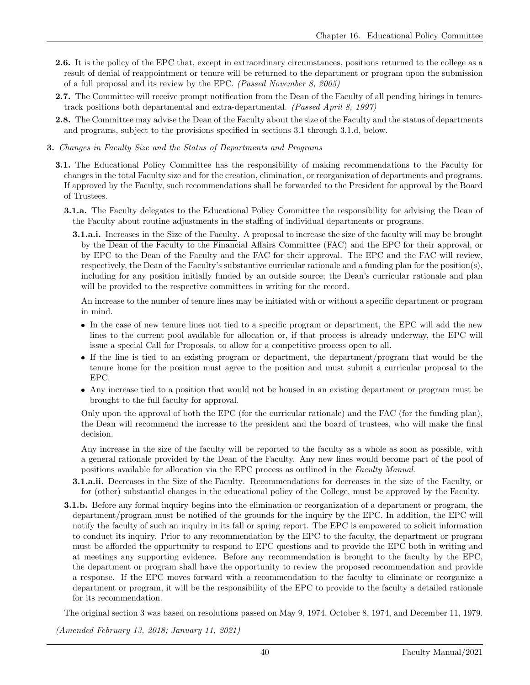- 2.6. It is the policy of the EPC that, except in extraordinary circumstances, positions returned to the college as a result of denial of reappointment or tenure will be returned to the department or program upon the submission of a full proposal and its review by the EPC. (Passed November 8, 2005)
- 2.7. The Committee will receive prompt notification from the Dean of the Faculty of all pending hirings in tenuretrack positions both departmental and extra-departmental. (Passed April 8, 1997)
- 2.8. The Committee may advise the Dean of the Faculty about the size of the Faculty and the status of departments and programs, subject to the provisions specified in sections 3.1 through 3.1.d, below.
- 3. Changes in Faculty Size and the Status of Departments and Programs
	- 3.1. The Educational Policy Committee has the responsibility of making recommendations to the Faculty for changes in the total Faculty size and for the creation, elimination, or reorganization of departments and programs. If approved by the Faculty, such recommendations shall be forwarded to the President for approval by the Board of Trustees.
		- 3.1.a. The Faculty delegates to the Educational Policy Committee the responsibility for advising the Dean of the Faculty about routine adjustments in the staffing of individual departments or programs.
			- 3.1.a.i. Increases in the Size of the Faculty. A proposal to increase the size of the faculty will may be brought by the Dean of the Faculty to the Financial Affairs Committee (FAC) and the EPC for their approval, or by EPC to the Dean of the Faculty and the FAC for their approval. The EPC and the FAC will review, respectively, the Dean of the Faculty's substantive curricular rationale and a funding plan for the position(s), including for any position initially funded by an outside source; the Dean's curricular rationale and plan will be provided to the respective committees in writing for the record.

An increase to the number of tenure lines may be initiated with or without a specific department or program in mind.

- In the case of new tenure lines not tied to a specific program or department, the EPC will add the new lines to the current pool available for allocation or, if that process is already underway, the EPC will issue a special Call for Proposals, to allow for a competitive process open to all.
- If the line is tied to an existing program or department, the department/program that would be the tenure home for the position must agree to the position and must submit a curricular proposal to the EPC.
- Any increase tied to a position that would not be housed in an existing department or program must be brought to the full faculty for approval.

Only upon the approval of both the EPC (for the curricular rationale) and the FAC (for the funding plan), the Dean will recommend the increase to the president and the board of trustees, who will make the final decision.

Any increase in the size of the faculty will be reported to the faculty as a whole as soon as possible, with a general rationale provided by the Dean of the Faculty. Any new lines would become part of the pool of positions available for allocation via the EPC process as outlined in the Faculty Manual.

- 3.1.a.ii. Decreases in the Size of the Faculty. Recommendations for decreases in the size of the Faculty, or for (other) substantial changes in the educational policy of the College, must be approved by the Faculty.
- 3.1.b. Before any formal inquiry begins into the elimination or reorganization of a department or program, the department/program must be notified of the grounds for the inquiry by the EPC. In addition, the EPC will notify the faculty of such an inquiry in its fall or spring report. The EPC is empowered to solicit information to conduct its inquiry. Prior to any recommendation by the EPC to the faculty, the department or program must be afforded the opportunity to respond to EPC questions and to provide the EPC both in writing and at meetings any supporting evidence. Before any recommendation is brought to the faculty by the EPC, the department or program shall have the opportunity to review the proposed recommendation and provide a response. If the EPC moves forward with a recommendation to the faculty to eliminate or reorganize a department or program, it will be the responsibility of the EPC to provide to the faculty a detailed rationale for its recommendation.

The original section 3 was based on resolutions passed on May 9, 1974, October 8, 1974, and December 11, 1979.

(Amended February 13, 2018; January 11, 2021)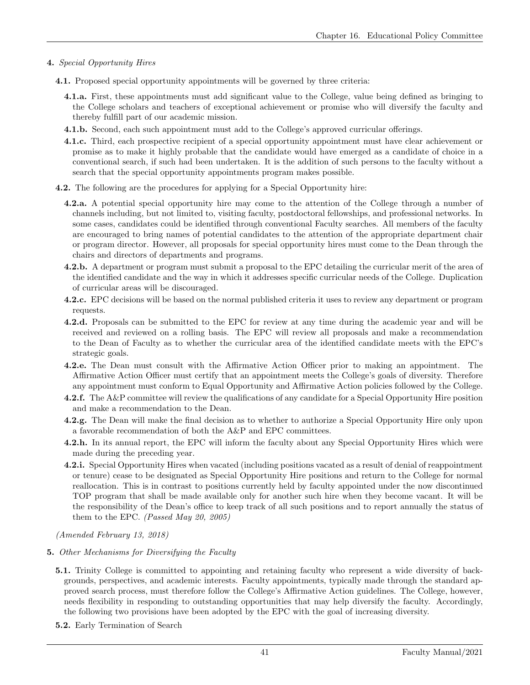### 4. Special Opportunity Hires

- 4.1. Proposed special opportunity appointments will be governed by three criteria:
	- 4.1.a. First, these appointments must add significant value to the College, value being defined as bringing to the College scholars and teachers of exceptional achievement or promise who will diversify the faculty and thereby fulfill part of our academic mission.
	- 4.1.b. Second, each such appointment must add to the College's approved curricular offerings.
	- 4.1.c. Third, each prospective recipient of a special opportunity appointment must have clear achievement or promise as to make it highly probable that the candidate would have emerged as a candidate of choice in a conventional search, if such had been undertaken. It is the addition of such persons to the faculty without a search that the special opportunity appointments program makes possible.
- 4.2. The following are the procedures for applying for a Special Opportunity hire:
	- 4.2.a. A potential special opportunity hire may come to the attention of the College through a number of channels including, but not limited to, visiting faculty, postdoctoral fellowships, and professional networks. In some cases, candidates could be identified through conventional Faculty searches. All members of the faculty are encouraged to bring names of potential candidates to the attention of the appropriate department chair or program director. However, all proposals for special opportunity hires must come to the Dean through the chairs and directors of departments and programs.
	- 4.2.b. A department or program must submit a proposal to the EPC detailing the curricular merit of the area of the identified candidate and the way in which it addresses specific curricular needs of the College. Duplication of curricular areas will be discouraged.
	- 4.2.c. EPC decisions will be based on the normal published criteria it uses to review any department or program requests.
	- 4.2.d. Proposals can be submitted to the EPC for review at any time during the academic year and will be received and reviewed on a rolling basis. The EPC will review all proposals and make a recommendation to the Dean of Faculty as to whether the curricular area of the identified candidate meets with the EPC's strategic goals.
	- 4.2.e. The Dean must consult with the Affirmative Action Officer prior to making an appointment. The Affirmative Action Officer must certify that an appointment meets the College's goals of diversity. Therefore any appointment must conform to Equal Opportunity and Affirmative Action policies followed by the College.
	- 4.2.f. The A&P committee will review the qualifications of any candidate for a Special Opportunity Hire position and make a recommendation to the Dean.
	- 4.2.g. The Dean will make the final decision as to whether to authorize a Special Opportunity Hire only upon a favorable recommendation of both the A&P and EPC committees.
	- 4.2.h. In its annual report, the EPC will inform the faculty about any Special Opportunity Hires which were made during the preceding year.
	- 4.2.i. Special Opportunity Hires when vacated (including positions vacated as a result of denial of reappointment or tenure) cease to be designated as Special Opportunity Hire positions and return to the College for normal reallocation. This is in contrast to positions currently held by faculty appointed under the now discontinued TOP program that shall be made available only for another such hire when they become vacant. It will be the responsibility of the Dean's office to keep track of all such positions and to report annually the status of them to the EPC. (Passed May 20, 2005)

(Amended February 13, 2018)

- 5. Other Mechanisms for Diversifying the Faculty
	- 5.1. Trinity College is committed to appointing and retaining faculty who represent a wide diversity of backgrounds, perspectives, and academic interests. Faculty appointments, typically made through the standard approved search process, must therefore follow the College's Affirmative Action guidelines. The College, however, needs flexibility in responding to outstanding opportunities that may help diversify the faculty. Accordingly, the following two provisions have been adopted by the EPC with the goal of increasing diversity.
	- 5.2. Early Termination of Search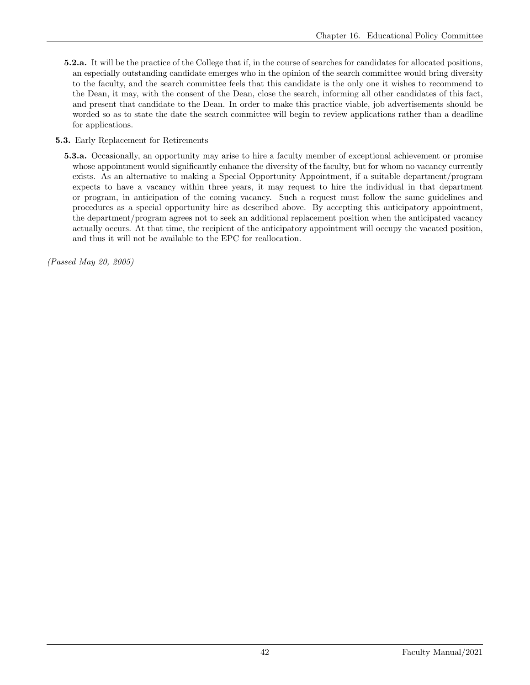- 5.2.a. It will be the practice of the College that if, in the course of searches for candidates for allocated positions, an especially outstanding candidate emerges who in the opinion of the search committee would bring diversity to the faculty, and the search committee feels that this candidate is the only one it wishes to recommend to the Dean, it may, with the consent of the Dean, close the search, informing all other candidates of this fact, and present that candidate to the Dean. In order to make this practice viable, job advertisements should be worded so as to state the date the search committee will begin to review applications rather than a deadline for applications.
- 5.3. Early Replacement for Retirements
	- 5.3.a. Occasionally, an opportunity may arise to hire a faculty member of exceptional achievement or promise whose appointment would significantly enhance the diversity of the faculty, but for whom no vacancy currently exists. As an alternative to making a Special Opportunity Appointment, if a suitable department/program expects to have a vacancy within three years, it may request to hire the individual in that department or program, in anticipation of the coming vacancy. Such a request must follow the same guidelines and procedures as a special opportunity hire as described above. By accepting this anticipatory appointment, the department/program agrees not to seek an additional replacement position when the anticipated vacancy actually occurs. At that time, the recipient of the anticipatory appointment will occupy the vacated position, and thus it will not be available to the EPC for reallocation.

(Passed May 20, 2005)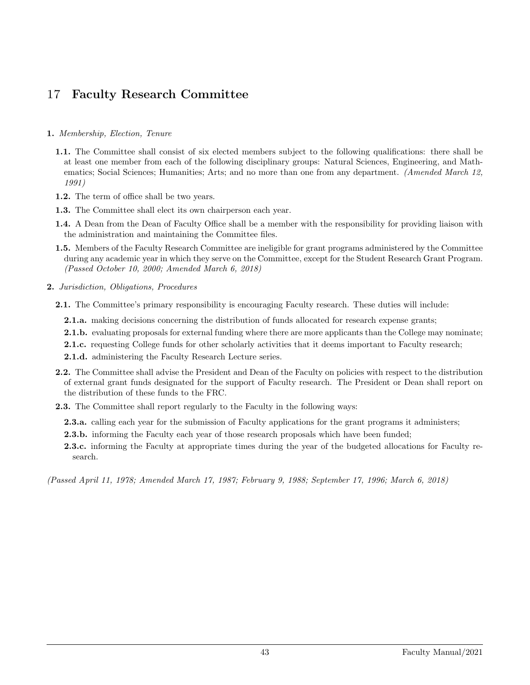# 17 Faculty Research Committee

### 1. Membership, Election, Tenure

- 1.1. The Committee shall consist of six elected members subject to the following qualifications: there shall be at least one member from each of the following disciplinary groups: Natural Sciences, Engineering, and Mathematics; Social Sciences; Humanities; Arts; and no more than one from any department. *(Amended March 12,* 1991)
- 1.2. The term of office shall be two years.
- 1.3. The Committee shall elect its own chairperson each year.
- 1.4. A Dean from the Dean of Faculty Office shall be a member with the responsibility for providing liaison with the administration and maintaining the Committee files.
- 1.5. Members of the Faculty Research Committee are ineligible for grant programs administered by the Committee during any academic year in which they serve on the Committee, except for the Student Research Grant Program. (Passed October 10, 2000; Amended March 6, 2018)
- 2. Jurisdiction, Obligations, Procedures
	- 2.1. The Committee's primary responsibility is encouraging Faculty research. These duties will include:
		- 2.1.a. making decisions concerning the distribution of funds allocated for research expense grants;
		- 2.1.b. evaluating proposals for external funding where there are more applicants than the College may nominate;
		- 2.1.c. requesting College funds for other scholarly activities that it deems important to Faculty research;
		- 2.1.d. administering the Faculty Research Lecture series.
	- 2.2. The Committee shall advise the President and Dean of the Faculty on policies with respect to the distribution of external grant funds designated for the support of Faculty research. The President or Dean shall report on the distribution of these funds to the FRC.
	- 2.3. The Committee shall report regularly to the Faculty in the following ways:
		- 2.3.a. calling each year for the submission of Faculty applications for the grant programs it administers;
		- 2.3.b. informing the Faculty each year of those research proposals which have been funded;
		- 2.3.c. informing the Faculty at appropriate times during the year of the budgeted allocations for Faculty research.

(Passed April 11, 1978; Amended March 17, 1987; February 9, 1988; September 17, 1996; March 6, 2018)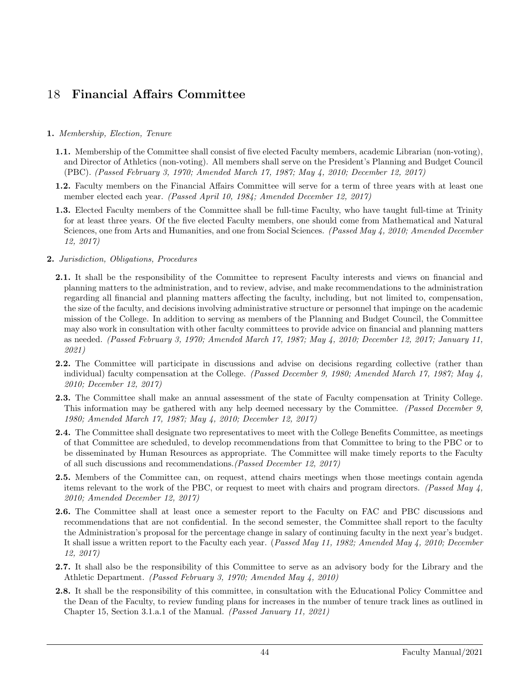# <span id="page-48-0"></span>18 Financial Affairs Committee

### 1. Membership, Election, Tenure

- 1.1. Membership of the Committee shall consist of five elected Faculty members, academic Librarian (non-voting), and Director of Athletics (non-voting). All members shall serve on the President's Planning and Budget Council (PBC). (Passed February 3, 1970; Amended March 17, 1987; May 4, 2010; December 12, 2017)
- 1.2. Faculty members on the Financial Affairs Committee will serve for a term of three years with at least one member elected each year. (Passed April 10, 1984; Amended December 12, 2017)
- 1.3. Elected Faculty members of the Committee shall be full-time Faculty, who have taught full-time at Trinity for at least three years. Of the five elected Faculty members, one should come from Mathematical and Natural Sciences, one from Arts and Humanities, and one from Social Sciences. (Passed May 4, 2010; Amended December 12, 2017)
- 2. Jurisdiction, Obligations, Procedures
	- 2.1. It shall be the responsibility of the Committee to represent Faculty interests and views on financial and planning matters to the administration, and to review, advise, and make recommendations to the administration regarding all financial and planning matters affecting the faculty, including, but not limited to, compensation, the size of the faculty, and decisions involving administrative structure or personnel that impinge on the academic mission of the College. In addition to serving as members of the Planning and Budget Council, the Committee may also work in consultation with other faculty committees to provide advice on financial and planning matters as needed. (Passed February 3, 1970; Amended March 17, 1987; May 4, 2010; December 12, 2017; January 11, 2021)
	- 2.2. The Committee will participate in discussions and advise on decisions regarding collective (rather than individual) faculty compensation at the College. *(Passed December 9, 1980; Amended March 17, 1987; May 4,* 2010; December 12, 2017)
	- 2.3. The Committee shall make an annual assessment of the state of Faculty compensation at Trinity College. This information may be gathered with any help deemed necessary by the Committee. (Passed December 9, 1980; Amended March 17, 1987; May 4, 2010; December 12, 2017)
	- 2.4. The Committee shall designate two representatives to meet with the College Benefits Committee, as meetings of that Committee are scheduled, to develop recommendations from that Committee to bring to the PBC or to be disseminated by Human Resources as appropriate. The Committee will make timely reports to the Faculty of all such discussions and recommendations.(Passed December 12, 2017)
	- 2.5. Members of the Committee can, on request, attend chairs meetings when those meetings contain agenda items relevant to the work of the PBC, or request to meet with chairs and program directors. (Passed May  $\chi$ , 2010; Amended December 12, 2017)
	- 2.6. The Committee shall at least once a semester report to the Faculty on FAC and PBC discussions and recommendations that are not confidential. In the second semester, the Committee shall report to the faculty the Administration's proposal for the percentage change in salary of continuing faculty in the next year's budget. It shall issue a written report to the Faculty each year. (Passed May 11, 1982; Amended May 4, 2010; December 12, 2017)
	- 2.7. It shall also be the responsibility of this Committee to serve as an advisory body for the Library and the Athletic Department. (Passed February 3, 1970; Amended May 4, 2010)
	- 2.8. It shall be the responsibility of this committee, in consultation with the Educational Policy Committee and the Dean of the Faculty, to review funding plans for increases in the number of tenure track lines as outlined in Chapter 15, Section 3.1.a.1 of the Manual. (Passed January 11, 2021)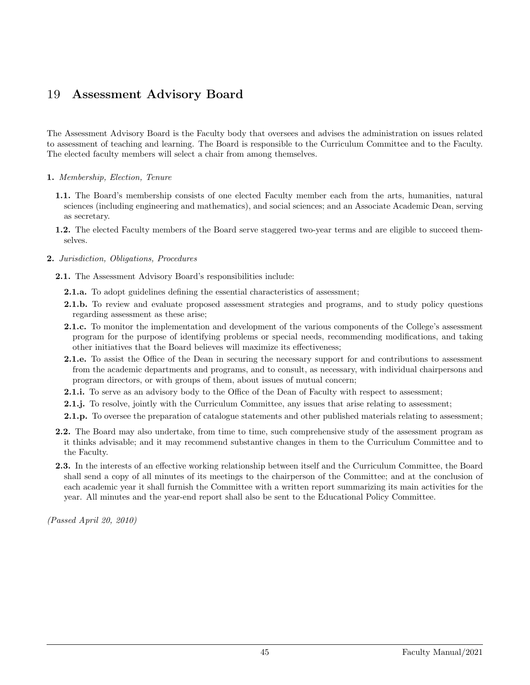# 19 Assessment Advisory Board

The Assessment Advisory Board is the Faculty body that oversees and advises the administration on issues related to assessment of teaching and learning. The Board is responsible to the Curriculum Committee and to the Faculty. The elected faculty members will select a chair from among themselves.

### 1. Membership, Election, Tenure

- 1.1. The Board's membership consists of one elected Faculty member each from the arts, humanities, natural sciences (including engineering and mathematics), and social sciences; and an Associate Academic Dean, serving as secretary.
- 1.2. The elected Faculty members of the Board serve staggered two-year terms and are eligible to succeed themselves.
- 2. Jurisdiction, Obligations, Procedures
	- 2.1. The Assessment Advisory Board's responsibilities include:
		- 2.1.a. To adopt guidelines defining the essential characteristics of assessment;
		- 2.1.b. To review and evaluate proposed assessment strategies and programs, and to study policy questions regarding assessment as these arise;
		- 2.1.c. To monitor the implementation and development of the various components of the College's assessment program for the purpose of identifying problems or special needs, recommending modifications, and taking other initiatives that the Board believes will maximize its effectiveness;
		- 2.1.e. To assist the Office of the Dean in securing the necessary support for and contributions to assessment from the academic departments and programs, and to consult, as necessary, with individual chairpersons and program directors, or with groups of them, about issues of mutual concern;
		- **2.1.i.** To serve as an advisory body to the Office of the Dean of Faculty with respect to assessment;
		- 2.1.j. To resolve, jointly with the Curriculum Committee, any issues that arise relating to assessment;
		- 2.1.p. To oversee the preparation of catalogue statements and other published materials relating to assessment;
	- 2.2. The Board may also undertake, from time to time, such comprehensive study of the assessment program as it thinks advisable; and it may recommend substantive changes in them to the Curriculum Committee and to the Faculty.
	- 2.3. In the interests of an effective working relationship between itself and the Curriculum Committee, the Board shall send a copy of all minutes of its meetings to the chairperson of the Committee; and at the conclusion of each academic year it shall furnish the Committee with a written report summarizing its main activities for the year. All minutes and the year-end report shall also be sent to the Educational Policy Committee.

(Passed April 20, 2010)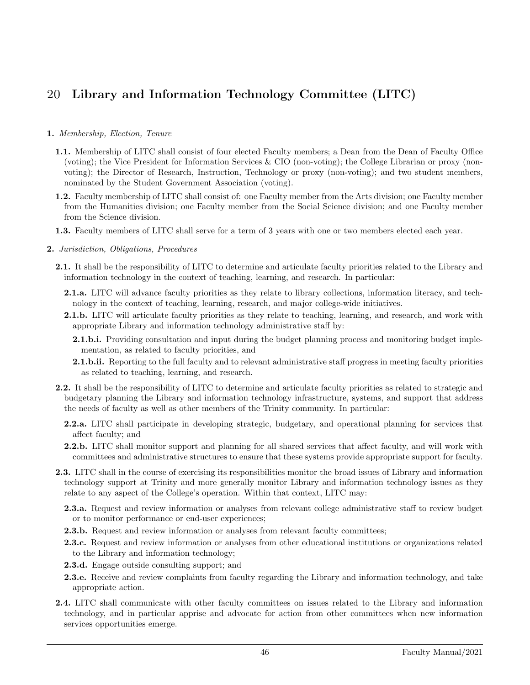# 20 Library and Information Technology Committee (LITC)

### 1. Membership, Election, Tenure

- 1.1. Membership of LITC shall consist of four elected Faculty members; a Dean from the Dean of Faculty Office (voting); the Vice President for Information Services & CIO (non-voting); the College Librarian or proxy (nonvoting); the Director of Research, Instruction, Technology or proxy (non-voting); and two student members, nominated by the Student Government Association (voting).
- 1.2. Faculty membership of LITC shall consist of: one Faculty member from the Arts division; one Faculty member from the Humanities division; one Faculty member from the Social Science division; and one Faculty member from the Science division.
- 1.3. Faculty members of LITC shall serve for a term of 3 years with one or two members elected each year.

### 2. Jurisdiction, Obligations, Procedures

- 2.1. It shall be the responsibility of LITC to determine and articulate faculty priorities related to the Library and information technology in the context of teaching, learning, and research. In particular:
	- 2.1.a. LITC will advance faculty priorities as they relate to library collections, information literacy, and technology in the context of teaching, learning, research, and major college-wide initiatives.
	- 2.1.b. LITC will articulate faculty priorities as they relate to teaching, learning, and research, and work with appropriate Library and information technology administrative staff by:
		- 2.1.b.i. Providing consultation and input during the budget planning process and monitoring budget implementation, as related to faculty priorities, and
		- 2.1.b.ii. Reporting to the full faculty and to relevant administrative staff progress in meeting faculty priorities as related to teaching, learning, and research.
- 2.2. It shall be the responsibility of LITC to determine and articulate faculty priorities as related to strategic and budgetary planning the Library and information technology infrastructure, systems, and support that address the needs of faculty as well as other members of the Trinity community. In particular:
	- 2.2.a. LITC shall participate in developing strategic, budgetary, and operational planning for services that affect faculty; and
	- 2.2.b. LITC shall monitor support and planning for all shared services that affect faculty, and will work with committees and administrative structures to ensure that these systems provide appropriate support for faculty.
- 2.3. LITC shall in the course of exercising its responsibilities monitor the broad issues of Library and information technology support at Trinity and more generally monitor Library and information technology issues as they relate to any aspect of the College's operation. Within that context, LITC may:
	- 2.3.a. Request and review information or analyses from relevant college administrative staff to review budget or to monitor performance or end-user experiences;
	- 2.3.b. Request and review information or analyses from relevant faculty committees;
	- 2.3.c. Request and review information or analyses from other educational institutions or organizations related to the Library and information technology;
	- 2.3.d. Engage outside consulting support; and
	- 2.3.e. Receive and review complaints from faculty regarding the Library and information technology, and take appropriate action.
- 2.4. LITC shall communicate with other faculty committees on issues related to the Library and information technology, and in particular apprise and advocate for action from other committees when new information services opportunities emerge.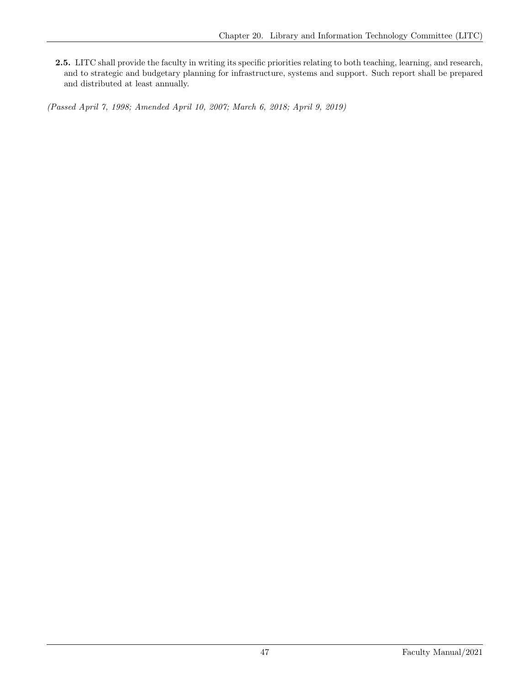2.5. LITC shall provide the faculty in writing its specific priorities relating to both teaching, learning, and research, and to strategic and budgetary planning for infrastructure, systems and support. Such report shall be prepared and distributed at least annually.

(Passed April 7, 1998; Amended April 10, 2007; March 6, 2018; April 9, 2019)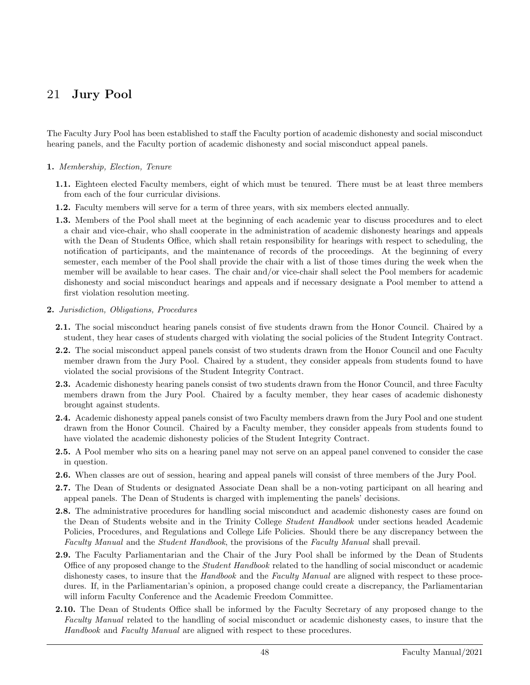# 21 Jury Pool

The Faculty Jury Pool has been established to staff the Faculty portion of academic dishonesty and social misconduct hearing panels, and the Faculty portion of academic dishonesty and social misconduct appeal panels.

### 1. Membership, Election, Tenure

- 1.1. Eighteen elected Faculty members, eight of which must be tenured. There must be at least three members from each of the four curricular divisions.
- 1.2. Faculty members will serve for a term of three years, with six members elected annually.
- 1.3. Members of the Pool shall meet at the beginning of each academic year to discuss procedures and to elect a chair and vice-chair, who shall cooperate in the administration of academic dishonesty hearings and appeals with the Dean of Students Office, which shall retain responsibility for hearings with respect to scheduling, the notification of participants, and the maintenance of records of the proceedings. At the beginning of every semester, each member of the Pool shall provide the chair with a list of those times during the week when the member will be available to hear cases. The chair and/or vice-chair shall select the Pool members for academic dishonesty and social misconduct hearings and appeals and if necessary designate a Pool member to attend a first violation resolution meeting.
- 2. Jurisdiction, Obligations, Procedures
	- 2.1. The social misconduct hearing panels consist of five students drawn from the Honor Council. Chaired by a student, they hear cases of students charged with violating the social policies of the Student Integrity Contract.
	- 2.2. The social misconduct appeal panels consist of two students drawn from the Honor Council and one Faculty member drawn from the Jury Pool. Chaired by a student, they consider appeals from students found to have violated the social provisions of the Student Integrity Contract.
	- 2.3. Academic dishonesty hearing panels consist of two students drawn from the Honor Council, and three Faculty members drawn from the Jury Pool. Chaired by a faculty member, they hear cases of academic dishonesty brought against students.
	- 2.4. Academic dishonesty appeal panels consist of two Faculty members drawn from the Jury Pool and one student drawn from the Honor Council. Chaired by a Faculty member, they consider appeals from students found to have violated the academic dishonesty policies of the Student Integrity Contract.
	- 2.5. A Pool member who sits on a hearing panel may not serve on an appeal panel convened to consider the case in question.
	- 2.6. When classes are out of session, hearing and appeal panels will consist of three members of the Jury Pool.
	- 2.7. The Dean of Students or designated Associate Dean shall be a non-voting participant on all hearing and appeal panels. The Dean of Students is charged with implementing the panels' decisions.
	- 2.8. The administrative procedures for handling social misconduct and academic dishonesty cases are found on the Dean of Students website and in the Trinity College Student Handbook under sections headed Academic Policies, Procedures, and Regulations and College Life Policies. Should there be any discrepancy between the Faculty Manual and the Student Handbook, the provisions of the Faculty Manual shall prevail.
	- 2.9. The Faculty Parliamentarian and the Chair of the Jury Pool shall be informed by the Dean of Students Office of any proposed change to the Student Handbook related to the handling of social misconduct or academic dishonesty cases, to insure that the Handbook and the Faculty Manual are aligned with respect to these procedures. If, in the Parliamentarian's opinion, a proposed change could create a discrepancy, the Parliamentarian will inform Faculty Conference and the Academic Freedom Committee.
	- 2.10. The Dean of Students Office shall be informed by the Faculty Secretary of any proposed change to the Faculty Manual related to the handling of social misconduct or academic dishonesty cases, to insure that the Handbook and Faculty Manual are aligned with respect to these procedures.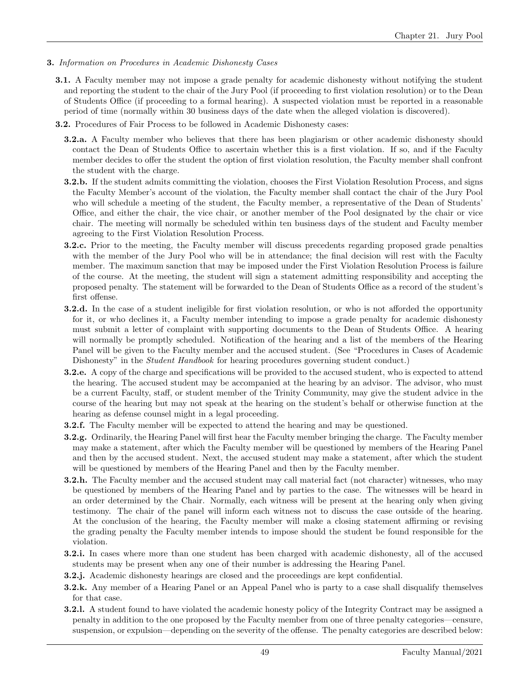- 3. Information on Procedures in Academic Dishonesty Cases
	- 3.1. A Faculty member may not impose a grade penalty for academic dishonesty without notifying the student and reporting the student to the chair of the Jury Pool (if proceeding to first violation resolution) or to the Dean of Students Office (if proceeding to a formal hearing). A suspected violation must be reported in a reasonable period of time (normally within 30 business days of the date when the alleged violation is discovered).
	- 3.2. Procedures of Fair Process to be followed in Academic Dishonesty cases:
		- 3.2.a. A Faculty member who believes that there has been plagiarism or other academic dishonesty should contact the Dean of Students Office to ascertain whether this is a first violation. If so, and if the Faculty member decides to offer the student the option of first violation resolution, the Faculty member shall confront the student with the charge.
		- 3.2.b. If the student admits committing the violation, chooses the First Violation Resolution Process, and signs the Faculty Member's account of the violation, the Faculty member shall contact the chair of the Jury Pool who will schedule a meeting of the student, the Faculty member, a representative of the Dean of Students' Office, and either the chair, the vice chair, or another member of the Pool designated by the chair or vice chair. The meeting will normally be scheduled within ten business days of the student and Faculty member agreeing to the First Violation Resolution Process.
		- 3.2.c. Prior to the meeting, the Faculty member will discuss precedents regarding proposed grade penalties with the member of the Jury Pool who will be in attendance; the final decision will rest with the Faculty member. The maximum sanction that may be imposed under the First Violation Resolution Process is failure of the course. At the meeting, the student will sign a statement admitting responsibility and accepting the proposed penalty. The statement will be forwarded to the Dean of Students Office as a record of the student's first offense.
		- 3.2.d. In the case of a student ineligible for first violation resolution, or who is not afforded the opportunity for it, or who declines it, a Faculty member intending to impose a grade penalty for academic dishonesty must submit a letter of complaint with supporting documents to the Dean of Students Office. A hearing will normally be promptly scheduled. Notification of the hearing and a list of the members of the Hearing Panel will be given to the Faculty member and the accused student. (See "Procedures in Cases of Academic Dishonesty" in the *Student Handbook* for hearing procedures governing student conduct.)
		- 3.2.e. A copy of the charge and specifications will be provided to the accused student, who is expected to attend the hearing. The accused student may be accompanied at the hearing by an advisor. The advisor, who must be a current Faculty, staff, or student member of the Trinity Community, may give the student advice in the course of the hearing but may not speak at the hearing on the student's behalf or otherwise function at the hearing as defense counsel might in a legal proceeding.
		- 3.2.f. The Faculty member will be expected to attend the hearing and may be questioned.
		- 3.2.g. Ordinarily, the Hearing Panel will first hear the Faculty member bringing the charge. The Faculty member may make a statement, after which the Faculty member will be questioned by members of the Hearing Panel and then by the accused student. Next, the accused student may make a statement, after which the student will be questioned by members of the Hearing Panel and then by the Faculty member.
		- 3.2.h. The Faculty member and the accused student may call material fact (not character) witnesses, who may be questioned by members of the Hearing Panel and by parties to the case. The witnesses will be heard in an order determined by the Chair. Normally, each witness will be present at the hearing only when giving testimony. The chair of the panel will inform each witness not to discuss the case outside of the hearing. At the conclusion of the hearing, the Faculty member will make a closing statement affirming or revising the grading penalty the Faculty member intends to impose should the student be found responsible for the violation.
		- 3.2.i. In cases where more than one student has been charged with academic dishonesty, all of the accused students may be present when any one of their number is addressing the Hearing Panel.
		- 3.2.j. Academic dishonesty hearings are closed and the proceedings are kept confidential.
		- 3.2.k. Any member of a Hearing Panel or an Appeal Panel who is party to a case shall disqualify themselves for that case.
		- 3.2.l. A student found to have violated the academic honesty policy of the Integrity Contract may be assigned a penalty in addition to the one proposed by the Faculty member from one of three penalty categories—censure, suspension, or expulsion—depending on the severity of the offense. The penalty categories are described below: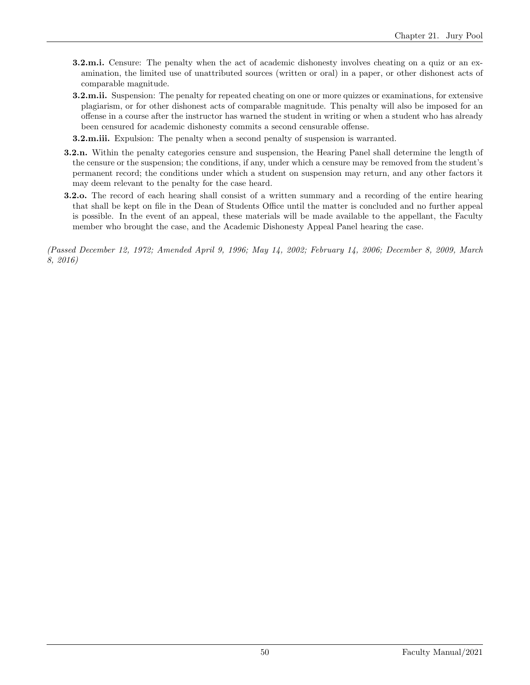- 3.2.m.i. Censure: The penalty when the act of academic dishonesty involves cheating on a quiz or an examination, the limited use of unattributed sources (written or oral) in a paper, or other dishonest acts of comparable magnitude.
- 3.2.m.ii. Suspension: The penalty for repeated cheating on one or more quizzes or examinations, for extensive plagiarism, or for other dishonest acts of comparable magnitude. This penalty will also be imposed for an offense in a course after the instructor has warned the student in writing or when a student who has already been censured for academic dishonesty commits a second censurable offense.
- 3.2.m.iii. Expulsion: The penalty when a second penalty of suspension is warranted.
- 3.2.n. Within the penalty categories censure and suspension, the Hearing Panel shall determine the length of the censure or the suspension; the conditions, if any, under which a censure may be removed from the student's permanent record; the conditions under which a student on suspension may return, and any other factors it may deem relevant to the penalty for the case heard.
- 3.2.o. The record of each hearing shall consist of a written summary and a recording of the entire hearing that shall be kept on file in the Dean of Students Office until the matter is concluded and no further appeal is possible. In the event of an appeal, these materials will be made available to the appellant, the Faculty member who brought the case, and the Academic Dishonesty Appeal Panel hearing the case.

(Passed December 12, 1972; Amended April 9, 1996; May 14, 2002; February 14, 2006; December 8, 2009, March 8, 2016)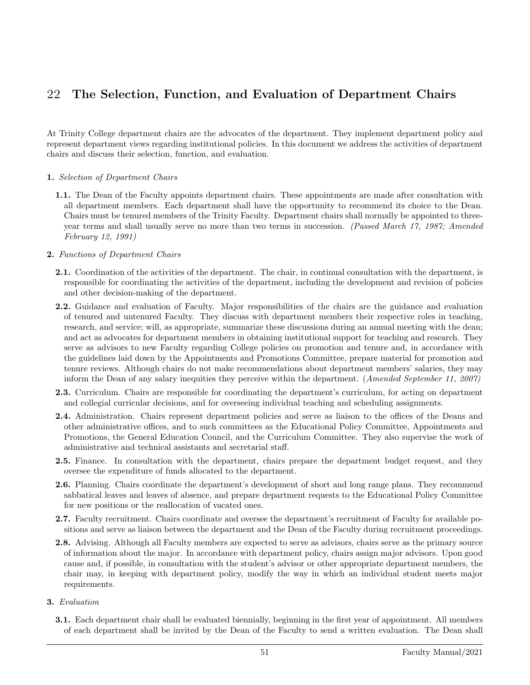# 22 The Selection, Function, and Evaluation of Department Chairs

At Trinity College department chairs are the advocates of the department. They implement department policy and represent department views regarding institutional policies. In this document we address the activities of department chairs and discuss their selection, function, and evaluation.

### 1. Selection of Department Chairs

1.1. The Dean of the Faculty appoints department chairs. These appointments are made after consultation with all department members. Each department shall have the opportunity to recommend its choice to the Dean. Chairs must be tenured members of the Trinity Faculty. Department chairs shall normally be appointed to threeyear terms and shall usually serve no more than two terms in succession. (Passed March 17, 1987; Amended February 12, 1991)

### 2. Functions of Department Chairs

- 2.1. Coordination of the activities of the department. The chair, in continual consultation with the department, is responsible for coordinating the activities of the department, including the development and revision of policies and other decision-making of the department.
- 2.2. Guidance and evaluation of Faculty. Major responsibilities of the chairs are the guidance and evaluation of tenured and untenured Faculty. They discuss with department members their respective roles in teaching, research, and service; will, as appropriate, summarize these discussions during an annual meeting with the dean; and act as advocates for department members in obtaining institutional support for teaching and research. They serve as advisors to new Faculty regarding College policies on promotion and tenure and, in accordance with the guidelines laid down by the Appointments and Promotions Committee, prepare material for promotion and tenure reviews. Although chairs do not make recommendations about department members' salaries, they may inform the Dean of any salary inequities they perceive within the department. (Amended September 11, 2007)
- 2.3. Curriculum. Chairs are responsible for coordinating the department's curriculum, for acting on department and collegial curricular decisions, and for overseeing individual teaching and scheduling assignments.
- 2.4. Administration. Chairs represent department policies and serve as liaison to the offices of the Deans and other administrative offices, and to such committees as the Educational Policy Committee, Appointments and Promotions, the General Education Council, and the Curriculum Committee. They also supervise the work of administrative and technical assistants and secretarial staff.
- 2.5. Finance. In consultation with the department, chairs prepare the department budget request, and they oversee the expenditure of funds allocated to the department.
- 2.6. Planning. Chairs coordinate the department's development of short and long range plans. They recommend sabbatical leaves and leaves of absence, and prepare department requests to the Educational Policy Committee for new positions or the reallocation of vacated ones.
- 2.7. Faculty recruitment. Chairs coordinate and oversee the department's recruitment of Faculty for available positions and serve as liaison between the department and the Dean of the Faculty during recruitment proceedings.
- 2.8. Advising. Although all Faculty members are expected to serve as advisors, chairs serve as the primary source of information about the major. In accordance with department policy, chairs assign major advisors. Upon good cause and, if possible, in consultation with the student's advisor or other appropriate department members, the chair may, in keeping with department policy, modify the way in which an individual student meets major requirements.
- 3. Evaluation
	- 3.1. Each department chair shall be evaluated biennially, beginning in the first year of appointment. All members of each department shall be invited by the Dean of the Faculty to send a written evaluation. The Dean shall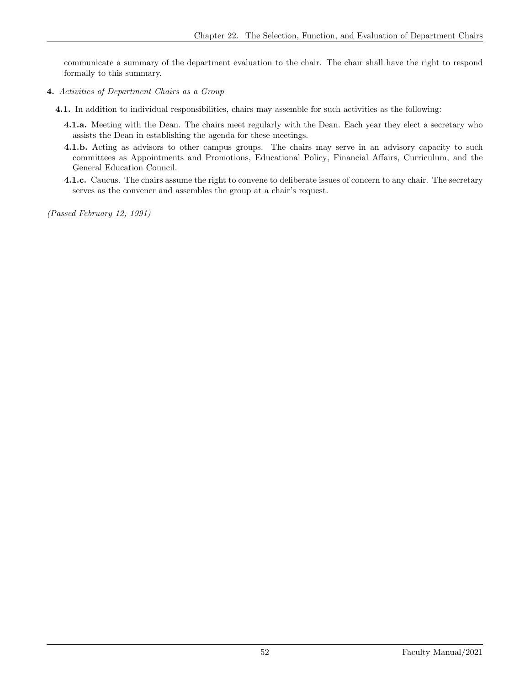communicate a summary of the department evaluation to the chair. The chair shall have the right to respond formally to this summary.

- 4. Activities of Department Chairs as a Group
	- 4.1. In addition to individual responsibilities, chairs may assemble for such activities as the following:
		- 4.1.a. Meeting with the Dean. The chairs meet regularly with the Dean. Each year they elect a secretary who assists the Dean in establishing the agenda for these meetings.
		- 4.1.b. Acting as advisors to other campus groups. The chairs may serve in an advisory capacity to such committees as Appointments and Promotions, Educational Policy, Financial Affairs, Curriculum, and the General Education Council.
		- 4.1.c. Caucus. The chairs assume the right to convene to deliberate issues of concern to any chair. The secretary serves as the convener and assembles the group at a chair's request.

(Passed February 12, 1991)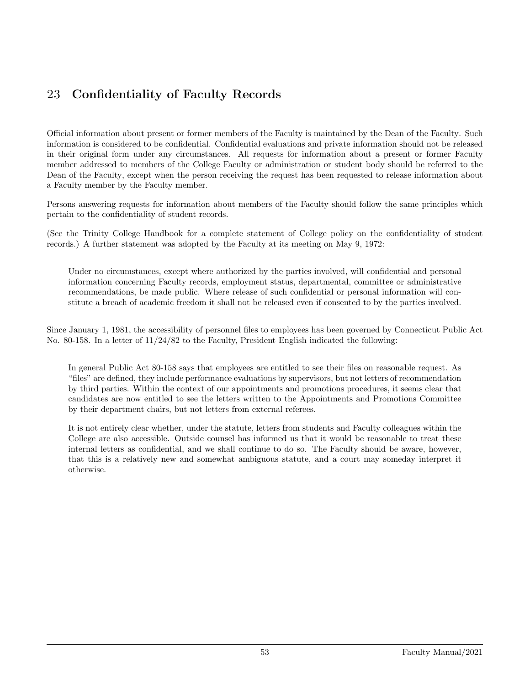# 23 Confidentiality of Faculty Records

Official information about present or former members of the Faculty is maintained by the Dean of the Faculty. Such information is considered to be confidential. Confidential evaluations and private information should not be released in their original form under any circumstances. All requests for information about a present or former Faculty member addressed to members of the College Faculty or administration or student body should be referred to the Dean of the Faculty, except when the person receiving the request has been requested to release information about a Faculty member by the Faculty member.

Persons answering requests for information about members of the Faculty should follow the same principles which pertain to the confidentiality of student records.

(See the Trinity College Handbook for a complete statement of College policy on the confidentiality of student records.) A further statement was adopted by the Faculty at its meeting on May 9, 1972:

Under no circumstances, except where authorized by the parties involved, will confidential and personal information concerning Faculty records, employment status, departmental, committee or administrative recommendations, be made public. Where release of such confidential or personal information will constitute a breach of academic freedom it shall not be released even if consented to by the parties involved.

Since January 1, 1981, the accessibility of personnel files to employees has been governed by Connecticut Public Act No. 80-158. In a letter of 11/24/82 to the Faculty, President English indicated the following:

In general Public Act 80-158 says that employees are entitled to see their files on reasonable request. As "files" are defined, they include performance evaluations by supervisors, but not letters of recommendation by third parties. Within the context of our appointments and promotions procedures, it seems clear that candidates are now entitled to see the letters written to the Appointments and Promotions Committee by their department chairs, but not letters from external referees.

It is not entirely clear whether, under the statute, letters from students and Faculty colleagues within the College are also accessible. Outside counsel has informed us that it would be reasonable to treat these internal letters as confidential, and we shall continue to do so. The Faculty should be aware, however, that this is a relatively new and somewhat ambiguous statute, and a court may someday interpret it otherwise.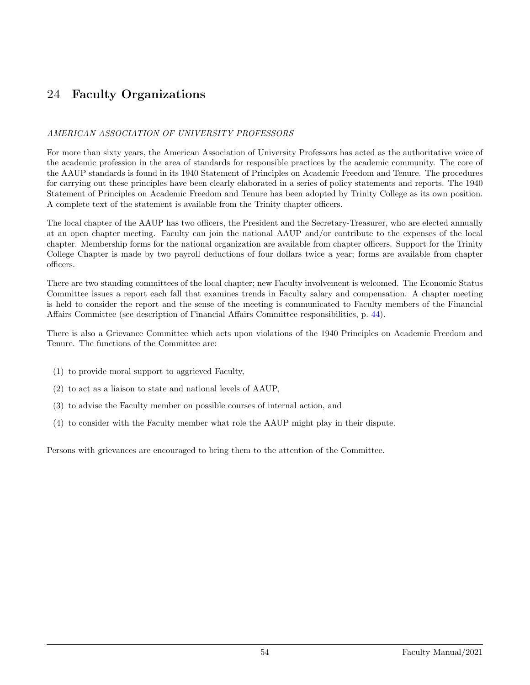# 24 Faculty Organizations

## AMERICAN ASSOCIATION OF UNIVERSITY PROFESSORS

For more than sixty years, the American Association of University Professors has acted as the authoritative voice of the academic profession in the area of standards for responsible practices by the academic community. The core of the AAUP standards is found in its 1940 Statement of Principles on Academic Freedom and Tenure. The procedures for carrying out these principles have been clearly elaborated in a series of policy statements and reports. The 1940 Statement of Principles on Academic Freedom and Tenure has been adopted by Trinity College as its own position. A complete text of the statement is available from the Trinity chapter officers.

The local chapter of the AAUP has two officers, the President and the Secretary-Treasurer, who are elected annually at an open chapter meeting. Faculty can join the national AAUP and/or contribute to the expenses of the local chapter. Membership forms for the national organization are available from chapter officers. Support for the Trinity College Chapter is made by two payroll deductions of four dollars twice a year; forms are available from chapter officers.

There are two standing committees of the local chapter; new Faculty involvement is welcomed. The Economic Status Committee issues a report each fall that examines trends in Faculty salary and compensation. A chapter meeting is held to consider the report and the sense of the meeting is communicated to Faculty members of the Financial Affairs Committee (see description of Financial Affairs Committee responsibilities, p. [44\)](#page-48-0).

There is also a Grievance Committee which acts upon violations of the 1940 Principles on Academic Freedom and Tenure. The functions of the Committee are:

- (1) to provide moral support to aggrieved Faculty,
- (2) to act as a liaison to state and national levels of AAUP,
- (3) to advise the Faculty member on possible courses of internal action, and
- (4) to consider with the Faculty member what role the AAUP might play in their dispute.

Persons with grievances are encouraged to bring them to the attention of the Committee.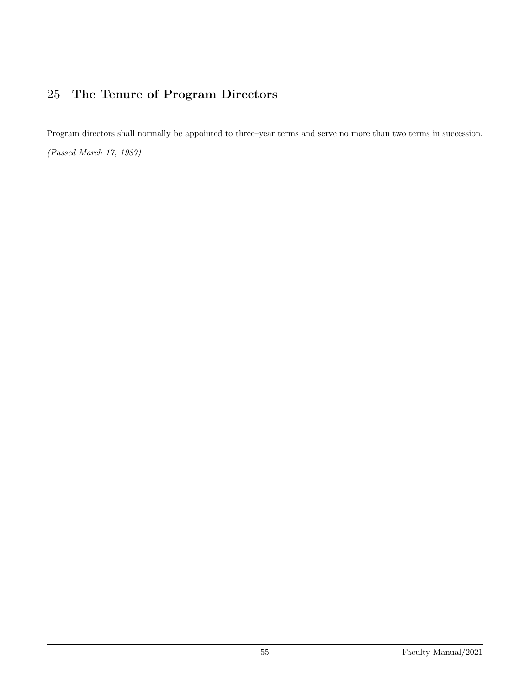# 25 The Tenure of Program Directors

Program directors shall normally be appointed to three–year terms and serve no more than two terms in succession.

(Passed March 17, 1987)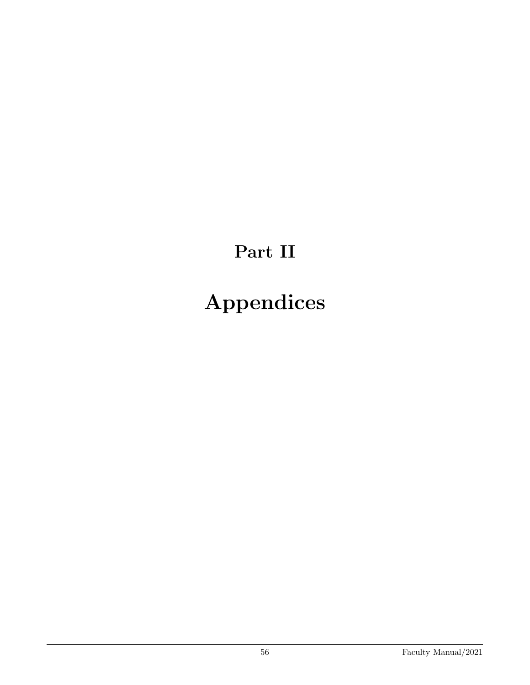# Part II

# Appendices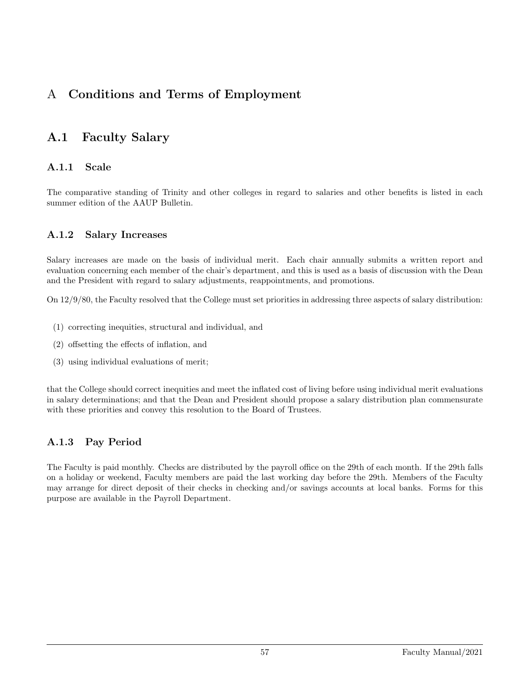# A Conditions and Terms of Employment

# A.1 Faculty Salary

## A.1.1 Scale

The comparative standing of Trinity and other colleges in regard to salaries and other benefits is listed in each summer edition of the AAUP Bulletin.

## A.1.2 Salary Increases

Salary increases are made on the basis of individual merit. Each chair annually submits a written report and evaluation concerning each member of the chair's department, and this is used as a basis of discussion with the Dean and the President with regard to salary adjustments, reappointments, and promotions.

On 12/9/80, the Faculty resolved that the College must set priorities in addressing three aspects of salary distribution:

- (1) correcting inequities, structural and individual, and
- (2) offsetting the effects of inflation, and
- (3) using individual evaluations of merit;

that the College should correct inequities and meet the inflated cost of living before using individual merit evaluations in salary determinations; and that the Dean and President should propose a salary distribution plan commensurate with these priorities and convey this resolution to the Board of Trustees.

## A.1.3 Pay Period

The Faculty is paid monthly. Checks are distributed by the payroll office on the 29th of each month. If the 29th falls on a holiday or weekend, Faculty members are paid the last working day before the 29th. Members of the Faculty may arrange for direct deposit of their checks in checking and/or savings accounts at local banks. Forms for this purpose are available in the Payroll Department.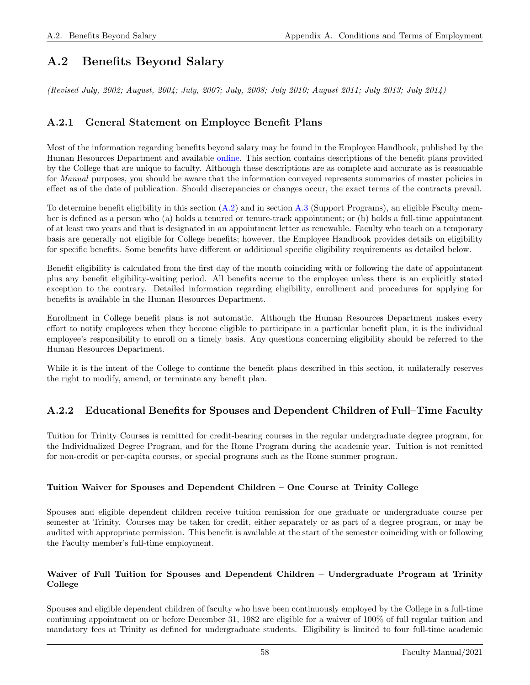# <span id="page-62-0"></span>A.2 Benefits Beyond Salary

(Revised July, 2002; August, 2004; July, 2007; July, 2008; July 2010; August 2011; July 2013; July 2014)

## A.2.1 General Statement on Employee Benefit Plans

Most of the information regarding benefits beyond salary may be found in the Employee Handbook, published by the Human Resources Department and available [online.](http://internet2.trincoll.edu/docs/emplHandbook/hrHandbook.html) This section contains descriptions of the benefit plans provided by the College that are unique to faculty. Although these descriptions are as complete and accurate as is reasonable for Manual purposes, you should be aware that the information conveyed represents summaries of master policies in effect as of the date of publication. Should discrepancies or changes occur, the exact terms of the contracts prevail.

To determine benefit eligibility in this section [\(A.2\)](#page-62-0) and in section [A.3](#page-65-0) (Support Programs), an eligible Faculty member is defined as a person who (a) holds a tenured or tenure-track appointment; or (b) holds a full-time appointment of at least two years and that is designated in an appointment letter as renewable. Faculty who teach on a temporary basis are generally not eligible for College benefits; however, the Employee Handbook provides details on eligibility for specific benefits. Some benefits have different or additional specific eligibility requirements as detailed below.

Benefit eligibility is calculated from the first day of the month coinciding with or following the date of appointment plus any benefit eligibility-waiting period. All benefits accrue to the employee unless there is an explicitly stated exception to the contrary. Detailed information regarding eligibility, enrollment and procedures for applying for benefits is available in the Human Resources Department.

Enrollment in College benefit plans is not automatic. Although the Human Resources Department makes every effort to notify employees when they become eligible to participate in a particular benefit plan, it is the individual employee's responsibility to enroll on a timely basis. Any questions concerning eligibility should be referred to the Human Resources Department.

While it is the intent of the College to continue the benefit plans described in this section, it unilaterally reserves the right to modify, amend, or terminate any benefit plan.

## A.2.2 Educational Benefits for Spouses and Dependent Children of Full–Time Faculty

Tuition for Trinity Courses is remitted for credit-bearing courses in the regular undergraduate degree program, for the Individualized Degree Program, and for the Rome Program during the academic year. Tuition is not remitted for non-credit or per-capita courses, or special programs such as the Rome summer program.

## Tuition Waiver for Spouses and Dependent Children – One Course at Trinity College

Spouses and eligible dependent children receive tuition remission for one graduate or undergraduate course per semester at Trinity. Courses may be taken for credit, either separately or as part of a degree program, or may be audited with appropriate permission. This benefit is available at the start of the semester coinciding with or following the Faculty member's full-time employment.

## Waiver of Full Tuition for Spouses and Dependent Children – Undergraduate Program at Trinity College

Spouses and eligible dependent children of faculty who have been continuously employed by the College in a full-time continuing appointment on or before December 31, 1982 are eligible for a waiver of 100% of full regular tuition and mandatory fees at Trinity as defined for undergraduate students. Eligibility is limited to four full-time academic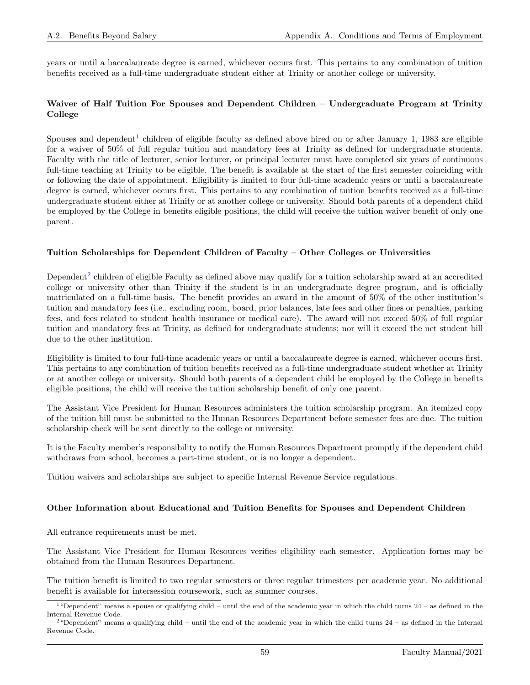years or until a baccalaureate degree is earned, whichever occurs first. This pertains to any combination of tuition benefits received as a full-time undergraduate student either at Trinity or another college or university.

## Waiver of Half Tuition For Spouses and Dependent Children – Undergraduate Program at Trinity College

Spouses and dependent<sup>[1](#page-63-0)</sup> children of eligible faculty as defined above hired on or after January 1, 1983 are eligible for a waiver of 50% of full regular tuition and mandatory fees at Trinity as defined for undergraduate students. Faculty with the title of lecturer, senior lecturer, or principal lecturer must have completed six years of continuous full-time teaching at Trinity to be eligible. The benefit is available at the start of the first semester coinciding with or following the date of appointment. Eligibility is limited to four full-time academic years or until a baccalaureate degree is earned, whichever occurs first. This pertains to any combination of tuition benefits received as a full-time undergraduate student either at Trinity or at another college or university. Should both parents of a dependent child be employed by the College in benefits eligible positions, the child will receive the tuition waiver benefit of only one parent.

## Tuition Scholarships for Dependent Children of Faculty – Other Colleges or Universities

Dependent<sup>[2](#page-63-1)</sup> children of eligible Faculty as defined above may qualify for a tuition scholarship award at an accredited college or university other than Trinity if the student is in an undergraduate degree program, and is officially matriculated on a full-time basis. The benefit provides an award in the amount of 50% of the other institution's tuition and mandatory fees (i.e., excluding room, board, prior balances, late fees and other fines or penalties, parking fees, and fees related to student health insurance or medical care). The award will not exceed 50% of full regular tuition and mandatory fees at Trinity, as defined for undergraduate students; nor will it exceed the net student bill due to the other institution.

Eligibility is limited to four full-time academic years or until a baccalaureate degree is earned, whichever occurs first. This pertains to any combination of tuition benefits received as a full-time undergraduate student whether at Trinity or at another college or university. Should both parents of a dependent child be employed by the College in benefits eligible positions, the child will receive the tuition scholarship benefit of only one parent.

The Assistant Vice President for Human Resources administers the tuition scholarship program. An itemized copy of the tuition bill must be submitted to the Human Resources Department before semester fees are due. The tuition scholarship check will be sent directly to the college or university.

It is the Faculty member's responsibility to notify the Human Resources Department promptly if the dependent child withdraws from school, becomes a part-time student, or is no longer a dependent.

Tuition waivers and scholarships are subject to specific Internal Revenue Service regulations.

## Other Information about Educational and Tuition Benefits for Spouses and Dependent Children

All entrance requirements must be met.

The Assistant Vice President for Human Resources verifies eligibility each semester. Application forms may be obtained from the Human Resources Department.

The tuition benefit is limited to two regular semesters or three regular trimesters per academic year. No additional benefit is available for intersession coursework, such as summer courses.

<span id="page-63-0"></span><sup>&</sup>lt;sup>1</sup>"Dependent" means a spouse or qualifying child – until the end of the academic year in which the child turns  $24$  – as defined in the Internal Revenue Code.

<span id="page-63-1"></span> $2^{4}$ Dependent" means a qualifying child – until the end of the academic year in which the child turns  $24$  – as defined in the Internal Revenue Code.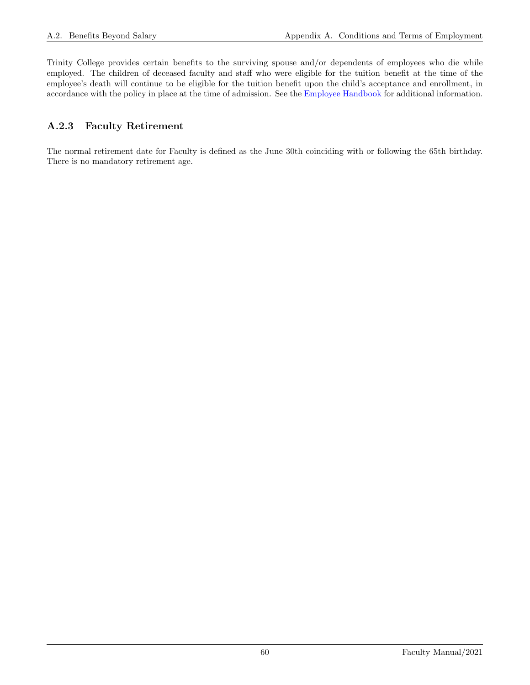Trinity College provides certain benefits to the surviving spouse and/or dependents of employees who die while employed. The children of deceased faculty and staff who were eligible for the tuition benefit at the time of the employee's death will continue to be eligible for the tuition benefit upon the child's acceptance and enrollment, in accordance with the policy in place at the time of admission. See the [Employee Handbook](http://internet2.trincoll.edu/docs/emplHandbook/hrHandbook.html) for additional information.

## A.2.3 Faculty Retirement

The normal retirement date for Faculty is defined as the June 30th coinciding with or following the 65th birthday. There is no mandatory retirement age.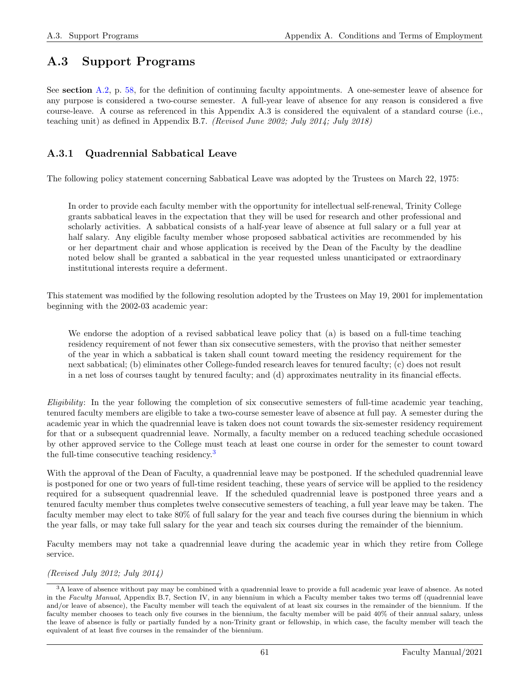# <span id="page-65-0"></span>A.3 Support Programs

See section [A.2,](#page-62-0) p. [58,](#page-62-0) for the definition of continuing faculty appointments. A one-semester leave of absence for any purpose is considered a two-course semester. A full-year leave of absence for any reason is considered a five course-leave. A course as referenced in this Appendix A.3 is considered the equivalent of a standard course (i.e., teaching unit) as defined in Appendix B.7. (Revised June 2002; July 2014; July 2018)

## A.3.1 Quadrennial Sabbatical Leave

The following policy statement concerning Sabbatical Leave was adopted by the Trustees on March 22, 1975:

In order to provide each faculty member with the opportunity for intellectual self-renewal, Trinity College grants sabbatical leaves in the expectation that they will be used for research and other professional and scholarly activities. A sabbatical consists of a half-year leave of absence at full salary or a full year at half salary. Any eligible faculty member whose proposed sabbatical activities are recommended by his or her department chair and whose application is received by the Dean of the Faculty by the deadline noted below shall be granted a sabbatical in the year requested unless unanticipated or extraordinary institutional interests require a deferment.

This statement was modified by the following resolution adopted by the Trustees on May 19, 2001 for implementation beginning with the 2002-03 academic year:

We endorse the adoption of a revised sabbatical leave policy that (a) is based on a full-time teaching residency requirement of not fewer than six consecutive semesters, with the proviso that neither semester of the year in which a sabbatical is taken shall count toward meeting the residency requirement for the next sabbatical; (b) eliminates other College-funded research leaves for tenured faculty; (c) does not result in a net loss of courses taught by tenured faculty; and (d) approximates neutrality in its financial effects.

Eligibility: In the year following the completion of six consecutive semesters of full-time academic year teaching, tenured faculty members are eligible to take a two-course semester leave of absence at full pay. A semester during the academic year in which the quadrennial leave is taken does not count towards the six-semester residency requirement for that or a subsequent quadrennial leave. Normally, a faculty member on a reduced teaching schedule occasioned by other approved service to the College must teach at least one course in order for the semester to count toward the full-time consecutive teaching residency.[3](#page-65-1)

With the approval of the Dean of Faculty, a quadrennial leave may be postponed. If the scheduled quadrennial leave is postponed for one or two years of full-time resident teaching, these years of service will be applied to the residency required for a subsequent quadrennial leave. If the scheduled quadrennial leave is postponed three years and a tenured faculty member thus completes twelve consecutive semesters of teaching, a full year leave may be taken. The faculty member may elect to take 80% of full salary for the year and teach five courses during the biennium in which the year falls, or may take full salary for the year and teach six courses during the remainder of the biennium.

Faculty members may not take a quadrennial leave during the academic year in which they retire from College service.

(Revised July 2012; July 2014)

<span id="page-65-1"></span> $3A$  leave of absence without pay may be combined with a quadrennial leave to provide a full academic year leave of absence. As noted in the Faculty Manual, Appendix B.7, Section IV, in any biennium in which a Faculty member takes two terms off (quadrennial leave and/or leave of absence), the Faculty member will teach the equivalent of at least six courses in the remainder of the biennium. If the faculty member chooses to teach only five courses in the biennium, the faculty member will be paid 40% of their annual salary, unless the leave of absence is fully or partially funded by a non-Trinity grant or fellowship, in which case, the faculty member will teach the equivalent of at least five courses in the remainder of the biennium.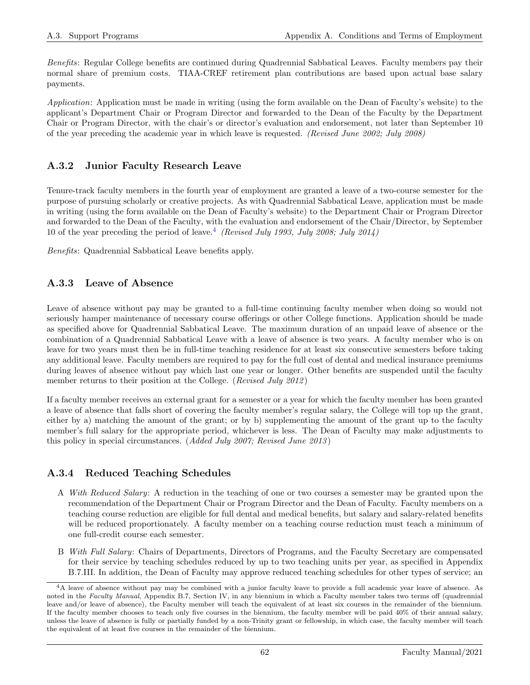Benefits: Regular College benefits are continued during Quadrennial Sabbatical Leaves. Faculty members pay their normal share of premium costs. TIAA-CREF retirement plan contributions are based upon actual base salary payments.

Application: Application must be made in writing (using the form available on the Dean of Faculty's website) to the applicant's Department Chair or Program Director and forwarded to the Dean of the Faculty by the Department Chair or Program Director, with the chair's or director's evaluation and endorsement, not later than September 10 of the year preceding the academic year in which leave is requested. (Revised June 2002; July 2008)

## A.3.2 Junior Faculty Research Leave

Tenure-track faculty members in the fourth year of employment are granted a leave of a two-course semester for the purpose of pursuing scholarly or creative projects. As with Quadrennial Sabbatical Leave, application must be made in writing (using the form available on the Dean of Faculty's website) to the Department Chair or Program Director and forwarded to the Dean of the Faculty, with the evaluation and endorsement of the Chair/Director, by September 10 of the year preceding the period of leave.<sup>[4](#page-66-0)</sup> (Revised July 1993, July 2008; July 2014)

Benefits: Quadrennial Sabbatical Leave benefits apply.

## A.3.3 Leave of Absence

Leave of absence without pay may be granted to a full-time continuing faculty member when doing so would not seriously hamper maintenance of necessary course offerings or other College functions. Application should be made as specified above for Quadrennial Sabbatical Leave. The maximum duration of an unpaid leave of absence or the combination of a Quadrennial Sabbatical Leave with a leave of absence is two years. A faculty member who is on leave for two years must then be in full-time teaching residence for at least six consecutive semesters before taking any additional leave. Faculty members are required to pay for the full cost of dental and medical insurance premiums during leaves of absence without pay which last one year or longer. Other benefits are suspended until the faculty member returns to their position at the College. (Revised July 2012)

If a faculty member receives an external grant for a semester or a year for which the faculty member has been granted a leave of absence that falls short of covering the faculty member's regular salary, the College will top up the grant, either by a) matching the amount of the grant; or by b) supplementing the amount of the grant up to the faculty member's full salary for the appropriate period, whichever is less. The Dean of Faculty may make adjustments to this policy in special circumstances. (Added July 2007; Revised June 2013 )

## A.3.4 Reduced Teaching Schedules

- A With Reduced Salary: A reduction in the teaching of one or two courses a semester may be granted upon the recommendation of the Department Chair or Program Director and the Dean of Faculty. Faculty members on a teaching course reduction are eligible for full dental and medical benefits, but salary and salary-related benefits will be reduced proportionately. A faculty member on a teaching course reduction must teach a minimum of one full-credit course each semester.
- B With Full Salary: Chairs of Departments, Directors of Programs, and the Faculty Secretary are compensated for their service by teaching schedules reduced by up to two teaching units per year, as specified in Appendix B.7.III. In addition, the Dean of Faculty may approve reduced teaching schedules for other types of service; an

<span id="page-66-0"></span><sup>4</sup>A leave of absence without pay may be combined with a junior faculty leave to provide a full academic year leave of absence. As noted in the Faculty Manual, Appendix B.7, Section IV, in any biennium in which a Faculty member takes two terms off (quadrennial) leave and/or leave of absence), the Faculty member will teach the equivalent of at least six courses in the remainder of the biennium. If the faculty member chooses to teach only five courses in the biennium, the faculty member will be paid 40% of their annual salary, unless the leave of absence is fully or partially funded by a non-Trinity grant or fellowship, in which case, the faculty member will teach the equivalent of at least five courses in the remainder of the biennium.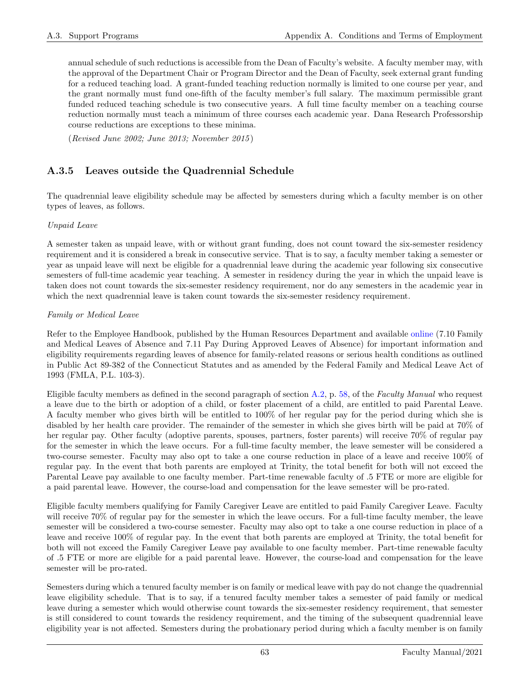annual schedule of such reductions is accessible from the Dean of Faculty's website. A faculty member may, with the approval of the Department Chair or Program Director and the Dean of Faculty, seek external grant funding for a reduced teaching load. A grant-funded teaching reduction normally is limited to one course per year, and the grant normally must fund one-fifth of the faculty member's full salary. The maximum permissible grant funded reduced teaching schedule is two consecutive years. A full time faculty member on a teaching course reduction normally must teach a minimum of three courses each academic year. Dana Research Professorship course reductions are exceptions to these minima.

(Revised June 2002; June 2013; November 2015 )

## A.3.5 Leaves outside the Quadrennial Schedule

The quadrennial leave eligibility schedule may be affected by semesters during which a faculty member is on other types of leaves, as follows.

## Unpaid Leave

A semester taken as unpaid leave, with or without grant funding, does not count toward the six-semester residency requirement and it is considered a break in consecutive service. That is to say, a faculty member taking a semester or year as unpaid leave will next be eligible for a quadrennial leave during the academic year following six consecutive semesters of full-time academic year teaching. A semester in residency during the year in which the unpaid leave is taken does not count towards the six-semester residency requirement, nor do any semesters in the academic year in which the next quadrennial leave is taken count towards the six-semester residency requirement.

## Family or Medical Leave

Refer to the Employee Handbook, published by the Human Resources Department and available [online](http://internet2.trincoll.edu/docs/emplHandbook/hrHandbook.html) (7.10 Family and Medical Leaves of Absence and 7.11 Pay During Approved Leaves of Absence) for important information and eligibility requirements regarding leaves of absence for family-related reasons or serious health conditions as outlined in Public Act 89-382 of the Connecticut Statutes and as amended by the Federal Family and Medical Leave Act of 1993 (FMLA, P.L. 103-3).

Eligible faculty members as defined in the second paragraph of section [A.2,](#page-62-0) p. [58,](#page-62-0) of the Faculty Manual who request a leave due to the birth or adoption of a child, or foster placement of a child, are entitled to paid Parental Leave. A faculty member who gives birth will be entitled to 100% of her regular pay for the period during which she is disabled by her health care provider. The remainder of the semester in which she gives birth will be paid at 70% of her regular pay. Other faculty (adoptive parents, spouses, partners, foster parents) will receive 70% of regular pay for the semester in which the leave occurs. For a full-time faculty member, the leave semester will be considered a two-course semester. Faculty may also opt to take a one course reduction in place of a leave and receive 100% of regular pay. In the event that both parents are employed at Trinity, the total benefit for both will not exceed the Parental Leave pay available to one faculty member. Part-time renewable faculty of .5 FTE or more are eligible for a paid parental leave. However, the course-load and compensation for the leave semester will be pro-rated.

Eligible faculty members qualifying for Family Caregiver Leave are entitled to paid Family Caregiver Leave. Faculty will receive 70% of regular pay for the semester in which the leave occurs. For a full-time faculty member, the leave semester will be considered a two-course semester. Faculty may also opt to take a one course reduction in place of a leave and receive 100% of regular pay. In the event that both parents are employed at Trinity, the total benefit for both will not exceed the Family Caregiver Leave pay available to one faculty member. Part-time renewable faculty of .5 FTE or more are eligible for a paid parental leave. However, the course-load and compensation for the leave semester will be pro-rated.

Semesters during which a tenured faculty member is on family or medical leave with pay do not change the quadrennial leave eligibility schedule. That is to say, if a tenured faculty member takes a semester of paid family or medical leave during a semester which would otherwise count towards the six-semester residency requirement, that semester is still considered to count towards the residency requirement, and the timing of the subsequent quadrennial leave eligibility year is not affected. Semesters during the probationary period during which a faculty member is on family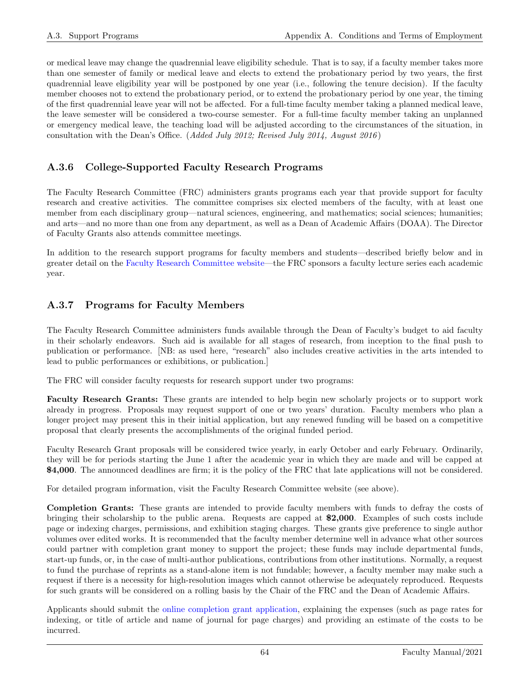or medical leave may change the quadrennial leave eligibility schedule. That is to say, if a faculty member takes more than one semester of family or medical leave and elects to extend the probationary period by two years, the first quadrennial leave eligibility year will be postponed by one year (i.e., following the tenure decision). If the faculty member chooses not to extend the probationary period, or to extend the probationary period by one year, the timing of the first quadrennial leave year will not be affected. For a full-time faculty member taking a planned medical leave, the leave semester will be considered a two-course semester. For a full-time faculty member taking an unplanned or emergency medical leave, the teaching load will be adjusted according to the circumstances of the situation, in consultation with the Dean's Office. (Added July 2012; Revised July 2014, August 2016)

## A.3.6 College-Supported Faculty Research Programs

The Faculty Research Committee (FRC) administers grants programs each year that provide support for faculty research and creative activities. The committee comprises six elected members of the faculty, with at least one member from each disciplinary group—natural sciences, engineering, and mathematics; social sciences; humanities; and arts—and no more than one from any department, as well as a Dean of Academic Affairs (DOAA). The Director of Faculty Grants also attends committee meetings.

In addition to the research support programs for faculty members and students—described briefly below and in greater detail on the [Faculty Research Committee website—](http://www.trincoll.edu/Academics/dean/research/committee/Pages/default.aspx)the FRC sponsors a faculty lecture series each academic year.

## A.3.7 Programs for Faculty Members

The Faculty Research Committee administers funds available through the Dean of Faculty's budget to aid faculty in their scholarly endeavors. Such aid is available for all stages of research, from inception to the final push to publication or performance. [NB: as used here, "research" also includes creative activities in the arts intended to lead to public performances or exhibitions, or publication.]

The FRC will consider faculty requests for research support under two programs:

Faculty Research Grants: These grants are intended to help begin new scholarly projects or to support work already in progress. Proposals may request support of one or two years' duration. Faculty members who plan a longer project may present this in their initial application, but any renewed funding will be based on a competitive proposal that clearly presents the accomplishments of the original funded period.

Faculty Research Grant proposals will be considered twice yearly, in early October and early February. Ordinarily, they will be for periods starting the June 1 after the academic year in which they are made and will be capped at \$4,000. The announced deadlines are firm; it is the policy of the FRC that late applications will not be considered.

For detailed program information, visit the Faculty Research Committee website (see above).

Completion Grants: These grants are intended to provide faculty members with funds to defray the costs of bringing their scholarship to the public arena. Requests are capped at \$2,000. Examples of such costs include page or indexing charges, permissions, and exhibition staging charges. These grants give preference to single author volumes over edited works. It is recommended that the faculty member determine well in advance what other sources could partner with completion grant money to support the project; these funds may include departmental funds, start-up funds, or, in the case of multi-author publications, contributions from other institutions. Normally, a request to fund the purchase of reprints as a stand-alone item is not fundable; however, a faculty member may make such a request if there is a necessity for high-resolution images which cannot otherwise be adequately reproduced. Requests for such grants will be considered on a rolling basis by the Chair of the FRC and the Dean of Academic Affairs.

Applicants should submit the [online completion grant application,](https://forms.trincoll.edu/dofo/completion-grant-application/) explaining the expenses (such as page rates for indexing, or title of article and name of journal for page charges) and providing an estimate of the costs to be incurred.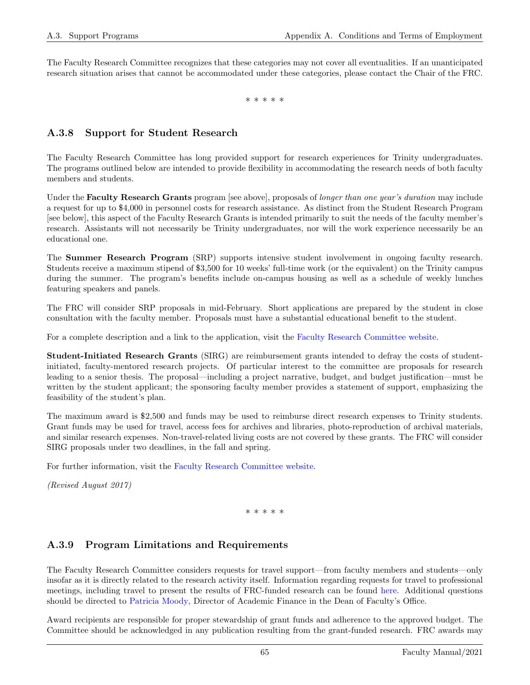The Faculty Research Committee recognizes that these categories may not cover all eventualities. If an unanticipated research situation arises that cannot be accommodated under these categories, please contact the Chair of the FRC.

\* \* \* \* \*

## A.3.8 Support for Student Research

The Faculty Research Committee has long provided support for research experiences for Trinity undergraduates. The programs outlined below are intended to provide flexibility in accommodating the research needs of both faculty members and students.

Under the **Faculty Research Grants** program [see above], proposals of *longer than one year's duration* may include a request for up to \$4,000 in personnel costs for research assistance. As distinct from the Student Research Program [see below], this aspect of the Faculty Research Grants is intended primarily to suit the needs of the faculty member's research. Assistants will not necessarily be Trinity undergraduates, nor will the work experience necessarily be an educational one.

The Summer Research Program (SRP) supports intensive student involvement in ongoing faculty research. Students receive a maximum stipend of \$3,500 for 10 weeks' full-time work (or the equivalent) on the Trinity campus during the summer. The program's benefits include on-campus housing as well as a schedule of weekly lunches featuring speakers and panels.

The FRC will consider SRP proposals in mid-February. Short applications are prepared by the student in close consultation with the faculty member. Proposals must have a substantial educational benefit to the student.

For a complete description and a link to the application, visit the [Faculty Research Committee website.](http://www.trincoll.edu/Academics/dean/research/committee/Pages/SRP.aspx)

Student-Initiated Research Grants (SIRG) are reimbursement grants intended to defray the costs of studentinitiated, faculty-mentored research projects. Of particular interest to the committee are proposals for research leading to a senior thesis. The proposal—including a project narrative, budget, and budget justification—must be written by the student applicant; the sponsoring faculty member provides a statement of support, emphasizing the feasibility of the student's plan.

The maximum award is \$2,500 and funds may be used to reimburse direct research expenses to Trinity students. Grant funds may be used for travel, access fees for archives and libraries, photo-reproduction of archival materials, and similar research expenses. Non-travel-related living costs are not covered by these grants. The FRC will consider SIRG proposals under two deadlines, in the fall and spring.

For further information, visit the [Faculty Research Committee website.](http://www.trincoll.edu/Academics/dean/research/committee/Pages/SIRG.aspx)

(Revised August 2017)

\* \* \* \* \*

## A.3.9 Program Limitations and Requirements

The Faculty Research Committee considers requests for travel support—from faculty members and students—only insofar as it is directly related to the research activity itself. Information regarding requests for travel to professional meetings, including travel to present the results of FRC-funded research can be found [here.](http://www.trincoll.edu/Academics/dean/research/Pages/default.aspx) Additional questions should be directed to [Patricia Moody,](mailto:Patricia.Moody@trincoll.edu) Director of Academic Finance in the Dean of Faculty's Office.

Award recipients are responsible for proper stewardship of grant funds and adherence to the approved budget. The Committee should be acknowledged in any publication resulting from the grant-funded research. FRC awards may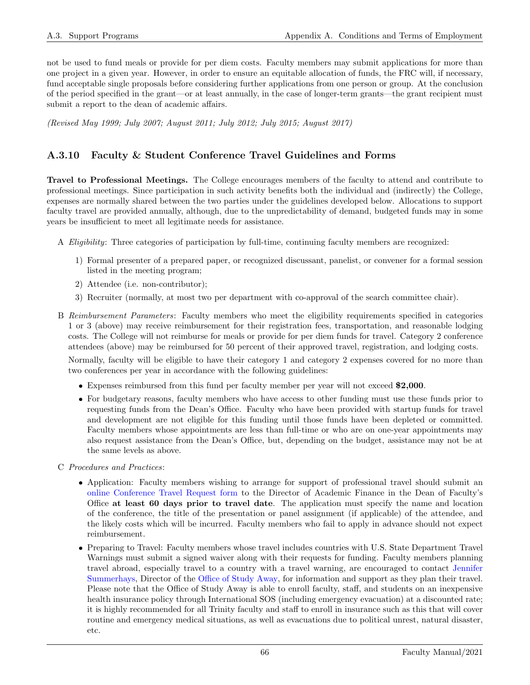not be used to fund meals or provide for per diem costs. Faculty members may submit applications for more than one project in a given year. However, in order to ensure an equitable allocation of funds, the FRC will, if necessary, fund acceptable single proposals before considering further applications from one person or group. At the conclusion of the period specified in the grant—or at least annually, in the case of longer-term grants—the grant recipient must submit a report to the dean of academic affairs.

(Revised May 1999; July 2007; August 2011; July 2012; July 2015; August 2017)

## A.3.10 Faculty & Student Conference Travel Guidelines and Forms

Travel to Professional Meetings. The College encourages members of the faculty to attend and contribute to professional meetings. Since participation in such activity benefits both the individual and (indirectly) the College, expenses are normally shared between the two parties under the guidelines developed below. Allocations to support faculty travel are provided annually, although, due to the unpredictability of demand, budgeted funds may in some years be insufficient to meet all legitimate needs for assistance.

- A Eligibility: Three categories of participation by full-time, continuing faculty members are recognized:
	- 1) Formal presenter of a prepared paper, or recognized discussant, panelist, or convener for a formal session listed in the meeting program;
	- 2) Attendee (i.e. non-contributor);
	- 3) Recruiter (normally, at most two per department with co-approval of the search committee chair).
- B Reimbursement Parameters: Faculty members who meet the eligibility requirements specified in categories 1 or 3 (above) may receive reimbursement for their registration fees, transportation, and reasonable lodging costs. The College will not reimburse for meals or provide for per diem funds for travel. Category 2 conference attendees (above) may be reimbursed for 50 percent of their approved travel, registration, and lodging costs.

Normally, faculty will be eligible to have their category 1 and category 2 expenses covered for no more than two conferences per year in accordance with the following guidelines:

- Expenses reimbursed from this fund per faculty member per year will not exceed \$2,000.
- For budgetary reasons, faculty members who have access to other funding must use these funds prior to requesting funds from the Dean's Office. Faculty who have been provided with startup funds for travel and development are not eligible for this funding until those funds have been depleted or committed. Faculty members whose appointments are less than full-time or who are on one-year appointments may also request assistance from the Dean's Office, but, depending on the budget, assistance may not be at the same levels as above.
- C Procedures and Practices:
	- Application: Faculty members wishing to arrange for support of professional travel should submit an [online Conference Travel Request form](https://trinity.az1.qualtrics.com/jfe/form/SV_6ojWevL4OvFd1rL) to the Director of Academic Finance in the Dean of Faculty's Office at least 60 days prior to travel date. The application must specify the name and location of the conference, the title of the presentation or panel assignment (if applicable) of the attendee, and the likely costs which will be incurred. Faculty members who fail to apply in advance should not expect reimbursement.
	- Preparing to Travel: Faculty members whose travel includes countries with U.S. State Department Travel Warnings must submit a signed waiver along with their requests for funding. Faculty members planning travel abroad, especially travel to a country with a travel warning, are encouraged to contact [Jennifer](mailto:Jennifer.Summerhays@trincoll.edu) [Summerhays,](mailto:Jennifer.Summerhays@trincoll.edu) Director of the [Office of Study Away,](http://www.trincoll.edu/UrbanGlobal/studyaway/Pages/default.aspx) for information and support as they plan their travel. Please note that the Office of Study Away is able to enroll faculty, staff, and students on an inexpensive health insurance policy through International SOS (including emergency evacuation) at a discounted rate; it is highly recommended for all Trinity faculty and staff to enroll in insurance such as this that will cover routine and emergency medical situations, as well as evacuations due to political unrest, natural disaster, etc.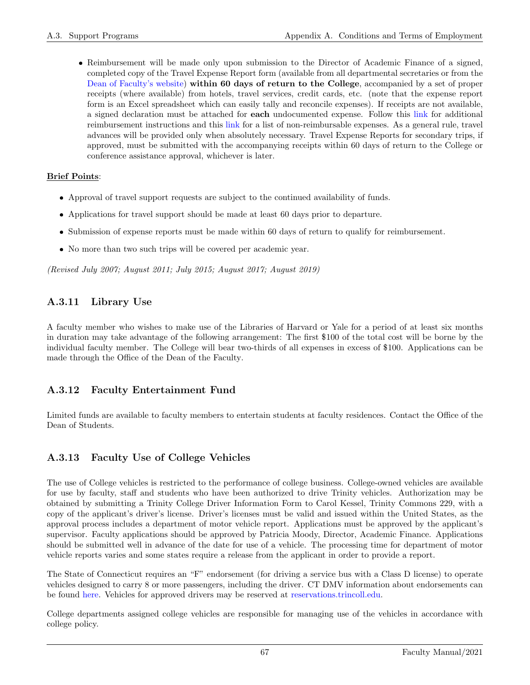Reimbursement will be made only upon submission to the Director of Academic Finance of a signed, completed copy of the Travel Expense Report form (available from all departmental secretaries or from the [Dean of Faculty's website\)](http://www.trincoll.edu/Academics/dean/research/Pages/Defrayal.aspx) within 60 days of return to the College, accompanied by a set of proper receipts (where available) from hotels, travel services, credit cards, etc. (note that the expense report form is an Excel spreadsheet which can easily tally and reconcile expenses). If receipts are not available, a signed declaration must be attached for each undocumented expense. Follow this [link](http://www.trincoll.edu/Academics/dean/research/supported/Documents/reimbursement%20instructions.pdf) for additional reimbursement instructions and this [link](http://www.trincoll.edu/Academics/dean/research/supported/Documents/DOF%20Non-Reimbursable%20Exp%20Policy.pdf) for a list of non-reimbursable expenses. As a general rule, travel advances will be provided only when absolutely necessary. Travel Expense Reports for secondary trips, if approved, must be submitted with the accompanying receipts within 60 days of return to the College or conference assistance approval, whichever is later.

## Brief Points:

- Approval of travel support requests are subject to the continued availability of funds.
- Applications for travel support should be made at least 60 days prior to departure.
- Submission of expense reports must be made within 60 days of return to qualify for reimbursement.
- No more than two such trips will be covered per academic year.

(Revised July 2007; August 2011; July 2015; August 2017; August 2019)

## A.3.11 Library Use

A faculty member who wishes to make use of the Libraries of Harvard or Yale for a period of at least six months in duration may take advantage of the following arrangement: The first \$100 of the total cost will be borne by the individual faculty member. The College will bear two-thirds of all expenses in excess of \$100. Applications can be made through the Office of the Dean of the Faculty.

## A.3.12 Faculty Entertainment Fund

Limited funds are available to faculty members to entertain students at faculty residences. Contact the Office of the Dean of Students.

## A.3.13 Faculty Use of College Vehicles

The use of College vehicles is restricted to the performance of college business. College-owned vehicles are available for use by faculty, staff and students who have been authorized to drive Trinity vehicles. Authorization may be obtained by submitting a Trinity College Driver Information Form to Carol Kessel, Trinity Commons 229, with a copy of the applicant's driver's license. Driver's licenses must be valid and issued within the United States, as the approval process includes a department of motor vehicle report. Applications must be approved by the applicant's supervisor. Faculty applications should be approved by Patricia Moody, Director, Academic Finance. Applications should be submitted well in advance of the date for use of a vehicle. The processing time for department of motor vehicle reports varies and some states require a release from the applicant in order to provide a report.

The State of Connecticut requires an "F" endorsement (for driving a service bus with a Class D license) to operate vehicles designed to carry 8 or more passengers, including the driver. CT DMV information about endorsements can be found [here.](http://www.ct.gov/dmv/cwp/view.asp?a=805&q=244782) Vehicles for approved drivers may be reserved at [reservations.trincoll.edu.](http://reservations.trincoll.edu)

College departments assigned college vehicles are responsible for managing use of the vehicles in accordance with college policy.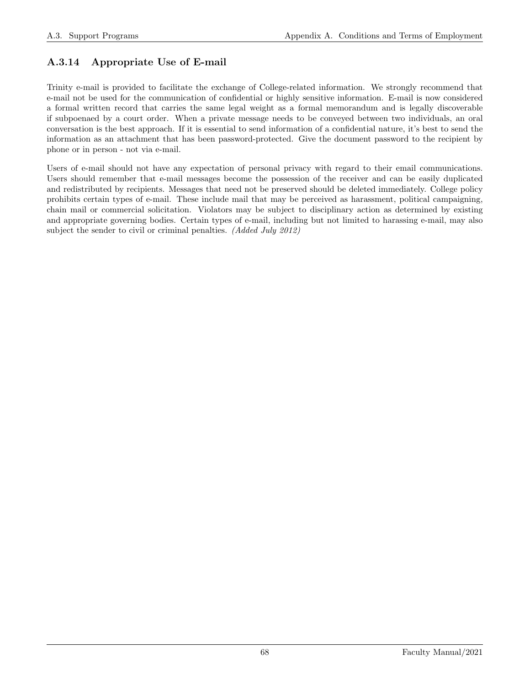## A.3.14 Appropriate Use of E-mail

Trinity e-mail is provided to facilitate the exchange of College-related information. We strongly recommend that e-mail not be used for the communication of confidential or highly sensitive information. E-mail is now considered a formal written record that carries the same legal weight as a formal memorandum and is legally discoverable if subpoenaed by a court order. When a private message needs to be conveyed between two individuals, an oral conversation is the best approach. If it is essential to send information of a confidential nature, it's best to send the information as an attachment that has been password-protected. Give the document password to the recipient by phone or in person - not via e-mail.

Users of e-mail should not have any expectation of personal privacy with regard to their email communications. Users should remember that e-mail messages become the possession of the receiver and can be easily duplicated and redistributed by recipients. Messages that need not be preserved should be deleted immediately. College policy prohibits certain types of e-mail. These include mail that may be perceived as harassment, political campaigning, chain mail or commercial solicitation. Violators may be subject to disciplinary action as determined by existing and appropriate governing bodies. Certain types of e-mail, including but not limited to harassing e-mail, may also subject the sender to civil or criminal penalties. *(Added July 2012)*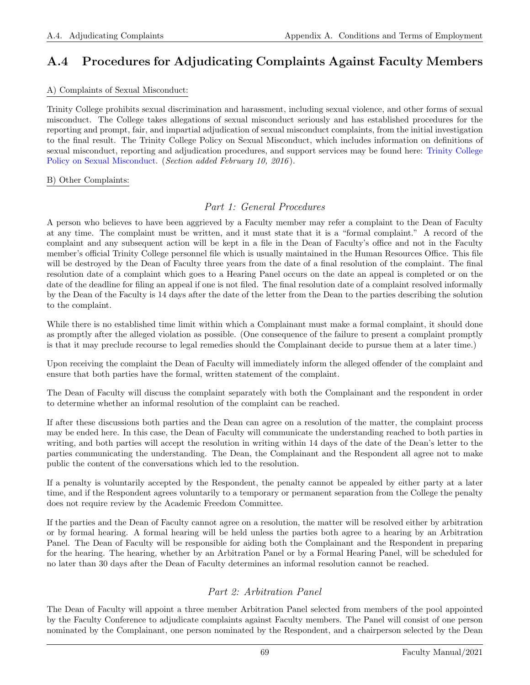# A.4 Procedures for Adjudicating Complaints Against Faculty Members

### A) Complaints of Sexual Misconduct:

Trinity College prohibits sexual discrimination and harassment, including sexual violence, and other forms of sexual misconduct. The College takes allegations of sexual misconduct seriously and has established procedures for the reporting and prompt, fair, and impartial adjudication of sexual misconduct complaints, from the initial investigation to the final result. The Trinity College Policy on Sexual Misconduct, which includes information on definitions of sexual misconduct, reporting and adjudication procedures, and support services may be found here: [Trinity College](http://www.trincoll.edu/SexualMisconductPolicy) [Policy on Sexual Misconduct.](http://www.trincoll.edu/SexualMisconductPolicy) (Section added February 10, 2016).

#### B) Other Complaints:

## Part 1: General Procedures

A person who believes to have been aggrieved by a Faculty member may refer a complaint to the Dean of Faculty at any time. The complaint must be written, and it must state that it is a "formal complaint." A record of the complaint and any subsequent action will be kept in a file in the Dean of Faculty's office and not in the Faculty member's official Trinity College personnel file which is usually maintained in the Human Resources Office. This file will be destroyed by the Dean of Faculty three years from the date of a final resolution of the complaint. The final resolution date of a complaint which goes to a Hearing Panel occurs on the date an appeal is completed or on the date of the deadline for filing an appeal if one is not filed. The final resolution date of a complaint resolved informally by the Dean of the Faculty is 14 days after the date of the letter from the Dean to the parties describing the solution to the complaint.

While there is no established time limit within which a Complainant must make a formal complaint, it should done as promptly after the alleged violation as possible. (One consequence of the failure to present a complaint promptly is that it may preclude recourse to legal remedies should the Complainant decide to pursue them at a later time.)

Upon receiving the complaint the Dean of Faculty will immediately inform the alleged offender of the complaint and ensure that both parties have the formal, written statement of the complaint.

The Dean of Faculty will discuss the complaint separately with both the Complainant and the respondent in order to determine whether an informal resolution of the complaint can be reached.

If after these discussions both parties and the Dean can agree on a resolution of the matter, the complaint process may be ended here. In this case, the Dean of Faculty will communicate the understanding reached to both parties in writing, and both parties will accept the resolution in writing within 14 days of the date of the Dean's letter to the parties communicating the understanding. The Dean, the Complainant and the Respondent all agree not to make public the content of the conversations which led to the resolution.

If a penalty is voluntarily accepted by the Respondent, the penalty cannot be appealed by either party at a later time, and if the Respondent agrees voluntarily to a temporary or permanent separation from the College the penalty does not require review by the Academic Freedom Committee.

If the parties and the Dean of Faculty cannot agree on a resolution, the matter will be resolved either by arbitration or by formal hearing. A formal hearing will be held unless the parties both agree to a hearing by an Arbitration Panel. The Dean of Faculty will be responsible for aiding both the Complainant and the Respondent in preparing for the hearing. The hearing, whether by an Arbitration Panel or by a Formal Hearing Panel, will be scheduled for no later than 30 days after the Dean of Faculty determines an informal resolution cannot be reached.

## Part 2: Arbitration Panel

The Dean of Faculty will appoint a three member Arbitration Panel selected from members of the pool appointed by the Faculty Conference to adjudicate complaints against Faculty members. The Panel will consist of one person nominated by the Complainant, one person nominated by the Respondent, and a chairperson selected by the Dean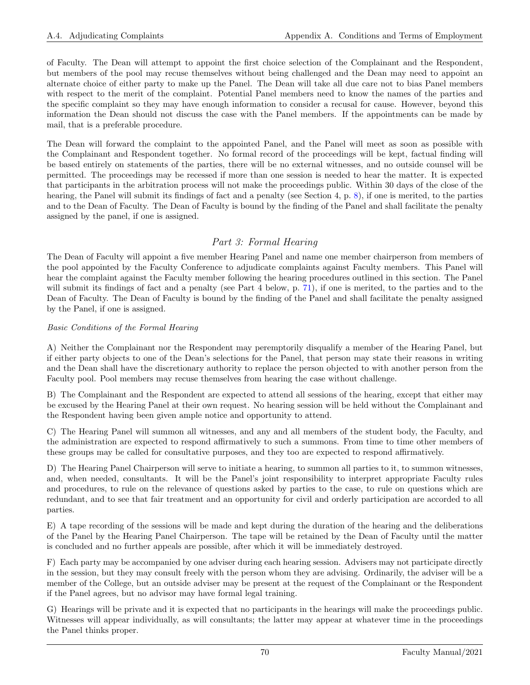of Faculty. The Dean will attempt to appoint the first choice selection of the Complainant and the Respondent, but members of the pool may recuse themselves without being challenged and the Dean may need to appoint an alternate choice of either party to make up the Panel. The Dean will take all due care not to bias Panel members with respect to the merit of the complaint. Potential Panel members need to know the names of the parties and the specific complaint so they may have enough information to consider a recusal for cause. However, beyond this information the Dean should not discuss the case with the Panel members. If the appointments can be made by mail, that is a preferable procedure.

The Dean will forward the complaint to the appointed Panel, and the Panel will meet as soon as possible with the Complainant and Respondent together. No formal record of the proceedings will be kept, factual finding will be based entirely on statements of the parties, there will be no external witnesses, and no outside counsel will be permitted. The proceedings may be recessed if more than one session is needed to hear the matter. It is expected that participants in the arbitration process will not make the proceedings public. Within 30 days of the close of the hearing, the Panel will submit its findings of fact and a penalty (see Section 4, p. [8\)](#page-12-0), if one is merited, to the parties and to the Dean of Faculty. The Dean of Faculty is bound by the finding of the Panel and shall facilitate the penalty assigned by the panel, if one is assigned.

## Part 3: Formal Hearing

The Dean of Faculty will appoint a five member Hearing Panel and name one member chairperson from members of the pool appointed by the Faculty Conference to adjudicate complaints against Faculty members. This Panel will hear the complaint against the Faculty member following the hearing procedures outlined in this section. The Panel will submit its findings of fact and a penalty (see Part 4 below, p. [71\)](#page-75-0), if one is merited, to the parties and to the Dean of Faculty. The Dean of Faculty is bound by the finding of the Panel and shall facilitate the penalty assigned by the Panel, if one is assigned.

#### Basic Conditions of the Formal Hearing

A) Neither the Complainant nor the Respondent may peremptorily disqualify a member of the Hearing Panel, but if either party objects to one of the Dean's selections for the Panel, that person may state their reasons in writing and the Dean shall have the discretionary authority to replace the person objected to with another person from the Faculty pool. Pool members may recuse themselves from hearing the case without challenge.

B) The Complainant and the Respondent are expected to attend all sessions of the hearing, except that either may be excused by the Hearing Panel at their own request. No hearing session will be held without the Complainant and the Respondent having been given ample notice and opportunity to attend.

C) The Hearing Panel will summon all witnesses, and any and all members of the student body, the Faculty, and the administration are expected to respond affirmatively to such a summons. From time to time other members of these groups may be called for consultative purposes, and they too are expected to respond affirmatively.

D) The Hearing Panel Chairperson will serve to initiate a hearing, to summon all parties to it, to summon witnesses, and, when needed, consultants. It will be the Panel's joint responsibility to interpret appropriate Faculty rules and procedures, to rule on the relevance of questions asked by parties to the case, to rule on questions which are redundant, and to see that fair treatment and an opportunity for civil and orderly participation are accorded to all parties.

E) A tape recording of the sessions will be made and kept during the duration of the hearing and the deliberations of the Panel by the Hearing Panel Chairperson. The tape will be retained by the Dean of Faculty until the matter is concluded and no further appeals are possible, after which it will be immediately destroyed.

F) Each party may be accompanied by one adviser during each hearing session. Advisers may not participate directly in the session, but they may consult freely with the person whom they are advising. Ordinarily, the adviser will be a member of the College, but an outside adviser may be present at the request of the Complainant or the Respondent if the Panel agrees, but no advisor may have formal legal training.

G) Hearings will be private and it is expected that no participants in the hearings will make the proceedings public. Witnesses will appear individually, as will consultants; the latter may appear at whatever time in the proceedings the Panel thinks proper.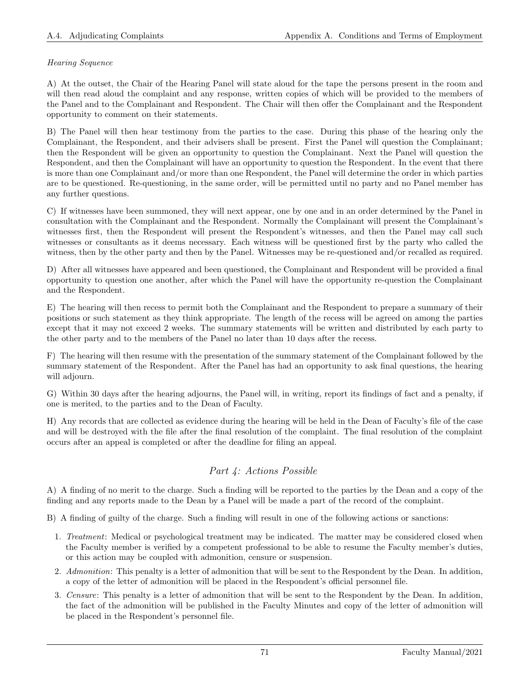### Hearing Sequence

A) At the outset, the Chair of the Hearing Panel will state aloud for the tape the persons present in the room and will then read aloud the complaint and any response, written copies of which will be provided to the members of the Panel and to the Complainant and Respondent. The Chair will then offer the Complainant and the Respondent opportunity to comment on their statements.

B) The Panel will then hear testimony from the parties to the case. During this phase of the hearing only the Complainant, the Respondent, and their advisers shall be present. First the Panel will question the Complainant; then the Respondent will be given an opportunity to question the Complainant. Next the Panel will question the Respondent, and then the Complainant will have an opportunity to question the Respondent. In the event that there is more than one Complainant and/or more than one Respondent, the Panel will determine the order in which parties are to be questioned. Re-questioning, in the same order, will be permitted until no party and no Panel member has any further questions.

C) If witnesses have been summoned, they will next appear, one by one and in an order determined by the Panel in consultation with the Complainant and the Respondent. Normally the Complainant will present the Complainant's witnesses first, then the Respondent will present the Respondent's witnesses, and then the Panel may call such witnesses or consultants as it deems necessary. Each witness will be questioned first by the party who called the witness, then by the other party and then by the Panel. Witnesses may be re-questioned and/or recalled as required.

D) After all witnesses have appeared and been questioned, the Complainant and Respondent will be provided a final opportunity to question one another, after which the Panel will have the opportunity re-question the Complainant and the Respondent.

E) The hearing will then recess to permit both the Complainant and the Respondent to prepare a summary of their positions or such statement as they think appropriate. The length of the recess will be agreed on among the parties except that it may not exceed 2 weeks. The summary statements will be written and distributed by each party to the other party and to the members of the Panel no later than 10 days after the recess.

F) The hearing will then resume with the presentation of the summary statement of the Complainant followed by the summary statement of the Respondent. After the Panel has had an opportunity to ask final questions, the hearing will adjourn.

G) Within 30 days after the hearing adjourns, the Panel will, in writing, report its findings of fact and a penalty, if one is merited, to the parties and to the Dean of Faculty.

<span id="page-75-0"></span>H) Any records that are collected as evidence during the hearing will be held in the Dean of Faculty's file of the case and will be destroyed with the file after the final resolution of the complaint. The final resolution of the complaint occurs after an appeal is completed or after the deadline for filing an appeal.

## Part 4: Actions Possible

A) A finding of no merit to the charge. Such a finding will be reported to the parties by the Dean and a copy of the finding and any reports made to the Dean by a Panel will be made a part of the record of the complaint.

B) A finding of guilty of the charge. Such a finding will result in one of the following actions or sanctions:

- 1. Treatment: Medical or psychological treatment may be indicated. The matter may be considered closed when the Faculty member is verified by a competent professional to be able to resume the Faculty member's duties, or this action may be coupled with admonition, censure or suspension.
- 2. Admonition: This penalty is a letter of admonition that will be sent to the Respondent by the Dean. In addition, a copy of the letter of admonition will be placed in the Respondent's official personnel file.
- 3. Censure: This penalty is a letter of admonition that will be sent to the Respondent by the Dean. In addition, the fact of the admonition will be published in the Faculty Minutes and copy of the letter of admonition will be placed in the Respondent's personnel file.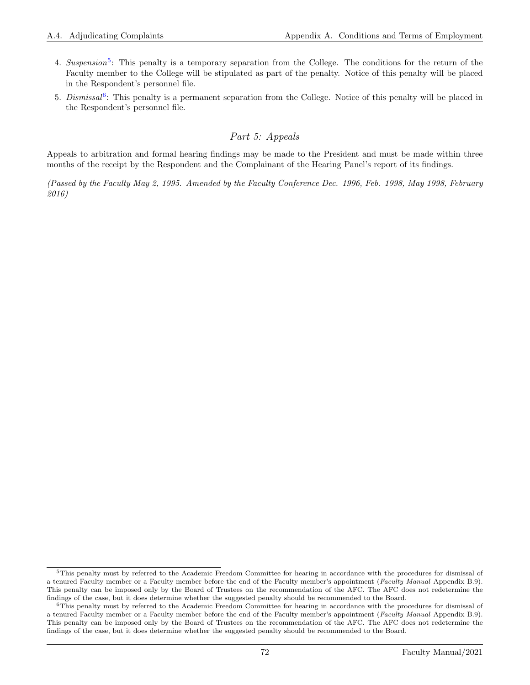- 4. Suspension<sup>[5](#page-76-0)</sup>: This penalty is a temporary separation from the College. The conditions for the return of the Faculty member to the College will be stipulated as part of the penalty. Notice of this penalty will be placed in the Respondent's personnel file.
- 5. Dismissal<sup>[6](#page-76-1)</sup>: This penalty is a permanent separation from the College. Notice of this penalty will be placed in the Respondent's personnel file.

## Part 5: Appeals

Appeals to arbitration and formal hearing findings may be made to the President and must be made within three months of the receipt by the Respondent and the Complainant of the Hearing Panel's report of its findings.

(Passed by the Faculty May 2, 1995. Amended by the Faculty Conference Dec. 1996, Feb. 1998, May 1998, February 2016)

<span id="page-76-0"></span><sup>&</sup>lt;sup>5</sup>This penalty must by referred to the Academic Freedom Committee for hearing in accordance with the procedures for dismissal of a tenured Faculty member or a Faculty member before the end of the Faculty member's appointment (Faculty Manual Appendix B.9). This penalty can be imposed only by the Board of Trustees on the recommendation of the AFC. The AFC does not redetermine the findings of the case, but it does determine whether the suggested penalty should be recommended to the Board.

<span id="page-76-1"></span> $6$ This penalty must by referred to the Academic Freedom Committee for hearing in accordance with the procedures for dismissal of a tenured Faculty member or a Faculty member before the end of the Faculty member's appointment (Faculty Manual Appendix B.9). This penalty can be imposed only by the Board of Trustees on the recommendation of the AFC. The AFC does not redetermine the findings of the case, but it does determine whether the suggested penalty should be recommended to the Board.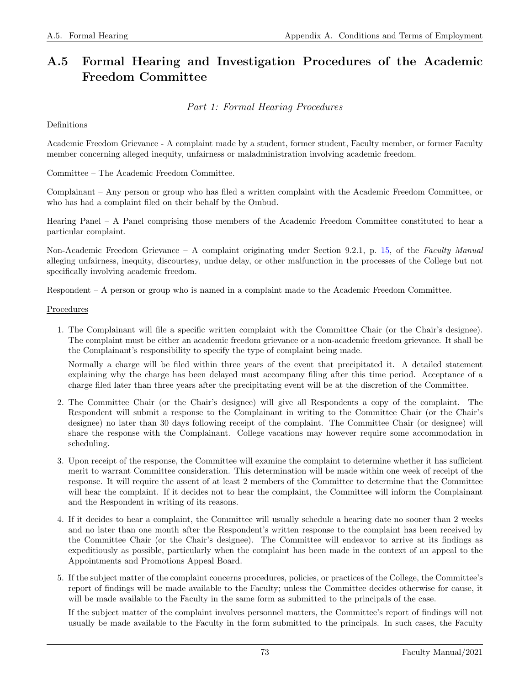## A.5 Formal Hearing and Investigation Procedures of the Academic Freedom Committee

## Part 1: Formal Hearing Procedures

#### Definitions

Academic Freedom Grievance - A complaint made by a student, former student, Faculty member, or former Faculty member concerning alleged inequity, unfairness or maladministration involving academic freedom.

Committee – The Academic Freedom Committee.

Complainant – Any person or group who has filed a written complaint with the Academic Freedom Committee, or who has had a complaint filed on their behalf by the Ombud.

Hearing Panel – A Panel comprising those members of the Academic Freedom Committee constituted to hear a particular complaint.

Non-Academic Freedom Grievance – A complaint originating under Section 9.2.1, p. [15,](#page-19-0) of the Faculty Manual alleging unfairness, inequity, discourtesy, undue delay, or other malfunction in the processes of the College but not specifically involving academic freedom.

Respondent – A person or group who is named in a complaint made to the Academic Freedom Committee.

Procedures

1. The Complainant will file a specific written complaint with the Committee Chair (or the Chair's designee). The complaint must be either an academic freedom grievance or a non-academic freedom grievance. It shall be the Complainant's responsibility to specify the type of complaint being made.

Normally a charge will be filed within three years of the event that precipitated it. A detailed statement explaining why the charge has been delayed must accompany filing after this time period. Acceptance of a charge filed later than three years after the precipitating event will be at the discretion of the Committee.

- 2. The Committee Chair (or the Chair's designee) will give all Respondents a copy of the complaint. The Respondent will submit a response to the Complainant in writing to the Committee Chair (or the Chair's designee) no later than 30 days following receipt of the complaint. The Committee Chair (or designee) will share the response with the Complainant. College vacations may however require some accommodation in scheduling.
- 3. Upon receipt of the response, the Committee will examine the complaint to determine whether it has sufficient merit to warrant Committee consideration. This determination will be made within one week of receipt of the response. It will require the assent of at least 2 members of the Committee to determine that the Committee will hear the complaint. If it decides not to hear the complaint, the Committee will inform the Complainant and the Respondent in writing of its reasons.
- 4. If it decides to hear a complaint, the Committee will usually schedule a hearing date no sooner than 2 weeks and no later than one month after the Respondent's written response to the complaint has been received by the Committee Chair (or the Chair's designee). The Committee will endeavor to arrive at its findings as expeditiously as possible, particularly when the complaint has been made in the context of an appeal to the Appointments and Promotions Appeal Board.
- 5. If the subject matter of the complaint concerns procedures, policies, or practices of the College, the Committee's report of findings will be made available to the Faculty; unless the Committee decides otherwise for cause, it will be made available to the Faculty in the same form as submitted to the principals of the case.

If the subject matter of the complaint involves personnel matters, the Committee's report of findings will not usually be made available to the Faculty in the form submitted to the principals. In such cases, the Faculty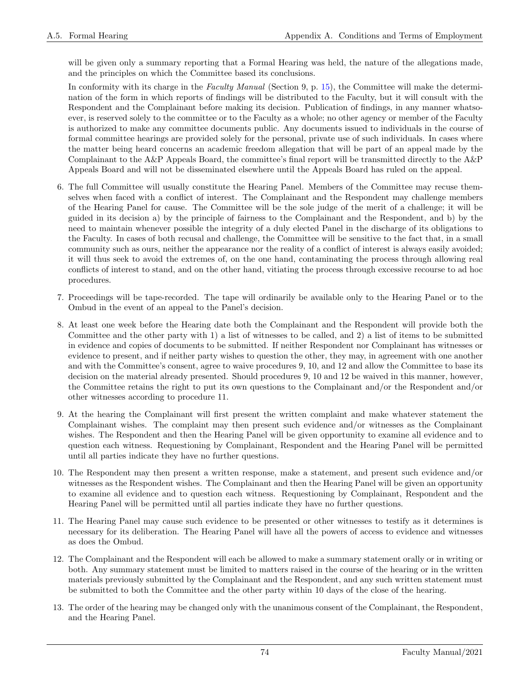will be given only a summary reporting that a Formal Hearing was held, the nature of the allegations made, and the principles on which the Committee based its conclusions.

In conformity with its charge in the Faculty Manual (Section 9, p. [15\)](#page-19-1), the Committee will make the determination of the form in which reports of findings will be distributed to the Faculty, but it will consult with the Respondent and the Complainant before making its decision. Publication of findings, in any manner whatsoever, is reserved solely to the committee or to the Faculty as a whole; no other agency or member of the Faculty is authorized to make any committee documents public. Any documents issued to individuals in the course of formal committee hearings are provided solely for the personal, private use of such individuals. In cases where the matter being heard concerns an academic freedom allegation that will be part of an appeal made by the Complainant to the A&P Appeals Board, the committee's final report will be transmitted directly to the A&P Appeals Board and will not be disseminated elsewhere until the Appeals Board has ruled on the appeal.

- 6. The full Committee will usually constitute the Hearing Panel. Members of the Committee may recuse themselves when faced with a conflict of interest. The Complainant and the Respondent may challenge members of the Hearing Panel for cause. The Committee will be the sole judge of the merit of a challenge; it will be guided in its decision a) by the principle of fairness to the Complainant and the Respondent, and b) by the need to maintain whenever possible the integrity of a duly elected Panel in the discharge of its obligations to the Faculty. In cases of both recusal and challenge, the Committee will be sensitive to the fact that, in a small community such as ours, neither the appearance nor the reality of a conflict of interest is always easily avoided; it will thus seek to avoid the extremes of, on the one hand, contaminating the process through allowing real conflicts of interest to stand, and on the other hand, vitiating the process through excessive recourse to ad hoc procedures.
- 7. Proceedings will be tape-recorded. The tape will ordinarily be available only to the Hearing Panel or to the Ombud in the event of an appeal to the Panel's decision.
- 8. At least one week before the Hearing date both the Complainant and the Respondent will provide both the Committee and the other party with 1) a list of witnesses to be called, and 2) a list of items to be submitted in evidence and copies of documents to be submitted. If neither Respondent nor Complainant has witnesses or evidence to present, and if neither party wishes to question the other, they may, in agreement with one another and with the Committee's consent, agree to waive procedures 9, 10, and 12 and allow the Committee to base its decision on the material already presented. Should procedures 9, 10 and 12 be waived in this manner, however, the Committee retains the right to put its own questions to the Complainant and/or the Respondent and/or other witnesses according to procedure 11.
- 9. At the hearing the Complainant will first present the written complaint and make whatever statement the Complainant wishes. The complaint may then present such evidence and/or witnesses as the Complainant wishes. The Respondent and then the Hearing Panel will be given opportunity to examine all evidence and to question each witness. Requestioning by Complainant, Respondent and the Hearing Panel will be permitted until all parties indicate they have no further questions.
- 10. The Respondent may then present a written response, make a statement, and present such evidence and/or witnesses as the Respondent wishes. The Complainant and then the Hearing Panel will be given an opportunity to examine all evidence and to question each witness. Requestioning by Complainant, Respondent and the Hearing Panel will be permitted until all parties indicate they have no further questions.
- 11. The Hearing Panel may cause such evidence to be presented or other witnesses to testify as it determines is necessary for its deliberation. The Hearing Panel will have all the powers of access to evidence and witnesses as does the Ombud.
- 12. The Complainant and the Respondent will each be allowed to make a summary statement orally or in writing or both. Any summary statement must be limited to matters raised in the course of the hearing or in the written materials previously submitted by the Complainant and the Respondent, and any such written statement must be submitted to both the Committee and the other party within 10 days of the close of the hearing.
- 13. The order of the hearing may be changed only with the unanimous consent of the Complainant, the Respondent, and the Hearing Panel.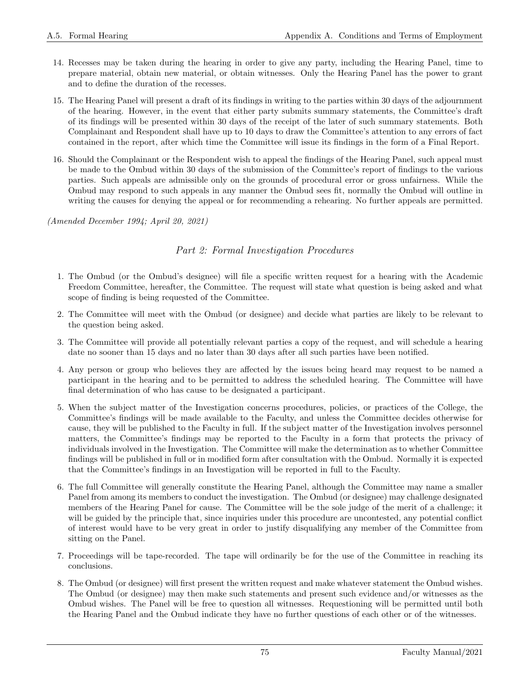- 14. Recesses may be taken during the hearing in order to give any party, including the Hearing Panel, time to prepare material, obtain new material, or obtain witnesses. Only the Hearing Panel has the power to grant and to define the duration of the recesses.
- 15. The Hearing Panel will present a draft of its findings in writing to the parties within 30 days of the adjournment of the hearing. However, in the event that either party submits summary statements, the Committee's draft of its findings will be presented within 30 days of the receipt of the later of such summary statements. Both Complainant and Respondent shall have up to 10 days to draw the Committee's attention to any errors of fact contained in the report, after which time the Committee will issue its findings in the form of a Final Report.
- 16. Should the Complainant or the Respondent wish to appeal the findings of the Hearing Panel, such appeal must be made to the Ombud within 30 days of the submission of the Committee's report of findings to the various parties. Such appeals are admissible only on the grounds of procedural error or gross unfairness. While the Ombud may respond to such appeals in any manner the Ombud sees fit, normally the Ombud will outline in writing the causes for denying the appeal or for recommending a rehearing. No further appeals are permitted.

(Amended December 1994; April 20, 2021)

## Part 2: Formal Investigation Procedures

- 1. The Ombud (or the Ombud's designee) will file a specific written request for a hearing with the Academic Freedom Committee, hereafter, the Committee. The request will state what question is being asked and what scope of finding is being requested of the Committee.
- 2. The Committee will meet with the Ombud (or designee) and decide what parties are likely to be relevant to the question being asked.
- 3. The Committee will provide all potentially relevant parties a copy of the request, and will schedule a hearing date no sooner than 15 days and no later than 30 days after all such parties have been notified.
- 4. Any person or group who believes they are affected by the issues being heard may request to be named a participant in the hearing and to be permitted to address the scheduled hearing. The Committee will have final determination of who has cause to be designated a participant.
- 5. When the subject matter of the Investigation concerns procedures, policies, or practices of the College, the Committee's findings will be made available to the Faculty, and unless the Committee decides otherwise for cause, they will be published to the Faculty in full. If the subject matter of the Investigation involves personnel matters, the Committee's findings may be reported to the Faculty in a form that protects the privacy of individuals involved in the Investigation. The Committee will make the determination as to whether Committee findings will be published in full or in modified form after consultation with the Ombud. Normally it is expected that the Committee's findings in an Investigation will be reported in full to the Faculty.
- 6. The full Committee will generally constitute the Hearing Panel, although the Committee may name a smaller Panel from among its members to conduct the investigation. The Ombud (or designee) may challenge designated members of the Hearing Panel for cause. The Committee will be the sole judge of the merit of a challenge; it will be guided by the principle that, since inquiries under this procedure are uncontested, any potential conflict of interest would have to be very great in order to justify disqualifying any member of the Committee from sitting on the Panel.
- 7. Proceedings will be tape-recorded. The tape will ordinarily be for the use of the Committee in reaching its conclusions.
- 8. The Ombud (or designee) will first present the written request and make whatever statement the Ombud wishes. The Ombud (or designee) may then make such statements and present such evidence and/or witnesses as the Ombud wishes. The Panel will be free to question all witnesses. Requestioning will be permitted until both the Hearing Panel and the Ombud indicate they have no further questions of each other or of the witnesses.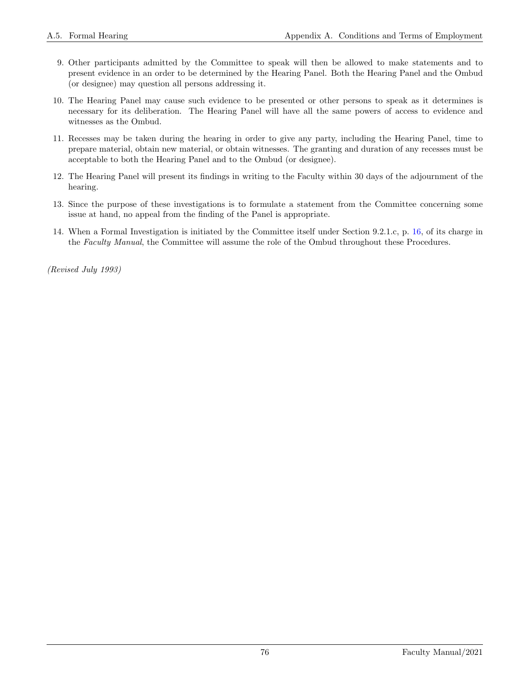- 9. Other participants admitted by the Committee to speak will then be allowed to make statements and to present evidence in an order to be determined by the Hearing Panel. Both the Hearing Panel and the Ombud (or designee) may question all persons addressing it.
- 10. The Hearing Panel may cause such evidence to be presented or other persons to speak as it determines is necessary for its deliberation. The Hearing Panel will have all the same powers of access to evidence and witnesses as the Ombud.
- 11. Recesses may be taken during the hearing in order to give any party, including the Hearing Panel, time to prepare material, obtain new material, or obtain witnesses. The granting and duration of any recesses must be acceptable to both the Hearing Panel and to the Ombud (or designee).
- 12. The Hearing Panel will present its findings in writing to the Faculty within 30 days of the adjournment of the hearing.
- 13. Since the purpose of these investigations is to formulate a statement from the Committee concerning some issue at hand, no appeal from the finding of the Panel is appropriate.
- 14. When a Formal Investigation is initiated by the Committee itself under Section 9.2.1.c, p. [16,](#page-20-0) of its charge in the Faculty Manual, the Committee will assume the role of the Ombud throughout these Procedures.

(Revised July 1993)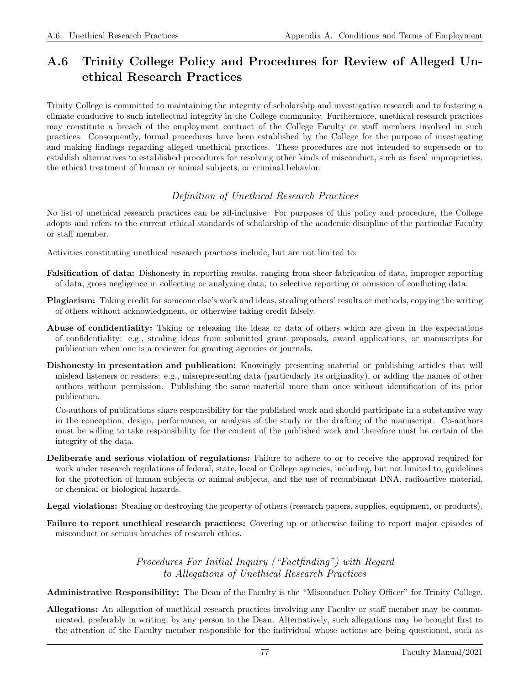## A.6 Trinity College Policy and Procedures for Review of Alleged Unethical Research Practices

Trinity College is committed to maintaining the integrity of scholarship and investigative research and to fostering a climate conducive to such intellectual integrity in the College community. Furthermore, unethical research practices may constitute a breach of the employment contract of the College Faculty or staff members involved in such practices. Consequently, formal procedures have been established by the College for the purpose of investigating and making findings regarding alleged unethical practices. These procedures are not intended to supersede or to establish alternatives to established procedures for resolving other kinds of misconduct, such as fiscal improprieties, the ethical treatment of human or animal subjects, or criminal behavior.

## Definition of Unethical Research Practices

No list of unethical research practices can be all-inclusive. For purposes of this policy and procedure, the College adopts and refers to the current ethical standards of scholarship of the academic discipline of the particular Faculty or staff member.

Activities constituting unethical research practices include, but are not limited to:

- Falsification of data: Dishonesty in reporting results, ranging from sheer fabrication of data, improper reporting of data, gross negligence in collecting or analyzing data, to selective reporting or omission of conflicting data.
- Plagiarism: Taking credit for someone else's work and ideas, stealing others' results or methods, copying the writing of others without acknowledgment, or otherwise taking credit falsely.
- Abuse of confidentiality: Taking or releasing the ideas or data of others which are given in the expectations of confidentiality: e.g., stealing ideas from submitted grant proposals, award applications, or manuscripts for publication when one is a reviewer for granting agencies or journals.
- Dishonesty in presentation and publication: Knowingly presenting material or publishing articles that will mislead listeners or readers: e.g., misrepresenting data (particularly its originality), or adding the names of other authors without permission. Publishing the same material more than once without identification of its prior publication.

Co-authors of publications share responsibility for the published work and should participate in a substantive way in the conception, design, performance, or analysis of the study or the drafting of the manuscript. Co-authors must be willing to take responsibility for the content of the published work and therefore must be certain of the integrity of the data.

Deliberate and serious violation of regulations: Failure to adhere to or to receive the approval required for work under research regulations of federal, state, local or College agencies, including, but not limited to, guidelines for the protection of human subjects or animal subjects, and the use of recombinant DNA, radioactive material, or chemical or biological hazards.

Legal violations: Stealing or destroying the property of others (research papers, supplies, equipment, or products).

Failure to report unethical research practices: Covering up or otherwise failing to report major episodes of misconduct or serious breaches of research ethics.

## Procedures For Initial Inquiry ("Factfinding") with Regard to Allegations of Unethical Research Practices

Administrative Responsibility: The Dean of the Faculty is the "Misconduct Policy Officer" for Trinity College.

Allegations: An allegation of unethical research practices involving any Faculty or staff member may be communicated, preferably in writing, by any person to the Dean. Alternatively, such allegations may be brought first to the attention of the Faculty member responsible for the individual whose actions are being questioned, such as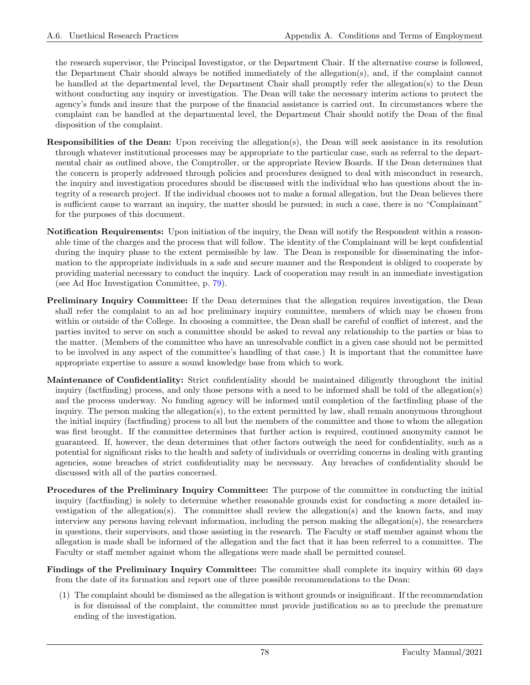the research supervisor, the Principal Investigator, or the Department Chair. If the alternative course is followed, the Department Chair should always be notified immediately of the allegation(s), and, if the complaint cannot be handled at the departmental level, the Department Chair shall promptly refer the allegation(s) to the Dean without conducting any inquiry or investigation. The Dean will take the necessary interim actions to protect the agency's funds and insure that the purpose of the financial assistance is carried out. In circumstances where the complaint can be handled at the departmental level, the Department Chair should notify the Dean of the final disposition of the complaint.

- Responsibilities of the Dean: Upon receiving the allegation(s), the Dean will seek assistance in its resolution through whatever institutional processes may be appropriate to the particular case, such as referral to the departmental chair as outlined above, the Comptroller, or the appropriate Review Boards. If the Dean determines that the concern is properly addressed through policies and procedures designed to deal with misconduct in research, the inquiry and investigation procedures should be discussed with the individual who has questions about the integrity of a research project. If the individual chooses not to make a formal allegation, but the Dean believes there is sufficient cause to warrant an inquiry, the matter should be pursued; in such a case, there is no "Complainant" for the purposes of this document.
- Notification Requirements: Upon initiation of the inquiry, the Dean will notify the Respondent within a reasonable time of the charges and the process that will follow. The identity of the Complainant will be kept confidential during the inquiry phase to the extent permissible by law. The Dean is responsible for disseminating the information to the appropriate individuals in a safe and secure manner and the Respondent is obliged to cooperate by providing material necessary to conduct the inquiry. Lack of cooperation may result in an immediate investigation (see Ad Hoc Investigation Committee, p. [79\)](#page-83-0).
- Preliminary Inquiry Committee: If the Dean determines that the allegation requires investigation, the Dean shall refer the complaint to an ad hoc preliminary inquiry committee, members of which may be chosen from within or outside of the College. In choosing a committee, the Dean shall be careful of conflict of interest, and the parties invited to serve on such a committee should be asked to reveal any relationship to the parties or bias to the matter. (Members of the committee who have an unresolvable conflict in a given case should not be permitted to be involved in any aspect of the committee's handling of that case.) It is important that the committee have appropriate expertise to assure a sound knowledge base from which to work.
- Maintenance of Confidentiality: Strict confidentiality should be maintained diligently throughout the initial inquiry (factfinding) process, and only those persons with a need to be informed shall be told of the allegation(s) and the process underway. No funding agency will be informed until completion of the factfinding phase of the inquiry. The person making the allegation(s), to the extent permitted by law, shall remain anonymous throughout the initial inquiry (factfinding) process to all but the members of the committee and those to whom the allegation was first brought. If the committee determines that further action is required, continued anonymity cannot be guaranteed. If, however, the dean determines that other factors outweigh the need for confidentiality, such as a potential for significant risks to the health and safety of individuals or overriding concerns in dealing with granting agencies, some breaches of strict confidentiality may be necessary. Any breaches of confidentiality should be discussed with all of the parties concerned.
- Procedures of the Preliminary Inquiry Committee: The purpose of the committee in conducting the initial inquiry (factfinding) is solely to determine whether reasonable grounds exist for conducting a more detailed investigation of the allegation(s). The committee shall review the allegation(s) and the known facts, and may interview any persons having relevant information, including the person making the allegation(s), the researchers in questions, their supervisors, and those assisting in the research. The Faculty or staff member against whom the allegation is made shall be informed of the allegation and the fact that it has been referred to a committee. The Faculty or staff member against whom the allegations were made shall be permitted counsel.
- Findings of the Preliminary Inquiry Committee: The committee shall complete its inquiry within 60 days from the date of its formation and report one of three possible recommendations to the Dean:
	- (1) The complaint should be dismissed as the allegation is without grounds or insignificant. If the recommendation is for dismissal of the complaint, the committee must provide justification so as to preclude the premature ending of the investigation.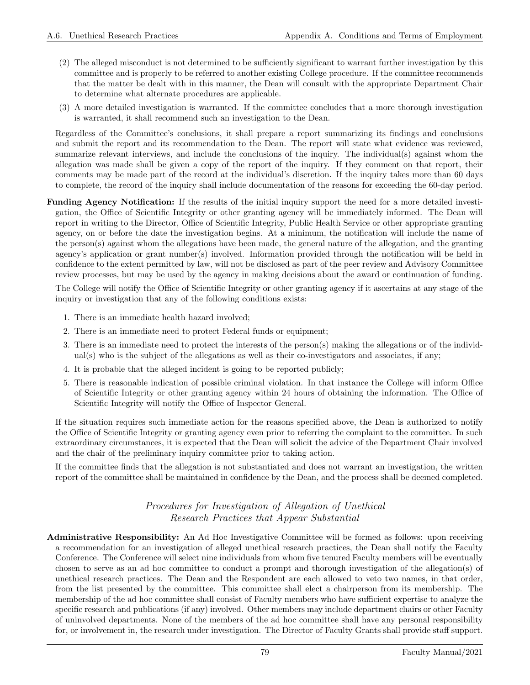- (2) The alleged misconduct is not determined to be sufficiently significant to warrant further investigation by this committee and is properly to be referred to another existing College procedure. If the committee recommends that the matter be dealt with in this manner, the Dean will consult with the appropriate Department Chair to determine what alternate procedures are applicable.
- (3) A more detailed investigation is warranted. If the committee concludes that a more thorough investigation is warranted, it shall recommend such an investigation to the Dean.

Regardless of the Committee's conclusions, it shall prepare a report summarizing its findings and conclusions and submit the report and its recommendation to the Dean. The report will state what evidence was reviewed, summarize relevant interviews, and include the conclusions of the inquiry. The individual(s) against whom the allegation was made shall be given a copy of the report of the inquiry. If they comment on that report, their comments may be made part of the record at the individual's discretion. If the inquiry takes more than 60 days to complete, the record of the inquiry shall include documentation of the reasons for exceeding the 60-day period.

Funding Agency Notification: If the results of the initial inquiry support the need for a more detailed investigation, the Office of Scientific Integrity or other granting agency will be immediately informed. The Dean will report in writing to the Director, Office of Scientific Integrity, Public Health Service or other appropriate granting agency, on or before the date the investigation begins. At a minimum, the notification will include the name of the person(s) against whom the allegations have been made, the general nature of the allegation, and the granting agency's application or grant number(s) involved. Information provided through the notification will be held in confidence to the extent permitted by law, will not be disclosed as part of the peer review and Advisory Committee review processes, but may be used by the agency in making decisions about the award or continuation of funding.

The College will notify the Office of Scientific Integrity or other granting agency if it ascertains at any stage of the inquiry or investigation that any of the following conditions exists:

- 1. There is an immediate health hazard involved;
- 2. There is an immediate need to protect Federal funds or equipment;
- 3. There is an immediate need to protect the interests of the person(s) making the allegations or of the individual(s) who is the subject of the allegations as well as their co-investigators and associates, if any;
- 4. It is probable that the alleged incident is going to be reported publicly;
- <span id="page-83-0"></span>5. There is reasonable indication of possible criminal violation. In that instance the College will inform Office of Scientific Integrity or other granting agency within 24 hours of obtaining the information. The Office of Scientific Integrity will notify the Office of Inspector General.

If the situation requires such immediate action for the reasons specified above, the Dean is authorized to notify the Office of Scientific Integrity or granting agency even prior to referring the complaint to the committee. In such extraordinary circumstances, it is expected that the Dean will solicit the advice of the Department Chair involved and the chair of the preliminary inquiry committee prior to taking action.

If the committee finds that the allegation is not substantiated and does not warrant an investigation, the written report of the committee shall be maintained in confidence by the Dean, and the process shall be deemed completed.

## Procedures for Investigation of Allegation of Unethical Research Practices that Appear Substantial

Administrative Responsibility: An Ad Hoc Investigative Committee will be formed as follows: upon receiving a recommendation for an investigation of alleged unethical research practices, the Dean shall notify the Faculty Conference. The Conference will select nine individuals from whom five tenured Faculty members will be eventually chosen to serve as an ad hoc committee to conduct a prompt and thorough investigation of the allegation(s) of unethical research practices. The Dean and the Respondent are each allowed to veto two names, in that order, from the list presented by the committee. This committee shall elect a chairperson from its membership. The membership of the ad hoc committee shall consist of Faculty members who have sufficient expertise to analyze the specific research and publications (if any) involved. Other members may include department chairs or other Faculty of uninvolved departments. None of the members of the ad hoc committee shall have any personal responsibility for, or involvement in, the research under investigation. The Director of Faculty Grants shall provide staff support.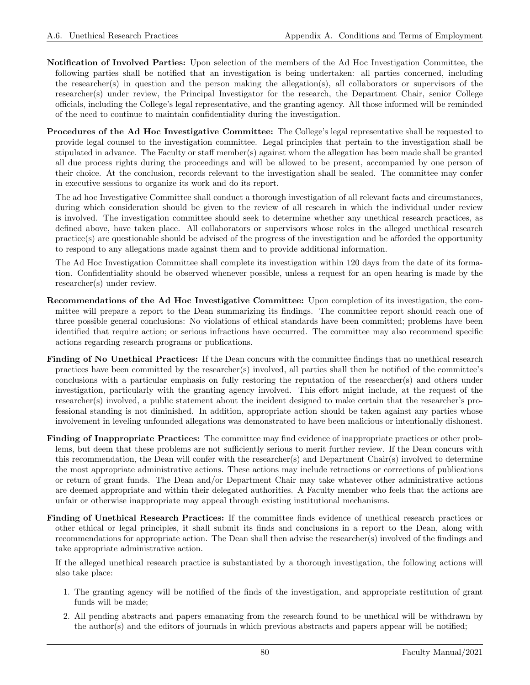- Notification of Involved Parties: Upon selection of the members of the Ad Hoc Investigation Committee, the following parties shall be notified that an investigation is being undertaken: all parties concerned, including the researcher(s) in question and the person making the allegation(s), all collaborators or supervisors of the researcher(s) under review, the Principal Investigator for the research, the Department Chair, senior College officials, including the College's legal representative, and the granting agency. All those informed will be reminded of the need to continue to maintain confidentiality during the investigation.
- Procedures of the Ad Hoc Investigative Committee: The College's legal representative shall be requested to provide legal counsel to the investigation committee. Legal principles that pertain to the investigation shall be stipulated in advance. The Faculty or staff member(s) against whom the allegation has been made shall be granted all due process rights during the proceedings and will be allowed to be present, accompanied by one person of their choice. At the conclusion, records relevant to the investigation shall be sealed. The committee may confer in executive sessions to organize its work and do its report.

The ad hoc Investigative Committee shall conduct a thorough investigation of all relevant facts and circumstances, during which consideration should be given to the review of all research in which the individual under review is involved. The investigation committee should seek to determine whether any unethical research practices, as defined above, have taken place. All collaborators or supervisors whose roles in the alleged unethical research practice(s) are questionable should be advised of the progress of the investigation and be afforded the opportunity to respond to any allegations made against them and to provide additional information.

The Ad Hoc Investigation Committee shall complete its investigation within 120 days from the date of its formation. Confidentiality should be observed whenever possible, unless a request for an open hearing is made by the researcher(s) under review.

- Recommendations of the Ad Hoc Investigative Committee: Upon completion of its investigation, the committee will prepare a report to the Dean summarizing its findings. The committee report should reach one of three possible general conclusions: No violations of ethical standards have been committed; problems have been identified that require action; or serious infractions have occurred. The committee may also recommend specific actions regarding research programs or publications.
- Finding of No Unethical Practices: If the Dean concurs with the committee findings that no unethical research practices have been committed by the researcher(s) involved, all parties shall then be notified of the committee's conclusions with a particular emphasis on fully restoring the reputation of the researcher(s) and others under investigation, particularly with the granting agency involved. This effort might include, at the request of the researcher(s) involved, a public statement about the incident designed to make certain that the researcher's professional standing is not diminished. In addition, appropriate action should be taken against any parties whose involvement in leveling unfounded allegations was demonstrated to have been malicious or intentionally dishonest.
- Finding of Inappropriate Practices: The committee may find evidence of inappropriate practices or other problems, but deem that these problems are not sufficiently serious to merit further review. If the Dean concurs with this recommendation, the Dean will confer with the researcher(s) and Department Chair(s) involved to determine the most appropriate administrative actions. These actions may include retractions or corrections of publications or return of grant funds. The Dean and/or Department Chair may take whatever other administrative actions are deemed appropriate and within their delegated authorities. A Faculty member who feels that the actions are unfair or otherwise inappropriate may appeal through existing institutional mechanisms.
- Finding of Unethical Research Practices: If the committee finds evidence of unethical research practices or other ethical or legal principles, it shall submit its finds and conclusions in a report to the Dean, along with recommendations for appropriate action. The Dean shall then advise the researcher(s) involved of the findings and take appropriate administrative action.

If the alleged unethical research practice is substantiated by a thorough investigation, the following actions will also take place:

- 1. The granting agency will be notified of the finds of the investigation, and appropriate restitution of grant funds will be made;
- 2. All pending abstracts and papers emanating from the research found to be unethical will be withdrawn by the author(s) and the editors of journals in which previous abstracts and papers appear will be notified;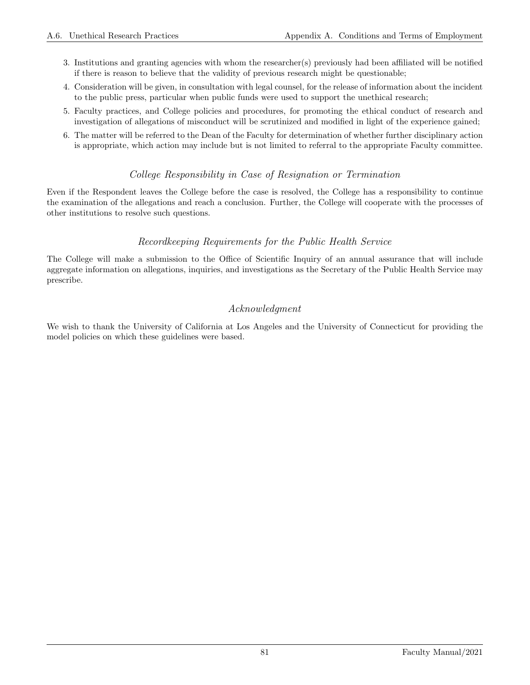- 3. Institutions and granting agencies with whom the researcher(s) previously had been affiliated will be notified if there is reason to believe that the validity of previous research might be questionable;
- 4. Consideration will be given, in consultation with legal counsel, for the release of information about the incident to the public press, particular when public funds were used to support the unethical research;
- 5. Faculty practices, and College policies and procedures, for promoting the ethical conduct of research and investigation of allegations of misconduct will be scrutinized and modified in light of the experience gained;
- 6. The matter will be referred to the Dean of the Faculty for determination of whether further disciplinary action is appropriate, which action may include but is not limited to referral to the appropriate Faculty committee.

## College Responsibility in Case of Resignation or Termination

Even if the Respondent leaves the College before the case is resolved, the College has a responsibility to continue the examination of the allegations and reach a conclusion. Further, the College will cooperate with the processes of other institutions to resolve such questions.

## Recordkeeping Requirements for the Public Health Service

The College will make a submission to the Office of Scientific Inquiry of an annual assurance that will include aggregate information on allegations, inquiries, and investigations as the Secretary of the Public Health Service may prescribe.

## Acknowledgment

We wish to thank the University of California at Los Angeles and the University of Connecticut for providing the model policies on which these guidelines were based.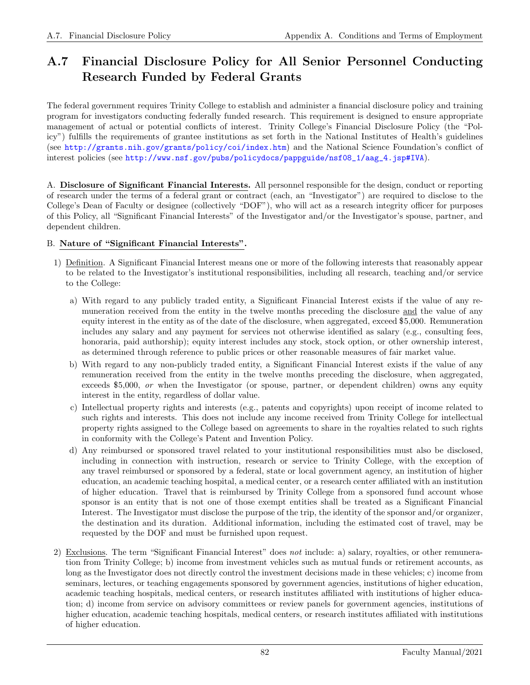## A.7 Financial Disclosure Policy for All Senior Personnel Conducting Research Funded by Federal Grants

The federal government requires Trinity College to establish and administer a financial disclosure policy and training program for investigators conducting federally funded research. This requirement is designed to ensure appropriate management of actual or potential conflicts of interest. Trinity College's Financial Disclosure Policy (the "Policy") fulfills the requirements of grantee institutions as set forth in the National Institutes of Health's guidelines (see <http://grants.nih.gov/grants/policy/coi/index.htm>) and the National Science Foundation's conflict of interest policies (see [http://www.nsf.gov/pubs/policydocs/pappguide/nsf08\\_1/aag\\_4.jsp#IVA](http://www.nsf.gov/pubs/policydocs/pappguide/nsf08_1/aag_4.jsp#IVA)).

A. Disclosure of Significant Financial Interests. All personnel responsible for the design, conduct or reporting of research under the terms of a federal grant or contract (each, an "Investigator") are required to disclose to the College's Dean of Faculty or designee (collectively "DOF"), who will act as a research integrity officer for purposes of this Policy, all "Significant Financial Interests" of the Investigator and/or the Investigator's spouse, partner, and dependent children.

#### B. Nature of "Significant Financial Interests".

- 1) Definition. A Significant Financial Interest means one or more of the following interests that reasonably appear to be related to the Investigator's institutional responsibilities, including all research, teaching and/or service to the College:
	- a) With regard to any publicly traded entity, a Significant Financial Interest exists if the value of any remuneration received from the entity in the twelve months preceding the disclosure and the value of any equity interest in the entity as of the date of the disclosure, when aggregated, exceed \$5,000. Remuneration includes any salary and any payment for services not otherwise identified as salary (e.g., consulting fees, honoraria, paid authorship); equity interest includes any stock, stock option, or other ownership interest, as determined through reference to public prices or other reasonable measures of fair market value.
	- b) With regard to any non-publicly traded entity, a Significant Financial Interest exists if the value of any remuneration received from the entity in the twelve months preceding the disclosure, when aggregated, exceeds \$5,000, or when the Investigator (or spouse, partner, or dependent children) owns any equity interest in the entity, regardless of dollar value.
	- c) Intellectual property rights and interests (e.g., patents and copyrights) upon receipt of income related to such rights and interests. This does not include any income received from Trinity College for intellectual property rights assigned to the College based on agreements to share in the royalties related to such rights in conformity with the College's Patent and Invention Policy.
	- d) Any reimbursed or sponsored travel related to your institutional responsibilities must also be disclosed, including in connection with instruction, research or service to Trinity College, with the exception of any travel reimbursed or sponsored by a federal, state or local government agency, an institution of higher education, an academic teaching hospital, a medical center, or a research center affiliated with an institution of higher education. Travel that is reimbursed by Trinity College from a sponsored fund account whose sponsor is an entity that is not one of those exempt entities shall be treated as a Significant Financial Interest. The Investigator must disclose the purpose of the trip, the identity of the sponsor and/or organizer, the destination and its duration. Additional information, including the estimated cost of travel, may be requested by the DOF and must be furnished upon request.
- 2) Exclusions. The term "Significant Financial Interest" does not include: a) salary, royalties, or other remuneration from Trinity College; b) income from investment vehicles such as mutual funds or retirement accounts, as long as the Investigator does not directly control the investment decisions made in these vehicles; c) income from seminars, lectures, or teaching engagements sponsored by government agencies, institutions of higher education, academic teaching hospitals, medical centers, or research institutes affiliated with institutions of higher education; d) income from service on advisory committees or review panels for government agencies, institutions of higher education, academic teaching hospitals, medical centers, or research institutes affiliated with institutions of higher education.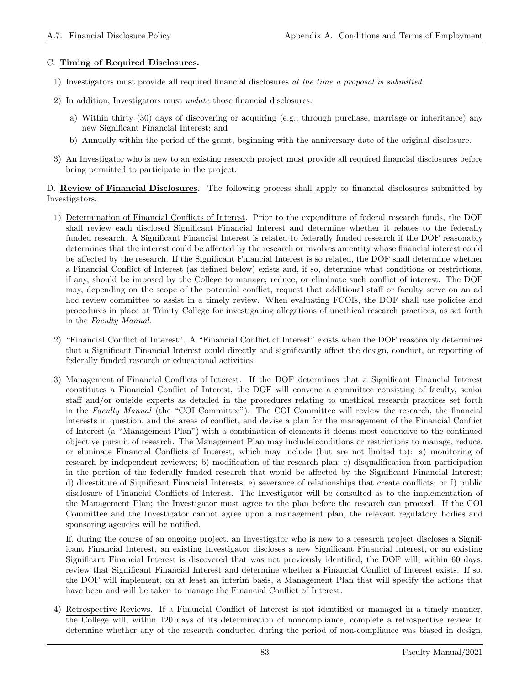#### C. Timing of Required Disclosures.

- 1) Investigators must provide all required financial disclosures at the time a proposal is submitted.
- 2) In addition, Investigators must update those financial disclosures:
	- a) Within thirty (30) days of discovering or acquiring (e.g., through purchase, marriage or inheritance) any new Significant Financial Interest; and
	- b) Annually within the period of the grant, beginning with the anniversary date of the original disclosure.
- 3) An Investigator who is new to an existing research project must provide all required financial disclosures before being permitted to participate in the project.

D. **Review of Financial Disclosures.** The following process shall apply to financial disclosures submitted by Investigators.

- 1) Determination of Financial Conflicts of Interest. Prior to the expenditure of federal research funds, the DOF shall review each disclosed Significant Financial Interest and determine whether it relates to the federally funded research. A Significant Financial Interest is related to federally funded research if the DOF reasonably determines that the interest could be affected by the research or involves an entity whose financial interest could be affected by the research. If the Significant Financial Interest is so related, the DOF shall determine whether a Financial Conflict of Interest (as defined below) exists and, if so, determine what conditions or restrictions, if any, should be imposed by the College to manage, reduce, or eliminate such conflict of interest. The DOF may, depending on the scope of the potential conflict, request that additional staff or faculty serve on an ad hoc review committee to assist in a timely review. When evaluating FCOIs, the DOF shall use policies and procedures in place at Trinity College for investigating allegations of unethical research practices, as set forth in the Faculty Manual.
- 2) "Financial Conflict of Interest". A "Financial Conflict of Interest" exists when the DOF reasonably determines that a Significant Financial Interest could directly and significantly affect the design, conduct, or reporting of federally funded research or educational activities.
- 3) Management of Financial Conflicts of Interest. If the DOF determines that a Significant Financial Interest constitutes a Financial Conflict of Interest, the DOF will convene a committee consisting of faculty, senior staff and/or outside experts as detailed in the procedures relating to unethical research practices set forth in the Faculty Manual (the "COI Committee"). The COI Committee will review the research, the financial interests in question, and the areas of conflict, and devise a plan for the management of the Financial Conflict of Interest (a "Management Plan") with a combination of elements it deems most conducive to the continued objective pursuit of research. The Management Plan may include conditions or restrictions to manage, reduce, or eliminate Financial Conflicts of Interest, which may include (but are not limited to): a) monitoring of research by independent reviewers; b) modification of the research plan; c) disqualification from participation in the portion of the federally funded research that would be affected by the Significant Financial Interest; d) divestiture of Significant Financial Interests; e) severance of relationships that create conflicts; or f) public disclosure of Financial Conflicts of Interest. The Investigator will be consulted as to the implementation of the Management Plan; the Investigator must agree to the plan before the research can proceed. If the COI Committee and the Investigator cannot agree upon a management plan, the relevant regulatory bodies and sponsoring agencies will be notified.

If, during the course of an ongoing project, an Investigator who is new to a research project discloses a Significant Financial Interest, an existing Investigator discloses a new Significant Financial Interest, or an existing Significant Financial Interest is discovered that was not previously identified, the DOF will, within 60 days, review that Significant Financial Interest and determine whether a Financial Conflict of Interest exists. If so, the DOF will implement, on at least an interim basis, a Management Plan that will specify the actions that have been and will be taken to manage the Financial Conflict of Interest.

4) Retrospective Reviews. If a Financial Conflict of Interest is not identified or managed in a timely manner, the College will, within 120 days of its determination of noncompliance, complete a retrospective review to determine whether any of the research conducted during the period of non-compliance was biased in design,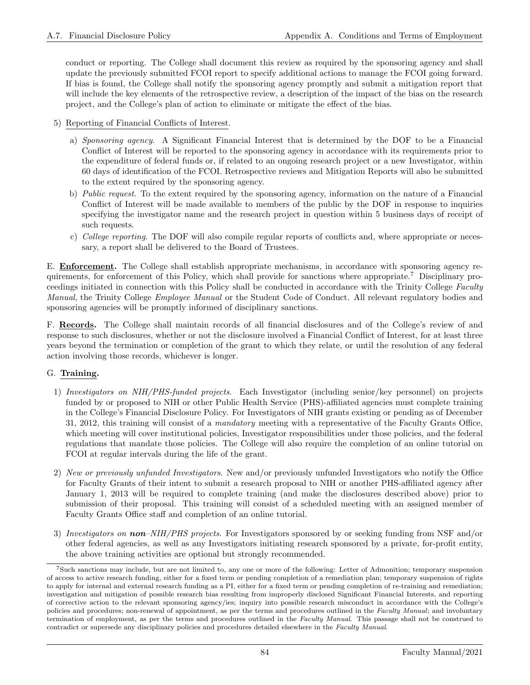conduct or reporting. The College shall document this review as required by the sponsoring agency and shall update the previously submitted FCOI report to specify additional actions to manage the FCOI going forward. If bias is found, the College shall notify the sponsoring agency promptly and submit a mitigation report that will include the key elements of the retrospective review, a description of the impact of the bias on the research project, and the College's plan of action to eliminate or mitigate the effect of the bias.

- 5) Reporting of Financial Conflicts of Interest.
	- a) Sponsoring agency. A Significant Financial Interest that is determined by the DOF to be a Financial Conflict of Interest will be reported to the sponsoring agency in accordance with its requirements prior to the expenditure of federal funds or, if related to an ongoing research project or a new Investigator, within 60 days of identification of the FCOI. Retrospective reviews and Mitigation Reports will also be submitted to the extent required by the sponsoring agency.
	- b) Public request. To the extent required by the sponsoring agency, information on the nature of a Financial Conflict of Interest will be made available to members of the public by the DOF in response to inquiries specifying the investigator name and the research project in question within 5 business days of receipt of such requests.
	- c) College reporting. The DOF will also compile regular reports of conflicts and, where appropriate or necessary, a report shall be delivered to the Board of Trustees.

E. Enforcement. The College shall establish appropriate mechanisms, in accordance with sponsoring agency requirements, for enforcement of this Policy, which shall provide for sanctions where appropriate.[7](#page-88-0) Disciplinary proceedings initiated in connection with this Policy shall be conducted in accordance with the Trinity College Faculty Manual, the Trinity College Employee Manual or the Student Code of Conduct. All relevant regulatory bodies and sponsoring agencies will be promptly informed of disciplinary sanctions.

F. Records. The College shall maintain records of all financial disclosures and of the College's review of and response to such disclosures, whether or not the disclosure involved a Financial Conflict of Interest, for at least three years beyond the termination or completion of the grant to which they relate, or until the resolution of any federal action involving those records, whichever is longer.

### G. Training.

- 1) Investigators on NIH/PHS-funded projects. Each Investigator (including senior/key personnel) on projects funded by or proposed to NIH or other Public Health Service (PHS)-affiliated agencies must complete training in the College's Financial Disclosure Policy. For Investigators of NIH grants existing or pending as of December 31, 2012, this training will consist of a mandatory meeting with a representative of the Faculty Grants Office, which meeting will cover institutional policies, Investigator responsibilities under those policies, and the federal regulations that mandate those policies. The College will also require the completion of an online tutorial on FCOI at regular intervals during the life of the grant.
- 2) New or previously unfunded Investigators. New and/or previously unfunded Investigators who notify the Office for Faculty Grants of their intent to submit a research proposal to NIH or another PHS-affiliated agency after January 1, 2013 will be required to complete training (and make the disclosures described above) prior to submission of their proposal. This training will consist of a scheduled meeting with an assigned member of Faculty Grants Office staff and completion of an online tutorial.
- 3) Investigators on non–NIH/PHS projects. For Investigators sponsored by or seeking funding from NSF and/or other federal agencies, as well as any Investigators initiating research sponsored by a private, for-profit entity, the above training activities are optional but strongly recommended.

<span id="page-88-0"></span><sup>7</sup>Such sanctions may include, but are not limited to, any one or more of the following: Letter of Admonition; temporary suspension of access to active research funding, either for a fixed term or pending completion of a remediation plan; temporary suspension of rights to apply for internal and external research funding as a PI, either for a fixed term or pending completion of re-training and remediation; investigation and mitigation of possible research bias resulting from improperly disclosed Significant Financial Interests, and reporting of corrective action to the relevant sponsoring agency/ies; inquiry into possible research misconduct in accordance with the College's policies and procedures; non-renewal of appointment, as per the terms and procedures outlined in the Faculty Manual; and involuntary termination of employment, as per the terms and procedures outlined in the Faculty Manual. This passage shall not be construed to contradict or supersede any disciplinary policies and procedures detailed elsewhere in the Faculty Manual.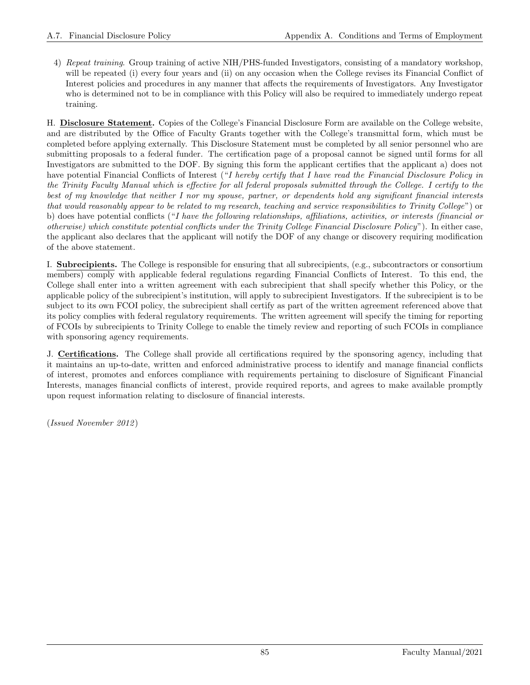4) Repeat training. Group training of active NIH/PHS-funded Investigators, consisting of a mandatory workshop, will be repeated (i) every four years and (ii) on any occasion when the College revises its Financial Conflict of Interest policies and procedures in any manner that affects the requirements of Investigators. Any Investigator who is determined not to be in compliance with this Policy will also be required to immediately undergo repeat training.

H. Disclosure Statement. Copies of the College's Financial Disclosure Form are available on the College website, and are distributed by the Office of Faculty Grants together with the College's transmittal form, which must be completed before applying externally. This Disclosure Statement must be completed by all senior personnel who are submitting proposals to a federal funder. The certification page of a proposal cannot be signed until forms for all Investigators are submitted to the DOF. By signing this form the applicant certifies that the applicant a) does not have potential Financial Conflicts of Interest ("I hereby certify that I have read the Financial Disclosure Policy in the Trinity Faculty Manual which is effective for all federal proposals submitted through the College. I certify to the best of my knowledge that neither I nor my spouse, partner, or dependents hold any significant financial interests that would reasonably appear to be related to my research, teaching and service responsibilities to Trinity College") or b) does have potential conflicts ("I have the following relationships, affiliations, activities, or interests (financial or otherwise) which constitute potential conflicts under the Trinity College Financial Disclosure Policy"). In either case, the applicant also declares that the applicant will notify the DOF of any change or discovery requiring modification of the above statement.

I. Subrecipients. The College is responsible for ensuring that all subrecipients, (e.g., subcontractors or consortium members) comply with applicable federal regulations regarding Financial Conflicts of Interest. To this end, the College shall enter into a written agreement with each subrecipient that shall specify whether this Policy, or the applicable policy of the subrecipient's institution, will apply to subrecipient Investigators. If the subrecipient is to be subject to its own FCOI policy, the subrecipient shall certify as part of the written agreement referenced above that its policy complies with federal regulatory requirements. The written agreement will specify the timing for reporting of FCOIs by subrecipients to Trinity College to enable the timely review and reporting of such FCOIs in compliance with sponsoring agency requirements.

J. Certifications. The College shall provide all certifications required by the sponsoring agency, including that it maintains an up-to-date, written and enforced administrative process to identify and manage financial conflicts of interest, promotes and enforces compliance with requirements pertaining to disclosure of Significant Financial Interests, manages financial conflicts of interest, provide required reports, and agrees to make available promptly upon request information relating to disclosure of financial interests.

(Issued November 2012 )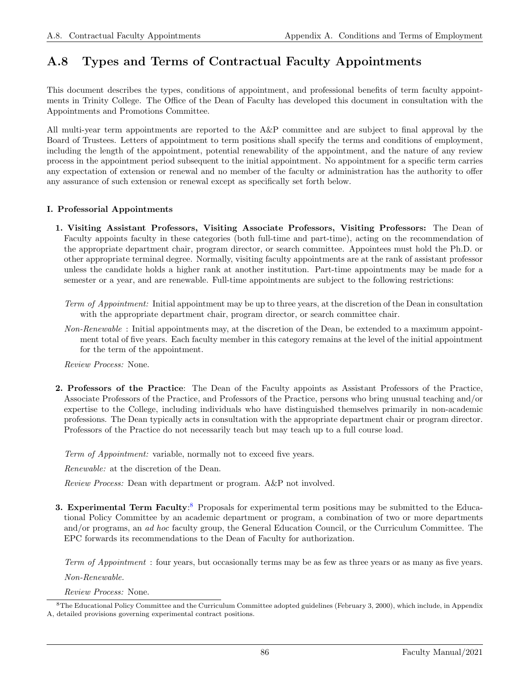# A.8 Types and Terms of Contractual Faculty Appointments

This document describes the types, conditions of appointment, and professional benefits of term faculty appointments in Trinity College. The Office of the Dean of Faculty has developed this document in consultation with the Appointments and Promotions Committee.

All multi-year term appointments are reported to the A&P committee and are subject to final approval by the Board of Trustees. Letters of appointment to term positions shall specify the terms and conditions of employment, including the length of the appointment, potential renewability of the appointment, and the nature of any review process in the appointment period subsequent to the initial appointment. No appointment for a specific term carries any expectation of extension or renewal and no member of the faculty or administration has the authority to offer any assurance of such extension or renewal except as specifically set forth below.

#### I. Professorial Appointments

- 1. Visiting Assistant Professors, Visiting Associate Professors, Visiting Professors: The Dean of Faculty appoints faculty in these categories (both full-time and part-time), acting on the recommendation of the appropriate department chair, program director, or search committee. Appointees must hold the Ph.D. or other appropriate terminal degree. Normally, visiting faculty appointments are at the rank of assistant professor unless the candidate holds a higher rank at another institution. Part-time appointments may be made for a semester or a year, and are renewable. Full-time appointments are subject to the following restrictions:
	- Term of Appointment: Initial appointment may be up to three years, at the discretion of the Dean in consultation with the appropriate department chair, program director, or search committee chair.
	- Non-Renewable : Initial appointments may, at the discretion of the Dean, be extended to a maximum appointment total of five years. Each faculty member in this category remains at the level of the initial appointment for the term of the appointment.

Review Process: None.

2. Professors of the Practice: The Dean of the Faculty appoints as Assistant Professors of the Practice, Associate Professors of the Practice, and Professors of the Practice, persons who bring unusual teaching and/or expertise to the College, including individuals who have distinguished themselves primarily in non-academic professions. The Dean typically acts in consultation with the appropriate department chair or program director. Professors of the Practice do not necessarily teach but may teach up to a full course load.

Term of Appointment: variable, normally not to exceed five years.

Renewable: at the discretion of the Dean.

Review Process: Dean with department or program. A&P not involved.

3. Experimental Term Faculty:<sup>[8](#page-90-0)</sup> Proposals for experimental term positions may be submitted to the Educational Policy Committee by an academic department or program, a combination of two or more departments and/or programs, an ad hoc faculty group, the General Education Council, or the Curriculum Committee. The EPC forwards its recommendations to the Dean of Faculty for authorization.

Term of Appointment : four years, but occasionally terms may be as few as three years or as many as five years.

Non-Renewable.

<span id="page-90-0"></span>Review Process: None.

<sup>8</sup>The Educational Policy Committee and the Curriculum Committee adopted guidelines (February 3, 2000), which include, in Appendix A, detailed provisions governing experimental contract positions.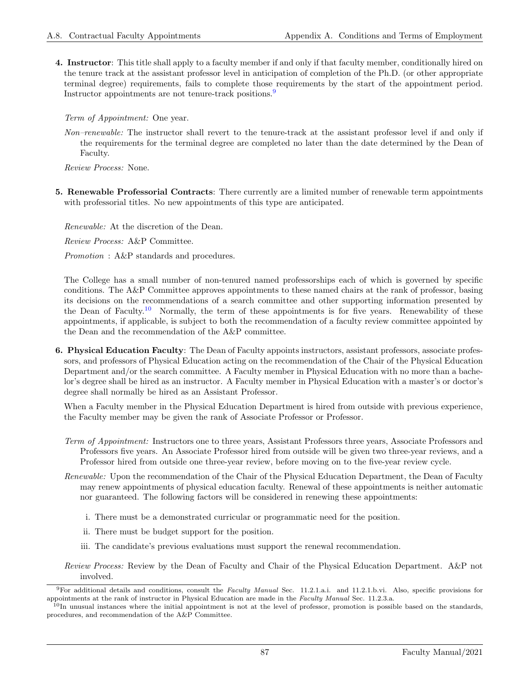4. Instructor: This title shall apply to a faculty member if and only if that faculty member, conditionally hired on the tenure track at the assistant professor level in anticipation of completion of the Ph.D. (or other appropriate terminal degree) requirements, fails to complete those requirements by the start of the appointment period. Instructor appointments are not tenure-track positions.<sup>[9](#page-91-0)</sup>

Term of Appointment: One year.

Non–renewable: The instructor shall revert to the tenure-track at the assistant professor level if and only if the requirements for the terminal degree are completed no later than the date determined by the Dean of Faculty.

Review Process: None.

5. Renewable Professorial Contracts: There currently are a limited number of renewable term appointments with professorial titles. No new appointments of this type are anticipated.

Renewable: At the discretion of the Dean.

Review Process: A&P Committee.

Promotion : A&P standards and procedures.

The College has a small number of non-tenured named professorships each of which is governed by specific conditions. The A&P Committee approves appointments to these named chairs at the rank of professor, basing its decisions on the recommendations of a search committee and other supporting information presented by the Dean of Faculty.<sup>[10](#page-91-1)</sup> Normally, the term of these appointments is for five years. Renewability of these appointments, if applicable, is subject to both the recommendation of a faculty review committee appointed by the Dean and the recommendation of the A&P committee.

6. Physical Education Faculty: The Dean of Faculty appoints instructors, assistant professors, associate professors, and professors of Physical Education acting on the recommendation of the Chair of the Physical Education Department and/or the search committee. A Faculty member in Physical Education with no more than a bachelor's degree shall be hired as an instructor. A Faculty member in Physical Education with a master's or doctor's degree shall normally be hired as an Assistant Professor.

When a Faculty member in the Physical Education Department is hired from outside with previous experience, the Faculty member may be given the rank of Associate Professor or Professor.

- Term of Appointment: Instructors one to three years, Assistant Professors three years, Associate Professors and Professors five years. An Associate Professor hired from outside will be given two three-year reviews, and a Professor hired from outside one three-year review, before moving on to the five-year review cycle.
- Renewable: Upon the recommendation of the Chair of the Physical Education Department, the Dean of Faculty may renew appointments of physical education faculty. Renewal of these appointments is neither automatic nor guaranteed. The following factors will be considered in renewing these appointments:
	- i. There must be a demonstrated curricular or programmatic need for the position.
	- ii. There must be budget support for the position.
	- iii. The candidate's previous evaluations must support the renewal recommendation.
- Review Process: Review by the Dean of Faculty and Chair of the Physical Education Department. A&P not involved.

<span id="page-91-0"></span> $9F$ or additional details and conditions, consult the Faculty Manual Sec. 11.2.1.a.i. and 11.2.1.b.vi. Also, specific provisions for appointments at the rank of instructor in Physical Education are made in the Faculty Manual Sec. 11.2.3.a.

<span id="page-91-1"></span><sup>&</sup>lt;sup>10</sup>In unusual instances where the initial appointment is not at the level of professor, promotion is possible based on the standards, procedures, and recommendation of the A&P Committee.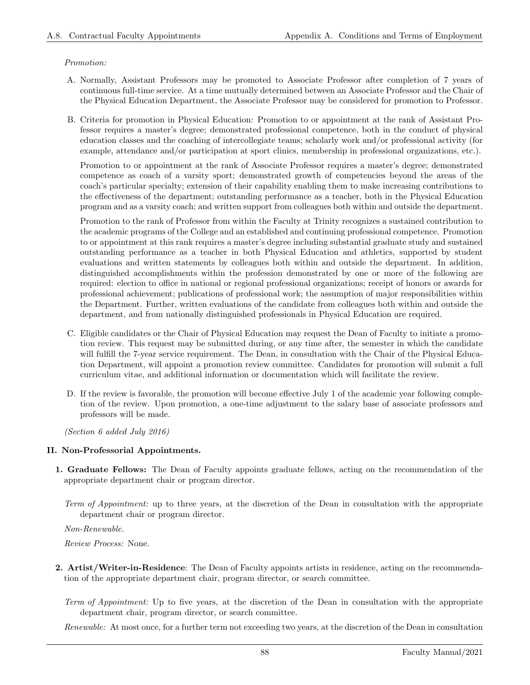#### Promotion:

- A. Normally, Assistant Professors may be promoted to Associate Professor after completion of 7 years of continuous full-time service. At a time mutually determined between an Associate Professor and the Chair of the Physical Education Department, the Associate Professor may be considered for promotion to Professor.
- B. Criteria for promotion in Physical Education: Promotion to or appointment at the rank of Assistant Professor requires a master's degree; demonstrated professional competence, both in the conduct of physical education classes and the coaching of intercollegiate teams; scholarly work and/or professional activity (for example, attendance and/or participation at sport clinics, membership in professional organizations, etc.).

Promotion to or appointment at the rank of Associate Professor requires a master's degree; demonstrated competence as coach of a varsity sport; demonstrated growth of competencies beyond the areas of the coach's particular specialty; extension of their capability enabling them to make increasing contributions to the effectiveness of the department; outstanding performance as a teacher, both in the Physical Education program and as a varsity coach; and written support from colleagues both within and outside the department.

Promotion to the rank of Professor from within the Faculty at Trinity recognizes a sustained contribution to the academic programs of the College and an established and continuing professional competence. Promotion to or appointment at this rank requires a master's degree including substantial graduate study and sustained outstanding performance as a teacher in both Physical Education and athletics, supported by student evaluations and written statements by colleagues both within and outside the department. In addition, distinguished accomplishments within the profession demonstrated by one or more of the following are required: election to office in national or regional professional organizations; receipt of honors or awards for professional achievement; publications of professional work; the assumption of major responsibilities within the Department. Further, written evaluations of the candidate from colleagues both within and outside the department, and from nationally distinguished professionals in Physical Education are required.

- C. Eligible candidates or the Chair of Physical Education may request the Dean of Faculty to initiate a promotion review. This request may be submitted during, or any time after, the semester in which the candidate will fulfill the 7-year service requirement. The Dean, in consultation with the Chair of the Physical Education Department, will appoint a promotion review committee. Candidates for promotion will submit a full curriculum vitae, and additional information or documentation which will facilitate the review.
- D. If the review is favorable, the promotion will become effective July 1 of the academic year following completion of the review. Upon promotion, a one-time adjustment to the salary base of associate professors and professors will be made.

(Section 6 added July 2016)

#### II. Non-Professorial Appointments.

- 1. Graduate Fellows: The Dean of Faculty appoints graduate fellows, acting on the recommendation of the appropriate department chair or program director.
	- Term of Appointment: up to three years, at the discretion of the Dean in consultation with the appropriate department chair or program director.

Non-Renewable.

Review Process: None.

- 2. Artist/Writer-in-Residence: The Dean of Faculty appoints artists in residence, acting on the recommendation of the appropriate department chair, program director, or search committee.
	- Term of Appointment: Up to five years, at the discretion of the Dean in consultation with the appropriate department chair, program director, or search committee.

Renewable: At most once, for a further term not exceeding two years, at the discretion of the Dean in consultation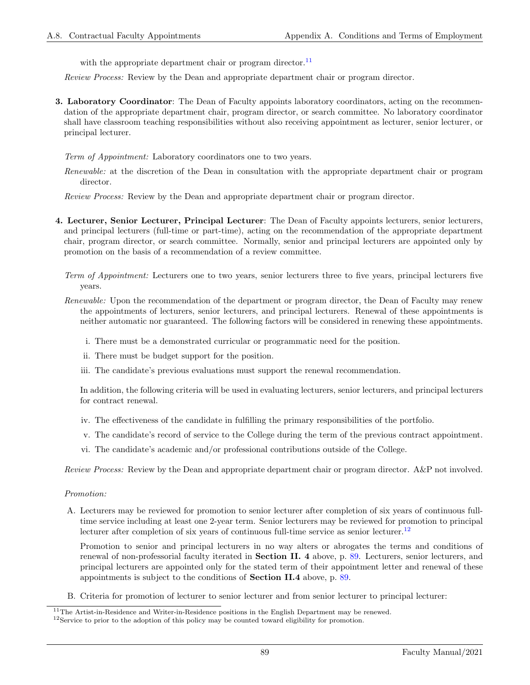with the appropriate department chair or program director.<sup>[11](#page-93-0)</sup>

Review Process: Review by the Dean and appropriate department chair or program director.

3. Laboratory Coordinator: The Dean of Faculty appoints laboratory coordinators, acting on the recommendation of the appropriate department chair, program director, or search committee. No laboratory coordinator shall have classroom teaching responsibilities without also receiving appointment as lecturer, senior lecturer, or principal lecturer.

Term of Appointment: Laboratory coordinators one to two years.

Renewable: at the discretion of the Dean in consultation with the appropriate department chair or program director.

Review Process: Review by the Dean and appropriate department chair or program director.

- <span id="page-93-2"></span>4. Lecturer, Senior Lecturer, Principal Lecturer: The Dean of Faculty appoints lecturers, senior lecturers, and principal lecturers (full-time or part-time), acting on the recommendation of the appropriate department chair, program director, or search committee. Normally, senior and principal lecturers are appointed only by promotion on the basis of a recommendation of a review committee.
	- Term of Appointment: Lecturers one to two years, senior lecturers three to five years, principal lecturers five years.
	- Renewable: Upon the recommendation of the department or program director, the Dean of Faculty may renew the appointments of lecturers, senior lecturers, and principal lecturers. Renewal of these appointments is neither automatic nor guaranteed. The following factors will be considered in renewing these appointments.
		- i. There must be a demonstrated curricular or programmatic need for the position.
		- ii. There must be budget support for the position.
		- iii. The candidate's previous evaluations must support the renewal recommendation.

In addition, the following criteria will be used in evaluating lecturers, senior lecturers, and principal lecturers for contract renewal.

- iv. The effectiveness of the candidate in fulfilling the primary responsibilities of the portfolio.
- v. The candidate's record of service to the College during the term of the previous contract appointment.
- vi. The candidate's academic and/or professional contributions outside of the College.

Review Process: Review by the Dean and appropriate department chair or program director. A&P not involved.

#### Promotion:

A. Lecturers may be reviewed for promotion to senior lecturer after completion of six years of continuous fulltime service including at least one 2-year term. Senior lecturers may be reviewed for promotion to principal lecturer after completion of six years of continuous full-time service as senior lecturer.<sup>[12](#page-93-1)</sup>

Promotion to senior and principal lecturers in no way alters or abrogates the terms and conditions of renewal of non-professorial faculty iterated in Section II. 4 above, p. [89.](#page-93-2) Lecturers, senior lecturers, and principal lecturers are appointed only for the stated term of their appointment letter and renewal of these appointments is subject to the conditions of Section II.4 above, p. [89.](#page-93-2)

B. Criteria for promotion of lecturer to senior lecturer and from senior lecturer to principal lecturer:

<span id="page-93-0"></span><sup>11</sup>The Artist-in-Residence and Writer-in-Residence positions in the English Department may be renewed.

<span id="page-93-1"></span><sup>12</sup>Service to prior to the adoption of this policy may be counted toward eligibility for promotion.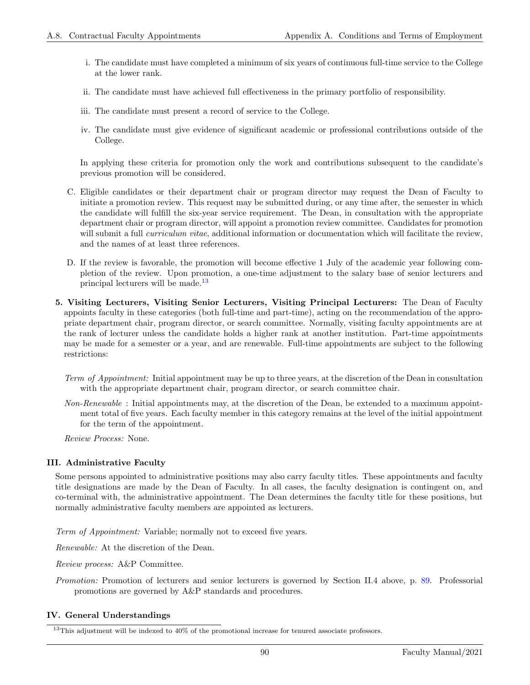- i. The candidate must have completed a minimum of six years of continuous full-time service to the College at the lower rank.
- ii. The candidate must have achieved full effectiveness in the primary portfolio of responsibility.
- iii. The candidate must present a record of service to the College.
- iv. The candidate must give evidence of significant academic or professional contributions outside of the College.

In applying these criteria for promotion only the work and contributions subsequent to the candidate's previous promotion will be considered.

- C. Eligible candidates or their department chair or program director may request the Dean of Faculty to initiate a promotion review. This request may be submitted during, or any time after, the semester in which the candidate will fulfill the six-year service requirement. The Dean, in consultation with the appropriate department chair or program director, will appoint a promotion review committee. Candidates for promotion will submit a full *curriculum vitae*, additional information or documentation which will facilitate the review, and the names of at least three references.
- D. If the review is favorable, the promotion will become effective 1 July of the academic year following completion of the review. Upon promotion, a one-time adjustment to the salary base of senior lecturers and principal lecturers will be made.<sup>[13](#page-94-0)</sup>
- 5. Visiting Lecturers, Visiting Senior Lecturers, Visiting Principal Lecturers: The Dean of Faculty appoints faculty in these categories (both full-time and part-time), acting on the recommendation of the appropriate department chair, program director, or search committee. Normally, visiting faculty appointments are at the rank of lecturer unless the candidate holds a higher rank at another institution. Part-time appointments may be made for a semester or a year, and are renewable. Full-time appointments are subject to the following restrictions:
	- Term of Appointment: Initial appointment may be up to three years, at the discretion of the Dean in consultation with the appropriate department chair, program director, or search committee chair.
	- Non-Renewable : Initial appointments may, at the discretion of the Dean, be extended to a maximum appointment total of five years. Each faculty member in this category remains at the level of the initial appointment for the term of the appointment.

Review Process: None.

#### III. Administrative Faculty

Some persons appointed to administrative positions may also carry faculty titles. These appointments and faculty title designations are made by the Dean of Faculty. In all cases, the faculty designation is contingent on, and co-terminal with, the administrative appointment. The Dean determines the faculty title for these positions, but normally administrative faculty members are appointed as lecturers.

Term of Appointment: Variable; normally not to exceed five years.

Renewable: At the discretion of the Dean.

Review process: A&P Committee.

Promotion: Promotion of lecturers and senior lecturers is governed by Section II.4 above, p. [89.](#page-93-2) Professorial promotions are governed by A&P standards and procedures.

#### IV. General Understandings

<span id="page-94-0"></span><sup>&</sup>lt;sup>13</sup>This adjustment will be indexed to 40% of the promotional increase for tenured associate professors.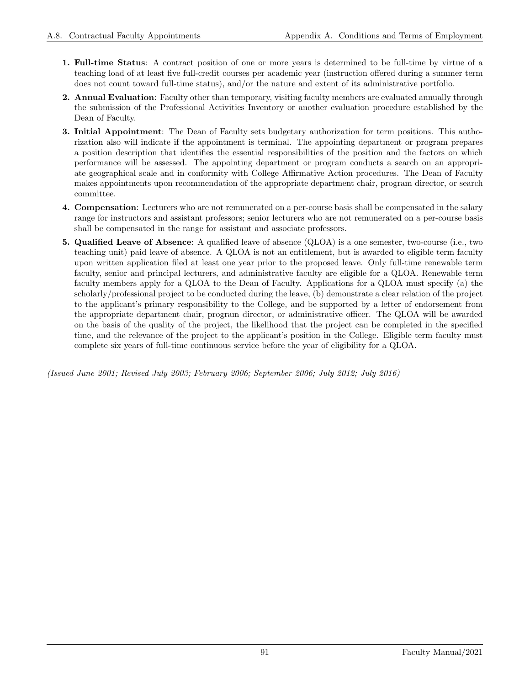- 1. Full-time Status: A contract position of one or more years is determined to be full-time by virtue of a teaching load of at least five full-credit courses per academic year (instruction offered during a summer term does not count toward full-time status), and/or the nature and extent of its administrative portfolio.
- 2. Annual Evaluation: Faculty other than temporary, visiting faculty members are evaluated annually through the submission of the Professional Activities Inventory or another evaluation procedure established by the Dean of Faculty.
- 3. Initial Appointment: The Dean of Faculty sets budgetary authorization for term positions. This authorization also will indicate if the appointment is terminal. The appointing department or program prepares a position description that identifies the essential responsibilities of the position and the factors on which performance will be assessed. The appointing department or program conducts a search on an appropriate geographical scale and in conformity with College Affirmative Action procedures. The Dean of Faculty makes appointments upon recommendation of the appropriate department chair, program director, or search committee.
- 4. Compensation: Lecturers who are not remunerated on a per-course basis shall be compensated in the salary range for instructors and assistant professors; senior lecturers who are not remunerated on a per-course basis shall be compensated in the range for assistant and associate professors.
- 5. Qualified Leave of Absence: A qualified leave of absence (QLOA) is a one semester, two-course (i.e., two teaching unit) paid leave of absence. A QLOA is not an entitlement, but is awarded to eligible term faculty upon written application filed at least one year prior to the proposed leave. Only full-time renewable term faculty, senior and principal lecturers, and administrative faculty are eligible for a QLOA. Renewable term faculty members apply for a QLOA to the Dean of Faculty. Applications for a QLOA must specify (a) the scholarly/professional project to be conducted during the leave, (b) demonstrate a clear relation of the project to the applicant's primary responsibility to the College, and be supported by a letter of endorsement from the appropriate department chair, program director, or administrative officer. The QLOA will be awarded on the basis of the quality of the project, the likelihood that the project can be completed in the specified time, and the relevance of the project to the applicant's position in the College. Eligible term faculty must complete six years of full-time continuous service before the year of eligibility for a QLOA.

(Issued June 2001; Revised July 2003; February 2006; September 2006; July 2012; July 2016)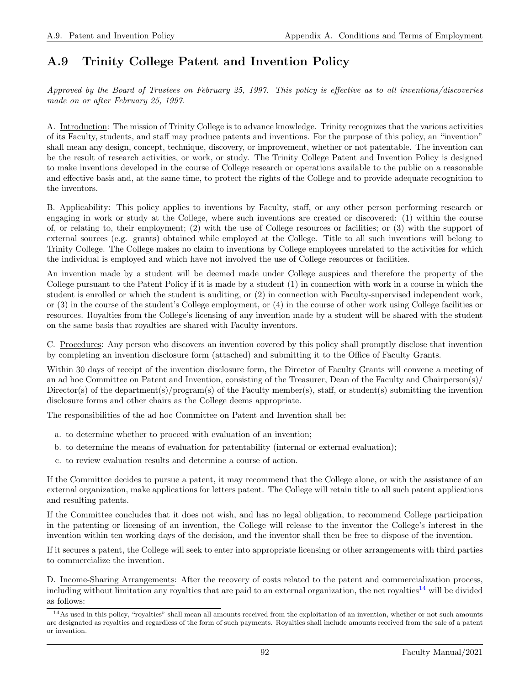# A.9 Trinity College Patent and Invention Policy

Approved by the Board of Trustees on February 25, 1997. This policy is effective as to all inventions/discoveries made on or after February 25, 1997.

A. Introduction: The mission of Trinity College is to advance knowledge. Trinity recognizes that the various activities of its Faculty, students, and staff may produce patents and inventions. For the purpose of this policy, an "invention" shall mean any design, concept, technique, discovery, or improvement, whether or not patentable. The invention can be the result of research activities, or work, or study. The Trinity College Patent and Invention Policy is designed to make inventions developed in the course of College research or operations available to the public on a reasonable and effective basis and, at the same time, to protect the rights of the College and to provide adequate recognition to the inventors.

B. Applicability: This policy applies to inventions by Faculty, staff, or any other person performing research or engaging in work or study at the College, where such inventions are created or discovered: (1) within the course of, or relating to, their employment; (2) with the use of College resources or facilities; or (3) with the support of external sources (e.g. grants) obtained while employed at the College. Title to all such inventions will belong to Trinity College. The College makes no claim to inventions by College employees unrelated to the activities for which the individual is employed and which have not involved the use of College resources or facilities.

An invention made by a student will be deemed made under College auspices and therefore the property of the College pursuant to the Patent Policy if it is made by a student (1) in connection with work in a course in which the student is enrolled or which the student is auditing, or (2) in connection with Faculty-supervised independent work, or (3) in the course of the student's College employment, or (4) in the course of other work using College facilities or resources. Royalties from the College's licensing of any invention made by a student will be shared with the student on the same basis that royalties are shared with Faculty inventors.

C. Procedures: Any person who discovers an invention covered by this policy shall promptly disclose that invention by completing an invention disclosure form (attached) and submitting it to the Office of Faculty Grants.

Within 30 days of receipt of the invention disclosure form, the Director of Faculty Grants will convene a meeting of an ad hoc Committee on Patent and Invention, consisting of the Treasurer, Dean of the Faculty and Chairperson(s)/ Director(s) of the department(s)/program(s) of the Faculty member(s), staff, or student(s) submitting the invention disclosure forms and other chairs as the College deems appropriate.

The responsibilities of the ad hoc Committee on Patent and Invention shall be:

- a. to determine whether to proceed with evaluation of an invention;
- b. to determine the means of evaluation for patentability (internal or external evaluation);
- c. to review evaluation results and determine a course of action.

If the Committee decides to pursue a patent, it may recommend that the College alone, or with the assistance of an external organization, make applications for letters patent. The College will retain title to all such patent applications and resulting patents.

If the Committee concludes that it does not wish, and has no legal obligation, to recommend College participation in the patenting or licensing of an invention, the College will release to the inventor the College's interest in the invention within ten working days of the decision, and the inventor shall then be free to dispose of the invention.

If it secures a patent, the College will seek to enter into appropriate licensing or other arrangements with third parties to commercialize the invention.

D. Income-Sharing Arrangements: After the recovery of costs related to the patent and commercialization process, including without limitation any royalties that are paid to an external organization, the net royalties<sup>[14](#page-96-0)</sup> will be divided as follows:

<span id="page-96-0"></span><sup>&</sup>lt;sup>14</sup>As used in this policy, "royalties" shall mean all amounts received from the exploitation of an invention, whether or not such amounts are designated as royalties and regardless of the form of such payments. Royalties shall include amounts received from the sale of a patent or invention.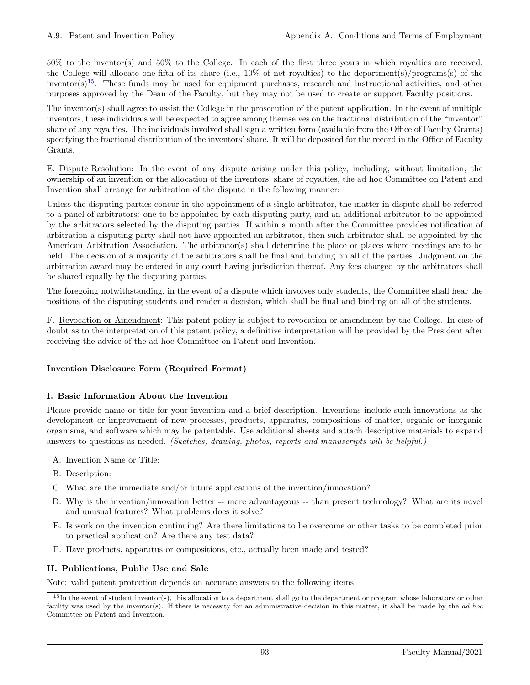50% to the inventor(s) and 50% to the College. In each of the first three years in which royalties are received, the College will allocate one-fifth of its share (i.e.,  $10\%$  of net royalties) to the department(s)/programs(s) of the inventor $(s)^{15}$  $(s)^{15}$  $(s)^{15}$ . These funds may be used for equipment purchases, research and instructional activities, and other purposes approved by the Dean of the Faculty, but they may not be used to create or support Faculty positions.

The inventor(s) shall agree to assist the College in the prosecution of the patent application. In the event of multiple inventors, these individuals will be expected to agree among themselves on the fractional distribution of the "inventor" share of any royalties. The individuals involved shall sign a written form (available from the Office of Faculty Grants) specifying the fractional distribution of the inventors' share. It will be deposited for the record in the Office of Faculty Grants.

E. Dispute Resolution: In the event of any dispute arising under this policy, including, without limitation, the ownership of an invention or the allocation of the inventors' share of royalties, the ad hoc Committee on Patent and Invention shall arrange for arbitration of the dispute in the following manner:

Unless the disputing parties concur in the appointment of a single arbitrator, the matter in dispute shall be referred to a panel of arbitrators: one to be appointed by each disputing party, and an additional arbitrator to be appointed by the arbitrators selected by the disputing parties. If within a month after the Committee provides notification of arbitration a disputing party shall not have appointed an arbitrator, then such arbitrator shall be appointed by the American Arbitration Association. The arbitrator(s) shall determine the place or places where meetings are to be held. The decision of a majority of the arbitrators shall be final and binding on all of the parties. Judgment on the arbitration award may be entered in any court having jurisdiction thereof. Any fees charged by the arbitrators shall be shared equally by the disputing parties.

The foregoing notwithstanding, in the event of a dispute which involves only students, the Committee shall hear the positions of the disputing students and render a decision, which shall be final and binding on all of the students.

F. Revocation or Amendment: This patent policy is subject to revocation or amendment by the College. In case of doubt as to the interpretation of this patent policy, a definitive interpretation will be provided by the President after receiving the advice of the ad hoc Committee on Patent and Invention.

#### Invention Disclosure Form (Required Format)

#### I. Basic Information About the Invention

Please provide name or title for your invention and a brief description. Inventions include such innovations as the development or improvement of new processes, products, apparatus, compositions of matter, organic or inorganic organisms, and software which may be patentable. Use additional sheets and attach descriptive materials to expand answers to questions as needed. (Sketches, drawing, photos, reports and manuscripts will be helpful.)

- A. Invention Name or Title:
- B. Description:
- C. What are the immediate and/or future applications of the invention/innovation?
- D. Why is the invention/innovation better -- more advantageous -- than present technology? What are its novel and unusual features? What problems does it solve?
- E. Is work on the invention continuing? Are there limitations to be overcome or other tasks to be completed prior to practical application? Are there any test data?
- F. Have products, apparatus or compositions, etc., actually been made and tested?

#### II. Publications, Public Use and Sale

Note: valid patent protection depends on accurate answers to the following items:

<span id="page-97-0"></span><sup>&</sup>lt;sup>15</sup>In the event of student inventor(s), this allocation to a department shall go to the department or program whose laboratory or other facility was used by the inventor(s). If there is necessity for an administrative decision in this matter, it shall be made by the ad hoc Committee on Patent and Invention.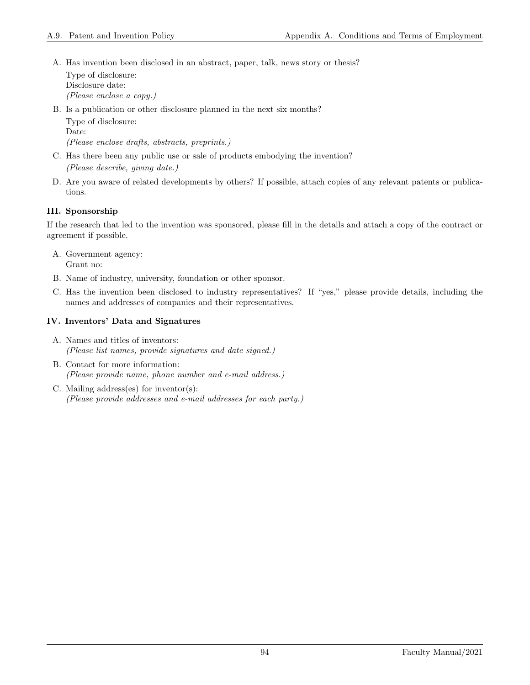A. Has invention been disclosed in an abstract, paper, talk, news story or thesis?

Type of disclosure: Disclosure date: (Please enclose a copy.)

- B. Is a publication or other disclosure planned in the next six months? Type of disclosure: Date: (Please enclose drafts, abstracts, preprints.)
- C. Has there been any public use or sale of products embodying the invention? (Please describe, giving date.)
- D. Are you aware of related developments by others? If possible, attach copies of any relevant patents or publications.

## III. Sponsorship

If the research that led to the invention was sponsored, please fill in the details and attach a copy of the contract or agreement if possible.

- A. Government agency: Grant no:
- B. Name of industry, university, foundation or other sponsor.
- C. Has the invention been disclosed to industry representatives? If "yes," please provide details, including the names and addresses of companies and their representatives.

### IV. Inventors' Data and Signatures

- A. Names and titles of inventors: (Please list names, provide signatures and date signed.)
- B. Contact for more information: (Please provide name, phone number and e-mail address.)
- C. Mailing address(es) for inventor(s): (Please provide addresses and e-mail addresses for each party.)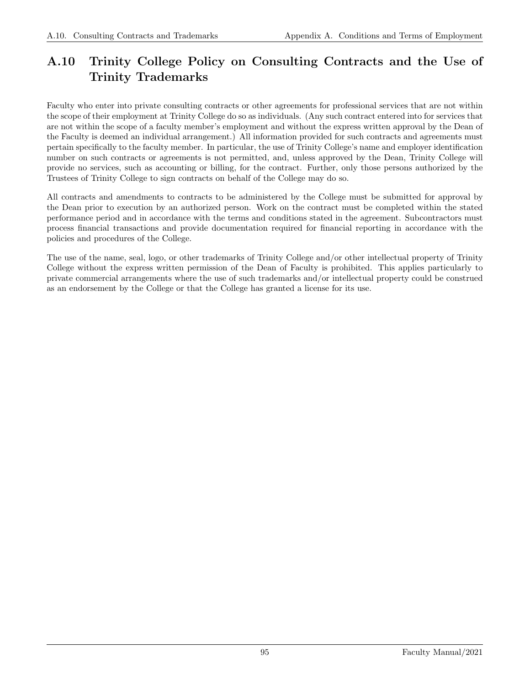# A.10 Trinity College Policy on Consulting Contracts and the Use of Trinity Trademarks

Faculty who enter into private consulting contracts or other agreements for professional services that are not within the scope of their employment at Trinity College do so as individuals. (Any such contract entered into for services that are not within the scope of a faculty member's employment and without the express written approval by the Dean of the Faculty is deemed an individual arrangement.) All information provided for such contracts and agreements must pertain specifically to the faculty member. In particular, the use of Trinity College's name and employer identification number on such contracts or agreements is not permitted, and, unless approved by the Dean, Trinity College will provide no services, such as accounting or billing, for the contract. Further, only those persons authorized by the Trustees of Trinity College to sign contracts on behalf of the College may do so.

All contracts and amendments to contracts to be administered by the College must be submitted for approval by the Dean prior to execution by an authorized person. Work on the contract must be completed within the stated performance period and in accordance with the terms and conditions stated in the agreement. Subcontractors must process financial transactions and provide documentation required for financial reporting in accordance with the policies and procedures of the College.

The use of the name, seal, logo, or other trademarks of Trinity College and/or other intellectual property of Trinity College without the express written permission of the Dean of Faculty is prohibited. This applies particularly to private commercial arrangements where the use of such trademarks and/or intellectual property could be construed as an endorsement by the College or that the College has granted a license for its use.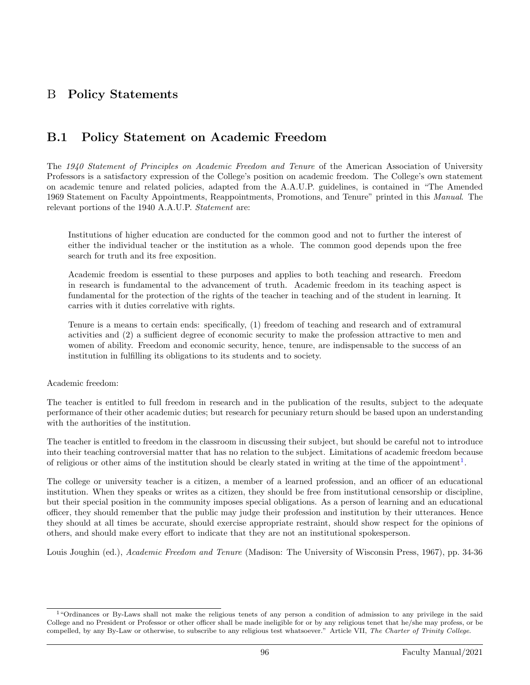## B Policy Statements

## B.1 Policy Statement on Academic Freedom

The 1940 Statement of Principles on Academic Freedom and Tenure of the American Association of University Professors is a satisfactory expression of the College's position on academic freedom. The College's own statement on academic tenure and related policies, adapted from the A.A.U.P. guidelines, is contained in "The Amended 1969 Statement on Faculty Appointments, Reappointments, Promotions, and Tenure" printed in this Manual. The relevant portions of the 1940 A.A.U.P. Statement are:

Institutions of higher education are conducted for the common good and not to further the interest of either the individual teacher or the institution as a whole. The common good depends upon the free search for truth and its free exposition.

Academic freedom is essential to these purposes and applies to both teaching and research. Freedom in research is fundamental to the advancement of truth. Academic freedom in its teaching aspect is fundamental for the protection of the rights of the teacher in teaching and of the student in learning. It carries with it duties correlative with rights.

Tenure is a means to certain ends: specifically, (1) freedom of teaching and research and of extramural activities and (2) a sufficient degree of economic security to make the profession attractive to men and women of ability. Freedom and economic security, hence, tenure, are indispensable to the success of an institution in fulfilling its obligations to its students and to society.

#### Academic freedom:

The teacher is entitled to full freedom in research and in the publication of the results, subject to the adequate performance of their other academic duties; but research for pecuniary return should be based upon an understanding with the authorities of the institution.

The teacher is entitled to freedom in the classroom in discussing their subject, but should be careful not to introduce into their teaching controversial matter that has no relation to the subject. Limitations of academic freedom because of religious or other aims of the institution should be clearly stated in writing at the time of the appointment<sup>[1](#page-100-0)</sup>.

The college or university teacher is a citizen, a member of a learned profession, and an officer of an educational institution. When they speaks or writes as a citizen, they should be free from institutional censorship or discipline, but their special position in the community imposes special obligations. As a person of learning and an educational officer, they should remember that the public may judge their profession and institution by their utterances. Hence they should at all times be accurate, should exercise appropriate restraint, should show respect for the opinions of others, and should make every effort to indicate that they are not an institutional spokesperson.

Louis Joughin (ed.), Academic Freedom and Tenure (Madison: The University of Wisconsin Press, 1967), pp. 34-36

<span id="page-100-0"></span><sup>&</sup>lt;sup>1</sup>"Ordinances or By-Laws shall not make the religious tenets of any person a condition of admission to any privilege in the said College and no President or Professor or other officer shall be made ineligible for or by any religious tenet that he/she may profess, or be compelled, by any By-Law or otherwise, to subscribe to any religious test whatsoever." Article VII, The Charter of Trinity College.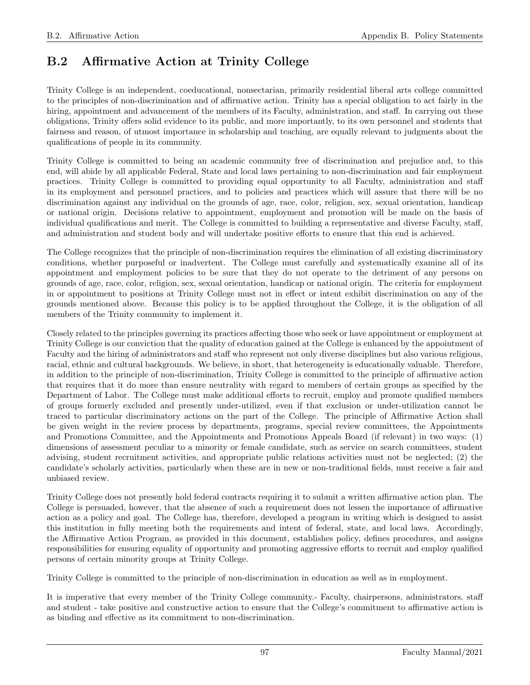# B.2 Affirmative Action at Trinity College

Trinity College is an independent, coeducational, nonsectarian, primarily residential liberal arts college committed to the principles of non-discrimination and of affirmative action. Trinity has a special obligation to act fairly in the hiring, appointment and advancement of the members of its Faculty, administration, and staff. In carrying out these obligations, Trinity offers solid evidence to its public, and more importantly, to its own personnel and students that fairness and reason, of utmost importance in scholarship and teaching, are equally relevant to judgments about the qualifications of people in its community.

Trinity College is committed to being an academic community free of discrimination and prejudice and, to this end, will abide by all applicable Federal, State and local laws pertaining to non-discrimination and fair employment practices. Trinity College is committed to providing equal opportunity to all Faculty, administration and staff in its employment and personnel practices, and to policies and practices which will assure that there will be no discrimination against any individual on the grounds of age, race, color, religion, sex, sexual orientation, handicap or national origin. Decisions relative to appointment, employment and promotion will be made on the basis of individual qualifications and merit. The College is committed to building a representative and diverse Faculty, staff, and administration and student body and will undertake positive efforts to ensure that this end is achieved.

The College recognizes that the principle of non-discrimination requires the elimination of all existing discriminatory conditions, whether purposeful or inadvertent. The College must carefully and systematically examine all of its appointment and employment policies to be sure that they do not operate to the detriment of any persons on grounds of age, race, color, religion, sex, sexual orientation, handicap or national origin. The criteria for employment in or appointment to positions at Trinity College must not in effect or intent exhibit discrimination on any of the grounds mentioned above. Because this policy is to be applied throughout the College, it is the obligation of all members of the Trinity community to implement it.

Closely related to the principles governing its practices affecting those who seek or have appointment or employment at Trinity College is our conviction that the quality of education gained at the College is enhanced by the appointment of Faculty and the hiring of administrators and staff who represent not only diverse disciplines but also various religious, racial, ethnic and cultural backgrounds. We believe, in short, that heterogeneity is educationally valuable. Therefore, in addition to the principle of non-discrimination, Trinity College is committed to the principle of affirmative action that requires that it do more than ensure neutrality with regard to members of certain groups as specified by the Department of Labor. The College must make additional efforts to recruit, employ and promote qualified members of groups formerly excluded and presently under-utilized, even if that exclusion or under-utilization cannot be traced to particular discriminatory actions on the part of the College. The principle of Affirmative Action shall be given weight in the review process by departments, programs, special review committees, the Appointments and Promotions Committee, and the Appointments and Promotions Appeals Board (if relevant) in two ways: (1) dimensions of assessment peculiar to a minority or female candidate, such as service on search committees, student advising, student recruitment activities, and appropriate public relations activities must not be neglected; (2) the candidate's scholarly activities, particularly when these are in new or non-traditional fields, must receive a fair and unbiased review.

Trinity College does not presently hold federal contracts requiring it to submit a written affirmative action plan. The College is persuaded, however, that the absence of such a requirement does not lessen the importance of affirmative action as a policy and goal. The College has, therefore, developed a program in writing which is designed to assist this institution in fully meeting both the requirements and intent of federal, state, and local laws. Accordingly, the Affirmative Action Program, as provided in this document, establishes policy, defines procedures, and assigns responsibilities for ensuring equality of opportunity and promoting aggressive efforts to recruit and employ qualified persons of certain minority groups at Trinity College.

Trinity College is committed to the principle of non-discrimination in education as well as in employment.

It is imperative that every member of the Trinity College community.- Faculty, chairpersons, administrators, staff and student - take positive and constructive action to ensure that the College's commitment to affirmative action is as binding and effective as its commitment to non-discrimination.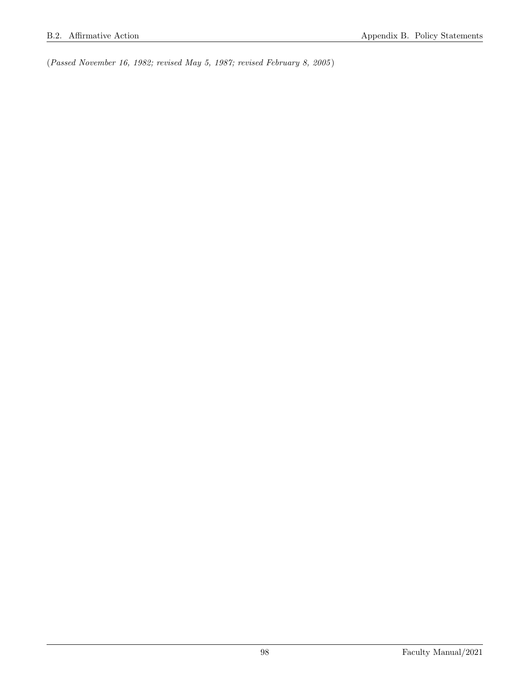(Passed November 16, 1982; revised May 5, 1987; revised February 8, 2005 )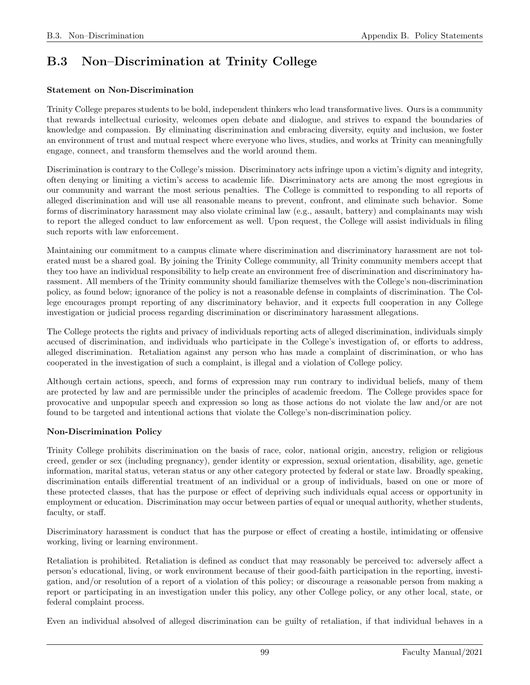# B.3 Non–Discrimination at Trinity College

#### Statement on Non-Discrimination

Trinity College prepares students to be bold, independent thinkers who lead transformative lives. Ours is a community that rewards intellectual curiosity, welcomes open debate and dialogue, and strives to expand the boundaries of knowledge and compassion. By eliminating discrimination and embracing diversity, equity and inclusion, we foster an environment of trust and mutual respect where everyone who lives, studies, and works at Trinity can meaningfully engage, connect, and transform themselves and the world around them.

Discrimination is contrary to the College's mission. Discriminatory acts infringe upon a victim's dignity and integrity, often denying or limiting a victim's access to academic life. Discriminatory acts are among the most egregious in our community and warrant the most serious penalties. The College is committed to responding to all reports of alleged discrimination and will use all reasonable means to prevent, confront, and eliminate such behavior. Some forms of discriminatory harassment may also violate criminal law (e.g., assault, battery) and complainants may wish to report the alleged conduct to law enforcement as well. Upon request, the College will assist individuals in filing such reports with law enforcement.

Maintaining our commitment to a campus climate where discrimination and discriminatory harassment are not tolerated must be a shared goal. By joining the Trinity College community, all Trinity community members accept that they too have an individual responsibility to help create an environment free of discrimination and discriminatory harassment. All members of the Trinity community should familiarize themselves with the College's non-discrimination policy, as found below; ignorance of the policy is not a reasonable defense in complaints of discrimination. The College encourages prompt reporting of any discriminatory behavior, and it expects full cooperation in any College investigation or judicial process regarding discrimination or discriminatory harassment allegations.

The College protects the rights and privacy of individuals reporting acts of alleged discrimination, individuals simply accused of discrimination, and individuals who participate in the College's investigation of, or efforts to address, alleged discrimination. Retaliation against any person who has made a complaint of discrimination, or who has cooperated in the investigation of such a complaint, is illegal and a violation of College policy.

Although certain actions, speech, and forms of expression may run contrary to individual beliefs, many of them are protected by law and are permissible under the principles of academic freedom. The College provides space for provocative and unpopular speech and expression so long as those actions do not violate the law and/or are not found to be targeted and intentional actions that violate the College's non-discrimination policy.

#### Non-Discrimination Policy

Trinity College prohibits discrimination on the basis of race, color, national origin, ancestry, religion or religious creed, gender or sex (including pregnancy), gender identity or expression, sexual orientation, disability, age, genetic information, marital status, veteran status or any other category protected by federal or state law. Broadly speaking, discrimination entails differential treatment of an individual or a group of individuals, based on one or more of these protected classes, that has the purpose or effect of depriving such individuals equal access or opportunity in employment or education. Discrimination may occur between parties of equal or unequal authority, whether students, faculty, or staff.

Discriminatory harassment is conduct that has the purpose or effect of creating a hostile, intimidating or offensive working, living or learning environment.

Retaliation is prohibited. Retaliation is defined as conduct that may reasonably be perceived to: adversely affect a person's educational, living, or work environment because of their good-faith participation in the reporting, investigation, and/or resolution of a report of a violation of this policy; or discourage a reasonable person from making a report or participating in an investigation under this policy, any other College policy, or any other local, state, or federal complaint process.

Even an individual absolved of alleged discrimination can be guilty of retaliation, if that individual behaves in a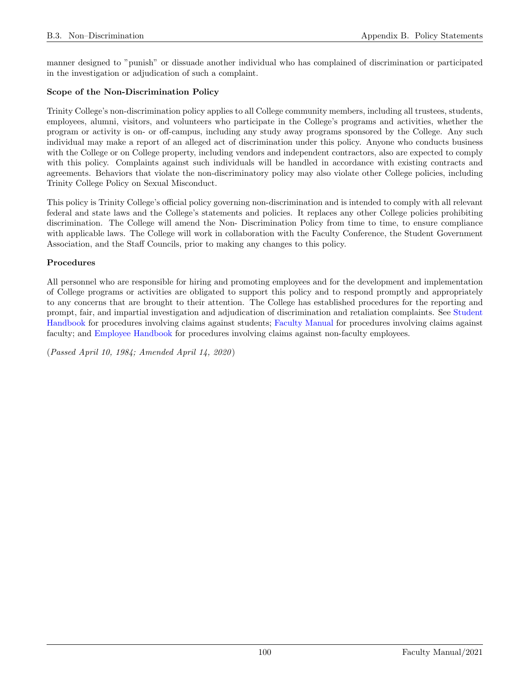manner designed to "punish" or dissuade another individual who has complained of discrimination or participated in the investigation or adjudication of such a complaint.

### Scope of the Non-Discrimination Policy

Trinity College's non-discrimination policy applies to all College community members, including all trustees, students, employees, alumni, visitors, and volunteers who participate in the College's programs and activities, whether the program or activity is on- or off-campus, including any study away programs sponsored by the College. Any such individual may make a report of an alleged act of discrimination under this policy. Anyone who conducts business with the College or on College property, including vendors and independent contractors, also are expected to comply with this policy. Complaints against such individuals will be handled in accordance with existing contracts and agreements. Behaviors that violate the non-discriminatory policy may also violate other College policies, including Trinity College Policy on Sexual Misconduct.

This policy is Trinity College's official policy governing non-discrimination and is intended to comply with all relevant federal and state laws and the College's statements and policies. It replaces any other College policies prohibiting discrimination. The College will amend the Non- Discrimination Policy from time to time, to ensure compliance with applicable laws. The College will work in collaboration with the Faculty Conference, the Student Government Association, and the Staff Councils, prior to making any changes to this policy.

#### Procedures

All personnel who are responsible for hiring and promoting employees and for the development and implementation of College programs or activities are obligated to support this policy and to respond promptly and appropriately to any concerns that are brought to their attention. The College has established procedures for the reporting and prompt, fair, and impartial investigation and adjudication of discrimination and retaliation complaints. See [Student](https://www.trincoll.edu/SiteCollectionDocuments/StudentHandbook.pdf) [Handbook](https://www.trincoll.edu/SiteCollectionDocuments/StudentHandbook.pdf) for procedures involving claims against students; [Faculty Manual](https://internet3.trincoll.edu/FacMan/FacultyManual.pdf) for procedures involving claims against faculty; and [Employee Handbook](https://internet2.trincoll.edu/docs/emplHandbook/hrHandbook.html) for procedures involving claims against non-faculty employees.

(Passed April 10, 1984; Amended April 14, 2020 )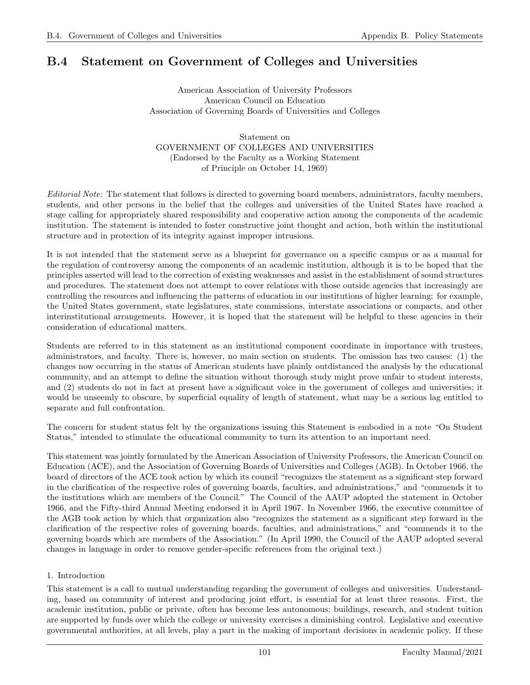## B.4 Statement on Government of Colleges and Universities

American Association of University Professors American Council on Education Association of Governing Boards of Universities and Colleges

Statement on GOVERNMENT OF COLLEGES AND UNIVERSITIES (Endorsed by the Faculty as a Working Statement of Principle on October 14, 1969)

Editorial Note: The statement that follows is directed to governing board members, administrators, faculty members, students, and other persons in the belief that the colleges and universities of the United States have reached a stage calling for appropriately shared responsibility and cooperative action among the components of the academic institution. The statement is intended to foster constructive joint thought and action, both within the institutional structure and in protection of its integrity against improper intrusions.

It is not intended that the statement serve as a blueprint for governance on a specific campus or as a manual for the regulation of controversy among the components of an academic institution, although it is to be hoped that the principles asserted will lead to the correction of existing weaknesses and assist in the establishment of sound structures and procedures. The statement does not attempt to cover relations with those outside agencies that increasingly are controlling the resources and influencing the patterns of education in our institutions of higher learning: for example, the United States government, state legislatures, state commissions, interstate associations or compacts, and other interinstitutional arrangements. However, it is hoped that the statement will be helpful to these agencies in their consideration of educational matters.

Students are referred to in this statement as an institutional component coordinate in importance with trustees, administrators, and faculty. There is, however, no main section on students. The omission has two causes: (1) the changes now occurring in the status of American students have plainly outdistanced the analysis by the educational community, and an attempt to define the situation without thorough study might prove unfair to student interests, and (2) students do not in fact at present have a significant voice in the government of colleges and universities; it would be unseemly to obscure, by superficial equality of length of statement, what may be a serious lag entitled to separate and full confrontation.

The concern for student status felt by the organizations issuing this Statement is embodied in a note "On Student Status," intended to stimulate the educational community to turn its attention to an important need.

This statement was jointly formulated by the American Association of University Professors, the American Council on Education (ACE), and the Association of Governing Boards of Universities and Colleges (AGB). In October 1966, the board of directors of the ACE took action by which its council "recognizes the statement as a significant step forward in the clarification of the respective roles of governing boards, faculties, and administrations," and "commends it to the institutions which are members of the Council." The Council of the AAUP adopted the statement in October 1966, and the Fifty-third Annual Meeting endorsed it in April 1967. In November 1966, the executive committee of the AGB took action by which that organization also "recognizes the statement as a significant step forward in the clarification of the respective roles of governing boards, faculties, and administrations," and "commends it to the governing boards which are members of the Association." (In April 1990, the Council of the AAUP adopted several changes in language in order to remove gender-specific references from the original text.)

#### 1. Introduction

This statement is a call to mutual understanding regarding the government of colleges and universities. Understanding, based on community of interest and producing joint effort, is essential for at least three reasons. First, the academic institution, public or private, often has become less autonomous; buildings, research, and student tuition are supported by funds over which the college or university exercises a diminishing control. Legislative and executive governmental authorities, at all levels, play a part in the making of important decisions in academic policy. If these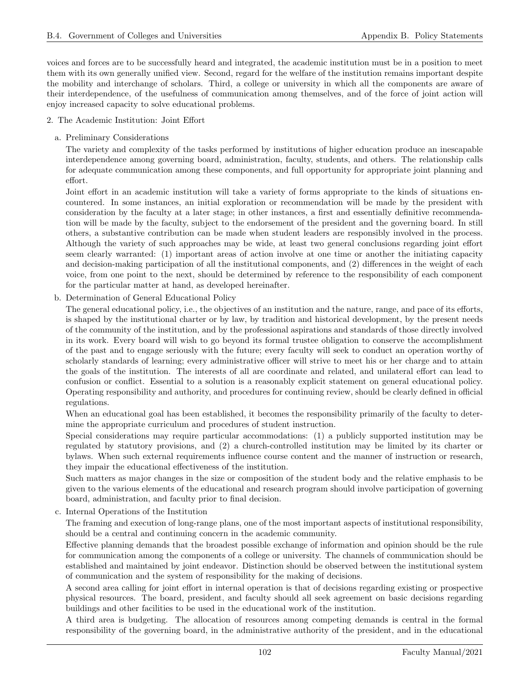voices and forces are to be successfully heard and integrated, the academic institution must be in a position to meet them with its own generally unified view. Second, regard for the welfare of the institution remains important despite the mobility and interchange of scholars. Third, a college or university in which all the components are aware of their interdependence, of the usefulness of communication among themselves, and of the force of joint action will enjoy increased capacity to solve educational problems.

- 2. The Academic Institution: Joint Effort
	- a. Preliminary Considerations

The variety and complexity of the tasks performed by institutions of higher education produce an inescapable interdependence among governing board, administration, faculty, students, and others. The relationship calls for adequate communication among these components, and full opportunity for appropriate joint planning and effort.

Joint effort in an academic institution will take a variety of forms appropriate to the kinds of situations encountered. In some instances, an initial exploration or recommendation will be made by the president with consideration by the faculty at a later stage; in other instances, a first and essentially definitive recommendation will be made by the faculty, subject to the endorsement of the president and the governing board. In still others, a substantive contribution can be made when student leaders are responsibly involved in the process. Although the variety of such approaches may be wide, at least two general conclusions regarding joint effort seem clearly warranted: (1) important areas of action involve at one time or another the initiating capacity and decision-making participation of all the institutional components, and (2) differences in the weight of each voice, from one point to the next, should be determined by reference to the responsibility of each component for the particular matter at hand, as developed hereinafter.

b. Determination of General Educational Policy

The general educational policy, i.e., the objectives of an institution and the nature, range, and pace of its efforts, is shaped by the institutional charter or by law, by tradition and historical development, by the present needs of the community of the institution, and by the professional aspirations and standards of those directly involved in its work. Every board will wish to go beyond its formal trustee obligation to conserve the accomplishment of the past and to engage seriously with the future; every faculty will seek to conduct an operation worthy of scholarly standards of learning; every administrative officer will strive to meet his or her charge and to attain the goals of the institution. The interests of all are coordinate and related, and unilateral effort can lead to confusion or conflict. Essential to a solution is a reasonably explicit statement on general educational policy. Operating responsibility and authority, and procedures for continuing review, should be clearly defined in official regulations.

When an educational goal has been established, it becomes the responsibility primarily of the faculty to determine the appropriate curriculum and procedures of student instruction.

Special considerations may require particular accommodations: (1) a publicly supported institution may be regulated by statutory provisions, and (2) a church-controlled institution may be limited by its charter or bylaws. When such external requirements influence course content and the manner of instruction or research, they impair the educational effectiveness of the institution.

Such matters as major changes in the size or composition of the student body and the relative emphasis to be given to the various elements of the educational and research program should involve participation of governing board, administration, and faculty prior to final decision.

c. Internal Operations of the Institution

The framing and execution of long-range plans, one of the most important aspects of institutional responsibility, should be a central and continuing concern in the academic community.

Effective planning demands that the broadest possible exchange of information and opinion should be the rule for communication among the components of a college or university. The channels of communication should be established and maintained by joint endeavor. Distinction should be observed between the institutional system of communication and the system of responsibility for the making of decisions.

A second area calling for joint effort in internal operation is that of decisions regarding existing or prospective physical resources. The board, president, and faculty should all seek agreement on basic decisions regarding buildings and other facilities to be used in the educational work of the institution.

A third area is budgeting. The allocation of resources among competing demands is central in the formal responsibility of the governing board, in the administrative authority of the president, and in the educational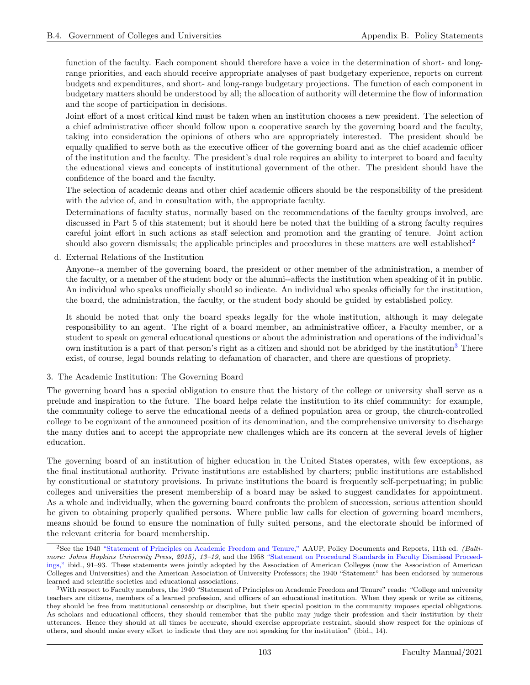function of the faculty. Each component should therefore have a voice in the determination of short- and longrange priorities, and each should receive appropriate analyses of past budgetary experience, reports on current budgets and expenditures, and short- and long-range budgetary projections. The function of each component in budgetary matters should be understood by all; the allocation of authority will determine the flow of information and the scope of participation in decisions.

Joint effort of a most critical kind must be taken when an institution chooses a new president. The selection of a chief administrative officer should follow upon a cooperative search by the governing board and the faculty, taking into consideration the opinions of others who are appropriately interested. The president should be equally qualified to serve both as the executive officer of the governing board and as the chief academic officer of the institution and the faculty. The president's dual role requires an ability to interpret to board and faculty the educational views and concepts of institutional government of the other. The president should have the confidence of the board and the faculty.

The selection of academic deans and other chief academic officers should be the responsibility of the president with the advice of, and in consultation with, the appropriate faculty.

Determinations of faculty status, normally based on the recommendations of the faculty groups involved, are discussed in Part 5 of this statement; but it should here be noted that the building of a strong faculty requires careful joint effort in such actions as staff selection and promotion and the granting of tenure. Joint action should also govern dismissals; the applicable principles and procedures in these matters are well established<sup>[2](#page-107-0)</sup>

d. External Relations of the Institution

Anyone--a member of the governing board, the president or other member of the administration, a member of the faculty, or a member of the student body or the alumni--affects the institution when speaking of it in public. An individual who speaks unofficially should so indicate. An individual who speaks officially for the institution, the board, the administration, the faculty, or the student body should be guided by established policy.

It should be noted that only the board speaks legally for the whole institution, although it may delegate responsibility to an agent. The right of a board member, an administrative officer, a Faculty member, or a student to speak on general educational questions or about the administration and operations of the individual's own institution is a part of that person's right as a citizen and should not be abridged by the institution[3](#page-107-1) There exist, of course, legal bounds relating to defamation of character, and there are questions of propriety.

#### 3. The Academic Institution: The Governing Board

The governing board has a special obligation to ensure that the history of the college or university shall serve as a prelude and inspiration to the future. The board helps relate the institution to its chief community: for example, the community college to serve the educational needs of a defined population area or group, the church-controlled college to be cognizant of the announced position of its denomination, and the comprehensive university to discharge the many duties and to accept the appropriate new challenges which are its concern at the several levels of higher education.

The governing board of an institution of higher education in the United States operates, with few exceptions, as the final institutional authority. Private institutions are established by charters; public institutions are established by constitutional or statutory provisions. In private institutions the board is frequently self-perpetuating; in public colleges and universities the present membership of a board may be asked to suggest candidates for appointment. As a whole and individually, when the governing board confronts the problem of succession, serious attention should be given to obtaining properly qualified persons. Where public law calls for election of governing board members, means should be found to ensure the nomination of fully suited persons, and the electorate should be informed of the relevant criteria for board membership.

<span id="page-107-0"></span><sup>&</sup>lt;sup>2</sup>See the 1940 ["Statement of Principles on Academic Freedom and Tenure,"](https://www.aaup.org/report/1940-statement-principles-academic-freedom-and-tenure) AAUP, Policy Documents and Reports, 11th ed. (Balti-more: Johns Hopkins University Press, 2015), 13-19, and the 1958 ["Statement on Procedural Standards in Faculty Dismissal Proceed](https://www.aaup.org/report/statement-procedural-standards-faculty-dismissal-proceedings)[ings,"](https://www.aaup.org/report/statement-procedural-standards-faculty-dismissal-proceedings) ibid., 91–93. These statements were jointly adopted by the Association of American Colleges (now the Association of American Colleges and Universities) and the American Association of University Professors; the 1940 "Statement" has been endorsed by numerous learned and scientific societies and educational associations.

<span id="page-107-1"></span> $3$ With respect to Faculty members, the 1940 "Statement of Principles on Academic Freedom and Tenure" reads: "College and university teachers are citizens, members of a learned profession, and officers of an educational institution. When they speak or write as citizens, they should be free from institutional censorship or discipline, but their special position in the community imposes special obligations. As scholars and educational officers, they should remember that the public may judge their profession and their institution by their utterances. Hence they should at all times be accurate, should exercise appropriate restraint, should show respect for the opinions of others, and should make every effort to indicate that they are not speaking for the institution" (ibid., 14).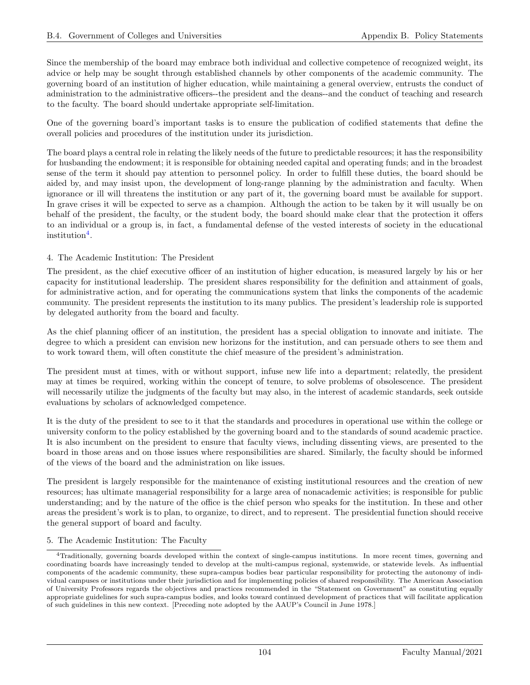Since the membership of the board may embrace both individual and collective competence of recognized weight, its advice or help may be sought through established channels by other components of the academic community. The governing board of an institution of higher education, while maintaining a general overview, entrusts the conduct of administration to the administrative officers--the president and the deans--and the conduct of teaching and research to the faculty. The board should undertake appropriate self-limitation.

One of the governing board's important tasks is to ensure the publication of codified statements that define the overall policies and procedures of the institution under its jurisdiction.

The board plays a central role in relating the likely needs of the future to predictable resources; it has the responsibility for husbanding the endowment; it is responsible for obtaining needed capital and operating funds; and in the broadest sense of the term it should pay attention to personnel policy. In order to fulfill these duties, the board should be aided by, and may insist upon, the development of long-range planning by the administration and faculty. When ignorance or ill will threatens the institution or any part of it, the governing board must be available for support. In grave crises it will be expected to serve as a champion. Although the action to be taken by it will usually be on behalf of the president, the faculty, or the student body, the board should make clear that the protection it offers to an individual or a group is, in fact, a fundamental defense of the vested interests of society in the educational institution<sup>[4](#page-108-0)</sup>.

#### 4. The Academic Institution: The President

The president, as the chief executive officer of an institution of higher education, is measured largely by his or her capacity for institutional leadership. The president shares responsibility for the definition and attainment of goals, for administrative action, and for operating the communications system that links the components of the academic community. The president represents the institution to its many publics. The president's leadership role is supported by delegated authority from the board and faculty.

As the chief planning officer of an institution, the president has a special obligation to innovate and initiate. The degree to which a president can envision new horizons for the institution, and can persuade others to see them and to work toward them, will often constitute the chief measure of the president's administration.

The president must at times, with or without support, infuse new life into a department; relatedly, the president may at times be required, working within the concept of tenure, to solve problems of obsolescence. The president will necessarily utilize the judgments of the faculty but may also, in the interest of academic standards, seek outside evaluations by scholars of acknowledged competence.

It is the duty of the president to see to it that the standards and procedures in operational use within the college or university conform to the policy established by the governing board and to the standards of sound academic practice. It is also incumbent on the president to ensure that faculty views, including dissenting views, are presented to the board in those areas and on those issues where responsibilities are shared. Similarly, the faculty should be informed of the views of the board and the administration on like issues.

The president is largely responsible for the maintenance of existing institutional resources and the creation of new resources; has ultimate managerial responsibility for a large area of nonacademic activities; is responsible for public understanding; and by the nature of the office is the chief person who speaks for the institution. In these and other areas the president's work is to plan, to organize, to direct, and to represent. The presidential function should receive the general support of board and faculty.

5. The Academic Institution: The Faculty

<span id="page-108-0"></span><sup>4</sup>Traditionally, governing boards developed within the context of single-campus institutions. In more recent times, governing and coordinating boards have increasingly tended to develop at the multi-campus regional, systemwide, or statewide levels. As influential components of the academic community, these supra-campus bodies bear particular responsibility for protecting the autonomy of individual campuses or institutions under their jurisdiction and for implementing policies of shared responsibility. The American Association of University Professors regards the objectives and practices recommended in the "Statement on Government" as constituting equally appropriate guidelines for such supra-campus bodies, and looks toward continued development of practices that will facilitate application of such guidelines in this new context. [Preceding note adopted by the AAUP's Council in June 1978.]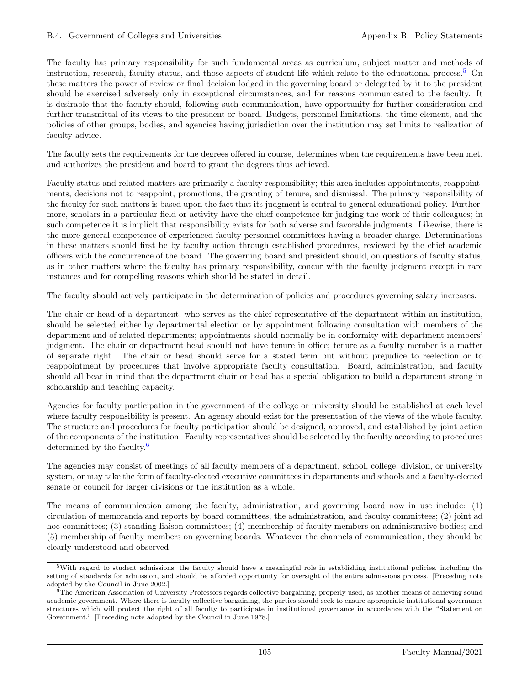The faculty has primary responsibility for such fundamental areas as curriculum, subject matter and methods of instruction, research, faculty status, and those aspects of student life which relate to the educational process.[5](#page-109-0) On these matters the power of review or final decision lodged in the governing board or delegated by it to the president should be exercised adversely only in exceptional circumstances, and for reasons communicated to the faculty. It is desirable that the faculty should, following such communication, have opportunity for further consideration and further transmittal of its views to the president or board. Budgets, personnel limitations, the time element, and the policies of other groups, bodies, and agencies having jurisdiction over the institution may set limits to realization of faculty advice.

The faculty sets the requirements for the degrees offered in course, determines when the requirements have been met, and authorizes the president and board to grant the degrees thus achieved.

Faculty status and related matters are primarily a faculty responsibility; this area includes appointments, reappointments, decisions not to reappoint, promotions, the granting of tenure, and dismissal. The primary responsibility of the faculty for such matters is based upon the fact that its judgment is central to general educational policy. Furthermore, scholars in a particular field or activity have the chief competence for judging the work of their colleagues; in such competence it is implicit that responsibility exists for both adverse and favorable judgments. Likewise, there is the more general competence of experienced faculty personnel committees having a broader charge. Determinations in these matters should first be by faculty action through established procedures, reviewed by the chief academic officers with the concurrence of the board. The governing board and president should, on questions of faculty status, as in other matters where the faculty has primary responsibility, concur with the faculty judgment except in rare instances and for compelling reasons which should be stated in detail.

The faculty should actively participate in the determination of policies and procedures governing salary increases.

The chair or head of a department, who serves as the chief representative of the department within an institution, should be selected either by departmental election or by appointment following consultation with members of the department and of related departments; appointments should normally be in conformity with department members' judgment. The chair or department head should not have tenure in office; tenure as a faculty member is a matter of separate right. The chair or head should serve for a stated term but without prejudice to reelection or to reappointment by procedures that involve appropriate faculty consultation. Board, administration, and faculty should all bear in mind that the department chair or head has a special obligation to build a department strong in scholarship and teaching capacity.

Agencies for faculty participation in the government of the college or university should be established at each level where faculty responsibility is present. An agency should exist for the presentation of the views of the whole faculty. The structure and procedures for faculty participation should be designed, approved, and established by joint action of the components of the institution. Faculty representatives should be selected by the faculty according to procedures determined by the faculty.<sup>[6](#page-109-1)</sup>

The agencies may consist of meetings of all faculty members of a department, school, college, division, or university system, or may take the form of faculty-elected executive committees in departments and schools and a faculty-elected senate or council for larger divisions or the institution as a whole.

The means of communication among the faculty, administration, and governing board now in use include: (1) circulation of memoranda and reports by board committees, the administration, and faculty committees; (2) joint ad hoc committees; (3) standing liaison committees; (4) membership of faculty members on administrative bodies; and (5) membership of faculty members on governing boards. Whatever the channels of communication, they should be clearly understood and observed.

<span id="page-109-0"></span><sup>5</sup>With regard to student admissions, the faculty should have a meaningful role in establishing institutional policies, including the setting of standards for admission, and should be afforded opportunity for oversight of the entire admissions process. [Preceding note adopted by the Council in June 2002.]

<span id="page-109-1"></span> $6$ The American Association of University Professors regards collective bargaining, properly used, as another means of achieving sound academic government. Where there is faculty collective bargaining, the parties should seek to ensure appropriate institutional governance structures which will protect the right of all faculty to participate in institutional governance in accordance with the "Statement on Government." [Preceding note adopted by the Council in June 1978.]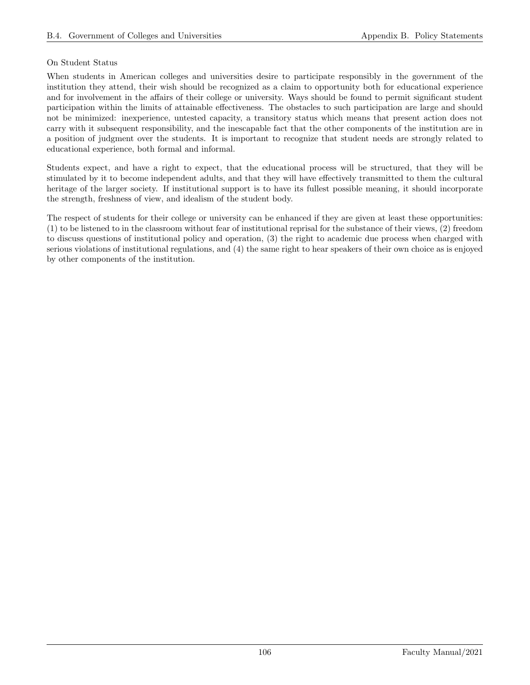### On Student Status

When students in American colleges and universities desire to participate responsibly in the government of the institution they attend, their wish should be recognized as a claim to opportunity both for educational experience and for involvement in the affairs of their college or university. Ways should be found to permit significant student participation within the limits of attainable effectiveness. The obstacles to such participation are large and should not be minimized: inexperience, untested capacity, a transitory status which means that present action does not carry with it subsequent responsibility, and the inescapable fact that the other components of the institution are in a position of judgment over the students. It is important to recognize that student needs are strongly related to educational experience, both formal and informal.

Students expect, and have a right to expect, that the educational process will be structured, that they will be stimulated by it to become independent adults, and that they will have effectively transmitted to them the cultural heritage of the larger society. If institutional support is to have its fullest possible meaning, it should incorporate the strength, freshness of view, and idealism of the student body.

The respect of students for their college or university can be enhanced if they are given at least these opportunities: (1) to be listened to in the classroom without fear of institutional reprisal for the substance of their views, (2) freedom to discuss questions of institutional policy and operation, (3) the right to academic due process when charged with serious violations of institutional regulations, and (4) the same right to hear speakers of their own choice as is enjoyed by other components of the institution.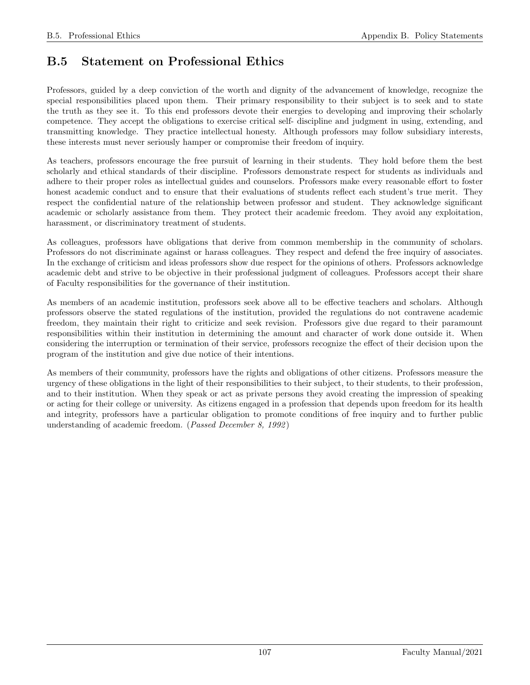## B.5 Statement on Professional Ethics

Professors, guided by a deep conviction of the worth and dignity of the advancement of knowledge, recognize the special responsibilities placed upon them. Their primary responsibility to their subject is to seek and to state the truth as they see it. To this end professors devote their energies to developing and improving their scholarly competence. They accept the obligations to exercise critical self- discipline and judgment in using, extending, and transmitting knowledge. They practice intellectual honesty. Although professors may follow subsidiary interests, these interests must never seriously hamper or compromise their freedom of inquiry.

As teachers, professors encourage the free pursuit of learning in their students. They hold before them the best scholarly and ethical standards of their discipline. Professors demonstrate respect for students as individuals and adhere to their proper roles as intellectual guides and counselors. Professors make every reasonable effort to foster honest academic conduct and to ensure that their evaluations of students reflect each student's true merit. They respect the confidential nature of the relationship between professor and student. They acknowledge significant academic or scholarly assistance from them. They protect their academic freedom. They avoid any exploitation, harassment, or discriminatory treatment of students.

As colleagues, professors have obligations that derive from common membership in the community of scholars. Professors do not discriminate against or harass colleagues. They respect and defend the free inquiry of associates. In the exchange of criticism and ideas professors show due respect for the opinions of others. Professors acknowledge academic debt and strive to be objective in their professional judgment of colleagues. Professors accept their share of Faculty responsibilities for the governance of their institution.

As members of an academic institution, professors seek above all to be effective teachers and scholars. Although professors observe the stated regulations of the institution, provided the regulations do not contravene academic freedom, they maintain their right to criticize and seek revision. Professors give due regard to their paramount responsibilities within their institution in determining the amount and character of work done outside it. When considering the interruption or termination of their service, professors recognize the effect of their decision upon the program of the institution and give due notice of their intentions.

As members of their community, professors have the rights and obligations of other citizens. Professors measure the urgency of these obligations in the light of their responsibilities to their subject, to their students, to their profession, and to their institution. When they speak or act as private persons they avoid creating the impression of speaking or acting for their college or university. As citizens engaged in a profession that depends upon freedom for its health and integrity, professors have a particular obligation to promote conditions of free inquiry and to further public understanding of academic freedom. (*Passed December 8, 1992*)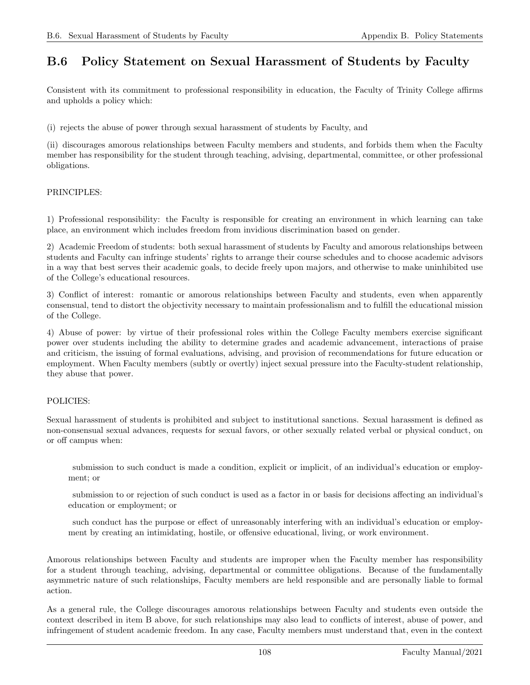## B.6 Policy Statement on Sexual Harassment of Students by Faculty

Consistent with its commitment to professional responsibility in education, the Faculty of Trinity College affirms and upholds a policy which:

(i) rejects the abuse of power through sexual harassment of students by Faculty, and

(ii) discourages amorous relationships between Faculty members and students, and forbids them when the Faculty member has responsibility for the student through teaching, advising, departmental, committee, or other professional obligations.

### PRINCIPLES:

1) Professional responsibility: the Faculty is responsible for creating an environment in which learning can take place, an environment which includes freedom from invidious discrimination based on gender.

2) Academic Freedom of students: both sexual harassment of students by Faculty and amorous relationships between students and Faculty can infringe students' rights to arrange their course schedules and to choose academic advisors in a way that best serves their academic goals, to decide freely upon majors, and otherwise to make uninhibited use of the College's educational resources.

3) Conflict of interest: romantic or amorous relationships between Faculty and students, even when apparently consensual, tend to distort the objectivity necessary to maintain professionalism and to fulfill the educational mission of the College.

4) Abuse of power: by virtue of their professional roles within the College Faculty members exercise significant power over students including the ability to determine grades and academic advancement, interactions of praise and criticism, the issuing of formal evaluations, advising, and provision of recommendations for future education or employment. When Faculty members (subtly or overtly) inject sexual pressure into the Faculty-student relationship, they abuse that power.

#### POLICIES:

Sexual harassment of students is prohibited and subject to institutional sanctions. Sexual harassment is defined as non-consensual sexual advances, requests for sexual favors, or other sexually related verbal or physical conduct, on or off campus when:

submission to such conduct is made a condition, explicit or implicit, of an individual's education or employment; or

submission to or rejection of such conduct is used as a factor in or basis for decisions affecting an individual's education or employment; or

such conduct has the purpose or effect of unreasonably interfering with an individual's education or employment by creating an intimidating, hostile, or offensive educational, living, or work environment.

Amorous relationships between Faculty and students are improper when the Faculty member has responsibility for a student through teaching, advising, departmental or committee obligations. Because of the fundamentally asymmetric nature of such relationships, Faculty members are held responsible and are personally liable to formal action.

As a general rule, the College discourages amorous relationships between Faculty and students even outside the context described in item B above, for such relationships may also lead to conflicts of interest, abuse of power, and infringement of student academic freedom. In any case, Faculty members must understand that, even in the context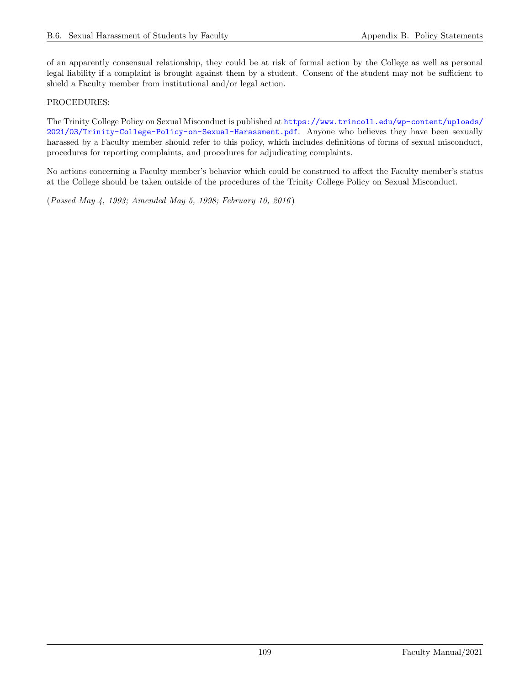of an apparently consensual relationship, they could be at risk of formal action by the College as well as personal legal liability if a complaint is brought against them by a student. Consent of the student may not be sufficient to shield a Faculty member from institutional and/or legal action.

### PROCEDURES:

The Trinity College Policy on Sexual Misconduct is published at [https://www.trincoll.edu/wp-content/uploads/](https://www.trincoll.edu/wp-content/uploads/2021/03/Trinity-College-Policy-on-Sexual-Harassment.pdf) [2021/03/Trinity-College-Policy-on-Sexual-Harassment.pdf](https://www.trincoll.edu/wp-content/uploads/2021/03/Trinity-College-Policy-on-Sexual-Harassment.pdf). Anyone who believes they have been sexually harassed by a Faculty member should refer to this policy, which includes definitions of forms of sexual misconduct, procedures for reporting complaints, and procedures for adjudicating complaints.

No actions concerning a Faculty member's behavior which could be construed to affect the Faculty member's status at the College should be taken outside of the procedures of the Trinity College Policy on Sexual Misconduct.

(Passed May 4, 1993; Amended May 5, 1998; February 10, 2016 )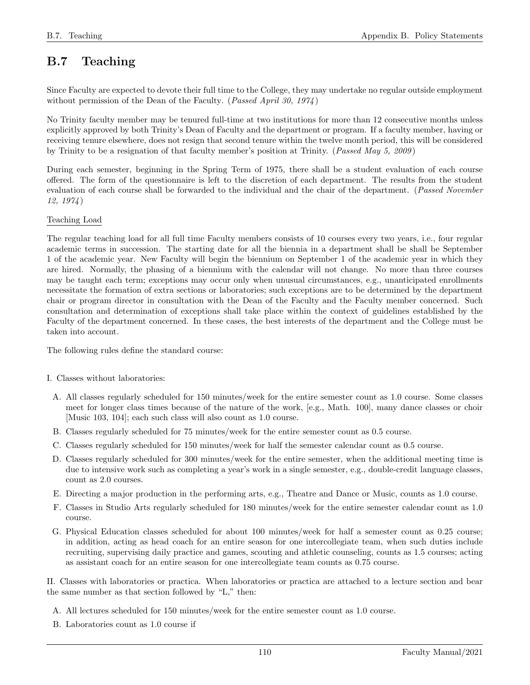## B.7 Teaching

Since Faculty are expected to devote their full time to the College, they may undertake no regular outside employment without permission of the Dean of the Faculty. (*Passed April 30, 1974*)

No Trinity faculty member may be tenured full-time at two institutions for more than 12 consecutive months unless explicitly approved by both Trinity's Dean of Faculty and the department or program. If a faculty member, having or receiving tenure elsewhere, does not resign that second tenure within the twelve month period, this will be considered by Trinity to be a resignation of that faculty member's position at Trinity. (Passed May 5, 2009 )

During each semester, beginning in the Spring Term of 1975, there shall be a student evaluation of each course offered. The form of the questionnaire is left to the discretion of each department. The results from the student evaluation of each course shall be forwarded to the individual and the chair of the department. (Passed November 12, 1974 )

#### Teaching Load

The regular teaching load for all full time Faculty members consists of 10 courses every two years, i.e., four regular academic terms in succession. The starting date for all the biennia in a department shall be shall be September 1 of the academic year. New Faculty will begin the biennium on September 1 of the academic year in which they are hired. Normally, the phasing of a biennium with the calendar will not change. No more than three courses may be taught each term; exceptions may occur only when unusual circumstances, e.g., unanticipated enrollments necessitate the formation of extra sections or laboratories; such exceptions are to be determined by the department chair or program director in consultation with the Dean of the Faculty and the Faculty member concerned. Such consultation and determination of exceptions shall take place within the context of guidelines established by the Faculty of the department concerned. In these cases, the best interests of the department and the College must be taken into account.

The following rules define the standard course:

- I. Classes without laboratories:
	- A. All classes regularly scheduled for 150 minutes/week for the entire semester count as 1.0 course. Some classes meet for longer class times because of the nature of the work, [e.g., Math. 100], many dance classes or choir [Music 103, 104]; each such class will also count as 1.0 course.
	- B. Classes regularly scheduled for 75 minutes/week for the entire semester count as 0.5 course.
	- C. Classes regularly scheduled for 150 minutes/week for half the semester calendar count as 0.5 course.
- D. Classes regularly scheduled for 300 minutes/week for the entire semester, when the additional meeting time is due to intensive work such as completing a year's work in a single semester, e.g., double-credit language classes, count as 2.0 courses.
- E. Directing a major production in the performing arts, e.g., Theatre and Dance or Music, counts as 1.0 course.
- F. Classes in Studio Arts regularly scheduled for 180 minutes/week for the entire semester calendar count as 1.0 course.
- G. Physical Education classes scheduled for about 100 minutes/week for half a semester count as 0.25 course; in addition, acting as head coach for an entire season for one intercollegiate team, when such duties include recruiting, supervising daily practice and games, scouting and athletic counseling, counts as 1.5 courses; acting as assistant coach for an entire season for one intercollegiate team counts as 0.75 course.

II. Classes with laboratories or practica. When laboratories or practica are attached to a lecture section and bear the same number as that section followed by "L," then:

- A. All lectures scheduled for 150 minutes/week for the entire semester count as 1.0 course.
- B. Laboratories count as 1.0 course if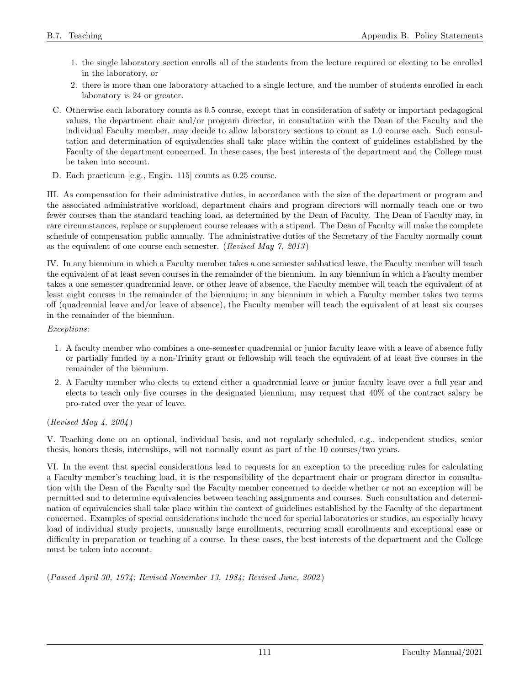- 1. the single laboratory section enrolls all of the students from the lecture required or electing to be enrolled in the laboratory, or
- 2. there is more than one laboratory attached to a single lecture, and the number of students enrolled in each laboratory is 24 or greater.
- C. Otherwise each laboratory counts as 0.5 course, except that in consideration of safety or important pedagogical values, the department chair and/or program director, in consultation with the Dean of the Faculty and the individual Faculty member, may decide to allow laboratory sections to count as 1.0 course each. Such consultation and determination of equivalencies shall take place within the context of guidelines established by the Faculty of the department concerned. In these cases, the best interests of the department and the College must be taken into account.
- D. Each practicum [e.g., Engin. 115] counts as 0.25 course.

III. As compensation for their administrative duties, in accordance with the size of the department or program and the associated administrative workload, department chairs and program directors will normally teach one or two fewer courses than the standard teaching load, as determined by the Dean of Faculty. The Dean of Faculty may, in rare circumstances, replace or supplement course releases with a stipend. The Dean of Faculty will make the complete schedule of compensation public annually. The administrative duties of the Secretary of the Faculty normally count as the equivalent of one course each semester. (*Revised May 7, 2013*)

IV. In any biennium in which a Faculty member takes a one semester sabbatical leave, the Faculty member will teach the equivalent of at least seven courses in the remainder of the biennium. In any biennium in which a Faculty member takes a one semester quadrennial leave, or other leave of absence, the Faculty member will teach the equivalent of at least eight courses in the remainder of the biennium; in any biennium in which a Faculty member takes two terms off (quadrennial leave and/or leave of absence), the Faculty member will teach the equivalent of at least six courses in the remainder of the biennium.

### Exceptions:

- 1. A faculty member who combines a one-semester quadrennial or junior faculty leave with a leave of absence fully or partially funded by a non-Trinity grant or fellowship will teach the equivalent of at least five courses in the remainder of the biennium.
- 2. A Faculty member who elects to extend either a quadrennial leave or junior faculty leave over a full year and elects to teach only five courses in the designated biennium, may request that 40% of the contract salary be pro-rated over the year of leave.

### (Revised May 4, 2004 )

V. Teaching done on an optional, individual basis, and not regularly scheduled, e.g., independent studies, senior thesis, honors thesis, internships, will not normally count as part of the 10 courses/two years.

VI. In the event that special considerations lead to requests for an exception to the preceding rules for calculating a Faculty member's teaching load, it is the responsibility of the department chair or program director in consultation with the Dean of the Faculty and the Faculty member concerned to decide whether or not an exception will be permitted and to determine equivalencies between teaching assignments and courses. Such consultation and determination of equivalencies shall take place within the context of guidelines established by the Faculty of the department concerned. Examples of special considerations include the need for special laboratories or studios, an especially heavy load of individual study projects, unusually large enrollments, recurring small enrollments and exceptional ease or difficulty in preparation or teaching of a course. In these cases, the best interests of the department and the College must be taken into account.

(Passed April 30, 1974; Revised November 13, 1984; Revised June, 2002 )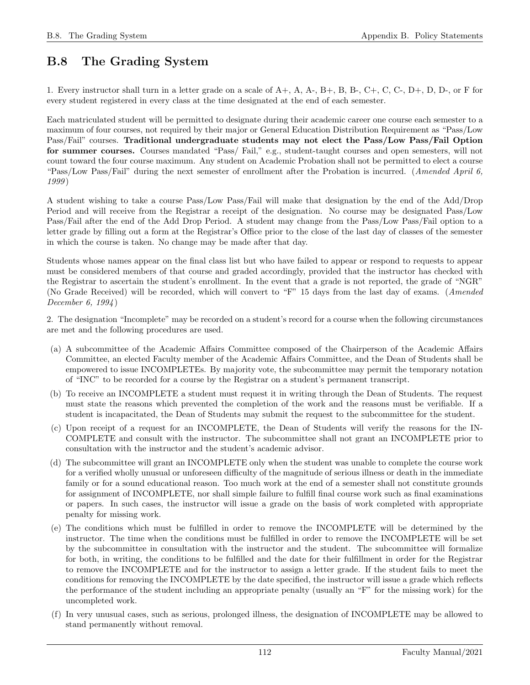# B.8 The Grading System

1. Every instructor shall turn in a letter grade on a scale of A+, A, A-, B+, B, B-, C+, C, C-, D+, D, D-, or F for every student registered in every class at the time designated at the end of each semester.

Each matriculated student will be permitted to designate during their academic career one course each semester to a maximum of four courses, not required by their major or General Education Distribution Requirement as "Pass/Low Pass/Fail" courses. Traditional undergraduate students may not elect the Pass/Low Pass/Fail Option for summer courses. Courses mandated "Pass/ Fail," e.g., student-taught courses and open semesters, will not count toward the four course maximum. Any student on Academic Probation shall not be permitted to elect a course "Pass/Low Pass/Fail" during the next semester of enrollment after the Probation is incurred. (Amended April 6, 1999 )

A student wishing to take a course Pass/Low Pass/Fail will make that designation by the end of the Add/Drop Period and will receive from the Registrar a receipt of the designation. No course may be designated Pass/Low Pass/Fail after the end of the Add Drop Period. A student may change from the Pass/Low Pass/Fail option to a letter grade by filling out a form at the Registrar's Office prior to the close of the last day of classes of the semester in which the course is taken. No change may be made after that day.

Students whose names appear on the final class list but who have failed to appear or respond to requests to appear must be considered members of that course and graded accordingly, provided that the instructor has checked with the Registrar to ascertain the student's enrollment. In the event that a grade is not reported, the grade of "NGR" (No Grade Received) will be recorded, which will convert to "F" 15 days from the last day of exams. (Amended December 6, 1994 )

2. The designation "Incomplete" may be recorded on a student's record for a course when the following circumstances are met and the following procedures are used.

- (a) A subcommittee of the Academic Affairs Committee composed of the Chairperson of the Academic Affairs Committee, an elected Faculty member of the Academic Affairs Committee, and the Dean of Students shall be empowered to issue INCOMPLETEs. By majority vote, the subcommittee may permit the temporary notation of "INC" to be recorded for a course by the Registrar on a student's permanent transcript.
- (b) To receive an INCOMPLETE a student must request it in writing through the Dean of Students. The request must state the reasons which prevented the completion of the work and the reasons must be verifiable. If a student is incapacitated, the Dean of Students may submit the request to the subcommittee for the student.
- (c) Upon receipt of a request for an INCOMPLETE, the Dean of Students will verify the reasons for the IN-COMPLETE and consult with the instructor. The subcommittee shall not grant an INCOMPLETE prior to consultation with the instructor and the student's academic advisor.
- (d) The subcommittee will grant an INCOMPLETE only when the student was unable to complete the course work for a verified wholly unusual or unforeseen difficulty of the magnitude of serious illness or death in the immediate family or for a sound educational reason. Too much work at the end of a semester shall not constitute grounds for assignment of INCOMPLETE, nor shall simple failure to fulfill final course work such as final examinations or papers. In such cases, the instructor will issue a grade on the basis of work completed with appropriate penalty for missing work.
- (e) The conditions which must be fulfilled in order to remove the INCOMPLETE will be determined by the instructor. The time when the conditions must be fulfilled in order to remove the INCOMPLETE will be set by the subcommittee in consultation with the instructor and the student. The subcommittee will formalize for both, in writing, the conditions to be fulfilled and the date for their fulfillment in order for the Registrar to remove the INCOMPLETE and for the instructor to assign a letter grade. If the student fails to meet the conditions for removing the INCOMPLETE by the date specified, the instructor will issue a grade which reflects the performance of the student including an appropriate penalty (usually an "F" for the missing work) for the uncompleted work.
- (f) In very unusual cases, such as serious, prolonged illness, the designation of INCOMPLETE may be allowed to stand permanently without removal.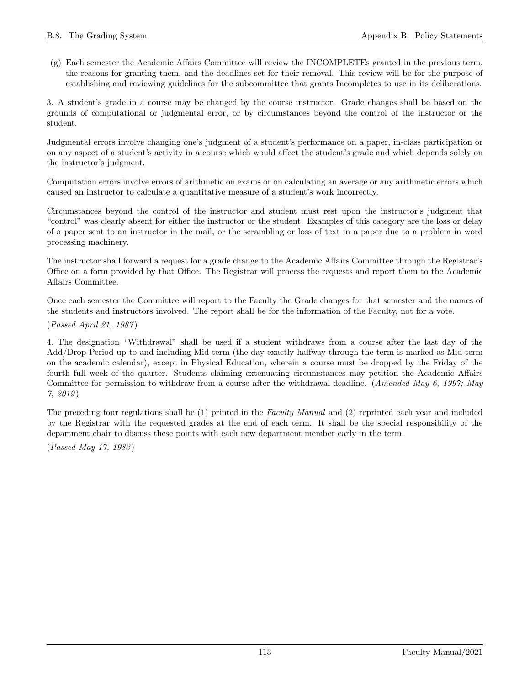(g) Each semester the Academic Affairs Committee will review the INCOMPLETEs granted in the previous term, the reasons for granting them, and the deadlines set for their removal. This review will be for the purpose of establishing and reviewing guidelines for the subcommittee that grants Incompletes to use in its deliberations.

3. A student's grade in a course may be changed by the course instructor. Grade changes shall be based on the grounds of computational or judgmental error, or by circumstances beyond the control of the instructor or the student.

Judgmental errors involve changing one's judgment of a student's performance on a paper, in-class participation or on any aspect of a student's activity in a course which would affect the student's grade and which depends solely on the instructor's judgment.

Computation errors involve errors of arithmetic on exams or on calculating an average or any arithmetic errors which caused an instructor to calculate a quantitative measure of a student's work incorrectly.

Circumstances beyond the control of the instructor and student must rest upon the instructor's judgment that "control" was clearly absent for either the instructor or the student. Examples of this category are the loss or delay of a paper sent to an instructor in the mail, or the scrambling or loss of text in a paper due to a problem in word processing machinery.

The instructor shall forward a request for a grade change to the Academic Affairs Committee through the Registrar's Office on a form provided by that Office. The Registrar will process the requests and report them to the Academic Affairs Committee.

Once each semester the Committee will report to the Faculty the Grade changes for that semester and the names of the students and instructors involved. The report shall be for the information of the Faculty, not for a vote.

#### (Passed April 21, 1987 )

4. The designation "Withdrawal" shall be used if a student withdraws from a course after the last day of the Add/Drop Period up to and including Mid-term (the day exactly halfway through the term is marked as Mid-term on the academic calendar), except in Physical Education, wherein a course must be dropped by the Friday of the fourth full week of the quarter. Students claiming extenuating circumstances may petition the Academic Affairs Committee for permission to withdraw from a course after the withdrawal deadline. (Amended May 6, 1997; May 7, 2019 )

The preceding four regulations shall be (1) printed in the Faculty Manual and (2) reprinted each year and included by the Registrar with the requested grades at the end of each term. It shall be the special responsibility of the department chair to discuss these points with each new department member early in the term.

(Passed May 17, 1983 )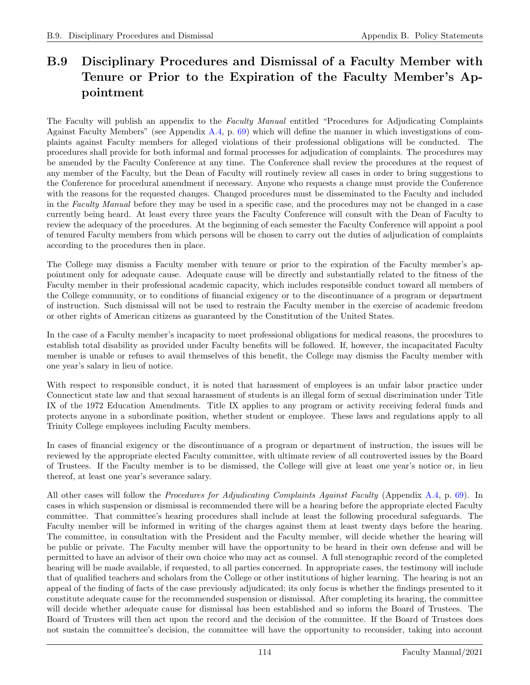# B.9 Disciplinary Procedures and Dismissal of a Faculty Member with Tenure or Prior to the Expiration of the Faculty Member's Appointment

The Faculty will publish an appendix to the Faculty Manual entitled "Procedures for Adjudicating Complaints Against Faculty Members" (see Appendix [A.4,](#page-73-0) p. [69\)](#page-73-0) which will define the manner in which investigations of complaints against Faculty members for alleged violations of their professional obligations will be conducted. The procedures shall provide for both informal and formal processes for adjudication of complaints. The procedures may be amended by the Faculty Conference at any time. The Conference shall review the procedures at the request of any member of the Faculty, but the Dean of Faculty will routinely review all cases in order to bring suggestions to the Conference for procedural amendment if necessary. Anyone who requests a change must provide the Conference with the reasons for the requested changes. Changed procedures must be disseminated to the Faculty and included in the Faculty Manual before they may be used in a specific case, and the procedures may not be changed in a case currently being heard. At least every three years the Faculty Conference will consult with the Dean of Faculty to review the adequacy of the procedures. At the beginning of each semester the Faculty Conference will appoint a pool of tenured Faculty members from which persons will be chosen to carry out the duties of adjudication of complaints according to the procedures then in place.

The College may dismiss a Faculty member with tenure or prior to the expiration of the Faculty member's appointment only for adequate cause. Adequate cause will be directly and substantially related to the fitness of the Faculty member in their professional academic capacity, which includes responsible conduct toward all members of the College community, or to conditions of financial exigency or to the discontinuance of a program or department of instruction. Such dismissal will not be used to restrain the Faculty member in the exercise of academic freedom or other rights of American citizens as guaranteed by the Constitution of the United States.

In the case of a Faculty member's incapacity to meet professional obligations for medical reasons, the procedures to establish total disability as provided under Faculty benefits will be followed. If, however, the incapacitated Faculty member is unable or refuses to avail themselves of this benefit, the College may dismiss the Faculty member with one year's salary in lieu of notice.

With respect to responsible conduct, it is noted that harassment of employees is an unfair labor practice under Connecticut state law and that sexual harassment of students is an illegal form of sexual discrimination under Title IX of the 1972 Education Amendments. Title IX applies to any program or activity receiving federal funds and protects anyone in a subordinate position, whether student or employee. These laws and regulations apply to all Trinity College employees including Faculty members.

In cases of financial exigency or the discontinuance of a program or department of instruction, the issues will be reviewed by the appropriate elected Faculty committee, with ultimate review of all controverted issues by the Board of Trustees. If the Faculty member is to be dismissed, the College will give at least one year's notice or, in lieu thereof, at least one year's severance salary.

All other cases will follow the *Procedures for Adjudicating Complaints Against Faculty* (Appendix [A.4,](#page-73-0) p. [69\)](#page-73-0). In cases in which suspension or dismissal is recommended there will be a hearing before the appropriate elected Faculty committee. That committee's hearing procedures shall include at least the following procedural safeguards. The Faculty member will be informed in writing of the charges against them at least twenty days before the hearing. The committee, in consultation with the President and the Faculty member, will decide whether the hearing will be public or private. The Faculty member will have the opportunity to be heard in their own defense and will be permitted to have an advisor of their own choice who may act as counsel. A full stenographic record of the completed hearing will be made available, if requested, to all parties concerned. In appropriate cases, the testimony will include that of qualified teachers and scholars from the College or other institutions of higher learning. The hearing is not an appeal of the finding of facts of the case previously adjudicated; its only focus is whether the findings presented to it constitute adequate cause for the recommended suspension or dismissal. After completing its hearing, the committee will decide whether adequate cause for dismissal has been established and so inform the Board of Trustees. The Board of Trustees will then act upon the record and the decision of the committee. If the Board of Trustees does not sustain the committee's decision, the committee will have the opportunity to reconsider, taking into account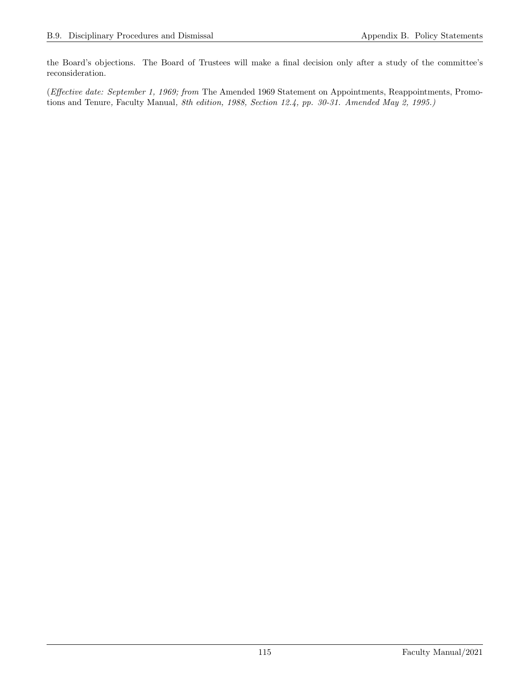the Board's objections. The Board of Trustees will make a final decision only after a study of the committee's reconsideration.

(Effective date: September 1, 1969; from The Amended 1969 Statement on Appointments, Reappointments, Promotions and Tenure, Faculty Manual, 8th edition, 1988, Section 12.4, pp. 30-31. Amended May 2, 1995.)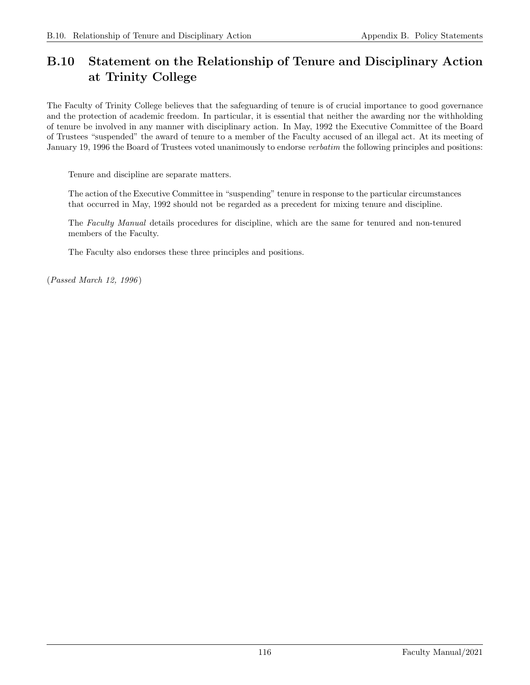# B.10 Statement on the Relationship of Tenure and Disciplinary Action at Trinity College

The Faculty of Trinity College believes that the safeguarding of tenure is of crucial importance to good governance and the protection of academic freedom. In particular, it is essential that neither the awarding nor the withholding of tenure be involved in any manner with disciplinary action. In May, 1992 the Executive Committee of the Board of Trustees "suspended" the award of tenure to a member of the Faculty accused of an illegal act. At its meeting of January 19, 1996 the Board of Trustees voted unanimously to endorse verbatim the following principles and positions:

Tenure and discipline are separate matters.

The action of the Executive Committee in "suspending" tenure in response to the particular circumstances that occurred in May, 1992 should not be regarded as a precedent for mixing tenure and discipline.

The Faculty Manual details procedures for discipline, which are the same for tenured and non-tenured members of the Faculty.

The Faculty also endorses these three principles and positions.

(Passed March 12, 1996 )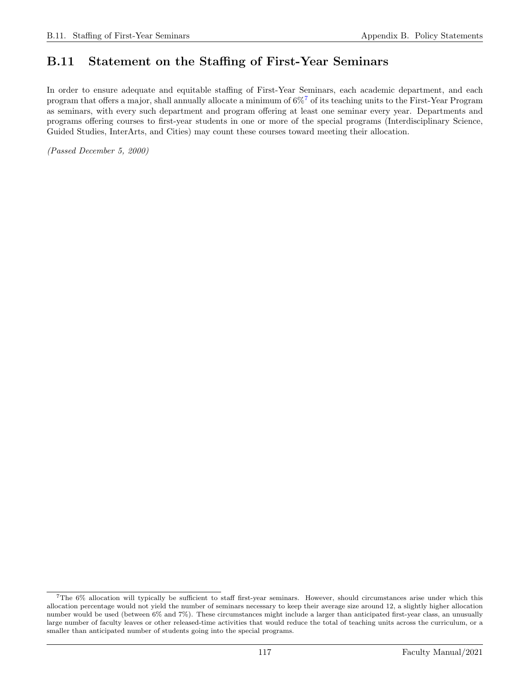## B.11 Statement on the Staffing of First-Year Seminars

In order to ensure adequate and equitable staffing of First-Year Seminars, each academic department, and each program that offers a major, shall annually allocate a minimum of  $6\%^7$  $6\%^7$  of its teaching units to the First-Year Program as seminars, with every such department and program offering at least one seminar every year. Departments and programs offering courses to first-year students in one or more of the special programs (Interdisciplinary Science, Guided Studies, InterArts, and Cities) may count these courses toward meeting their allocation.

(Passed December 5, 2000)

<span id="page-121-0"></span><sup>7</sup>The 6% allocation will typically be sufficient to staff first-year seminars. However, should circumstances arise under which this allocation percentage would not yield the number of seminars necessary to keep their average size around 12, a slightly higher allocation number would be used (between 6% and 7%). These circumstances might include a larger than anticipated first-year class, an unusually large number of faculty leaves or other released-time activities that would reduce the total of teaching units across the curriculum, or a smaller than anticipated number of students going into the special programs.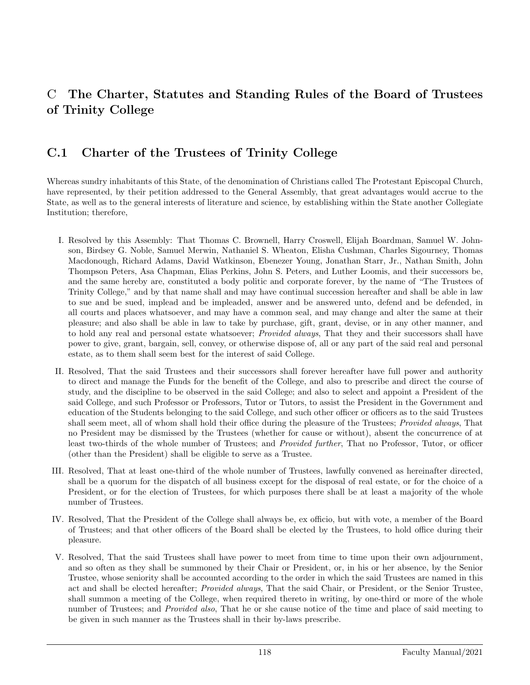## C The Charter, Statutes and Standing Rules of the Board of Trustees of Trinity College

## C.1 Charter of the Trustees of Trinity College

Whereas sundry inhabitants of this State, of the denomination of Christians called The Protestant Episcopal Church, have represented, by their petition addressed to the General Assembly, that great advantages would accrue to the State, as well as to the general interests of literature and science, by establishing within the State another Collegiate Institution; therefore,

- I. Resolved by this Assembly: That Thomas C. Brownell, Harry Croswell, Elijah Boardman, Samuel W. Johnson, Birdsey G. Noble, Samuel Merwin, Nathaniel S. Wheaton, Elisha Cushman, Charles Sigourney, Thomas Macdonough, Richard Adams, David Watkinson, Ebenezer Young, Jonathan Starr, Jr., Nathan Smith, John Thompson Peters, Asa Chapman, Elias Perkins, John S. Peters, and Luther Loomis, and their successors be, and the same hereby are, constituted a body politic and corporate forever, by the name of "The Trustees of Trinity College," and by that name shall and may have continual succession hereafter and shall be able in law to sue and be sued, implead and be impleaded, answer and be answered unto, defend and be defended, in all courts and places whatsoever, and may have a common seal, and may change and alter the same at their pleasure; and also shall be able in law to take by purchase, gift, grant, devise, or in any other manner, and to hold any real and personal estate whatsoever; *Provided always*, That they and their successors shall have power to give, grant, bargain, sell, convey, or otherwise dispose of, all or any part of the said real and personal estate, as to them shall seem best for the interest of said College.
- II. Resolved, That the said Trustees and their successors shall forever hereafter have full power and authority to direct and manage the Funds for the benefit of the College, and also to prescribe and direct the course of study, and the discipline to be observed in the said College; and also to select and appoint a President of the said College, and such Professor or Professors, Tutor or Tutors, to assist the President in the Government and education of the Students belonging to the said College, and such other officer or officers as to the said Trustees shall seem meet, all of whom shall hold their office during the pleasure of the Trustees; Provided always, That no President may be dismissed by the Trustees (whether for cause or without), absent the concurrence of at least two-thirds of the whole number of Trustees; and *Provided further*, That no Professor, Tutor, or officer (other than the President) shall be eligible to serve as a Trustee.
- III. Resolved, That at least one-third of the whole number of Trustees, lawfully convened as hereinafter directed, shall be a quorum for the dispatch of all business except for the disposal of real estate, or for the choice of a President, or for the election of Trustees, for which purposes there shall be at least a majority of the whole number of Trustees.
- IV. Resolved, That the President of the College shall always be, ex officio, but with vote, a member of the Board of Trustees; and that other officers of the Board shall be elected by the Trustees, to hold office during their pleasure.
- V. Resolved, That the said Trustees shall have power to meet from time to time upon their own adjournment, and so often as they shall be summoned by their Chair or President, or, in his or her absence, by the Senior Trustee, whose seniority shall be accounted according to the order in which the said Trustees are named in this act and shall be elected hereafter; Provided always, That the said Chair, or President, or the Senior Trustee, shall summon a meeting of the College, when required thereto in writing, by one-third or more of the whole number of Trustees; and *Provided also*, That he or she cause notice of the time and place of said meeting to be given in such manner as the Trustees shall in their by-laws prescribe.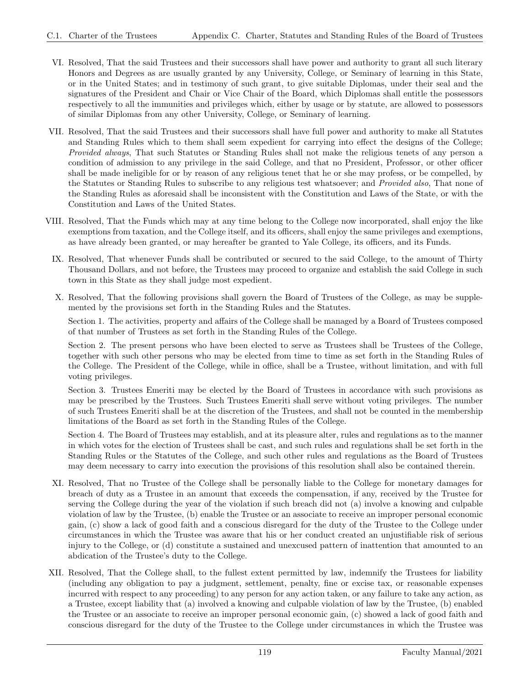- VI. Resolved, That the said Trustees and their successors shall have power and authority to grant all such literary Honors and Degrees as are usually granted by any University, College, or Seminary of learning in this State, or in the United States; and in testimony of such grant, to give suitable Diplomas, under their seal and the signatures of the President and Chair or Vice Chair of the Board, which Diplomas shall entitle the possessors respectively to all the immunities and privileges which, either by usage or by statute, are allowed to possessors of similar Diplomas from any other University, College, or Seminary of learning.
- VII. Resolved, That the said Trustees and their successors shall have full power and authority to make all Statutes and Standing Rules which to them shall seem expedient for carrying into effect the designs of the College; Provided always, That such Statutes or Standing Rules shall not make the religious tenets of any person a condition of admission to any privilege in the said College, and that no President, Professor, or other officer shall be made ineligible for or by reason of any religious tenet that he or she may profess, or be compelled, by the Statutes or Standing Rules to subscribe to any religious test whatsoever; and Provided also, That none of the Standing Rules as aforesaid shall be inconsistent with the Constitution and Laws of the State, or with the Constitution and Laws of the United States.
- VIII. Resolved, That the Funds which may at any time belong to the College now incorporated, shall enjoy the like exemptions from taxation, and the College itself, and its officers, shall enjoy the same privileges and exemptions, as have already been granted, or may hereafter be granted to Yale College, its officers, and its Funds.
- IX. Resolved, That whenever Funds shall be contributed or secured to the said College, to the amount of Thirty Thousand Dollars, and not before, the Trustees may proceed to organize and establish the said College in such town in this State as they shall judge most expedient.
- X. Resolved, That the following provisions shall govern the Board of Trustees of the College, as may be supplemented by the provisions set forth in the Standing Rules and the Statutes.

Section 1. The activities, property and affairs of the College shall be managed by a Board of Trustees composed of that number of Trustees as set forth in the Standing Rules of the College.

Section 2. The present persons who have been elected to serve as Trustees shall be Trustees of the College, together with such other persons who may be elected from time to time as set forth in the Standing Rules of the College. The President of the College, while in office, shall be a Trustee, without limitation, and with full voting privileges.

Section 3. Trustees Emeriti may be elected by the Board of Trustees in accordance with such provisions as may be prescribed by the Trustees. Such Trustees Emeriti shall serve without voting privileges. The number of such Trustees Emeriti shall be at the discretion of the Trustees, and shall not be counted in the membership limitations of the Board as set forth in the Standing Rules of the College.

Section 4. The Board of Trustees may establish, and at its pleasure alter, rules and regulations as to the manner in which votes for the election of Trustees shall be cast, and such rules and regulations shall be set forth in the Standing Rules or the Statutes of the College, and such other rules and regulations as the Board of Trustees may deem necessary to carry into execution the provisions of this resolution shall also be contained therein.

- XI. Resolved, That no Trustee of the College shall be personally liable to the College for monetary damages for breach of duty as a Trustee in an amount that exceeds the compensation, if any, received by the Trustee for serving the College during the year of the violation if such breach did not (a) involve a knowing and culpable violation of law by the Trustee, (b) enable the Trustee or an associate to receive an improper personal economic gain, (c) show a lack of good faith and a conscious disregard for the duty of the Trustee to the College under circumstances in which the Trustee was aware that his or her conduct created an unjustifiable risk of serious injury to the College, or (d) constitute a sustained and unexcused pattern of inattention that amounted to an abdication of the Trustee's duty to the College.
- XII. Resolved, That the College shall, to the fullest extent permitted by law, indemnify the Trustees for liability (including any obligation to pay a judgment, settlement, penalty, fine or excise tax, or reasonable expenses incurred with respect to any proceeding) to any person for any action taken, or any failure to take any action, as a Trustee, except liability that (a) involved a knowing and culpable violation of law by the Trustee, (b) enabled the Trustee or an associate to receive an improper personal economic gain, (c) showed a lack of good faith and conscious disregard for the duty of the Trustee to the College under circumstances in which the Trustee was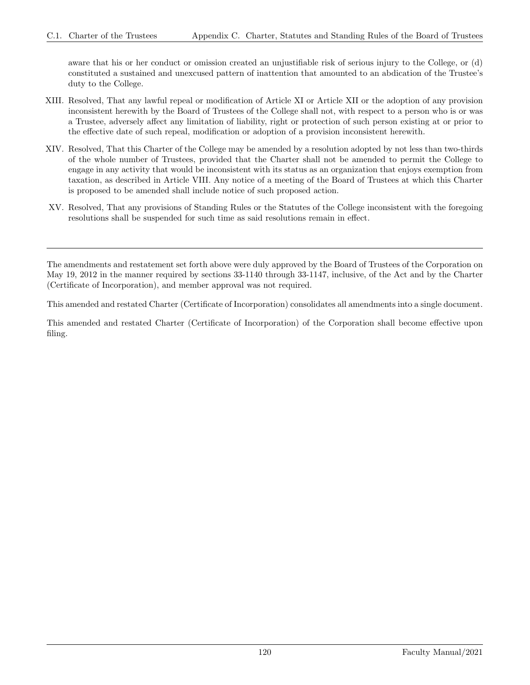aware that his or her conduct or omission created an unjustifiable risk of serious injury to the College, or (d) constituted a sustained and unexcused pattern of inattention that amounted to an abdication of the Trustee's duty to the College.

- XIII. Resolved, That any lawful repeal or modification of Article XI or Article XII or the adoption of any provision inconsistent herewith by the Board of Trustees of the College shall not, with respect to a person who is or was a Trustee, adversely affect any limitation of liability, right or protection of such person existing at or prior to the effective date of such repeal, modification or adoption of a provision inconsistent herewith.
- XIV. Resolved, That this Charter of the College may be amended by a resolution adopted by not less than two-thirds of the whole number of Trustees, provided that the Charter shall not be amended to permit the College to engage in any activity that would be inconsistent with its status as an organization that enjoys exemption from taxation, as described in Article VIII. Any notice of a meeting of the Board of Trustees at which this Charter is proposed to be amended shall include notice of such proposed action.
- XV. Resolved, That any provisions of Standing Rules or the Statutes of the College inconsistent with the foregoing resolutions shall be suspended for such time as said resolutions remain in effect.

This amended and restated Charter (Certificate of Incorporation) consolidates all amendments into a single document.

This amended and restated Charter (Certificate of Incorporation) of the Corporation shall become effective upon filing.

The amendments and restatement set forth above were duly approved by the Board of Trustees of the Corporation on May 19, 2012 in the manner required by sections 33-1140 through 33-1147, inclusive, of the Act and by the Charter (Certificate of Incorporation), and member approval was not required.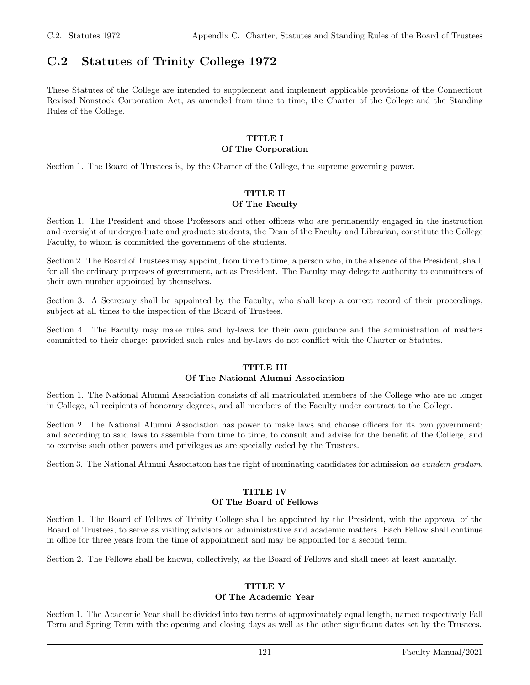## C.2 Statutes of Trinity College 1972

These Statutes of the College are intended to supplement and implement applicable provisions of the Connecticut Revised Nonstock Corporation Act, as amended from time to time, the Charter of the College and the Standing Rules of the College.

#### TITLE I Of The Corporation

Section 1. The Board of Trustees is, by the Charter of the College, the supreme governing power.

#### TITLE II Of The Faculty

Section 1. The President and those Professors and other officers who are permanently engaged in the instruction and oversight of undergraduate and graduate students, the Dean of the Faculty and Librarian, constitute the College Faculty, to whom is committed the government of the students.

Section 2. The Board of Trustees may appoint, from time to time, a person who, in the absence of the President, shall, for all the ordinary purposes of government, act as President. The Faculty may delegate authority to committees of their own number appointed by themselves.

Section 3. A Secretary shall be appointed by the Faculty, who shall keep a correct record of their proceedings, subject at all times to the inspection of the Board of Trustees.

Section 4. The Faculty may make rules and by-laws for their own guidance and the administration of matters committed to their charge: provided such rules and by-laws do not conflict with the Charter or Statutes.

#### TITLE III

#### Of The National Alumni Association

Section 1. The National Alumni Association consists of all matriculated members of the College who are no longer in College, all recipients of honorary degrees, and all members of the Faculty under contract to the College.

Section 2. The National Alumni Association has power to make laws and choose officers for its own government; and according to said laws to assemble from time to time, to consult and advise for the benefit of the College, and to exercise such other powers and privileges as are specially ceded by the Trustees.

Section 3. The National Alumni Association has the right of nominating candidates for admission ad eundem gradum.

#### TITLE IV Of The Board of Fellows

Section 1. The Board of Fellows of Trinity College shall be appointed by the President, with the approval of the Board of Trustees, to serve as visiting advisors on administrative and academic matters. Each Fellow shall continue in office for three years from the time of appointment and may be appointed for a second term.

Section 2. The Fellows shall be known, collectively, as the Board of Fellows and shall meet at least annually.

### TITLE V

#### Of The Academic Year

Section 1. The Academic Year shall be divided into two terms of approximately equal length, named respectively Fall Term and Spring Term with the opening and closing days as well as the other significant dates set by the Trustees.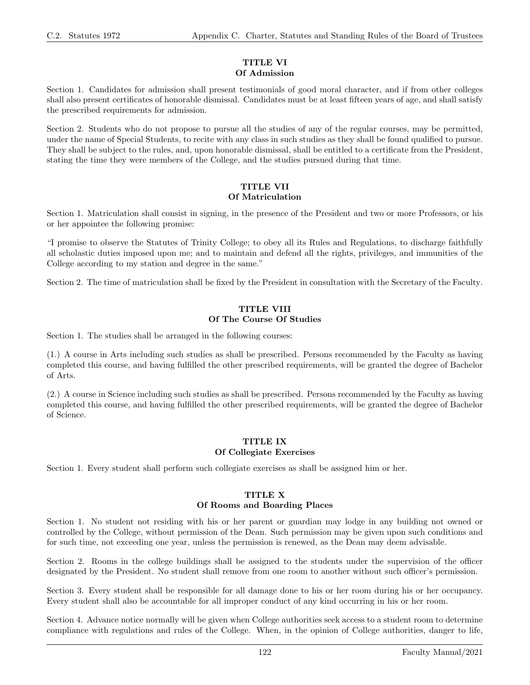#### TITLE VI Of Admission

Section 1. Candidates for admission shall present testimonials of good moral character, and if from other colleges shall also present certificates of honorable dismissal. Candidates must be at least fifteen years of age, and shall satisfy the prescribed requirements for admission.

Section 2. Students who do not propose to pursue all the studies of any of the regular courses, may be permitted, under the name of Special Students, to recite with any class in such studies as they shall be found qualified to pursue. They shall be subject to the rules, and, upon honorable dismissal, shall be entitled to a certificate from the President, stating the time they were members of the College, and the studies pursued during that time.

#### TITLE VII Of Matriculation

Section 1. Matriculation shall consist in signing, in the presence of the President and two or more Professors, or his or her appointee the following promise:

"I promise to observe the Statutes of Trinity College; to obey all its Rules and Regulations, to discharge faithfully all scholastic duties imposed upon me; and to maintain and defend all the rights, privileges, and immunities of the College according to my station and degree in the same."

Section 2. The time of matriculation shall be fixed by the President in consultation with the Secretary of the Faculty.

#### TITLE VIII Of The Course Of Studies

Section 1. The studies shall be arranged in the following courses:

(1.) A course in Arts including such studies as shall be prescribed. Persons recommended by the Faculty as having completed this course, and having fulfilled the other prescribed requirements, will be granted the degree of Bachelor of Arts.

(2.) A course in Science including such studies as shall be prescribed. Persons recommended by the Faculty as having completed this course, and having fulfilled the other prescribed requirements, will be granted the degree of Bachelor of Science.

#### TITLE IX Of Collegiate Exercises

Section 1. Every student shall perform such collegiate exercises as shall be assigned him or her.

#### TITLE X Of Rooms and Boarding Places

Section 1. No student not residing with his or her parent or guardian may lodge in any building not owned or controlled by the College, without permission of the Dean. Such permission may be given upon such conditions and for such time, not exceeding one year, unless the permission is renewed, as the Dean may deem advisable.

Section 2. Rooms in the college buildings shall be assigned to the students under the supervision of the officer designated by the President. No student shall remove from one room to another without such officer's permission.

Section 3. Every student shall be responsible for all damage done to his or her room during his or her occupancy. Every student shall also be accountable for all improper conduct of any kind occurring in his or her room.

Section 4. Advance notice normally will be given when College authorities seek access to a student room to determine compliance with regulations and rules of the College. When, in the opinion of College authorities, danger to life,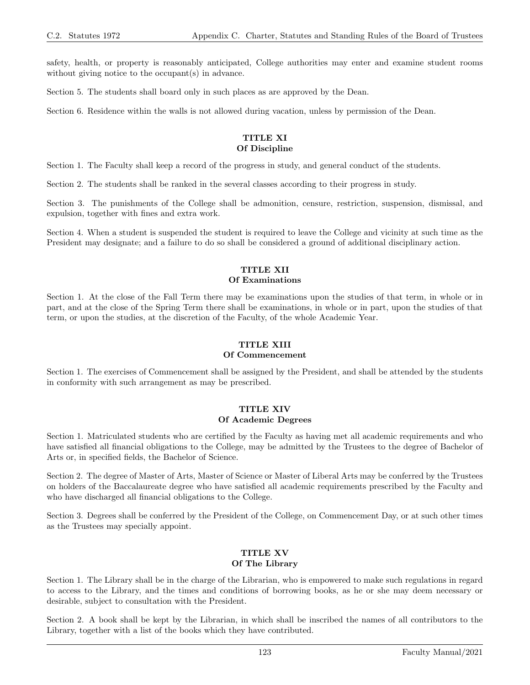safety, health, or property is reasonably anticipated, College authorities may enter and examine student rooms without giving notice to the occupant(s) in advance.

Section 5. The students shall board only in such places as are approved by the Dean.

Section 6. Residence within the walls is not allowed during vacation, unless by permission of the Dean.

#### TITLE XI Of Discipline

Section 1. The Faculty shall keep a record of the progress in study, and general conduct of the students.

Section 2. The students shall be ranked in the several classes according to their progress in study.

Section 3. The punishments of the College shall be admonition, censure, restriction, suspension, dismissal, and expulsion, together with fines and extra work.

Section 4. When a student is suspended the student is required to leave the College and vicinity at such time as the President may designate; and a failure to do so shall be considered a ground of additional disciplinary action.

#### TITLE XII Of Examinations

Section 1. At the close of the Fall Term there may be examinations upon the studies of that term, in whole or in part, and at the close of the Spring Term there shall be examinations, in whole or in part, upon the studies of that term, or upon the studies, at the discretion of the Faculty, of the whole Academic Year.

### TITLE XIII

#### Of Commencement

Section 1. The exercises of Commencement shall be assigned by the President, and shall be attended by the students in conformity with such arrangement as may be prescribed.

#### TITLE XIV Of Academic Degrees

Section 1. Matriculated students who are certified by the Faculty as having met all academic requirements and who have satisfied all financial obligations to the College, may be admitted by the Trustees to the degree of Bachelor of Arts or, in specified fields, the Bachelor of Science.

Section 2. The degree of Master of Arts, Master of Science or Master of Liberal Arts may be conferred by the Trustees on holders of the Baccalaureate degree who have satisfied all academic requirements prescribed by the Faculty and who have discharged all financial obligations to the College.

Section 3. Degrees shall be conferred by the President of the College, on Commencement Day, or at such other times as the Trustees may specially appoint.

#### TITLE XV Of The Library

Section 1. The Library shall be in the charge of the Librarian, who is empowered to make such regulations in regard to access to the Library, and the times and conditions of borrowing books, as he or she may deem necessary or desirable, subject to consultation with the President.

Section 2. A book shall be kept by the Librarian, in which shall be inscribed the names of all contributors to the Library, together with a list of the books which they have contributed.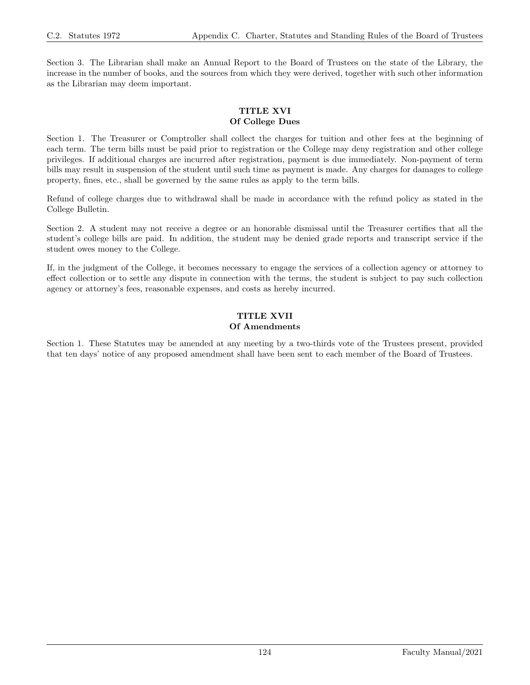Section 3. The Librarian shall make an Annual Report to the Board of Trustees on the state of the Library, the increase in the number of books, and the sources from which they were derived, together with such other information as the Librarian may deem important.

#### TITLE XVI Of College Dues

Section 1. The Treasurer or Comptroller shall collect the charges for tuition and other fees at the beginning of each term. The term bills must be paid prior to registration or the College may deny registration and other college privileges. If additional charges are incurred after registration, payment is due immediately. Non-payment of term bills may result in suspension of the student until such time as payment is made. Any charges for damages to college property, fines, etc., shall be governed by the same rules as apply to the term bills.

Refund of college charges due to withdrawal shall be made in accordance with the refund policy as stated in the College Bulletin.

Section 2. A student may not receive a degree or an honorable dismissal until the Treasurer certifies that all the student's college bills are paid. In addition, the student may be denied grade reports and transcript service if the student owes money to the College.

If, in the judgment of the College, it becomes necessary to engage the services of a collection agency or attorney to effect collection or to settle any dispute in connection with the terms, the student is subject to pay such collection agency or attorney's fees, reasonable expenses, and costs as hereby incurred.

#### TITLE XVII Of Amendments

Section 1. These Statutes may be amended at any meeting by a two-thirds vote of the Trustees present, provided that ten days' notice of any proposed amendment shall have been sent to each member of the Board of Trustees.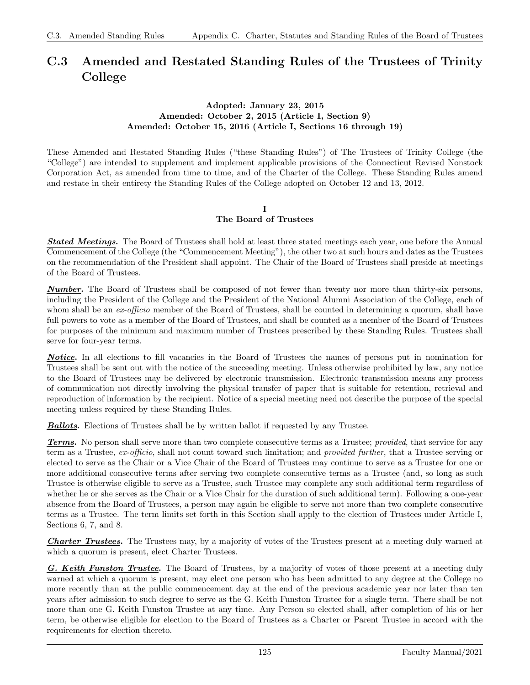## C.3 Amended and Restated Standing Rules of the Trustees of Trinity College

#### Adopted: January 23, 2015 Amended: October 2, 2015 (Article I, Section 9) Amended: October 15, 2016 (Article I, Sections 16 through 19)

These Amended and Restated Standing Rules ("these Standing Rules") of The Trustees of Trinity College (the "College") are intended to supplement and implement applicable provisions of the Connecticut Revised Nonstock Corporation Act, as amended from time to time, and of the Charter of the College. These Standing Rules amend and restate in their entirety the Standing Rules of the College adopted on October 12 and 13, 2012.

### I

### The Board of Trustees

**Stated Meetings.** The Board of Trustees shall hold at least three stated meetings each year, one before the Annual Commencement of the College (the "Commencement Meeting"), the other two at such hours and dates as the Trustees on the recommendation of the President shall appoint. The Chair of the Board of Trustees shall preside at meetings of the Board of Trustees.

Number. The Board of Trustees shall be composed of not fewer than twenty nor more than thirty-six persons, including the President of the College and the President of the National Alumni Association of the College, each of whom shall be an *ex-officio* member of the Board of Trustees, shall be counted in determining a quorum, shall have full powers to vote as a member of the Board of Trustees, and shall be counted as a member of the Board of Trustees for purposes of the minimum and maximum number of Trustees prescribed by these Standing Rules. Trustees shall serve for four-year terms.

Notice. In all elections to fill vacancies in the Board of Trustees the names of persons put in nomination for Trustees shall be sent out with the notice of the succeeding meeting. Unless otherwise prohibited by law, any notice to the Board of Trustees may be delivered by electronic transmission. Electronic transmission means any process of communication not directly involving the physical transfer of paper that is suitable for retention, retrieval and reproduction of information by the recipient. Notice of a special meeting need not describe the purpose of the special meeting unless required by these Standing Rules.

Ballots. Elections of Trustees shall be by written ballot if requested by any Trustee.

**Terms.** No person shall serve more than two complete consecutive terms as a Trustee; *provided*, that service for any term as a Trustee, ex-officio, shall not count toward such limitation; and provided further, that a Trustee serving or elected to serve as the Chair or a Vice Chair of the Board of Trustees may continue to serve as a Trustee for one or more additional consecutive terms after serving two complete consecutive terms as a Trustee (and, so long as such Trustee is otherwise eligible to serve as a Trustee, such Trustee may complete any such additional term regardless of whether he or she serves as the Chair or a Vice Chair for the duration of such additional term). Following a one-year absence from the Board of Trustees, a person may again be eligible to serve not more than two complete consecutive terms as a Trustee. The term limits set forth in this Section shall apply to the election of Trustees under Article I, Sections 6, 7, and 8.

Charter Trustees. The Trustees may, by a majority of votes of the Trustees present at a meeting duly warned at which a quorum is present, elect Charter Trustees.

G. Keith Funston Trustee. The Board of Trustees, by a majority of votes of those present at a meeting duly warned at which a quorum is present, may elect one person who has been admitted to any degree at the College no more recently than at the public commencement day at the end of the previous academic year nor later than ten years after admission to such degree to serve as the G. Keith Funston Trustee for a single term. There shall be not more than one G. Keith Funston Trustee at any time. Any Person so elected shall, after completion of his or her term, be otherwise eligible for election to the Board of Trustees as a Charter or Parent Trustee in accord with the requirements for election thereto.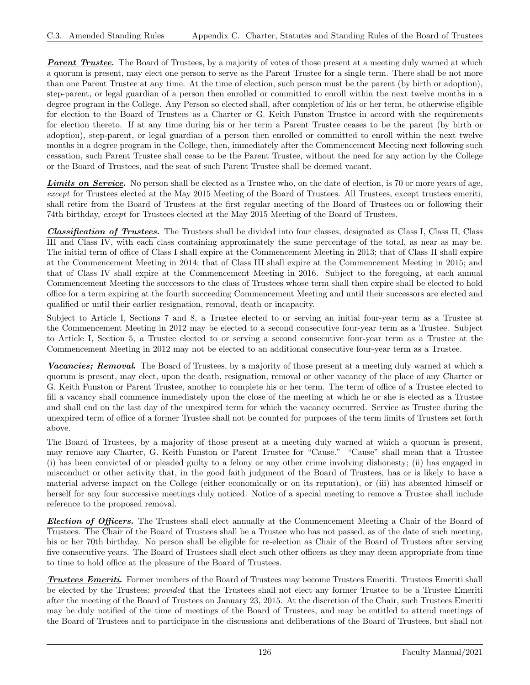**Parent Trustee.** The Board of Trustees, by a majority of votes of those present at a meeting duly warned at which a quorum is present, may elect one person to serve as the Parent Trustee for a single term. There shall be not more than one Parent Trustee at any time. At the time of election, such person must be the parent (by birth or adoption), step-parent, or legal guardian of a person then enrolled or committed to enroll within the next twelve months in a degree program in the College. Any Person so elected shall, after completion of his or her term, be otherwise eligible for election to the Board of Trustees as a Charter or G. Keith Funston Trustee in accord with the requirements for election thereto. If at any time during his or her term a Parent Trustee ceases to be the parent (by birth or adoption), step-parent, or legal guardian of a person then enrolled or committed to enroll within the next twelve months in a degree program in the College, then, immediately after the Commencement Meeting next following such cessation, such Parent Trustee shall cease to be the Parent Trustee, without the need for any action by the College or the Board of Trustees, and the seat of such Parent Trustee shall be deemed vacant.

Limits on Service. No person shall be elected as a Trustee who, on the date of election, is 70 or more years of age, except for Trustees elected at the May 2015 Meeting of the Board of Trustees. All Trustees, except trustees emeriti, shall retire from the Board of Trustees at the first regular meeting of the Board of Trustees on or following their 74th birthday, except for Trustees elected at the May 2015 Meeting of the Board of Trustees.

Classification of Trustees. The Trustees shall be divided into four classes, designated as Class I, Class II, Class III and Class IV, with each class containing approximately the same percentage of the total, as near as may be. The initial term of office of Class I shall expire at the Commencement Meeting in 2013; that of Class II shall expire at the Commencement Meeting in 2014; that of Class III shall expire at the Commencement Meeting in 2015; and that of Class IV shall expire at the Commencement Meeting in 2016. Subject to the foregoing, at each annual Commencement Meeting the successors to the class of Trustees whose term shall then expire shall be elected to hold office for a term expiring at the fourth succeeding Commencement Meeting and until their successors are elected and qualified or until their earlier resignation, removal, death or incapacity.

Subject to Article I, Sections 7 and 8, a Trustee elected to or serving an initial four-year term as a Trustee at the Commencement Meeting in 2012 may be elected to a second consecutive four-year term as a Trustee. Subject to Article I, Section 5, a Trustee elected to or serving a second consecutive four-year term as a Trustee at the Commencement Meeting in 2012 may not be elected to an additional consecutive four-year term as a Trustee.

Vacancies; Removal. The Board of Trustees, by a majority of those present at a meeting duly warned at which a quorum is present, may elect, upon the death, resignation, removal or other vacancy of the place of any Charter or G. Keith Funston or Parent Trustee, another to complete his or her term. The term of office of a Trustee elected to fill a vacancy shall commence immediately upon the close of the meeting at which he or she is elected as a Trustee and shall end on the last day of the unexpired term for which the vacancy occurred. Service as Trustee during the unexpired term of office of a former Trustee shall not be counted for purposes of the term limits of Trustees set forth above.

The Board of Trustees, by a majority of those present at a meeting duly warned at which a quorum is present, may remove any Charter, G. Keith Funston or Parent Trustee for "Cause." "Cause" shall mean that a Trustee (i) has been convicted of or pleaded guilty to a felony or any other crime involving dishonesty; (ii) has engaged in misconduct or other activity that, in the good faith judgment of the Board of Trustees, has or is likely to have a material adverse impact on the College (either economically or on its reputation), or (iii) has absented himself or herself for any four successive meetings duly noticed. Notice of a special meeting to remove a Trustee shall include reference to the proposed removal.

**Election of Officers.** The Trustees shall elect annually at the Commencement Meeting a Chair of the Board of Trustees. The Chair of the Board of Trustees shall be a Trustee who has not passed, as of the date of such meeting, his or her 70th birthday. No person shall be eligible for re-election as Chair of the Board of Trustees after serving five consecutive years. The Board of Trustees shall elect such other officers as they may deem appropriate from time to time to hold office at the pleasure of the Board of Trustees.

Trustees Emeriti. Former members of the Board of Trustees may become Trustees Emeriti. Trustees Emeriti shall be elected by the Trustees; provided that the Trustees shall not elect any former Trustee to be a Trustee Emeriti after the meeting of the Board of Trustees on January 23, 2015. At the discretion of the Chair, such Trustees Emeriti may be duly notified of the time of meetings of the Board of Trustees, and may be entitled to attend meetings of the Board of Trustees and to participate in the discussions and deliberations of the Board of Trustees, but shall not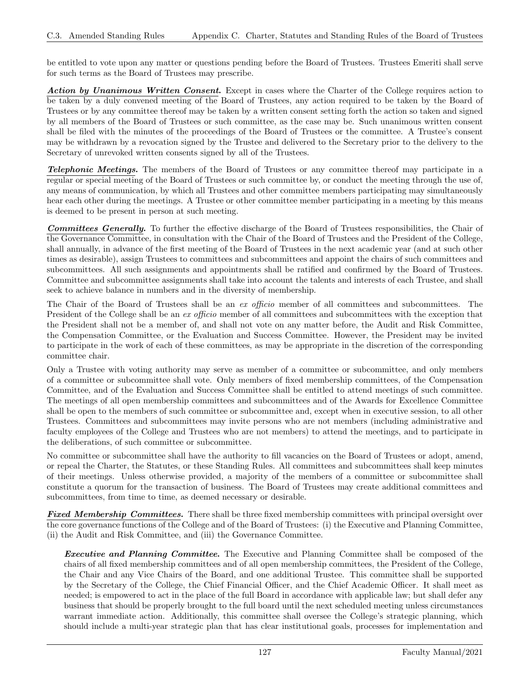be entitled to vote upon any matter or questions pending before the Board of Trustees. Trustees Emeriti shall serve for such terms as the Board of Trustees may prescribe.

Action by Unanimous Written Consent. Except in cases where the Charter of the College requires action to be taken by a duly convened meeting of the Board of Trustees, any action required to be taken by the Board of Trustees or by any committee thereof may be taken by a written consent setting forth the action so taken and signed by all members of the Board of Trustees or such committee, as the case may be. Such unanimous written consent shall be filed with the minutes of the proceedings of the Board of Trustees or the committee. A Trustee's consent may be withdrawn by a revocation signed by the Trustee and delivered to the Secretary prior to the delivery to the Secretary of unrevoked written consents signed by all of the Trustees.

**Telephonic Meetings.** The members of the Board of Trustees or any committee thereof may participate in a regular or special meeting of the Board of Trustees or such committee by, or conduct the meeting through the use of, any means of communication, by which all Trustees and other committee members participating may simultaneously hear each other during the meetings. A Trustee or other committee member participating in a meeting by this means is deemed to be present in person at such meeting.

Committees Generally. To further the effective discharge of the Board of Trustees responsibilities, the Chair of the Governance Committee, in consultation with the Chair of the Board of Trustees and the President of the College, shall annually, in advance of the first meeting of the Board of Trustees in the next academic year (and at such other times as desirable), assign Trustees to committees and subcommittees and appoint the chairs of such committees and subcommittees. All such assignments and appointments shall be ratified and confirmed by the Board of Trustees. Committee and subcommittee assignments shall take into account the talents and interests of each Trustee, and shall seek to achieve balance in numbers and in the diversity of membership.

The Chair of the Board of Trustees shall be an ex officio member of all committees and subcommittees. The President of the College shall be an ex officio member of all committees and subcommittees with the exception that the President shall not be a member of, and shall not vote on any matter before, the Audit and Risk Committee, the Compensation Committee, or the Evaluation and Success Committee. However, the President may be invited to participate in the work of each of these committees, as may be appropriate in the discretion of the corresponding committee chair.

Only a Trustee with voting authority may serve as member of a committee or subcommittee, and only members of a committee or subcommittee shall vote. Only members of fixed membership committees, of the Compensation Committee, and of the Evaluation and Success Committee shall be entitled to attend meetings of such committee. The meetings of all open membership committees and subcommittees and of the Awards for Excellence Committee shall be open to the members of such committee or subcommittee and, except when in executive session, to all other Trustees. Committees and subcommittees may invite persons who are not members (including administrative and faculty employees of the College and Trustees who are not members) to attend the meetings, and to participate in the deliberations, of such committee or subcommittee.

No committee or subcommittee shall have the authority to fill vacancies on the Board of Trustees or adopt, amend, or repeal the Charter, the Statutes, or these Standing Rules. All committees and subcommittees shall keep minutes of their meetings. Unless otherwise provided, a majority of the members of a committee or subcommittee shall constitute a quorum for the transaction of business. The Board of Trustees may create additional committees and subcommittees, from time to time, as deemed necessary or desirable.

**Fixed Membership Committees.** There shall be three fixed membership committees with principal oversight over the core governance functions of the College and of the Board of Trustees: (i) the Executive and Planning Committee, (ii) the Audit and Risk Committee, and (iii) the Governance Committee.

**Executive and Planning Committee.** The Executive and Planning Committee shall be composed of the chairs of all fixed membership committees and of all open membership committees, the President of the College, the Chair and any Vice Chairs of the Board, and one additional Trustee. This committee shall be supported by the Secretary of the College, the Chief Financial Officer, and the Chief Academic Officer. It shall meet as needed; is empowered to act in the place of the full Board in accordance with applicable law; but shall defer any business that should be properly brought to the full board until the next scheduled meeting unless circumstances warrant immediate action. Additionally, this committee shall oversee the College's strategic planning, which should include a multi-year strategic plan that has clear institutional goals, processes for implementation and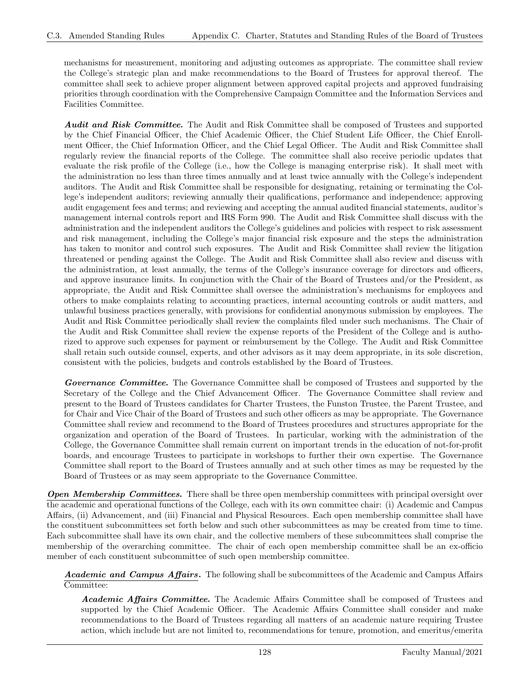mechanisms for measurement, monitoring and adjusting outcomes as appropriate. The committee shall review the College's strategic plan and make recommendations to the Board of Trustees for approval thereof. The committee shall seek to achieve proper alignment between approved capital projects and approved fundraising priorities through coordination with the Comprehensive Campaign Committee and the Information Services and Facilities Committee.

**Audit and Risk Committee.** The Audit and Risk Committee shall be composed of Trustees and supported by the Chief Financial Officer, the Chief Academic Officer, the Chief Student Life Officer, the Chief Enrollment Officer, the Chief Information Officer, and the Chief Legal Officer. The Audit and Risk Committee shall regularly review the financial reports of the College. The committee shall also receive periodic updates that evaluate the risk profile of the College (i.e., how the College is managing enterprise risk). It shall meet with the administration no less than three times annually and at least twice annually with the College's independent auditors. The Audit and Risk Committee shall be responsible for designating, retaining or terminating the College's independent auditors; reviewing annually their qualifications, performance and independence; approving audit engagement fees and terms; and reviewing and accepting the annual audited financial statements, auditor's management internal controls report and IRS Form 990. The Audit and Risk Committee shall discuss with the administration and the independent auditors the College's guidelines and policies with respect to risk assessment and risk management, including the College's major financial risk exposure and the steps the administration has taken to monitor and control such exposures. The Audit and Risk Committee shall review the litigation threatened or pending against the College. The Audit and Risk Committee shall also review and discuss with the administration, at least annually, the terms of the College's insurance coverage for directors and officers, and approve insurance limits. In conjunction with the Chair of the Board of Trustees and/or the President, as appropriate, the Audit and Risk Committee shall oversee the administration's mechanisms for employees and others to make complaints relating to accounting practices, internal accounting controls or audit matters, and unlawful business practices generally, with provisions for confidential anonymous submission by employees. The Audit and Risk Committee periodically shall review the complaints filed under such mechanisms. The Chair of the Audit and Risk Committee shall review the expense reports of the President of the College and is authorized to approve such expenses for payment or reimbursement by the College. The Audit and Risk Committee shall retain such outside counsel, experts, and other advisors as it may deem appropriate, in its sole discretion, consistent with the policies, budgets and controls established by the Board of Trustees.

Governance Committee. The Governance Committee shall be composed of Trustees and supported by the Secretary of the College and the Chief Advancement Officer. The Governance Committee shall review and present to the Board of Trustees candidates for Charter Trustees, the Funston Trustee, the Parent Trustee, and for Chair and Vice Chair of the Board of Trustees and such other officers as may be appropriate. The Governance Committee shall review and recommend to the Board of Trustees procedures and structures appropriate for the organization and operation of the Board of Trustees. In particular, working with the administration of the College, the Governance Committee shall remain current on important trends in the education of not-for-profit boards, and encourage Trustees to participate in workshops to further their own expertise. The Governance Committee shall report to the Board of Trustees annually and at such other times as may be requested by the Board of Trustees or as may seem appropriate to the Governance Committee.

**Open Membership Committees.** There shall be three open membership committees with principal oversight over the academic and operational functions of the College, each with its own committee chair: (i) Academic and Campus Affairs, (ii) Advancement, and (iii) Financial and Physical Resources. Each open membership committee shall have the constituent subcommittees set forth below and such other subcommittees as may be created from time to time. Each subcommittee shall have its own chair, and the collective members of these subcommittees shall comprise the membership of the overarching committee. The chair of each open membership committee shall be an ex-officio member of each constituent subcommittee of such open membership committee.

Academic and Campus Affairs. The following shall be subcommittees of the Academic and Campus Affairs Committee:

Academic Affairs Committee. The Academic Affairs Committee shall be composed of Trustees and supported by the Chief Academic Officer. The Academic Affairs Committee shall consider and make recommendations to the Board of Trustees regarding all matters of an academic nature requiring Trustee action, which include but are not limited to, recommendations for tenure, promotion, and emeritus/emerita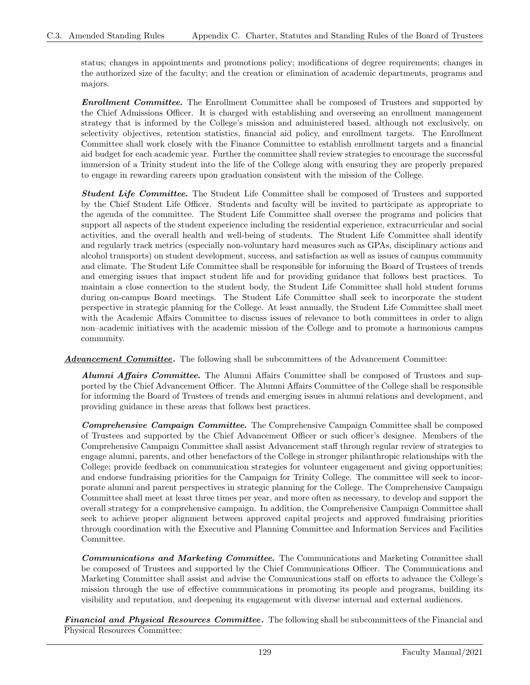status; changes in appointments and promotions policy; modifications of degree requirements; changes in the authorized size of the faculty; and the creation or elimination of academic departments, programs and majors.

**Enrollment Committee.** The Enrollment Committee shall be composed of Trustees and supported by the Chief Admissions Officer. It is charged with establishing and overseeing an enrollment management strategy that is informed by the College's mission and administered based, although not exclusively, on selectivity objectives, retention statistics, financial aid policy, and enrollment targets. The Enrollment Committee shall work closely with the Finance Committee to establish enrollment targets and a financial aid budget for each academic year. Further the committee shall review strategies to encourage the successful immersion of a Trinity student into the life of the College along with ensuring they are properly prepared to engage in rewarding careers upon graduation consistent with the mission of the College.

**Student Life Committee.** The Student Life Committee shall be composed of Trustees and supported by the Chief Student Life Officer. Students and faculty will be invited to participate as appropriate to the agenda of the committee. The Student Life Committee shall oversee the programs and policies that support all aspects of the student experience including the residential experience, extracurricular and social activities, and the overall health and well-being of students. The Student Life Committee shall identify and regularly track metrics (especially non-voluntary hard measures such as GPAs, disciplinary actions and alcohol transports) on student development, success, and satisfaction as well as issues of campus community and climate. The Student Life Committee shall be responsible for informing the Board of Trustees of trends and emerging issues that impact student life and for providing guidance that follows best practices. To maintain a close connection to the student body, the Student Life Committee shall hold student forums during on-campus Board meetings. The Student Life Committee shall seek to incorporate the student perspective in strategic planning for the College. At least annually, the Student Life Committee shall meet with the Academic Affairs Committee to discuss issues of relevance to both committees in order to align non–academic initiatives with the academic mission of the College and to promote a harmonious campus community.

Advancement Committee. The following shall be subcommittees of the Advancement Committee:

Alumni Affairs Committee. The Alumni Affairs Committee shall be composed of Trustees and supported by the Chief Advancement Officer. The Alumni Affairs Committee of the College shall be responsible for informing the Board of Trustees of trends and emerging issues in alumni relations and development, and providing guidance in these areas that follows best practices.

Comprehensive Campaign Committee. The Comprehensive Campaign Committee shall be composed of Trustees and supported by the Chief Advancement Officer or such officer's designee. Members of the Comprehensive Campaign Committee shall assist Advancement staff through regular review of strategies to engage alumni, parents, and other benefactors of the College in stronger philanthropic relationships with the College; provide feedback on communication strategies for volunteer engagement and giving opportunities; and endorse fundraising priorities for the Campaign for Trinity College. The committee will seek to incorporate alumni and parent perspectives in strategic planning for the College. The Comprehensive Campaign Committee shall meet at least three times per year, and more often as necessary, to develop and support the overall strategy for a comprehensive campaign. In addition, the Comprehensive Campaign Committee shall seek to achieve proper alignment between approved capital projects and approved fundraising priorities through coordination with the Executive and Planning Committee and Information Services and Facilities Committee.

Communications and Marketing Committee. The Communications and Marketing Committee shall be composed of Trustees and supported by the Chief Communications Officer. The Communications and Marketing Committee shall assist and advise the Communications staff on efforts to advance the College's mission through the use of effective communications in promoting its people and programs, building its visibility and reputation, and deepening its engagement with diverse internal and external audiences.

Financial and Physical Resources Committee. The following shall be subcommittees of the Financial and Physical Resources Committee: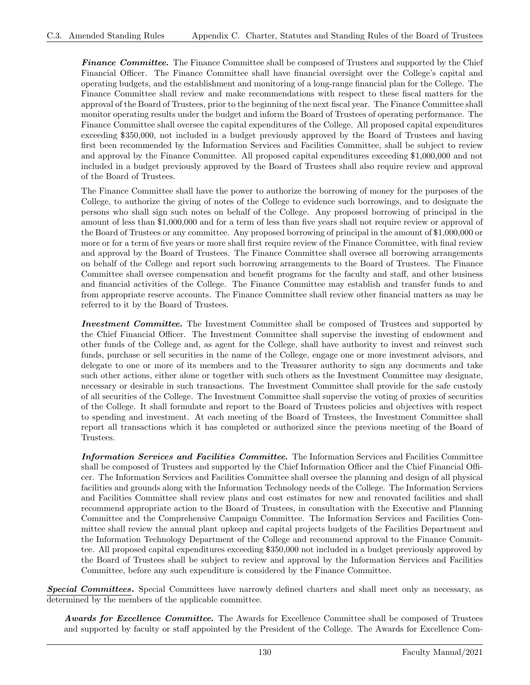Finance Committee. The Finance Committee shall be composed of Trustees and supported by the Chief Financial Officer. The Finance Committee shall have financial oversight over the College's capital and operating budgets, and the establishment and monitoring of a long-range financial plan for the College. The Finance Committee shall review and make recommendations with respect to these fiscal matters for the approval of the Board of Trustees, prior to the beginning of the next fiscal year. The Finance Committee shall monitor operating results under the budget and inform the Board of Trustees of operating performance. The Finance Committee shall oversee the capital expenditures of the College. All proposed capital expenditures exceeding \$350,000, not included in a budget previously approved by the Board of Trustees and having first been recommended by the Information Services and Facilities Committee, shall be subject to review and approval by the Finance Committee. All proposed capital expenditures exceeding \$1,000,000 and not included in a budget previously approved by the Board of Trustees shall also require review and approval of the Board of Trustees.

The Finance Committee shall have the power to authorize the borrowing of money for the purposes of the College, to authorize the giving of notes of the College to evidence such borrowings, and to designate the persons who shall sign such notes on behalf of the College. Any proposed borrowing of principal in the amount of less than \$1,000,000 and for a term of less than five years shall not require review or approval of the Board of Trustees or any committee. Any proposed borrowing of principal in the amount of \$1,000,000 or more or for a term of five years or more shall first require review of the Finance Committee, with final review and approval by the Board of Trustees. The Finance Committee shall oversee all borrowing arrangements on behalf of the College and report such borrowing arrangements to the Board of Trustees. The Finance Committee shall oversee compensation and benefit programs for the faculty and staff, and other business and financial activities of the College. The Finance Committee may establish and transfer funds to and from appropriate reserve accounts. The Finance Committee shall review other financial matters as may be referred to it by the Board of Trustees.

Investment Committee. The Investment Committee shall be composed of Trustees and supported by the Chief Financial Officer. The Investment Committee shall supervise the investing of endowment and other funds of the College and, as agent for the College, shall have authority to invest and reinvest such funds, purchase or sell securities in the name of the College, engage one or more investment advisors, and delegate to one or more of its members and to the Treasurer authority to sign any documents and take such other actions, either alone or together with such others as the Investment Committee may designate, necessary or desirable in such transactions. The Investment Committee shall provide for the safe custody of all securities of the College. The Investment Committee shall supervise the voting of proxies of securities of the College. It shall formulate and report to the Board of Trustees policies and objectives with respect to spending and investment. At each meeting of the Board of Trustees, the Investment Committee shall report all transactions which it has completed or authorized since the previous meeting of the Board of Trustees.

Information Services and Facilities Committee. The Information Services and Facilities Committee shall be composed of Trustees and supported by the Chief Information Officer and the Chief Financial Officer. The Information Services and Facilities Committee shall oversee the planning and design of all physical facilities and grounds along with the Information Technology needs of the College. The Information Services and Facilities Committee shall review plans and cost estimates for new and renovated facilities and shall recommend appropriate action to the Board of Trustees, in consultation with the Executive and Planning Committee and the Comprehensive Campaign Committee. The Information Services and Facilities Committee shall review the annual plant upkeep and capital projects budgets of the Facilities Department and the Information Technology Department of the College and recommend approval to the Finance Committee. All proposed capital expenditures exceeding \$350,000 not included in a budget previously approved by the Board of Trustees shall be subject to review and approval by the Information Services and Facilities Committee, before any such expenditure is considered by the Finance Committee.

Special Committees. Special Committees have narrowly defined charters and shall meet only as necessary, as determined by the members of the applicable committee.

Awards for Excellence Committee. The Awards for Excellence Committee shall be composed of Trustees and supported by faculty or staff appointed by the President of the College. The Awards for Excellence Com